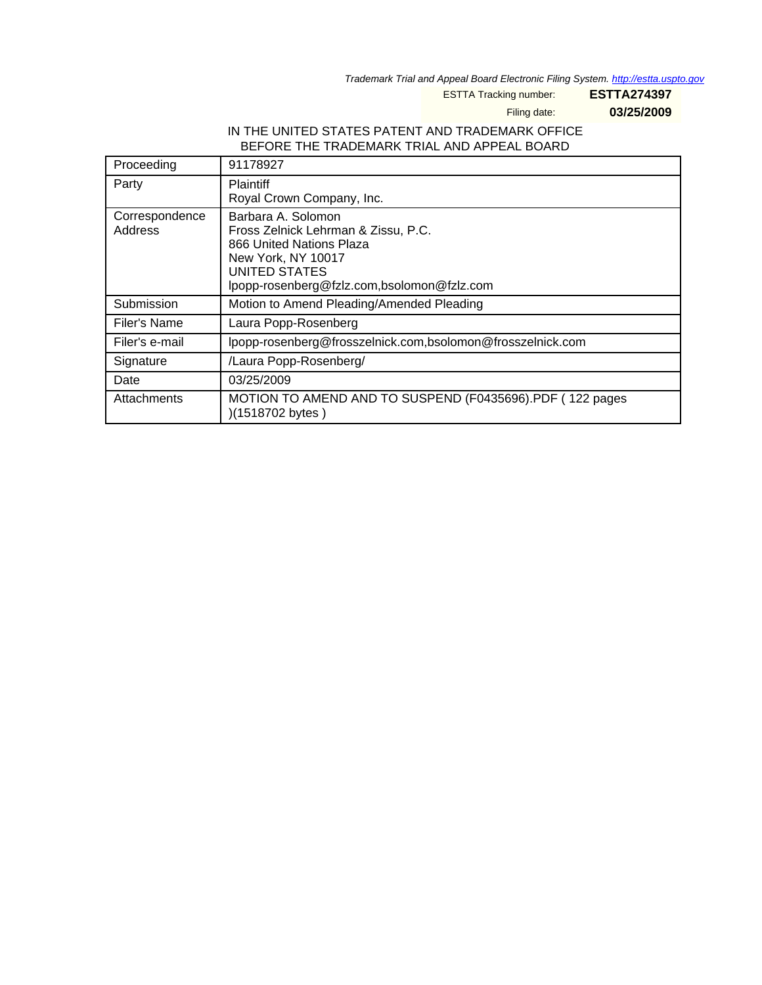Trademark Trial and Appeal Board Electronic Filing System. <http://estta.uspto.gov>

ESTTA Tracking number: **ESTTA274397**

Filing date: **03/25/2009**

# IN THE UNITED STATES PATENT AND TRADEMARK OFFICE BEFORE THE TRADEMARK TRIAL AND APPEAL BOARD

| Proceeding                | 91178927                                                                                                                                                                   |
|---------------------------|----------------------------------------------------------------------------------------------------------------------------------------------------------------------------|
| Party                     | <b>Plaintiff</b><br>Royal Crown Company, Inc.                                                                                                                              |
| Correspondence<br>Address | Barbara A. Solomon<br>Fross Zelnick Lehrman & Zissu, P.C.<br>866 United Nations Plaza<br>New York, NY 10017<br>UNITED STATES<br>lpopp-rosenberg@fzlz.com,bsolomon@fzlz.com |
| Submission                | Motion to Amend Pleading/Amended Pleading                                                                                                                                  |
| Filer's Name              | Laura Popp-Rosenberg                                                                                                                                                       |
| Filer's e-mail            | lpopp-rosenberg@frosszelnick.com,bsolomon@frosszelnick.com                                                                                                                 |
| Signature                 | /Laura Popp-Rosenberg/                                                                                                                                                     |
| Date                      | 03/25/2009                                                                                                                                                                 |
| Attachments               | MOTION TO AMEND AND TO SUSPEND (F0435696).PDF (122 pages<br>)(1518702 bytes)                                                                                               |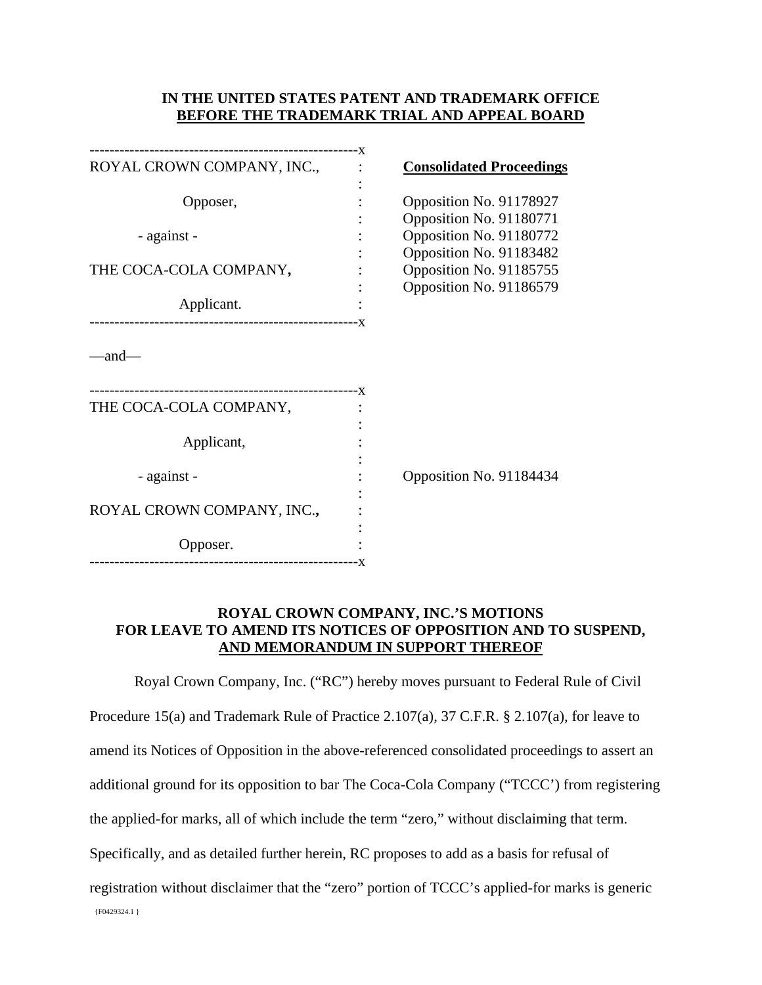# **IN THE UNITED STATES PATENT AND TRADEMARK OFFICE BEFORE THE TRADEMARK TRIAL AND APPEAL BOARD**

| ROYAL CROWN COMPANY, INC., |     | <b>Consolidated Proceedings</b>                    |
|----------------------------|-----|----------------------------------------------------|
| Opposer,                   |     | Opposition No. 91178927<br>Opposition No. 91180771 |
| - against -                |     | Opposition No. 91180772<br>Opposition No. 91183482 |
| THE COCA-COLA COMPANY,     |     | Opposition No. 91185755<br>Opposition No. 91186579 |
| Applicant.                 | - X |                                                    |
| and—                       |     |                                                    |
| THE COCA-COLA COMPANY,     |     |                                                    |
| Applicant,                 |     |                                                    |
| - against -                |     | Opposition No. 91184434                            |
| ROYAL CROWN COMPANY, INC., |     |                                                    |
| Opposer.                   |     |                                                    |

# **ROYAL CROWN COMPANY, INC.'S MOTIONS FOR LEAVE TO AMEND ITS NOTICES OF OPPOSITION AND TO SUSPEND, AND MEMORANDUM IN SUPPORT THEREOF**

{F0429324.1 } Royal Crown Company, Inc. ("RC") hereby moves pursuant to Federal Rule of Civil Procedure 15(a) and Trademark Rule of Practice 2.107(a), 37 C.F.R. § 2.107(a), for leave to amend its Notices of Opposition in the above-referenced consolidated proceedings to assert an additional ground for its opposition to bar The Coca-Cola Company ("TCCC') from registering the applied-for marks, all of which include the term "zero," without disclaiming that term. Specifically, and as detailed further herein, RC proposes to add as a basis for refusal of registration without disclaimer that the "zero" portion of TCCC's applied-for marks is generic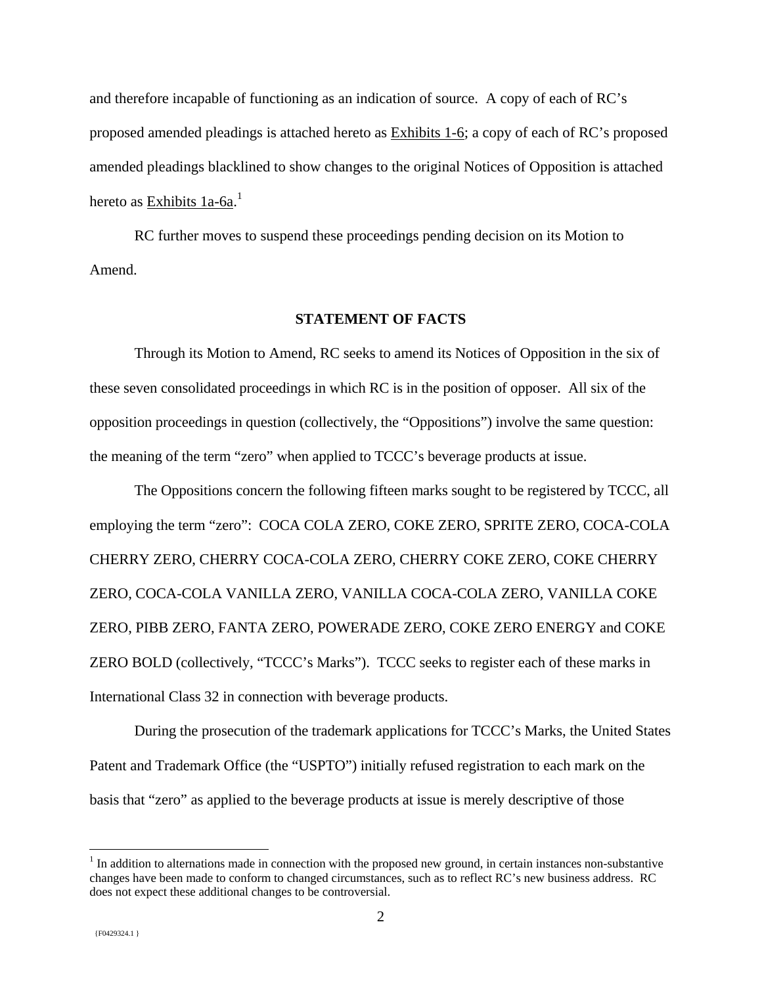and therefore incapable of functioning as an indication of source. A copy of each of RC's proposed amended pleadings is attached hereto as Exhibits 1-6; a copy of each of RC's proposed amended pleadings blacklined to show changes to the original Notices of Opposition is attached hereto as <u>Exhibits 1a-6a</u>.<sup>1</sup>

 RC further moves to suspend these proceedings pending decision on its Motion to Amend.

#### **STATEMENT OF FACTS**

Through its Motion to Amend, RC seeks to amend its Notices of Opposition in the six of these seven consolidated proceedings in which RC is in the position of opposer. All six of the opposition proceedings in question (collectively, the "Oppositions") involve the same question: the meaning of the term "zero" when applied to TCCC's beverage products at issue.

The Oppositions concern the following fifteen marks sought to be registered by TCCC, all employing the term "zero": COCA COLA ZERO, COKE ZERO, SPRITE ZERO, COCA-COLA CHERRY ZERO, CHERRY COCA-COLA ZERO, CHERRY COKE ZERO, COKE CHERRY ZERO, COCA-COLA VANILLA ZERO, VANILLA COCA-COLA ZERO, VANILLA COKE ZERO, PIBB ZERO, FANTA ZERO, POWERADE ZERO, COKE ZERO ENERGY and COKE ZERO BOLD (collectively, "TCCC's Marks"). TCCC seeks to register each of these marks in International Class 32 in connection with beverage products.

During the prosecution of the trademark applications for TCCC's Marks, the United States Patent and Trademark Office (the "USPTO") initially refused registration to each mark on the basis that "zero" as applied to the beverage products at issue is merely descriptive of those

<u>.</u>

 $<sup>1</sup>$  In addition to alternations made in connection with the proposed new ground, in certain instances non-substantive</sup> changes have been made to conform to changed circumstances, such as to reflect RC's new business address. RC does not expect these additional changes to be controversial.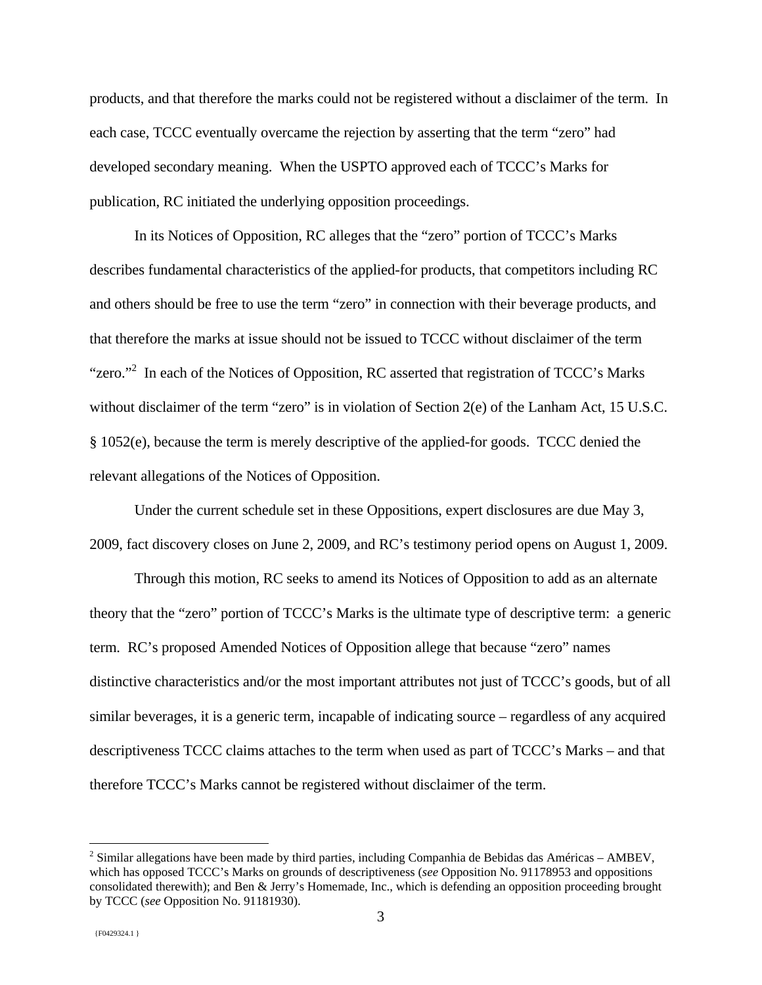products, and that therefore the marks could not be registered without a disclaimer of the term. In each case, TCCC eventually overcame the rejection by asserting that the term "zero" had developed secondary meaning. When the USPTO approved each of TCCC's Marks for publication, RC initiated the underlying opposition proceedings.

In its Notices of Opposition, RC alleges that the "zero" portion of TCCC's Marks describes fundamental characteristics of the applied-for products, that competitors including RC and others should be free to use the term "zero" in connection with their beverage products, and that therefore the marks at issue should not be issued to TCCC without disclaimer of the term "zero."<sup>2</sup> In each of the Notices of Opposition, RC asserted that registration of TCCC's Marks without disclaimer of the term "zero" is in violation of Section 2(e) of the Lanham Act, 15 U.S.C. § 1052(e), because the term is merely descriptive of the applied-for goods. TCCC denied the relevant allegations of the Notices of Opposition.

Under the current schedule set in these Oppositions, expert disclosures are due May 3, 2009, fact discovery closes on June 2, 2009, and RC's testimony period opens on August 1, 2009.

Through this motion, RC seeks to amend its Notices of Opposition to add as an alternate theory that the "zero" portion of TCCC's Marks is the ultimate type of descriptive term: a generic term. RC's proposed Amended Notices of Opposition allege that because "zero" names distinctive characteristics and/or the most important attributes not just of TCCC's goods, but of all similar beverages, it is a generic term, incapable of indicating source – regardless of any acquired descriptiveness TCCC claims attaches to the term when used as part of TCCC's Marks – and that therefore TCCC's Marks cannot be registered without disclaimer of the term.

 $\overline{a}$ 

 $2^{2}$  Similar allegations have been made by third parties, including Companhia de Bebidas das Américas – AMBEV, which has opposed TCCC's Marks on grounds of descriptiveness (*see* Opposition No. 91178953 and oppositions consolidated therewith); and Ben & Jerry's Homemade, Inc., which is defending an opposition proceeding brought by TCCC (*see* Opposition No. 91181930).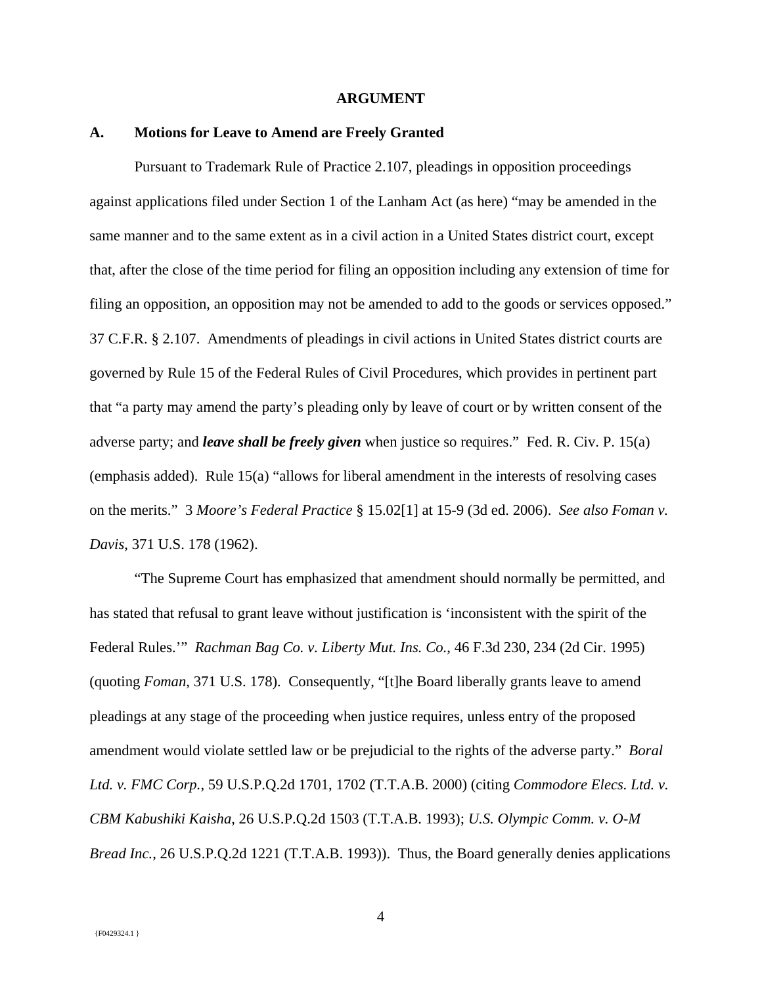#### **ARGUMENT**

#### **A. Motions for Leave to Amend are Freely Granted**

Pursuant to Trademark Rule of Practice 2.107, pleadings in opposition proceedings against applications filed under Section 1 of the Lanham Act (as here) "may be amended in the same manner and to the same extent as in a civil action in a United States district court, except that, after the close of the time period for filing an opposition including any extension of time for filing an opposition, an opposition may not be amended to add to the goods or services opposed." 37 C.F.R. § 2.107. Amendments of pleadings in civil actions in United States district courts are governed by Rule 15 of the Federal Rules of Civil Procedures, which provides in pertinent part that "a party may amend the party's pleading only by leave of court or by written consent of the adverse party; and *leave shall be freely given* when justice so requires." Fed. R. Civ. P. 15(a) (emphasis added). Rule 15(a) "allows for liberal amendment in the interests of resolving cases on the merits." 3 *Moore's Federal Practice* § 15.02[1] at 15-9 (3d ed. 2006). *See also Foman v. Davis*, 371 U.S. 178 (1962).

"The Supreme Court has emphasized that amendment should normally be permitted, and has stated that refusal to grant leave without justification is 'inconsistent with the spirit of the Federal Rules.'" *Rachman Bag Co. v. Liberty Mut. Ins. Co.*, 46 F.3d 230, 234 (2d Cir. 1995) (quoting *Foman*, 371 U.S. 178). Consequently, "[t]he Board liberally grants leave to amend pleadings at any stage of the proceeding when justice requires, unless entry of the proposed amendment would violate settled law or be prejudicial to the rights of the adverse party." *Boral Ltd. v. FMC Corp.*, 59 U.S.P.Q.2d 1701, 1702 (T.T.A.B. 2000) (citing *Commodore Elecs. Ltd. v. CBM Kabushiki Kaisha*, 26 U.S.P.Q.2d 1503 (T.T.A.B. 1993); *U.S. Olympic Comm. v. O-M Bread Inc.*, 26 U.S.P.Q.2d 1221 (T.T.A.B. 1993)). Thus, the Board generally denies applications

4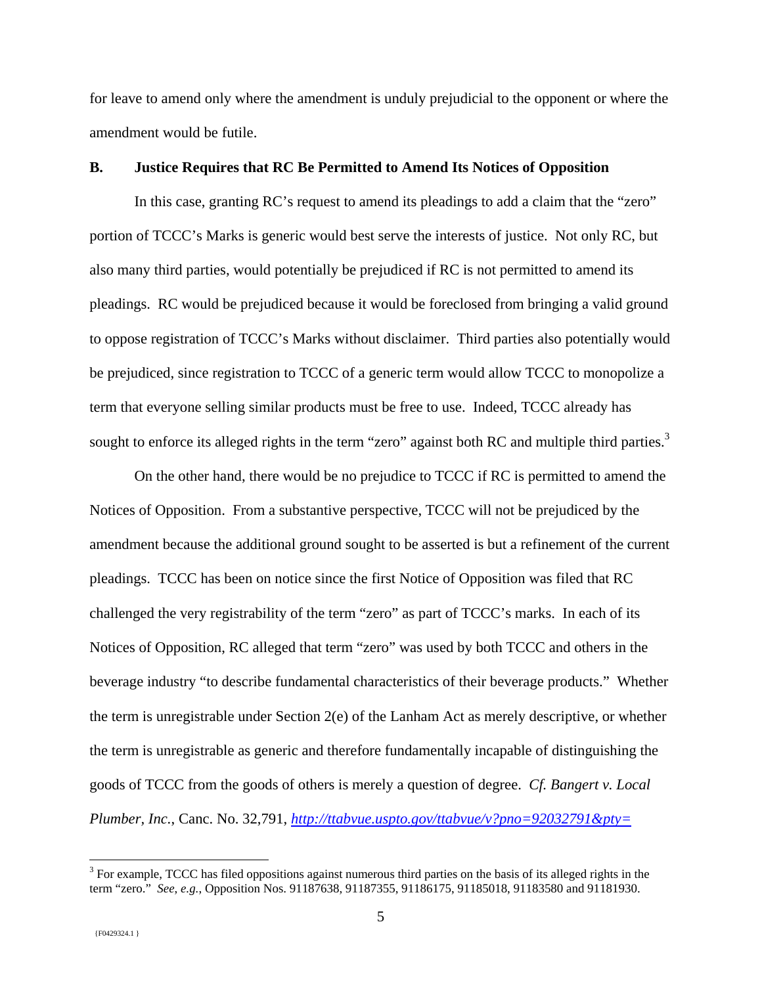for leave to amend only where the amendment is unduly prejudicial to the opponent or where the amendment would be futile.

#### **B. Justice Requires that RC Be Permitted to Amend Its Notices of Opposition**

In this case, granting RC's request to amend its pleadings to add a claim that the "zero" portion of TCCC's Marks is generic would best serve the interests of justice. Not only RC, but also many third parties, would potentially be prejudiced if RC is not permitted to amend its pleadings. RC would be prejudiced because it would be foreclosed from bringing a valid ground to oppose registration of TCCC's Marks without disclaimer. Third parties also potentially would be prejudiced, since registration to TCCC of a generic term would allow TCCC to monopolize a term that everyone selling similar products must be free to use. Indeed, TCCC already has sought to enforce its alleged rights in the term "zero" against both RC and multiple third parties.<sup>3</sup>

On the other hand, there would be no prejudice to TCCC if RC is permitted to amend the Notices of Opposition. From a substantive perspective, TCCC will not be prejudiced by the amendment because the additional ground sought to be asserted is but a refinement of the current pleadings. TCCC has been on notice since the first Notice of Opposition was filed that RC challenged the very registrability of the term "zero" as part of TCCC's marks. In each of its Notices of Opposition, RC alleged that term "zero" was used by both TCCC and others in the beverage industry "to describe fundamental characteristics of their beverage products." Whether the term is unregistrable under Section 2(e) of the Lanham Act as merely descriptive, or whether the term is unregistrable as generic and therefore fundamentally incapable of distinguishing the goods of TCCC from the goods of others is merely a question of degree. *Cf. Bangert v. Local Plumber, Inc.*, Canc. No. 32,791, *http://ttabvue.uspto.gov/ttabvue/v?pno=92032791&pty=* 

 $\overline{a}$ 

 $3$  For example, TCCC has filed oppositions against numerous third parties on the basis of its alleged rights in the term "zero." *See*, *e.g.*, Opposition Nos. 91187638, 91187355, 91186175, 91185018, 91183580 and 91181930.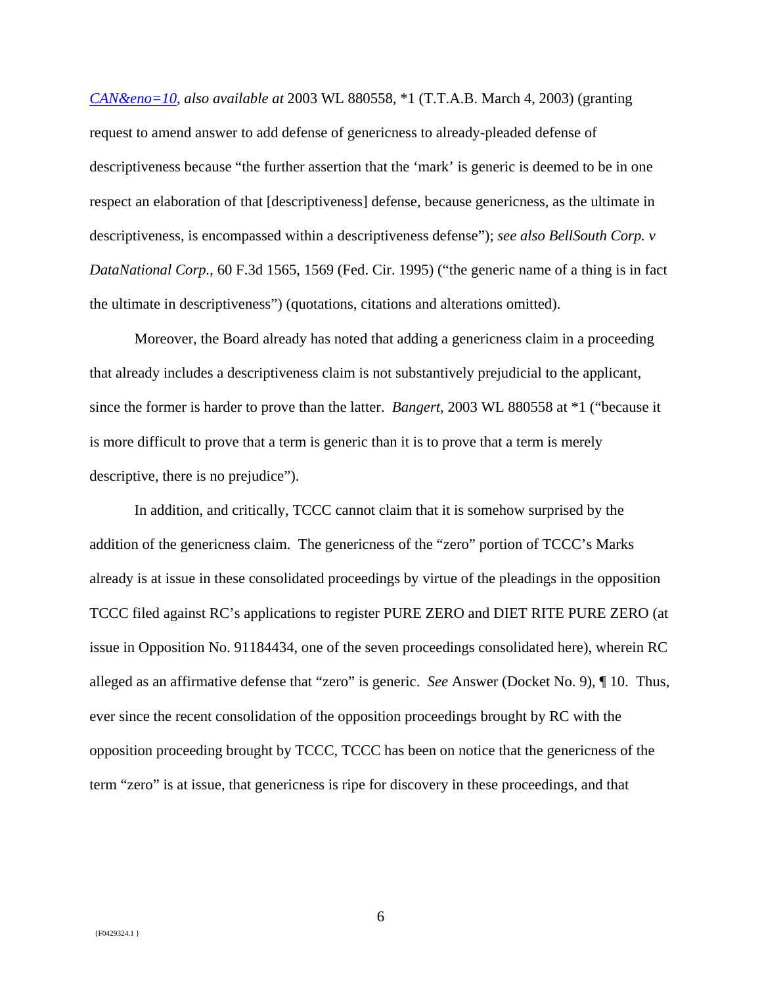*CAN&eno=10*, *also available at* 2003 WL 880558, \*1 (T.T.A.B. March 4, 2003) (granting request to amend answer to add defense of genericness to already-pleaded defense of descriptiveness because "the further assertion that the 'mark' is generic is deemed to be in one respect an elaboration of that [descriptiveness] defense, because genericness, as the ultimate in descriptiveness, is encompassed within a descriptiveness defense"); *see also BellSouth Corp. v DataNational Corp.*, 60 F.3d 1565, 1569 (Fed. Cir. 1995) ("the generic name of a thing is in fact the ultimate in descriptiveness") (quotations, citations and alterations omitted).

Moreover, the Board already has noted that adding a genericness claim in a proceeding that already includes a descriptiveness claim is not substantively prejudicial to the applicant, since the former is harder to prove than the latter. *Bangert*, 2003 WL 880558 at \*1 ("because it is more difficult to prove that a term is generic than it is to prove that a term is merely descriptive, there is no prejudice").

In addition, and critically, TCCC cannot claim that it is somehow surprised by the addition of the genericness claim. The genericness of the "zero" portion of TCCC's Marks already is at issue in these consolidated proceedings by virtue of the pleadings in the opposition TCCC filed against RC's applications to register PURE ZERO and DIET RITE PURE ZERO (at issue in Opposition No. 91184434, one of the seven proceedings consolidated here), wherein RC alleged as an affirmative defense that "zero" is generic. *See* Answer (Docket No. 9), ¶ 10. Thus, ever since the recent consolidation of the opposition proceedings brought by RC with the opposition proceeding brought by TCCC, TCCC has been on notice that the genericness of the term "zero" is at issue, that genericness is ripe for discovery in these proceedings, and that

6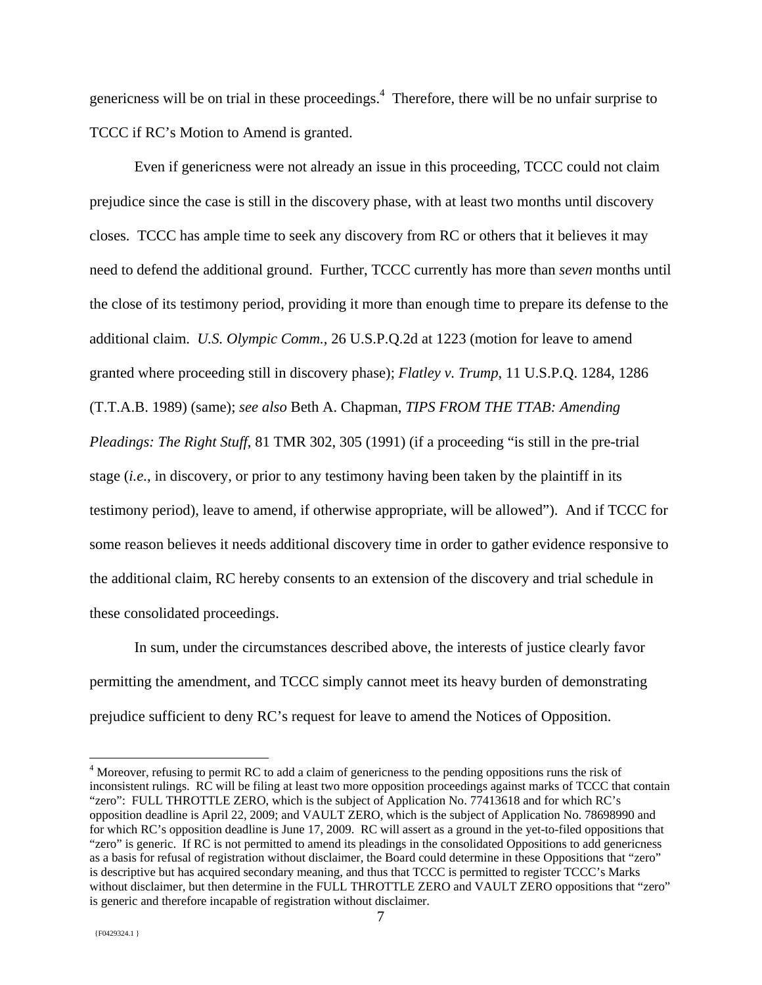genericness will be on trial in these proceedings.<sup>4</sup> Therefore, there will be no unfair surprise to TCCC if RC's Motion to Amend is granted.

Even if genericness were not already an issue in this proceeding, TCCC could not claim prejudice since the case is still in the discovery phase, with at least two months until discovery closes. TCCC has ample time to seek any discovery from RC or others that it believes it may need to defend the additional ground. Further, TCCC currently has more than *seven* months until the close of its testimony period, providing it more than enough time to prepare its defense to the additional claim. *U.S. Olympic Comm.*, 26 U.S.P.Q.2d at 1223 (motion for leave to amend granted where proceeding still in discovery phase); *Flatley v. Trump*, 11 U.S.P.Q. 1284, 1286 (T.T.A.B. 1989) (same); *see also* Beth A. Chapman, *TIPS FROM THE TTAB: Amending Pleadings: The Right Stuff*, 81 TMR 302, 305 (1991) (if a proceeding "is still in the pre-trial stage (*i.e.*, in discovery, or prior to any testimony having been taken by the plaintiff in its testimony period), leave to amend, if otherwise appropriate, will be allowed"). And if TCCC for some reason believes it needs additional discovery time in order to gather evidence responsive to the additional claim, RC hereby consents to an extension of the discovery and trial schedule in these consolidated proceedings.

In sum, under the circumstances described above, the interests of justice clearly favor permitting the amendment, and TCCC simply cannot meet its heavy burden of demonstrating prejudice sufficient to deny RC's request for leave to amend the Notices of Opposition.

 $\overline{a}$ 

<sup>&</sup>lt;sup>4</sup> Moreover, refusing to permit RC to add a claim of genericness to the pending oppositions runs the risk of inconsistent rulings. RC will be filing at least two more opposition proceedings against marks of TCCC that contain "zero": FULL THROTTLE ZERO, which is the subject of Application No. 77413618 and for which RC's opposition deadline is April 22, 2009; and VAULT ZERO, which is the subject of Application No. 78698990 and for which RC's opposition deadline is June 17, 2009. RC will assert as a ground in the yet-to-filed oppositions that "zero" is generic. If RC is not permitted to amend its pleadings in the consolidated Oppositions to add genericness as a basis for refusal of registration without disclaimer, the Board could determine in these Oppositions that "zero" is descriptive but has acquired secondary meaning, and thus that TCCC is permitted to register TCCC's Marks without disclaimer, but then determine in the FULL THROTTLE ZERO and VAULT ZERO oppositions that "zero" is generic and therefore incapable of registration without disclaimer.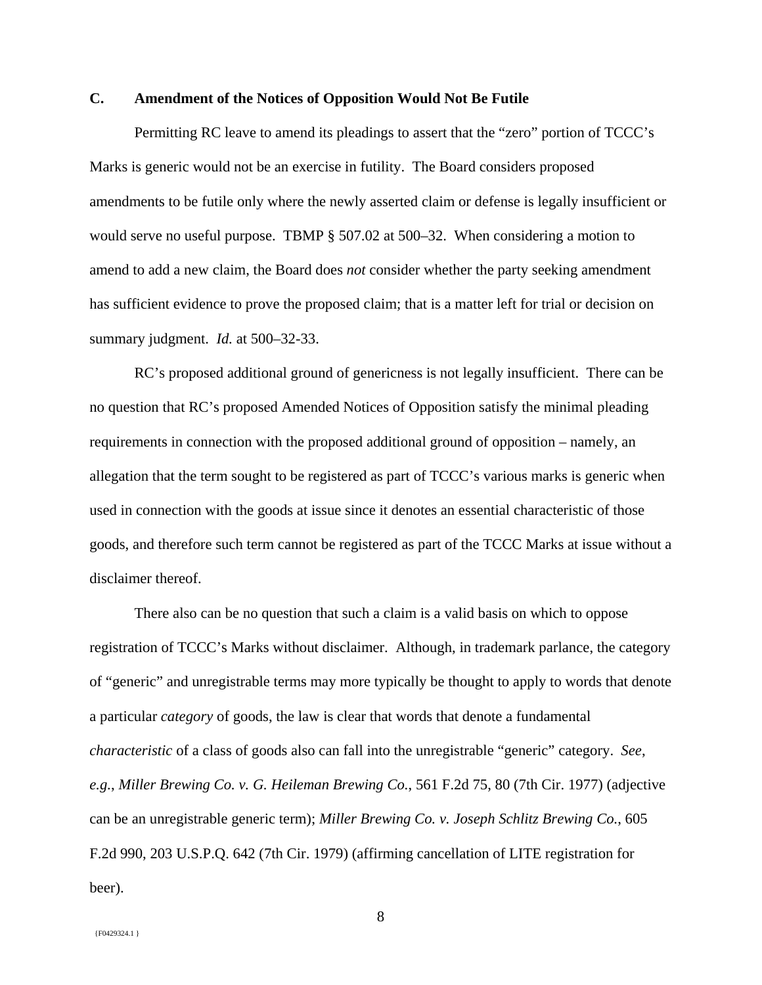# **C. Amendment of the Notices of Opposition Would Not Be Futile**

Permitting RC leave to amend its pleadings to assert that the "zero" portion of TCCC's Marks is generic would not be an exercise in futility. The Board considers proposed amendments to be futile only where the newly asserted claim or defense is legally insufficient or would serve no useful purpose. TBMP § 507.02 at 500–32. When considering a motion to amend to add a new claim, the Board does *not* consider whether the party seeking amendment has sufficient evidence to prove the proposed claim; that is a matter left for trial or decision on summary judgment. *Id.* at 500–32-33.

RC's proposed additional ground of genericness is not legally insufficient. There can be no question that RC's proposed Amended Notices of Opposition satisfy the minimal pleading requirements in connection with the proposed additional ground of opposition – namely, an allegation that the term sought to be registered as part of TCCC's various marks is generic when used in connection with the goods at issue since it denotes an essential characteristic of those goods, and therefore such term cannot be registered as part of the TCCC Marks at issue without a disclaimer thereof.

There also can be no question that such a claim is a valid basis on which to oppose registration of TCCC's Marks without disclaimer. Although, in trademark parlance, the category of "generic" and unregistrable terms may more typically be thought to apply to words that denote a particular *category* of goods, the law is clear that words that denote a fundamental *characteristic* of a class of goods also can fall into the unregistrable "generic" category. *See*, *e.g.*, *Miller Brewing Co. v. G. Heileman Brewing Co.*, 561 F.2d 75, 80 (7th Cir. 1977) (adjective can be an unregistrable generic term); *Miller Brewing Co. v. Joseph Schlitz Brewing Co.*, 605 F.2d 990, 203 U.S.P.Q. 642 (7th Cir. 1979) (affirming cancellation of LITE registration for beer).

8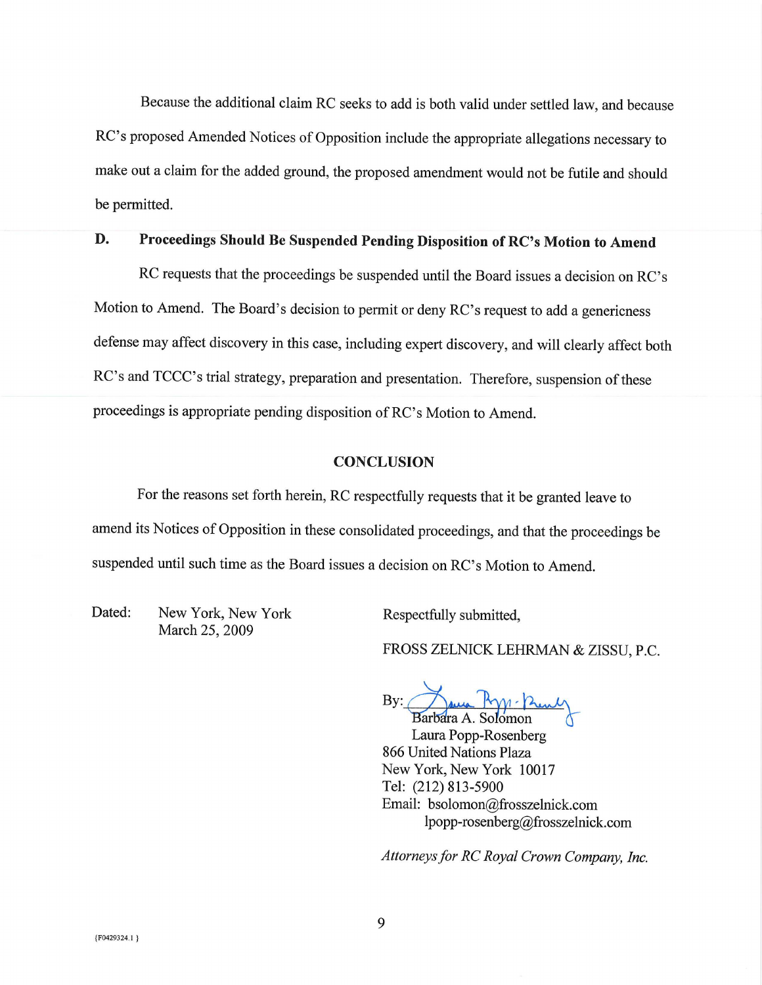Because the additional claim RC seeks to add is both valid under settled law, and because RC's proposed Amended Notices of Opposition include the appropriate allegations necessary to make out a claim for the added ground, the proposed amendment would not be futile and should be permitted.

#### D. Proceedings Should Be Suspended Pending Disposition of RC's Motion to Amend

RC requests that the proceedings be suspended until the Board issues a decision on RC's Motion to Amend. The Board's decision to permit or deny RC's request to add a genericness defense may affect discovery in this case, including expert discovery, and will clearly affect both RC's and TCCC's trial strategy, preparation and presentation. Therefore, suspension of these proceedings is appropriate pending disposition of RC's Motion to Amend.

#### **CONCLUSION**

For the reasons set forth herein, RC respectfully requests that it be granted leave to amend its Notices of Opposition in these consolidated proceedings, and that the proceedings be suspended until such time as the Board issues a decision on RC's Motion to Amend.

Dated: New York, New York March 25, 2009

Respectfully submitted,

FROSS ZELNICK LEHRMAN & ZISSU, P.C.

us Ryp- Prenty By:

Barbara A. Solomon Laura Popp-Rosenberg 866 United Nations Plaza New York, New York 10017 Tel: (212) 813-5900 Email: bsolomon@frosszelnick.com lpopp-rosenberg@frosszelnick.com

Attorneys for RC Royal Crown Company, Inc.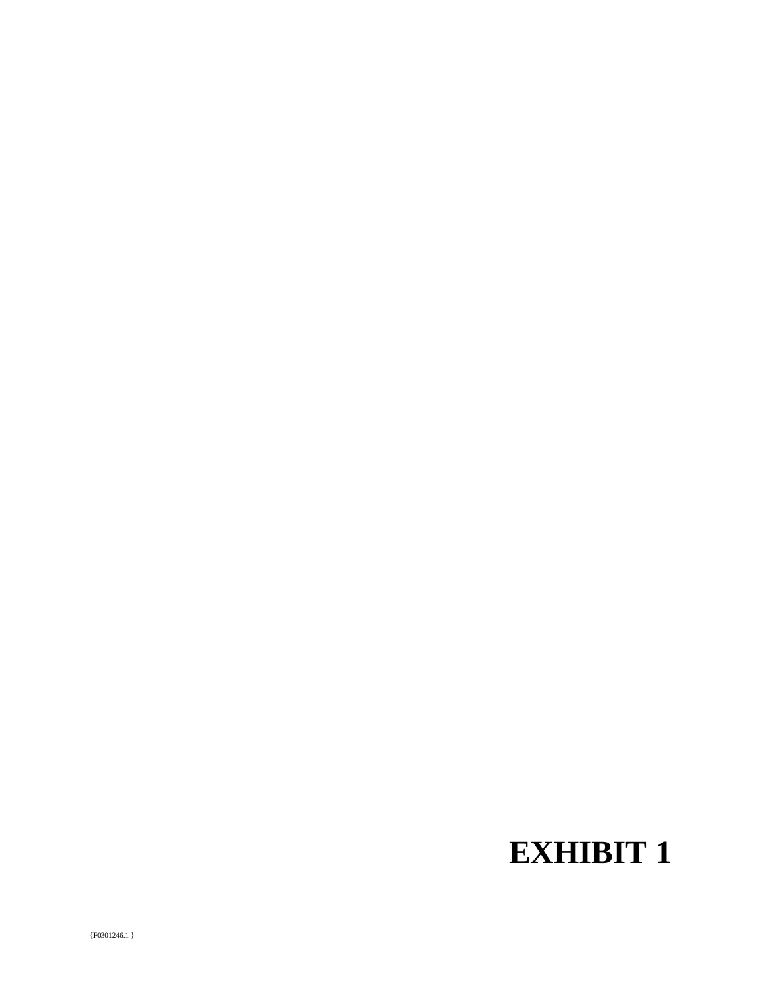# **EXHIBIT 1**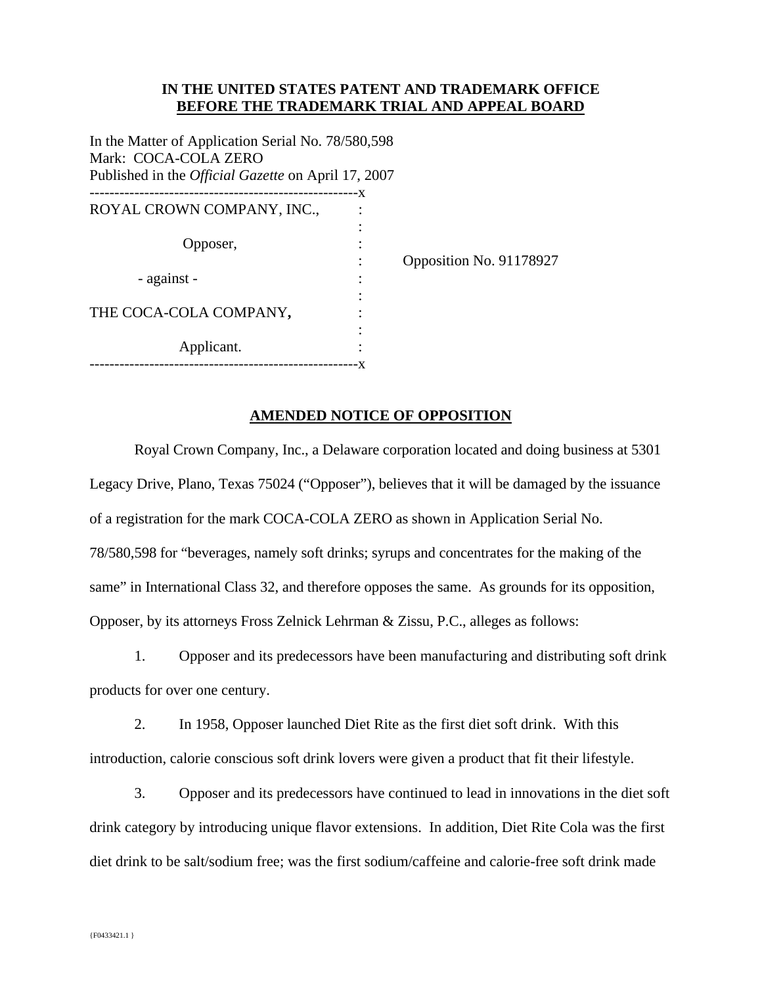# **IN THE UNITED STATES PATENT AND TRADEMARK OFFICE BEFORE THE TRADEMARK TRIAL AND APPEAL BOARD**

In the Matter of Application Serial No. 78/580,598 Mark: COCA-COLA ZERO Published in the *Official Gazette* on April 17, 2007

|                            | - X |
|----------------------------|-----|
| ROYAL CROWN COMPANY, INC., |     |
|                            |     |
| Opposer,                   |     |
|                            |     |
| - against -                |     |
|                            |     |
| THE COCA-COLA COMPANY,     |     |
|                            |     |
| Applicant.                 |     |
|                            |     |

: Opposition No. 91178927

# **AMENDED NOTICE OF OPPOSITION**

 Royal Crown Company, Inc., a Delaware corporation located and doing business at 5301 Legacy Drive, Plano, Texas 75024 ("Opposer"), believes that it will be damaged by the issuance of a registration for the mark COCA-COLA ZERO as shown in Application Serial No. 78/580,598 for "beverages, namely soft drinks; syrups and concentrates for the making of the same" in International Class 32, and therefore opposes the same. As grounds for its opposition, Opposer, by its attorneys Fross Zelnick Lehrman & Zissu, P.C., alleges as follows:

1. Opposer and its predecessors have been manufacturing and distributing soft drink products for over one century.

2. In 1958, Opposer launched Diet Rite as the first diet soft drink. With this introduction, calorie conscious soft drink lovers were given a product that fit their lifestyle.

3. Opposer and its predecessors have continued to lead in innovations in the diet soft drink category by introducing unique flavor extensions. In addition, Diet Rite Cola was the first diet drink to be salt/sodium free; was the first sodium/caffeine and calorie-free soft drink made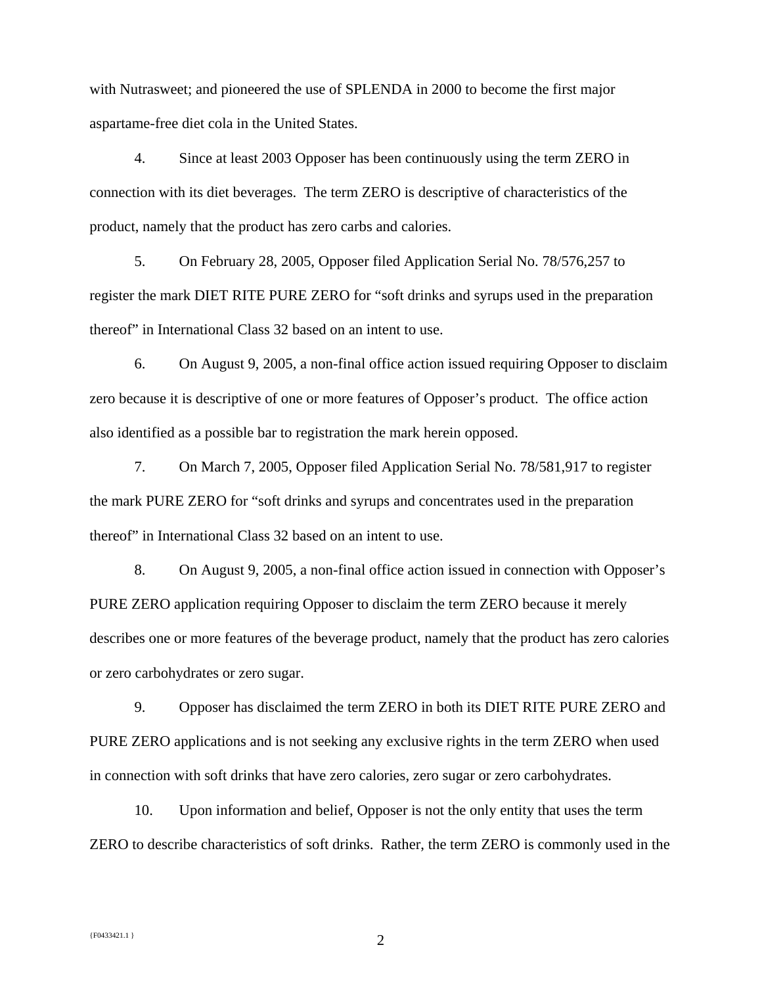with Nutrasweet; and pioneered the use of SPLENDA in 2000 to become the first major aspartame-free diet cola in the United States.

4. Since at least 2003 Opposer has been continuously using the term ZERO in connection with its diet beverages. The term ZERO is descriptive of characteristics of the product, namely that the product has zero carbs and calories.

5. On February 28, 2005, Opposer filed Application Serial No. 78/576,257 to register the mark DIET RITE PURE ZERO for "soft drinks and syrups used in the preparation thereof" in International Class 32 based on an intent to use.

6. On August 9, 2005, a non-final office action issued requiring Opposer to disclaim zero because it is descriptive of one or more features of Opposer's product. The office action also identified as a possible bar to registration the mark herein opposed.

7. On March 7, 2005, Opposer filed Application Serial No. 78/581,917 to register the mark PURE ZERO for "soft drinks and syrups and concentrates used in the preparation thereof" in International Class 32 based on an intent to use.

8. On August 9, 2005, a non-final office action issued in connection with Opposer's PURE ZERO application requiring Opposer to disclaim the term ZERO because it merely describes one or more features of the beverage product, namely that the product has zero calories or zero carbohydrates or zero sugar.

9. Opposer has disclaimed the term ZERO in both its DIET RITE PURE ZERO and PURE ZERO applications and is not seeking any exclusive rights in the term ZERO when used in connection with soft drinks that have zero calories, zero sugar or zero carbohydrates.

10. Upon information and belief, Opposer is not the only entity that uses the term ZERO to describe characteristics of soft drinks. Rather, the term ZERO is commonly used in the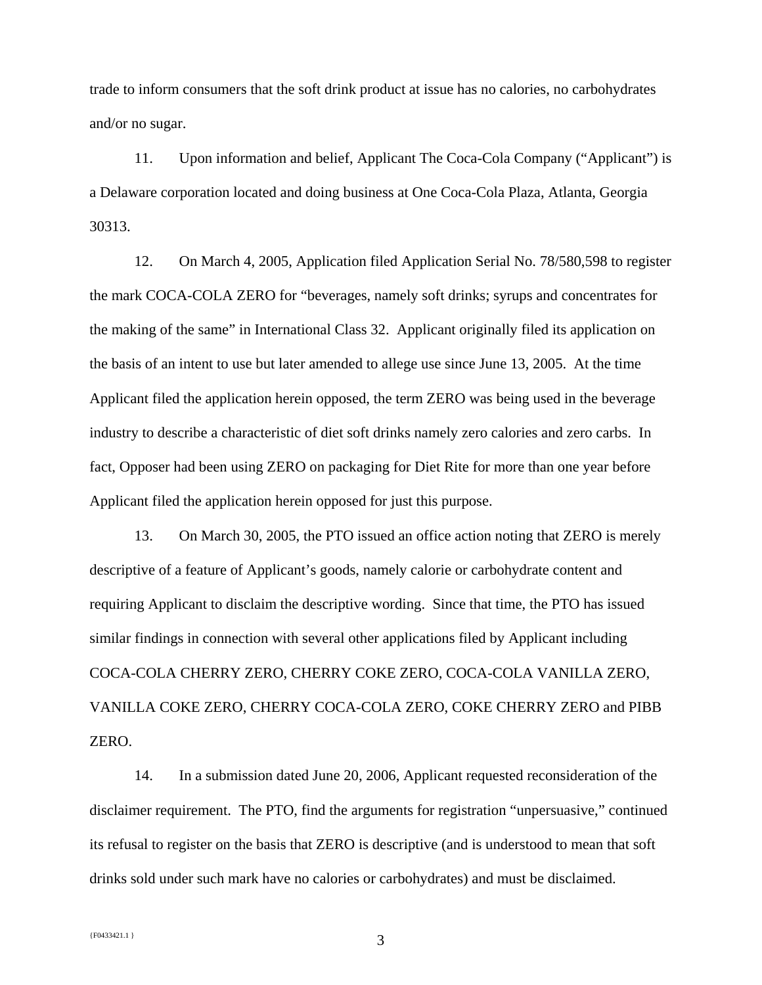trade to inform consumers that the soft drink product at issue has no calories, no carbohydrates and/or no sugar.

11. Upon information and belief, Applicant The Coca-Cola Company ("Applicant") is a Delaware corporation located and doing business at One Coca-Cola Plaza, Atlanta, Georgia 30313.

12. On March 4, 2005, Application filed Application Serial No. 78/580,598 to register the mark COCA-COLA ZERO for "beverages, namely soft drinks; syrups and concentrates for the making of the same" in International Class 32. Applicant originally filed its application on the basis of an intent to use but later amended to allege use since June 13, 2005. At the time Applicant filed the application herein opposed, the term ZERO was being used in the beverage industry to describe a characteristic of diet soft drinks namely zero calories and zero carbs. In fact, Opposer had been using ZERO on packaging for Diet Rite for more than one year before Applicant filed the application herein opposed for just this purpose.

13. On March 30, 2005, the PTO issued an office action noting that ZERO is merely descriptive of a feature of Applicant's goods, namely calorie or carbohydrate content and requiring Applicant to disclaim the descriptive wording. Since that time, the PTO has issued similar findings in connection with several other applications filed by Applicant including COCA-COLA CHERRY ZERO, CHERRY COKE ZERO, COCA-COLA VANILLA ZERO, VANILLA COKE ZERO, CHERRY COCA-COLA ZERO, COKE CHERRY ZERO and PIBB ZERO.

14. In a submission dated June 20, 2006, Applicant requested reconsideration of the disclaimer requirement. The PTO, find the arguments for registration "unpersuasive," continued its refusal to register on the basis that ZERO is descriptive (and is understood to mean that soft drinks sold under such mark have no calories or carbohydrates) and must be disclaimed.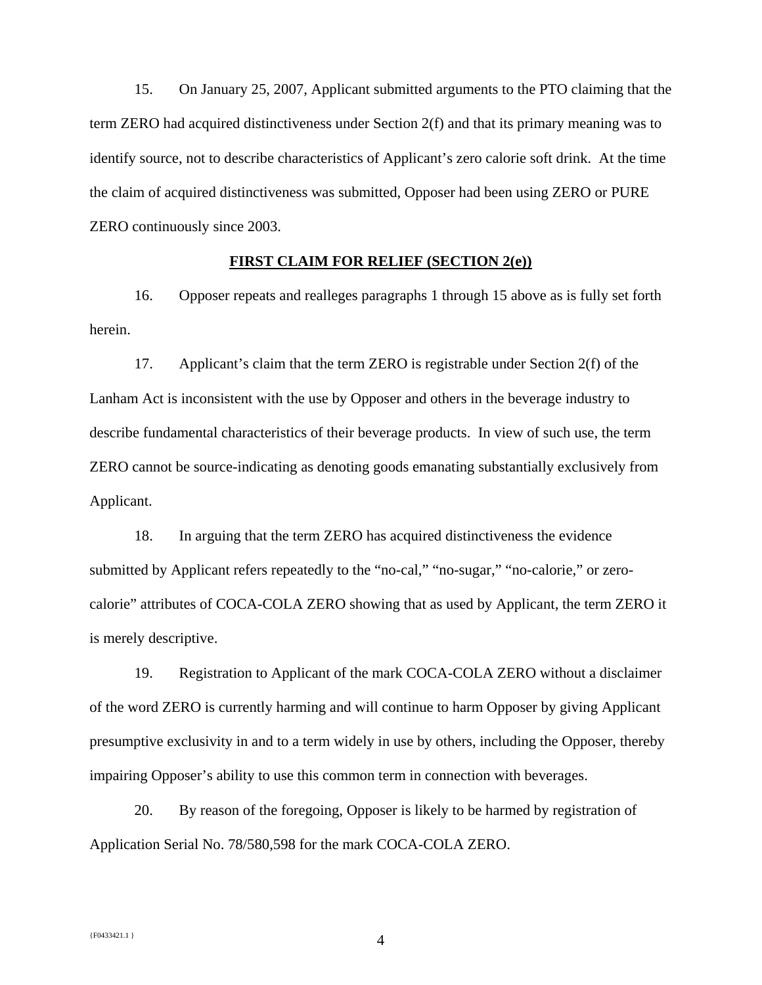15. On January 25, 2007, Applicant submitted arguments to the PTO claiming that the term ZERO had acquired distinctiveness under Section 2(f) and that its primary meaning was to identify source, not to describe characteristics of Applicant's zero calorie soft drink. At the time the claim of acquired distinctiveness was submitted, Opposer had been using ZERO or PURE ZERO continuously since 2003.

## **FIRST CLAIM FOR RELIEF (SECTION 2(e))**

16. Opposer repeats and realleges paragraphs 1 through 15 above as is fully set forth herein.

17. Applicant's claim that the term ZERO is registrable under Section 2(f) of the Lanham Act is inconsistent with the use by Opposer and others in the beverage industry to describe fundamental characteristics of their beverage products. In view of such use, the term ZERO cannot be source-indicating as denoting goods emanating substantially exclusively from Applicant.

18. In arguing that the term ZERO has acquired distinctiveness the evidence submitted by Applicant refers repeatedly to the "no-cal," "no-sugar," "no-calorie," or zerocalorie" attributes of COCA-COLA ZERO showing that as used by Applicant, the term ZERO it is merely descriptive.

19. Registration to Applicant of the mark COCA-COLA ZERO without a disclaimer of the word ZERO is currently harming and will continue to harm Opposer by giving Applicant presumptive exclusivity in and to a term widely in use by others, including the Opposer, thereby impairing Opposer's ability to use this common term in connection with beverages.

20. By reason of the foregoing, Opposer is likely to be harmed by registration of Application Serial No. 78/580,598 for the mark COCA-COLA ZERO.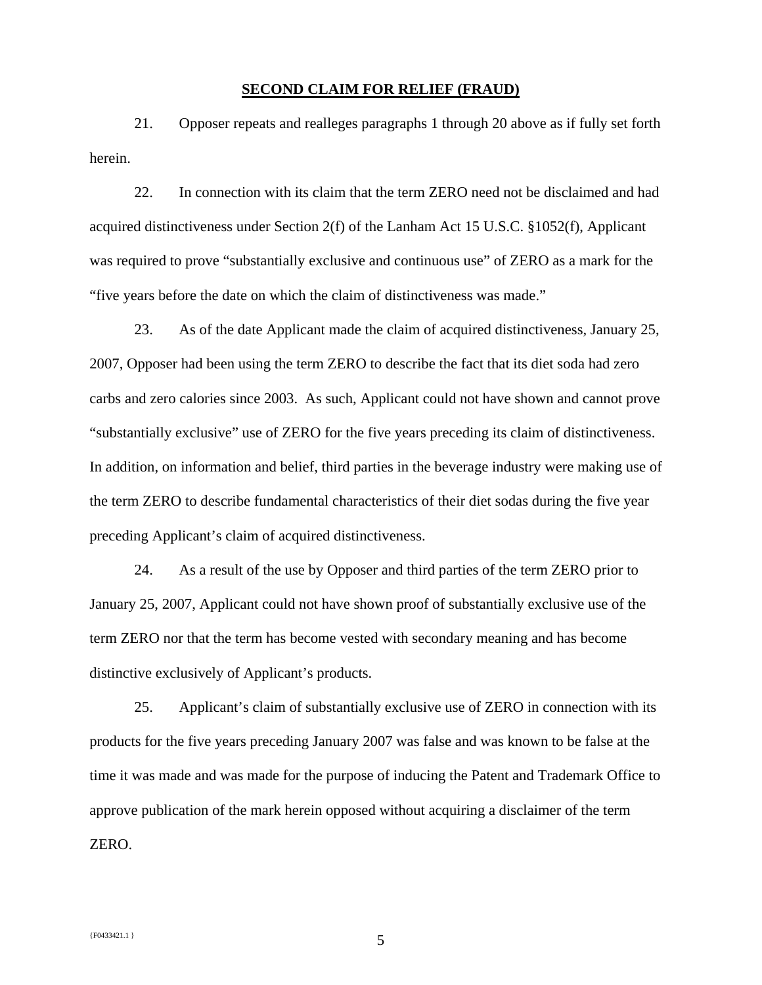#### **SECOND CLAIM FOR RELIEF (FRAUD)**

21. Opposer repeats and realleges paragraphs 1 through 20 above as if fully set forth herein.

22. In connection with its claim that the term ZERO need not be disclaimed and had acquired distinctiveness under Section 2(f) of the Lanham Act 15 U.S.C. §1052(f), Applicant was required to prove "substantially exclusive and continuous use" of ZERO as a mark for the "five years before the date on which the claim of distinctiveness was made."

23. As of the date Applicant made the claim of acquired distinctiveness, January 25, 2007, Opposer had been using the term ZERO to describe the fact that its diet soda had zero carbs and zero calories since 2003. As such, Applicant could not have shown and cannot prove "substantially exclusive" use of ZERO for the five years preceding its claim of distinctiveness. In addition, on information and belief, third parties in the beverage industry were making use of the term ZERO to describe fundamental characteristics of their diet sodas during the five year preceding Applicant's claim of acquired distinctiveness.

24. As a result of the use by Opposer and third parties of the term ZERO prior to January 25, 2007, Applicant could not have shown proof of substantially exclusive use of the term ZERO nor that the term has become vested with secondary meaning and has become distinctive exclusively of Applicant's products.

25. Applicant's claim of substantially exclusive use of ZERO in connection with its products for the five years preceding January 2007 was false and was known to be false at the time it was made and was made for the purpose of inducing the Patent and Trademark Office to approve publication of the mark herein opposed without acquiring a disclaimer of the term ZERO.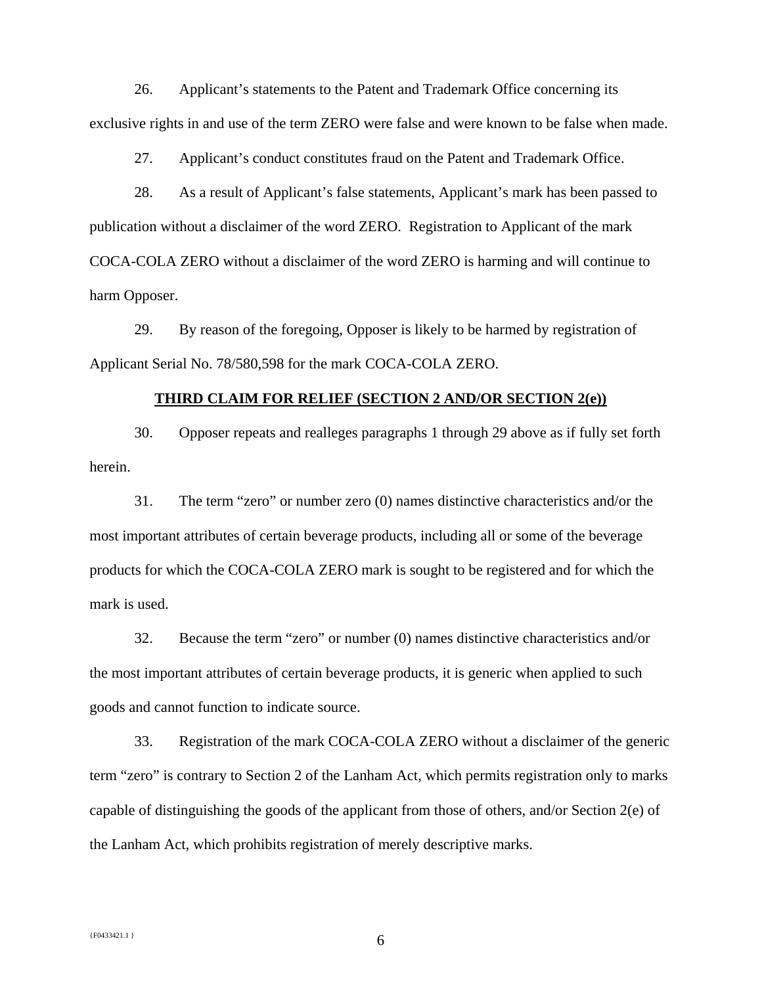26. Applicant's statements to the Patent and Trademark Office concerning its exclusive rights in and use of the term ZERO were false and were known to be false when made.

27. Applicant's conduct constitutes fraud on the Patent and Trademark Office.

28. As a result of Applicant's false statements, Applicant's mark has been passed to publication without a disclaimer of the word ZERO. Registration to Applicant of the mark COCA-COLA ZERO without a disclaimer of the word ZERO is harming and will continue to harm Opposer.

29. By reason of the foregoing, Opposer is likely to be harmed by registration of Applicant Serial No. 78/580,598 for the mark COCA-COLA ZERO.

#### **THIRD CLAIM FOR RELIEF (SECTION 2 AND/OR SECTION 2(e))**

30. Opposer repeats and realleges paragraphs 1 through 29 above as if fully set forth herein.

31. The term "zero" or number zero (0) names distinctive characteristics and/or the most important attributes of certain beverage products, including all or some of the beverage products for which the COCA-COLA ZERO mark is sought to be registered and for which the mark is used.

32. Because the term "zero" or number (0) names distinctive characteristics and/or the most important attributes of certain beverage products, it is generic when applied to such goods and cannot function to indicate source.

33. Registration of the mark COCA-COLA ZERO without a disclaimer of the generic term "zero" is contrary to Section 2 of the Lanham Act, which permits registration only to marks capable of distinguishing the goods of the applicant from those of others, and/or Section 2(e) of the Lanham Act, which prohibits registration of merely descriptive marks.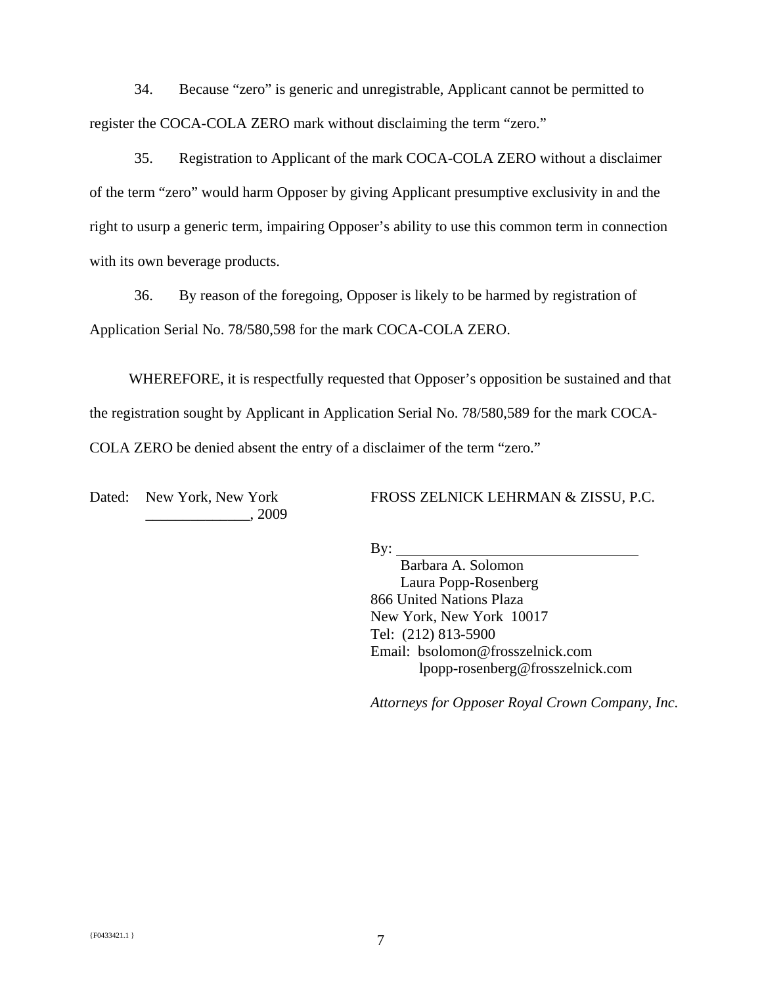34. Because "zero" is generic and unregistrable, Applicant cannot be permitted to register the COCA-COLA ZERO mark without disclaiming the term "zero."

35. Registration to Applicant of the mark COCA-COLA ZERO without a disclaimer of the term "zero" would harm Opposer by giving Applicant presumptive exclusivity in and the right to usurp a generic term, impairing Opposer's ability to use this common term in connection with its own beverage products.

36. By reason of the foregoing, Opposer is likely to be harmed by registration of Application Serial No. 78/580,598 for the mark COCA-COLA ZERO.

 WHEREFORE, it is respectfully requested that Opposer's opposition be sustained and that the registration sought by Applicant in Application Serial No. 78/580,589 for the mark COCA-COLA ZERO be denied absent the entry of a disclaimer of the term "zero."

Dated: New York, New York \_\_\_\_\_\_\_\_\_\_\_\_\_\_, 2009 FROSS ZELNICK LEHRMAN & ZISSU, P.C.

By:

 Barbara A. Solomon Laura Popp-Rosenberg 866 United Nations Plaza New York, New York 10017 Tel: (212) 813-5900 Email: bsolomon@frosszelnick.com lpopp-rosenberg@frosszelnick.com

*Attorneys for Opposer Royal Crown Company, Inc.*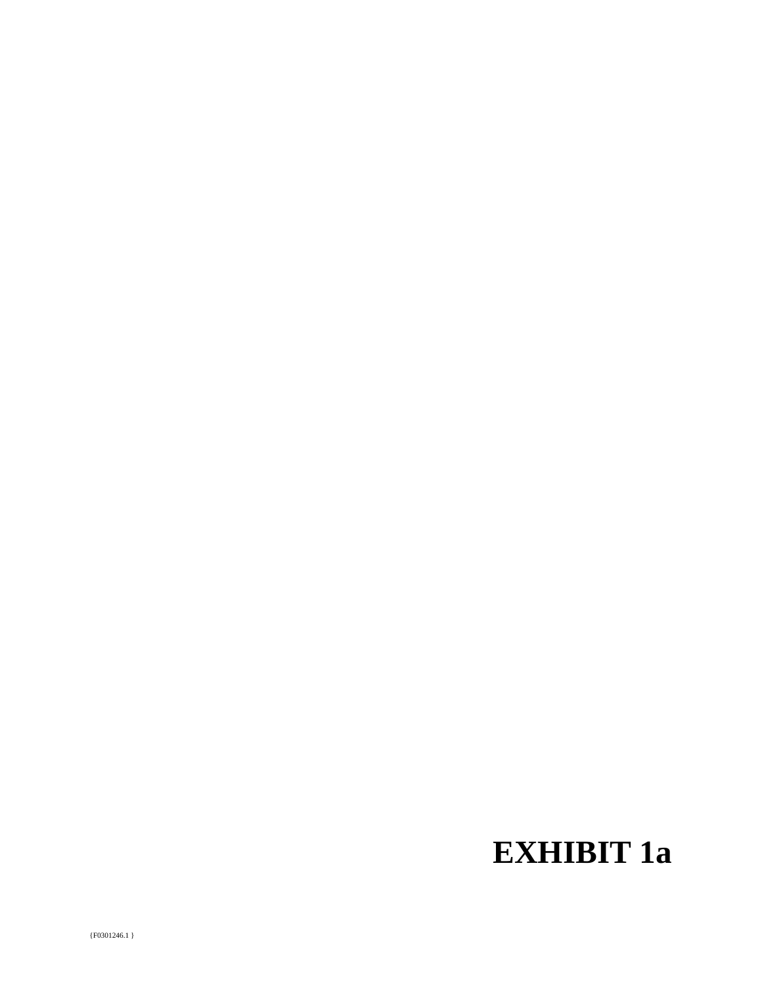# **EXHIBIT 1a**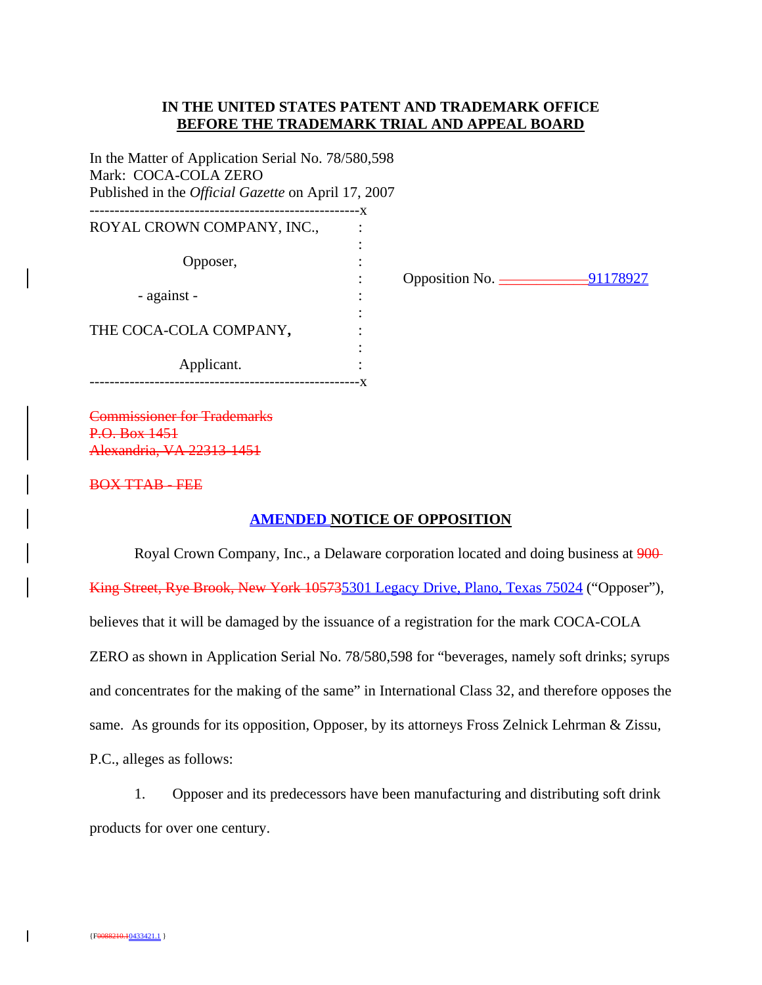# **IN THE UNITED STATES PATENT AND TRADEMARK OFFICE BEFORE THE TRADEMARK TRIAL AND APPEAL BOARD**

In the Matter of Application Serial No. 78/580,598 Mark: COCA-COLA ZERO Published in the *Official Gazette* on April 17, 2007 ------------------------------------------------------x

| ROYAL CROWN COMPANY, INC., | $\mathbf{A}$ |
|----------------------------|--------------|
| Opposer,                   |              |
| - against -                |              |
| THE COCA-COLA COMPANY,     |              |
| Applicant.                 |              |

: Opposition No. \_\_\_\_\_\_\_\_\_\_\_\_91178927

Commissioner for Trademarks P.O. Box 1451 Alexandria, VA 22313-1451

### BOX TTAB - FEE

### **AMENDED NOTICE OF OPPOSITION**

Royal Crown Company, Inc., a Delaware corporation located and doing business at 900-King Street, Rye Brook, New York 105735301 Legacy Drive, Plano, Texas 75024 ("Opposer"), believes that it will be damaged by the issuance of a registration for the mark COCA-COLA ZERO as shown in Application Serial No. 78/580,598 for "beverages, namely soft drinks; syrups and concentrates for the making of the same" in International Class 32, and therefore opposes the same. As grounds for its opposition, Opposer, by its attorneys Fross Zelnick Lehrman & Zissu, P.C., alleges as follows:

1. Opposer and its predecessors have been manufacturing and distributing soft drink products for over one century.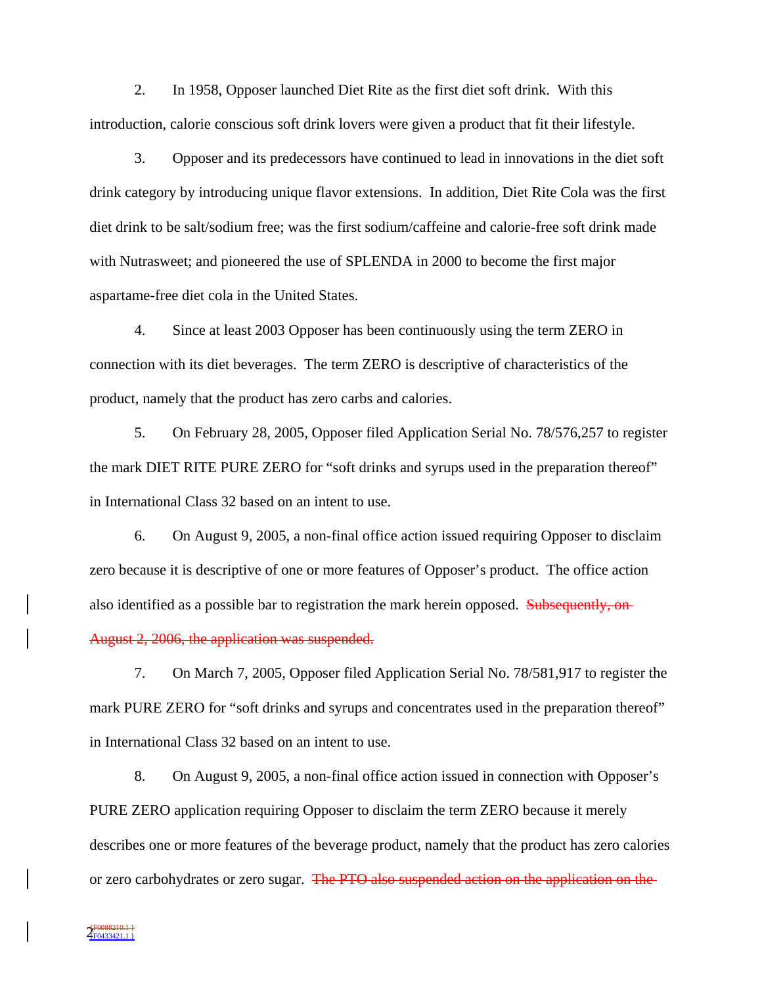2. In 1958, Opposer launched Diet Rite as the first diet soft drink. With this introduction, calorie conscious soft drink lovers were given a product that fit their lifestyle.

3. Opposer and its predecessors have continued to lead in innovations in the diet soft drink category by introducing unique flavor extensions. In addition, Diet Rite Cola was the first diet drink to be salt/sodium free; was the first sodium/caffeine and calorie-free soft drink made with Nutrasweet; and pioneered the use of SPLENDA in 2000 to become the first major aspartame-free diet cola in the United States.

4. Since at least 2003 Opposer has been continuously using the term ZERO in connection with its diet beverages. The term ZERO is descriptive of characteristics of the product, namely that the product has zero carbs and calories.

5. On February 28, 2005, Opposer filed Application Serial No. 78/576,257 to register the mark DIET RITE PURE ZERO for "soft drinks and syrups used in the preparation thereof" in International Class 32 based on an intent to use.

6. On August 9, 2005, a non-final office action issued requiring Opposer to disclaim zero because it is descriptive of one or more features of Opposer's product. The office action also identified as a possible bar to registration the mark herein opposed. Subsequently, on-August 2, 2006, the application was suspended.

7. On March 7, 2005, Opposer filed Application Serial No. 78/581,917 to register the mark PURE ZERO for "soft drinks and syrups and concentrates used in the preparation thereof" in International Class 32 based on an intent to use.

8. On August 9, 2005, a non-final office action issued in connection with Opposer's PURE ZERO application requiring Opposer to disclaim the term ZERO because it merely describes one or more features of the beverage product, namely that the product has zero calories or zero carbohydrates or zero sugar. The PTO also suspended action on the application on the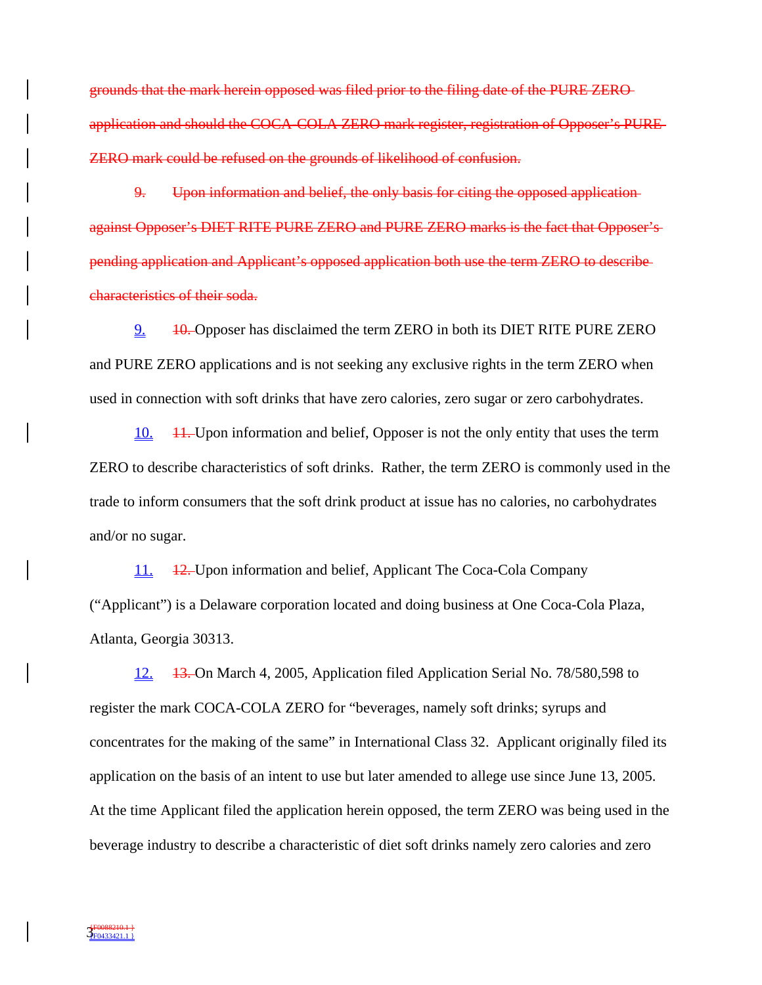grounds that the mark herein opposed was filed prior to the filing date of the PURE ZERO application and should the COCA-COLA ZERO mark register, registration of Opposer's PURE ZERO mark could be refused on the grounds of likelihood of confusion.

9. Upon information and belief, the only basis for citing the opposed application against Opposer's DIET RITE PURE ZERO and PURE ZERO marks is the fact that Opposer's pending application and Applicant's opposed application both use the term ZERO to describe characteristics of their soda.

2. 10. Opposer has disclaimed the term ZERO in both its DIET RITE PURE ZERO and PURE ZERO applications and is not seeking any exclusive rights in the term ZERO when used in connection with soft drinks that have zero calories, zero sugar or zero carbohydrates.

10. 11. Upon information and belief, Opposer is not the only entity that uses the term ZERO to describe characteristics of soft drinks. Rather, the term ZERO is commonly used in the trade to inform consumers that the soft drink product at issue has no calories, no carbohydrates and/or no sugar.

11. 12. Upon information and belief, Applicant The Coca-Cola Company ("Applicant") is a Delaware corporation located and doing business at One Coca-Cola Plaza, Atlanta, Georgia 30313.

12. 13. On March 4, 2005, Application filed Application Serial No. 78/580,598 to register the mark COCA-COLA ZERO for "beverages, namely soft drinks; syrups and concentrates for the making of the same" in International Class 32. Applicant originally filed its application on the basis of an intent to use but later amended to allege use since June 13, 2005. At the time Applicant filed the application herein opposed, the term ZERO was being used in the beverage industry to describe a characteristic of diet soft drinks namely zero calories and zero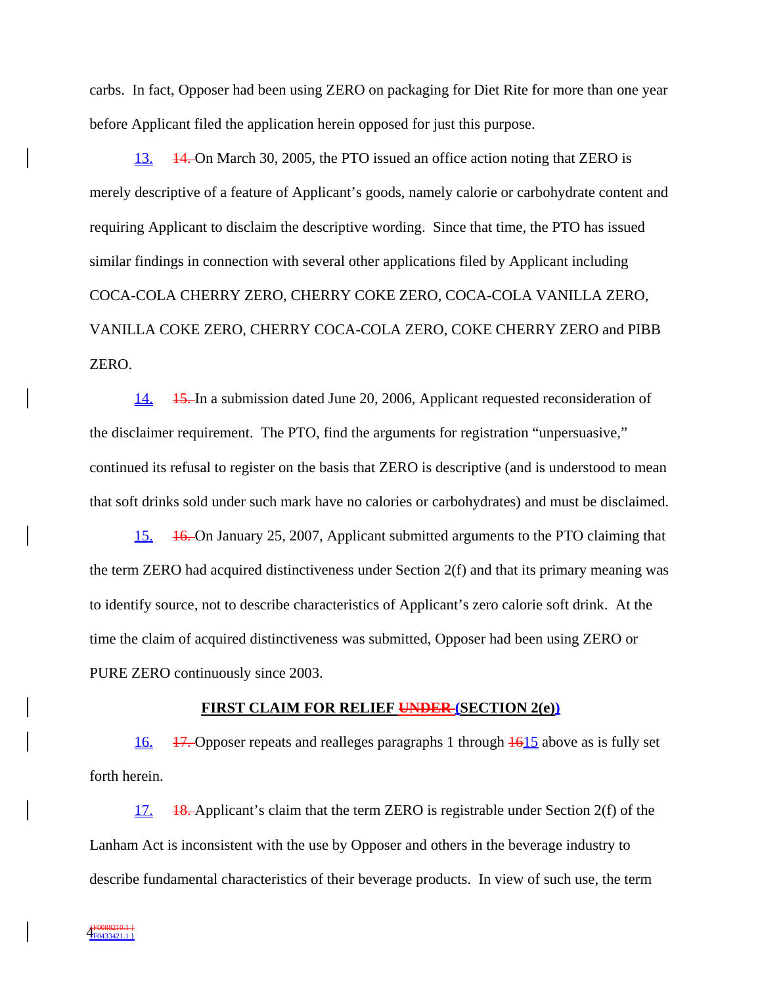carbs. In fact, Opposer had been using ZERO on packaging for Diet Rite for more than one year before Applicant filed the application herein opposed for just this purpose.

13. 14. On March 30, 2005, the PTO issued an office action noting that ZERO is merely descriptive of a feature of Applicant's goods, namely calorie or carbohydrate content and requiring Applicant to disclaim the descriptive wording. Since that time, the PTO has issued similar findings in connection with several other applications filed by Applicant including COCA-COLA CHERRY ZERO, CHERRY COKE ZERO, COCA-COLA VANILLA ZERO, VANILLA COKE ZERO, CHERRY COCA-COLA ZERO, COKE CHERRY ZERO and PIBB ZERO.

14. 15. In a submission dated June 20, 2006, Applicant requested reconsideration of the disclaimer requirement. The PTO, find the arguments for registration "unpersuasive," continued its refusal to register on the basis that ZERO is descriptive (and is understood to mean that soft drinks sold under such mark have no calories or carbohydrates) and must be disclaimed.

15. 16. On January 25, 2007, Applicant submitted arguments to the PTO claiming that the term ZERO had acquired distinctiveness under Section 2(f) and that its primary meaning was to identify source, not to describe characteristics of Applicant's zero calorie soft drink. At the time the claim of acquired distinctiveness was submitted, Opposer had been using ZERO or PURE ZERO continuously since 2003.

#### **FIRST CLAIM FOR RELIEF UNDER (SECTION 2(e))**

 $\underline{16.}$  17. Opposer repeats and realleges paragraphs 1 through  $\underline{1615}$  above as is fully set forth herein.

17. 18. Applicant's claim that the term ZERO is registrable under Section 2(f) of the Lanham Act is inconsistent with the use by Opposer and others in the beverage industry to describe fundamental characteristics of their beverage products. In view of such use, the term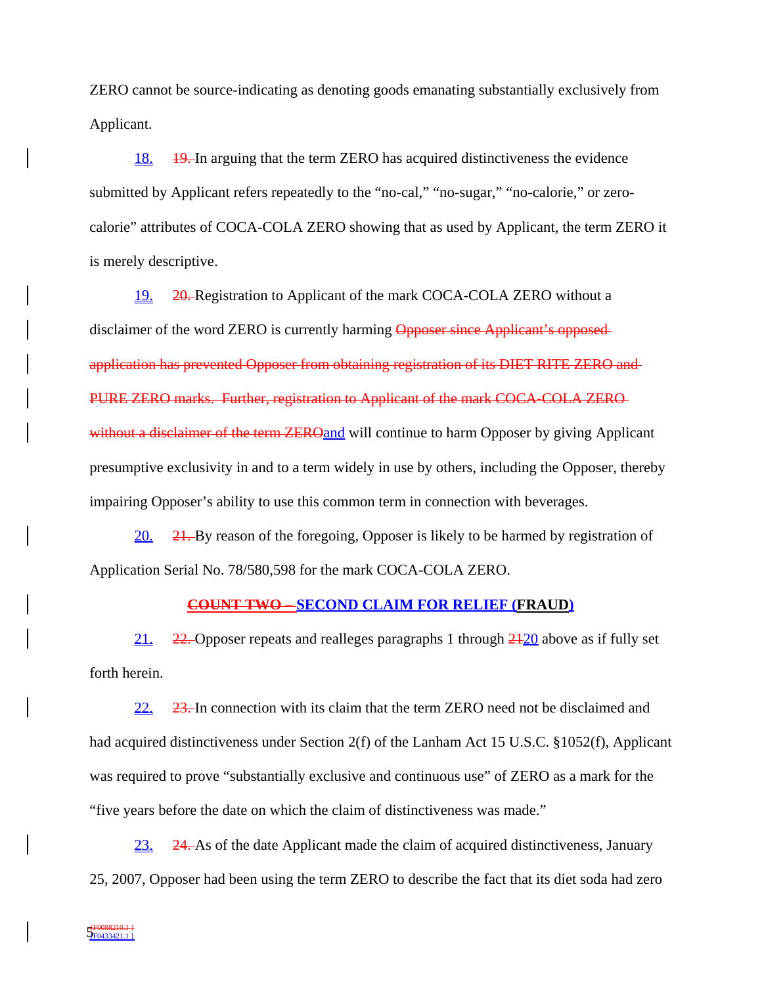ZERO cannot be source-indicating as denoting goods emanating substantially exclusively from Applicant.

18. 19. In arguing that the term ZERO has acquired distinctiveness the evidence submitted by Applicant refers repeatedly to the "no-cal," "no-sugar," "no-calorie," or zerocalorie" attributes of COCA-COLA ZERO showing that as used by Applicant, the term ZERO it is merely descriptive.

19. 20. Registration to Applicant of the mark COCA-COLA ZERO without a disclaimer of the word ZERO is currently harming Opposer since Applicant's opposed application has prevented Opposer from obtaining registration of its DIET RITE ZERO and PURE ZERO marks. Further, registration to Applicant of the mark COCA-COLA ZERO without a disclaimer of the term ZEROand will continue to harm Opposer by giving Applicant presumptive exclusivity in and to a term widely in use by others, including the Opposer, thereby impairing Opposer's ability to use this common term in connection with beverages.

20. 21. By reason of the foregoing, Opposer is likely to be harmed by registration of Application Serial No. 78/580,598 for the mark COCA-COLA ZERO.

## **COUNT TWO – SECOND CLAIM FOR RELIEF (FRAUD)**

21. 22. Opposer repeats and realleges paragraphs 1 through 2120 above as if fully set forth herein.

22. 23. In connection with its claim that the term ZERO need not be disclaimed and had acquired distinctiveness under Section 2(f) of the Lanham Act 15 U.S.C. §1052(f), Applicant was required to prove "substantially exclusive and continuous use" of ZERO as a mark for the "five years before the date on which the claim of distinctiveness was made."

 $23.$  24. As of the date Applicant made the claim of acquired distinctiveness, January 25, 2007, Opposer had been using the term ZERO to describe the fact that its diet soda had zero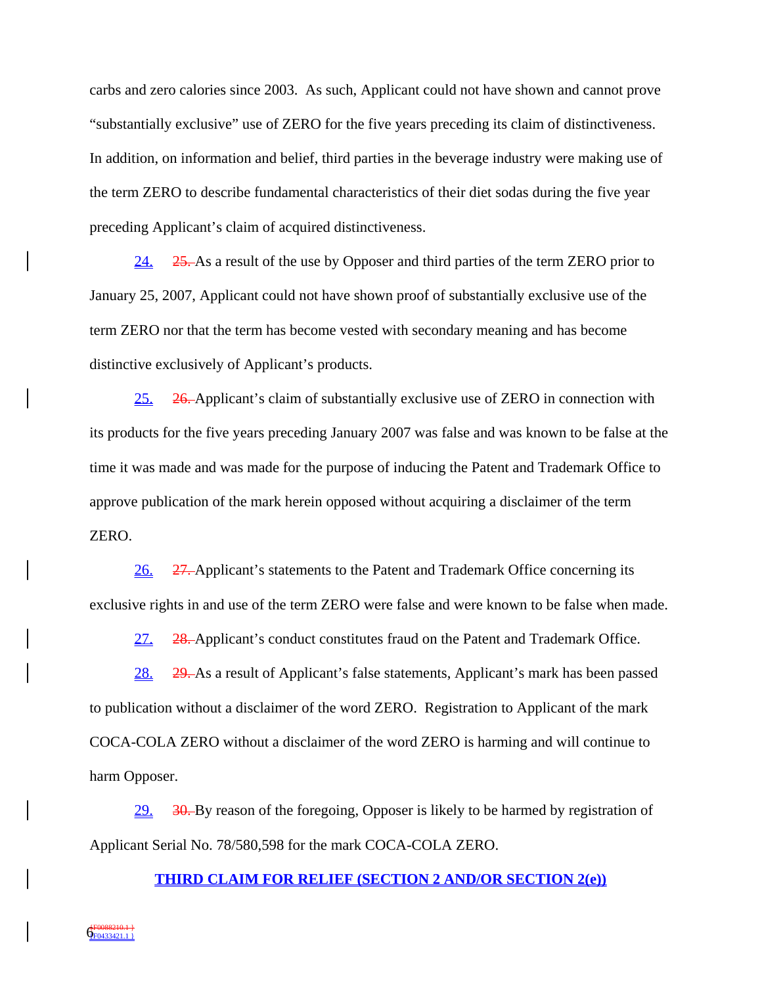carbs and zero calories since 2003. As such, Applicant could not have shown and cannot prove "substantially exclusive" use of ZERO for the five years preceding its claim of distinctiveness. In addition, on information and belief, third parties in the beverage industry were making use of the term ZERO to describe fundamental characteristics of their diet sodas during the five year preceding Applicant's claim of acquired distinctiveness.

24. 25. As a result of the use by Opposer and third parties of the term ZERO prior to January 25, 2007, Applicant could not have shown proof of substantially exclusive use of the term ZERO nor that the term has become vested with secondary meaning and has become distinctive exclusively of Applicant's products.

25. 26. Applicant's claim of substantially exclusive use of ZERO in connection with its products for the five years preceding January 2007 was false and was known to be false at the time it was made and was made for the purpose of inducing the Patent and Trademark Office to approve publication of the mark herein opposed without acquiring a disclaimer of the term ZERO.

26. 27. Applicant's statements to the Patent and Trademark Office concerning its exclusive rights in and use of the term ZERO were false and were known to be false when made.

27. 28. Applicant's conduct constitutes fraud on the Patent and Trademark Office.

28. 29. As a result of Applicant's false statements, Applicant's mark has been passed to publication without a disclaimer of the word ZERO. Registration to Applicant of the mark COCA-COLA ZERO without a disclaimer of the word ZERO is harming and will continue to harm Opposer.

29. 30. By reason of the foregoing, Opposer is likely to be harmed by registration of Applicant Serial No. 78/580,598 for the mark COCA-COLA ZERO.

### **THIRD CLAIM FOR RELIEF (SECTION 2 AND/OR SECTION 2(e))**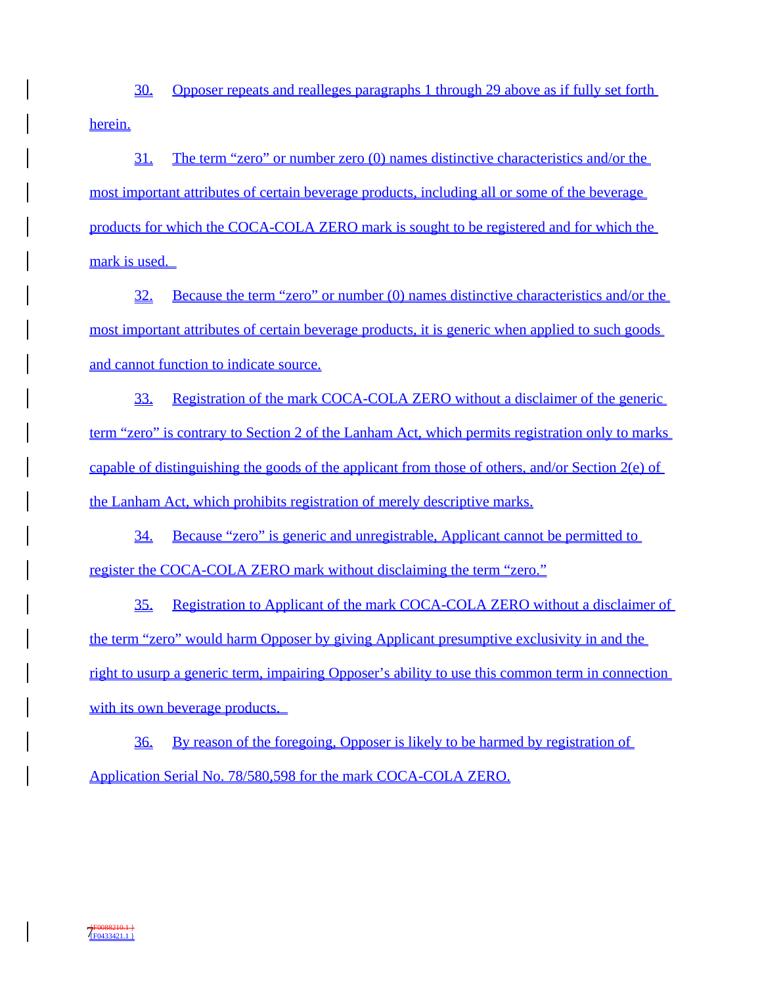30. Opposer repeats and realleges paragraphs 1 through 29 above as if fully set forth herein.

31. The term "zero" or number zero (0) names distinctive characteristics and/or the most important attributes of certain beverage products, including all or some of the beverage products for which the COCA-COLA ZERO mark is sought to be registered and for which the mark is used.

32. Because the term "zero" or number (0) names distinctive characteristics and/or the most important attributes of certain beverage products, it is generic when applied to such goods and cannot function to indicate source.

33. Registration of the mark COCA-COLA ZERO without a disclaimer of the generic term "zero" is contrary to Section 2 of the Lanham Act, which permits registration only to marks capable of distinguishing the goods of the applicant from those of others, and/or Section  $2(e)$  of the Lanham Act, which prohibits registration of merely descriptive marks.

34. Because "zero" is generic and unregistrable, Applicant cannot be permitted to register the COCA-COLA ZERO mark without disclaiming the term "zero."

35. Registration to Applicant of the mark COCA-COLA ZERO without a disclaimer of the term "zero" would harm Opposer by giving Applicant presumptive exclusivity in and the right to usurp a generic term, impairing Opposer's ability to use this common term in connection with its own beverage products.

36. By reason of the foregoing, Opposer is likely to be harmed by registration of Application Serial No. 78/580,598 for the mark COCA-COLA ZERO.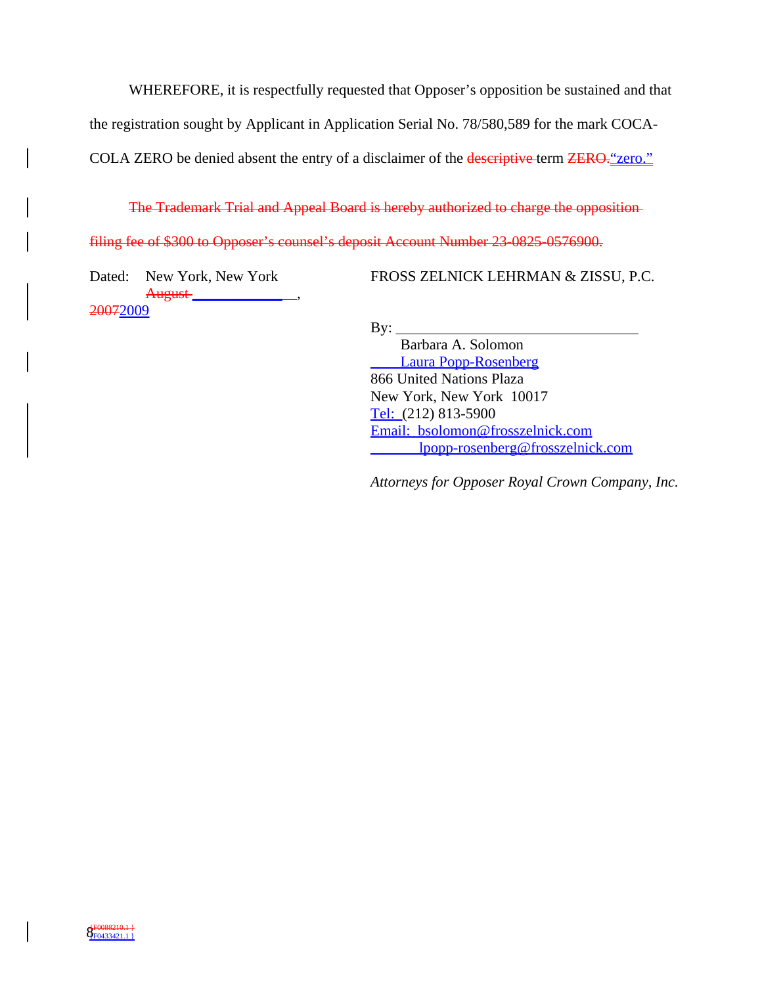WHEREFORE, it is respectfully requested that Opposer's opposition be sustained and that

the registration sought by Applicant in Application Serial No. 78/580,589 for the mark COCA-

COLA ZERO be denied absent the entry of a disclaimer of the descriptive term ZERO." zero."

The Trademark Trial and Appeal Board is hereby authorized to charge the opposition

filing fee of \$300 to Opposer's counsel's deposit Account Number 23-0825-0576900.

Dated: New York, New York August \_\_\_\_\_\_\_\_\_\_\_\_\_\_\_\_, 20072009

FROSS ZELNICK LEHRMAN & ZISSU, P.C.

 $By:$ 

 Barbara A. Solomon Laura Popp-Rosenberg 866 United Nations Plaza New York, New York 10017 Tel: (212) 813-5900 Email: bsolomon@frosszelnick.com lpopp-rosenberg@frosszelnick.com

*Attorneys for Opposer Royal Crown Company, Inc.*

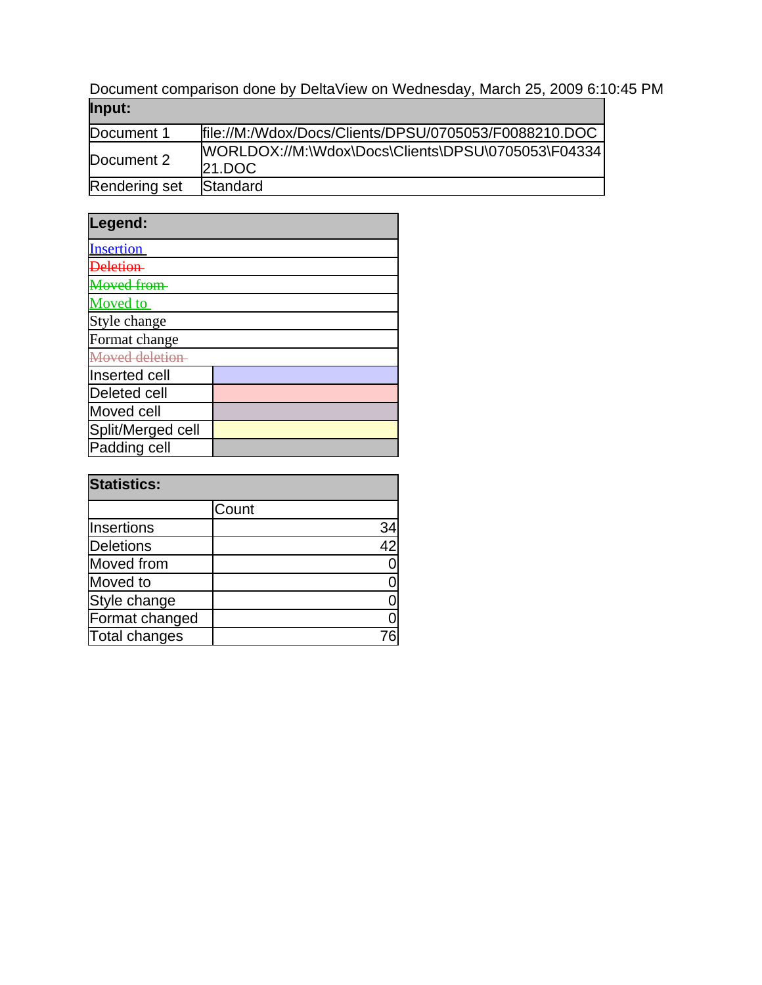Document comparison done by DeltaView on Wednesday, March 25, 2009 6:10:45 PM **Input:**

| popular       |                                                               |
|---------------|---------------------------------------------------------------|
| Document 1    | file://M:/Wdox/Docs/Clients/DPSU/0705053/F0088210.DOC         |
| Document 2    | [WORLDOX://M:\Wdox\Docs\Clients\DPSU\0705053\F04334<br>21.DOC |
| Rendering set | Standard                                                      |

| Legend:             |  |
|---------------------|--|
| <b>Insertion</b>    |  |
|                     |  |
| <b>Loved</b> from   |  |
| <b>Moved</b> to     |  |
| Style change        |  |
| Format change       |  |
| Moved deletion      |  |
| Inserted cell       |  |
| <b>Deleted cell</b> |  |
| Moved cell          |  |
| Split/Merged cell   |  |
| Padding cell        |  |

| <b>Statistics:</b> |       |    |
|--------------------|-------|----|
|                    | Count |    |
| Insertions         |       | 34 |
| <b>Deletions</b>   |       | 42 |
| Moved from         |       |    |
| Moved to           |       |    |
| Style change       |       |    |
| Format changed     |       |    |
| Total changes      |       |    |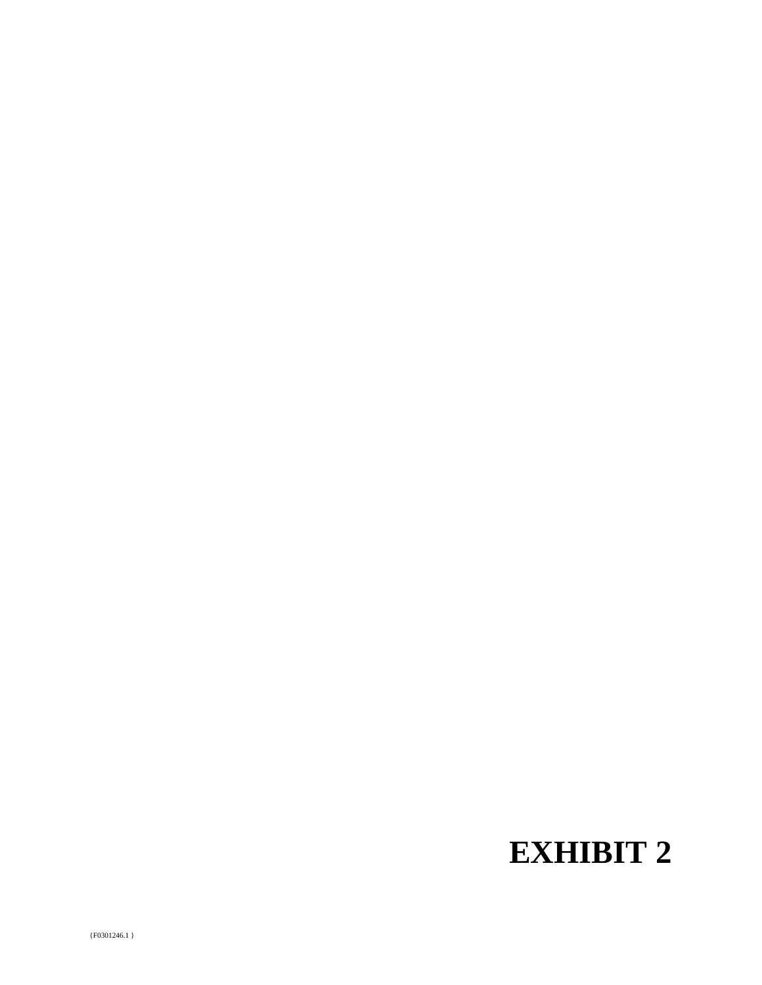# **EXHIBIT 2**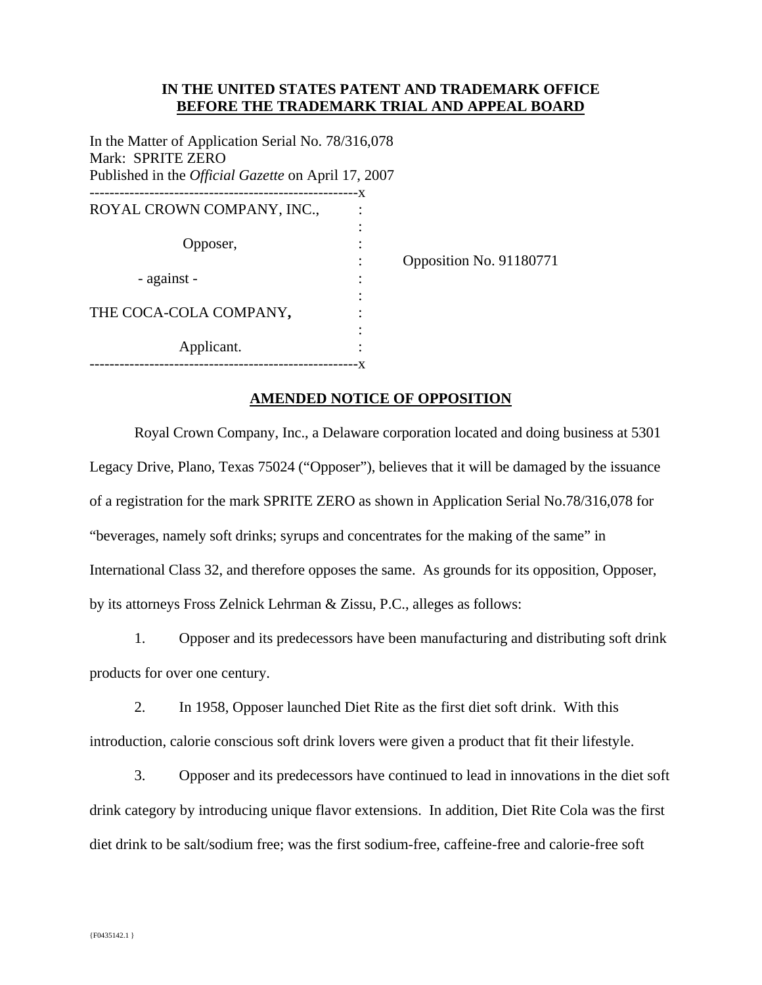# **IN THE UNITED STATES PATENT AND TRADEMARK OFFICE BEFORE THE TRADEMARK TRIAL AND APPEAL BOARD**

In the Matter of Application Serial No. 78/316,078 Mark: SPRITE ZERO Published in the *Official Gazette* on April 17, 2007

| ROYAL CROWN COMPANY, INC., |  |
|----------------------------|--|
|                            |  |
| Opposer,                   |  |
|                            |  |
| - against -                |  |
|                            |  |
| THE COCA-COLA COMPANY,     |  |
|                            |  |
| Applicant.                 |  |
| -------------              |  |

osition No. 91180771

# **AMENDED NOTICE OF OPPOSITION**

 Royal Crown Company, Inc., a Delaware corporation located and doing business at 5301 Legacy Drive, Plano, Texas 75024 ("Opposer"), believes that it will be damaged by the issuance of a registration for the mark SPRITE ZERO as shown in Application Serial No.78/316,078 for "beverages, namely soft drinks; syrups and concentrates for the making of the same" in International Class 32, and therefore opposes the same. As grounds for its opposition, Opposer, by its attorneys Fross Zelnick Lehrman & Zissu, P.C., alleges as follows:

1. Opposer and its predecessors have been manufacturing and distributing soft drink products for over one century.

2. In 1958, Opposer launched Diet Rite as the first diet soft drink. With this introduction, calorie conscious soft drink lovers were given a product that fit their lifestyle.

3. Opposer and its predecessors have continued to lead in innovations in the diet soft drink category by introducing unique flavor extensions. In addition, Diet Rite Cola was the first diet drink to be salt/sodium free; was the first sodium-free, caffeine-free and calorie-free soft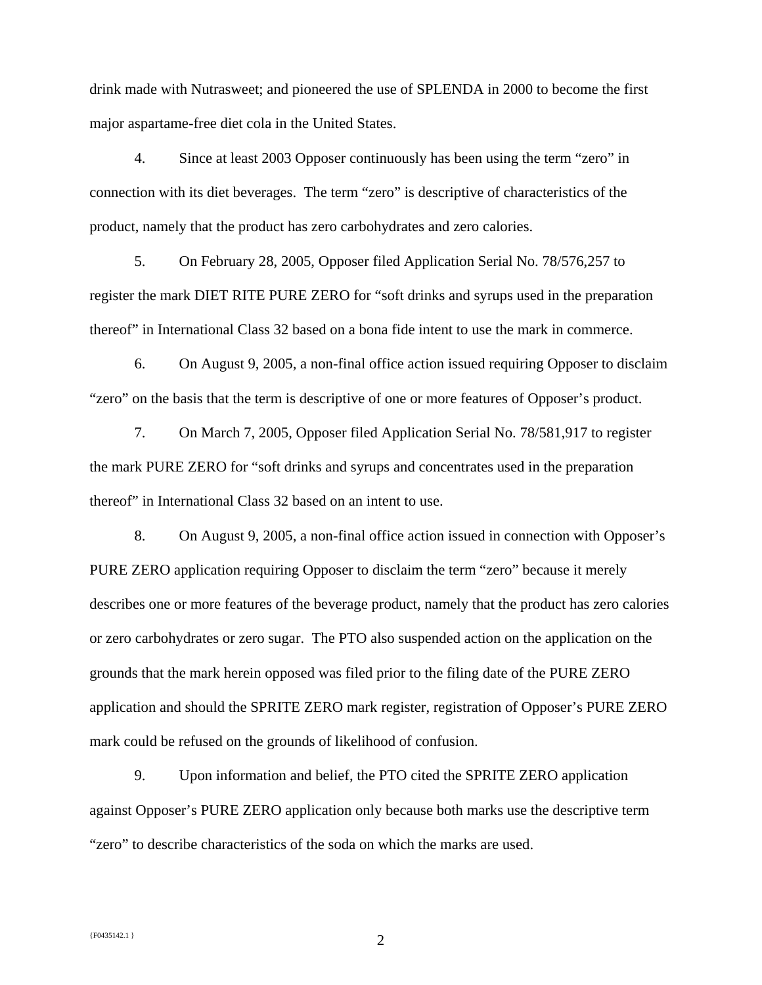drink made with Nutrasweet; and pioneered the use of SPLENDA in 2000 to become the first major aspartame-free diet cola in the United States.

4. Since at least 2003 Opposer continuously has been using the term "zero" in connection with its diet beverages. The term "zero" is descriptive of characteristics of the product, namely that the product has zero carbohydrates and zero calories.

5. On February 28, 2005, Opposer filed Application Serial No. 78/576,257 to register the mark DIET RITE PURE ZERO for "soft drinks and syrups used in the preparation thereof" in International Class 32 based on a bona fide intent to use the mark in commerce.

6. On August 9, 2005, a non-final office action issued requiring Opposer to disclaim "zero" on the basis that the term is descriptive of one or more features of Opposer's product.

7. On March 7, 2005, Opposer filed Application Serial No. 78/581,917 to register the mark PURE ZERO for "soft drinks and syrups and concentrates used in the preparation thereof" in International Class 32 based on an intent to use.

8. On August 9, 2005, a non-final office action issued in connection with Opposer's PURE ZERO application requiring Opposer to disclaim the term "zero" because it merely describes one or more features of the beverage product, namely that the product has zero calories or zero carbohydrates or zero sugar. The PTO also suspended action on the application on the grounds that the mark herein opposed was filed prior to the filing date of the PURE ZERO application and should the SPRITE ZERO mark register, registration of Opposer's PURE ZERO mark could be refused on the grounds of likelihood of confusion.

9. Upon information and belief, the PTO cited the SPRITE ZERO application against Opposer's PURE ZERO application only because both marks use the descriptive term "zero" to describe characteristics of the soda on which the marks are used.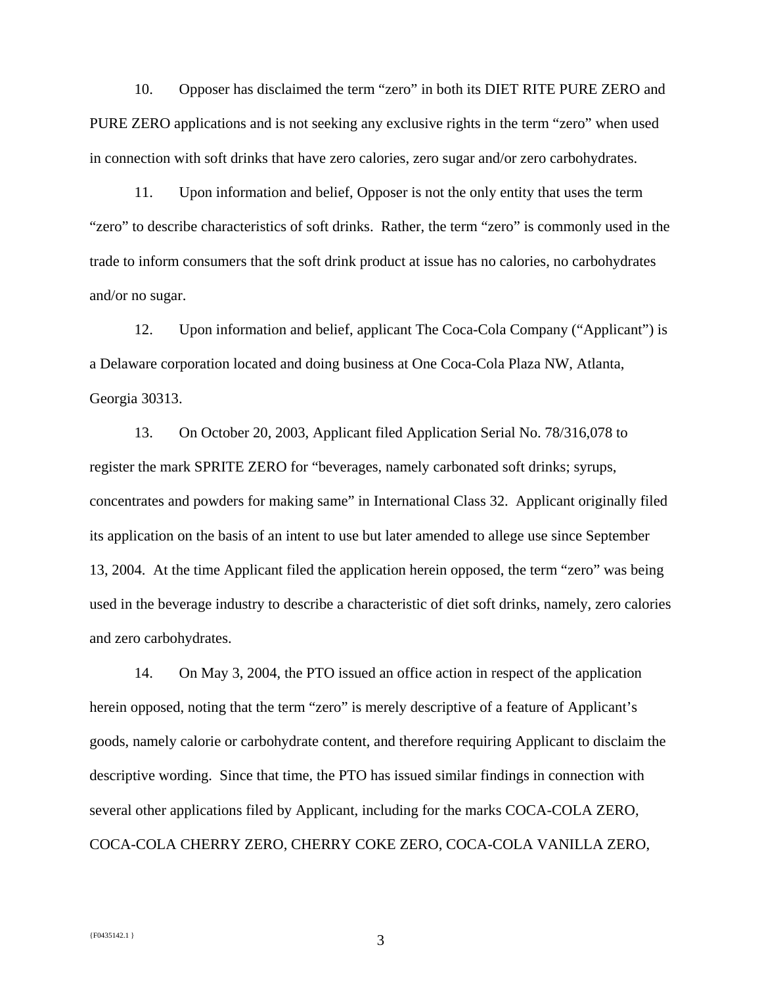10. Opposer has disclaimed the term "zero" in both its DIET RITE PURE ZERO and PURE ZERO applications and is not seeking any exclusive rights in the term "zero" when used in connection with soft drinks that have zero calories, zero sugar and/or zero carbohydrates.

11. Upon information and belief, Opposer is not the only entity that uses the term "zero" to describe characteristics of soft drinks. Rather, the term "zero" is commonly used in the trade to inform consumers that the soft drink product at issue has no calories, no carbohydrates and/or no sugar.

12. Upon information and belief, applicant The Coca-Cola Company ("Applicant") is a Delaware corporation located and doing business at One Coca-Cola Plaza NW, Atlanta, Georgia 30313.

13. On October 20, 2003, Applicant filed Application Serial No. 78/316,078 to register the mark SPRITE ZERO for "beverages, namely carbonated soft drinks; syrups, concentrates and powders for making same" in International Class 32. Applicant originally filed its application on the basis of an intent to use but later amended to allege use since September 13, 2004. At the time Applicant filed the application herein opposed, the term "zero" was being used in the beverage industry to describe a characteristic of diet soft drinks, namely, zero calories and zero carbohydrates.

14. On May 3, 2004, the PTO issued an office action in respect of the application herein opposed, noting that the term "zero" is merely descriptive of a feature of Applicant's goods, namely calorie or carbohydrate content, and therefore requiring Applicant to disclaim the descriptive wording. Since that time, the PTO has issued similar findings in connection with several other applications filed by Applicant, including for the marks COCA-COLA ZERO, COCA-COLA CHERRY ZERO, CHERRY COKE ZERO, COCA-COLA VANILLA ZERO,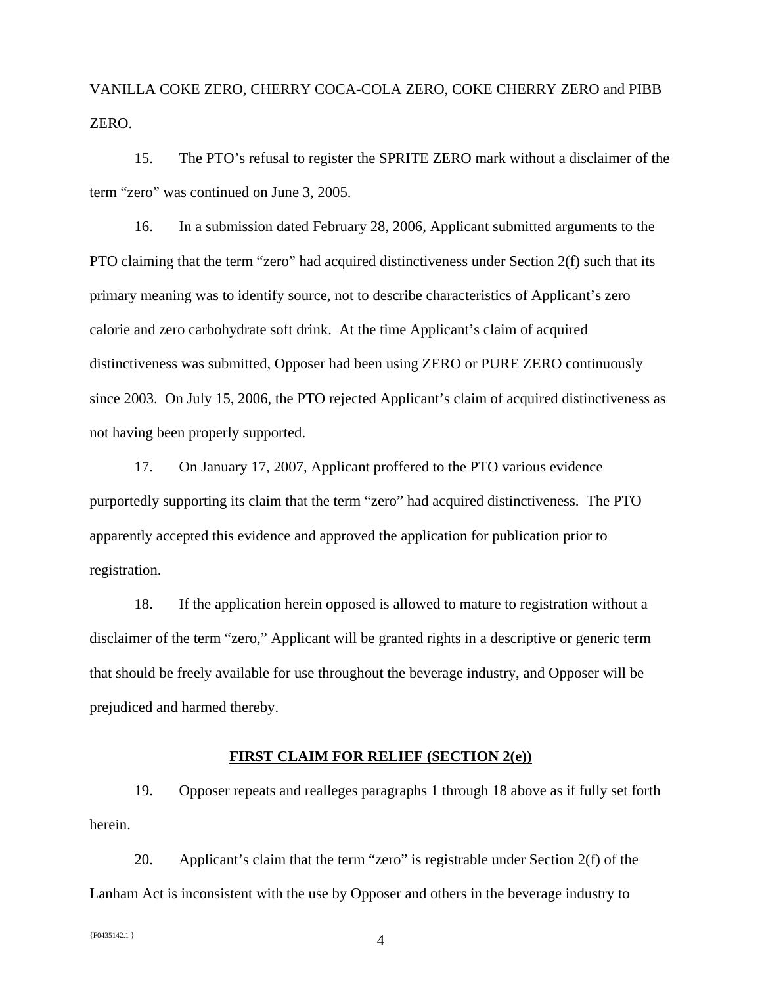VANILLA COKE ZERO, CHERRY COCA-COLA ZERO, COKE CHERRY ZERO and PIBB ZERO.

15. The PTO's refusal to register the SPRITE ZERO mark without a disclaimer of the term "zero" was continued on June 3, 2005.

16. In a submission dated February 28, 2006, Applicant submitted arguments to the PTO claiming that the term "zero" had acquired distinctiveness under Section 2(f) such that its primary meaning was to identify source, not to describe characteristics of Applicant's zero calorie and zero carbohydrate soft drink. At the time Applicant's claim of acquired distinctiveness was submitted, Opposer had been using ZERO or PURE ZERO continuously since 2003. On July 15, 2006, the PTO rejected Applicant's claim of acquired distinctiveness as not having been properly supported.

17. On January 17, 2007, Applicant proffered to the PTO various evidence purportedly supporting its claim that the term "zero" had acquired distinctiveness. The PTO apparently accepted this evidence and approved the application for publication prior to registration.

18. If the application herein opposed is allowed to mature to registration without a disclaimer of the term "zero," Applicant will be granted rights in a descriptive or generic term that should be freely available for use throughout the beverage industry, and Opposer will be prejudiced and harmed thereby.

## **FIRST CLAIM FOR RELIEF (SECTION 2(e))**

19. Opposer repeats and realleges paragraphs 1 through 18 above as if fully set forth herein.

20. Applicant's claim that the term "zero" is registrable under Section 2(f) of the Lanham Act is inconsistent with the use by Opposer and others in the beverage industry to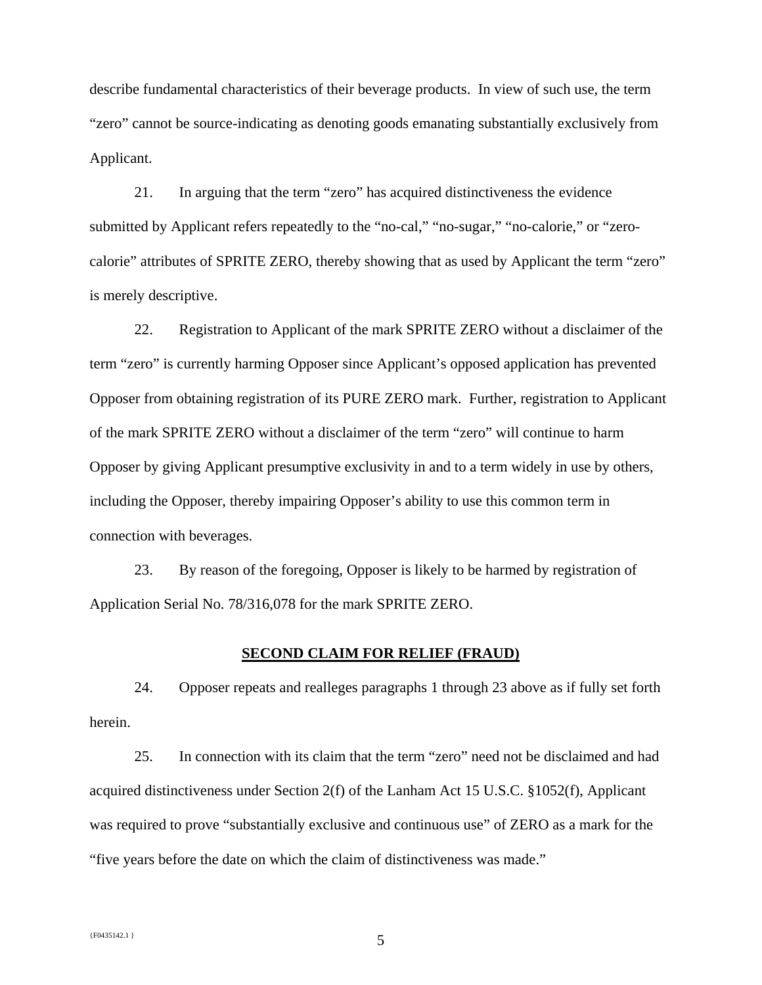describe fundamental characteristics of their beverage products. In view of such use, the term "zero" cannot be source-indicating as denoting goods emanating substantially exclusively from Applicant.

21. In arguing that the term "zero" has acquired distinctiveness the evidence submitted by Applicant refers repeatedly to the "no-cal," "no-sugar," "no-calorie," or "zerocalorie" attributes of SPRITE ZERO, thereby showing that as used by Applicant the term "zero" is merely descriptive.

22. Registration to Applicant of the mark SPRITE ZERO without a disclaimer of the term "zero" is currently harming Opposer since Applicant's opposed application has prevented Opposer from obtaining registration of its PURE ZERO mark. Further, registration to Applicant of the mark SPRITE ZERO without a disclaimer of the term "zero" will continue to harm Opposer by giving Applicant presumptive exclusivity in and to a term widely in use by others, including the Opposer, thereby impairing Opposer's ability to use this common term in connection with beverages.

23. By reason of the foregoing, Opposer is likely to be harmed by registration of Application Serial No. 78/316,078 for the mark SPRITE ZERO.

#### **SECOND CLAIM FOR RELIEF (FRAUD)**

24. Opposer repeats and realleges paragraphs 1 through 23 above as if fully set forth herein.

25. In connection with its claim that the term "zero" need not be disclaimed and had acquired distinctiveness under Section 2(f) of the Lanham Act 15 U.S.C. §1052(f), Applicant was required to prove "substantially exclusive and continuous use" of ZERO as a mark for the "five years before the date on which the claim of distinctiveness was made."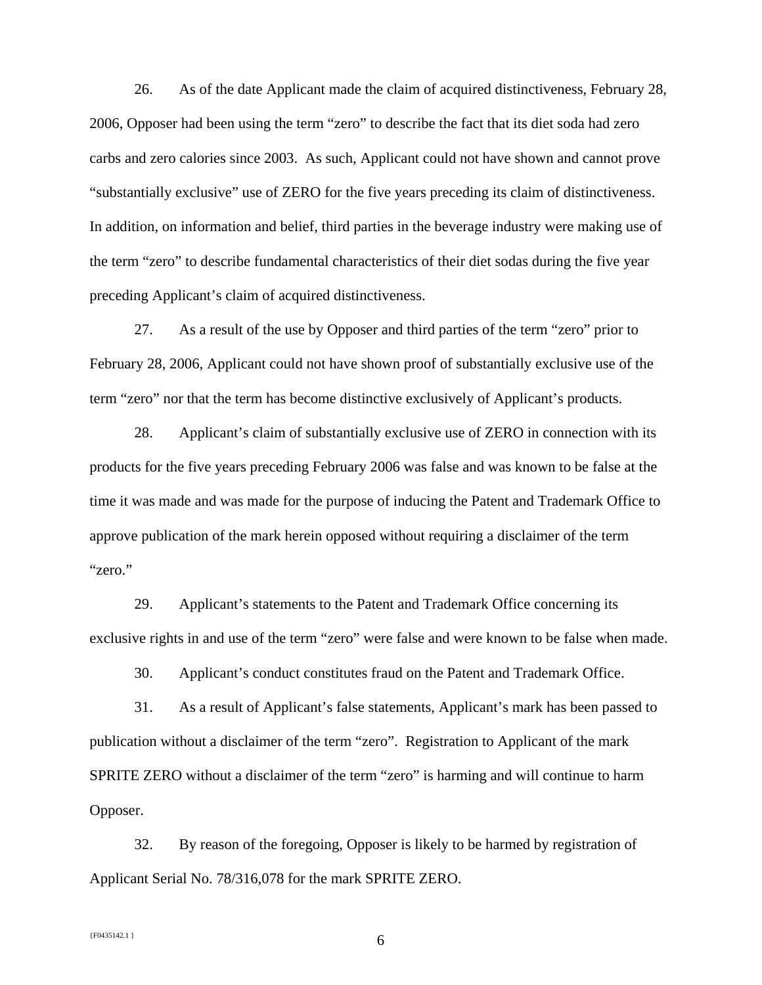26. As of the date Applicant made the claim of acquired distinctiveness, February 28, 2006, Opposer had been using the term "zero" to describe the fact that its diet soda had zero carbs and zero calories since 2003. As such, Applicant could not have shown and cannot prove "substantially exclusive" use of ZERO for the five years preceding its claim of distinctiveness. In addition, on information and belief, third parties in the beverage industry were making use of the term "zero" to describe fundamental characteristics of their diet sodas during the five year preceding Applicant's claim of acquired distinctiveness.

27. As a result of the use by Opposer and third parties of the term "zero" prior to February 28, 2006, Applicant could not have shown proof of substantially exclusive use of the term "zero" nor that the term has become distinctive exclusively of Applicant's products.

28. Applicant's claim of substantially exclusive use of ZERO in connection with its products for the five years preceding February 2006 was false and was known to be false at the time it was made and was made for the purpose of inducing the Patent and Trademark Office to approve publication of the mark herein opposed without requiring a disclaimer of the term "zero."

29. Applicant's statements to the Patent and Trademark Office concerning its exclusive rights in and use of the term "zero" were false and were known to be false when made.

30. Applicant's conduct constitutes fraud on the Patent and Trademark Office.

31. As a result of Applicant's false statements, Applicant's mark has been passed to publication without a disclaimer of the term "zero". Registration to Applicant of the mark SPRITE ZERO without a disclaimer of the term "zero" is harming and will continue to harm Opposer.

32. By reason of the foregoing, Opposer is likely to be harmed by registration of Applicant Serial No. 78/316,078 for the mark SPRITE ZERO.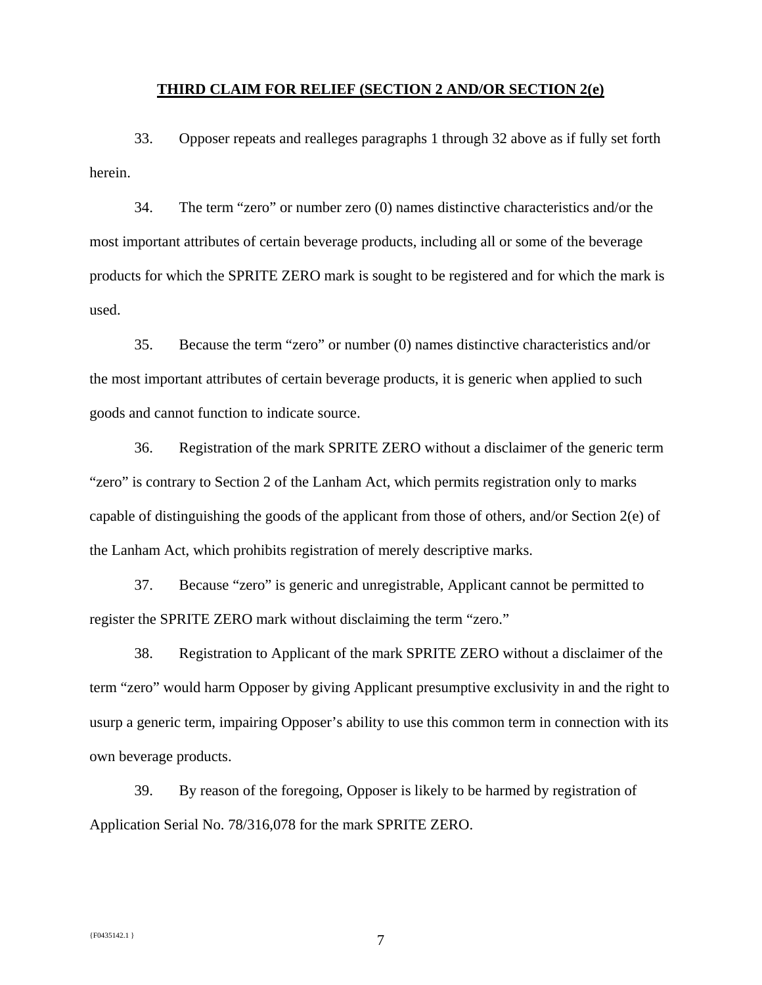#### **THIRD CLAIM FOR RELIEF (SECTION 2 AND/OR SECTION 2(e)**

33. Opposer repeats and realleges paragraphs 1 through 32 above as if fully set forth herein.

34. The term "zero" or number zero (0) names distinctive characteristics and/or the most important attributes of certain beverage products, including all or some of the beverage products for which the SPRITE ZERO mark is sought to be registered and for which the mark is used.

35. Because the term "zero" or number (0) names distinctive characteristics and/or the most important attributes of certain beverage products, it is generic when applied to such goods and cannot function to indicate source.

36. Registration of the mark SPRITE ZERO without a disclaimer of the generic term "zero" is contrary to Section 2 of the Lanham Act, which permits registration only to marks capable of distinguishing the goods of the applicant from those of others, and/or Section  $2(e)$  of the Lanham Act, which prohibits registration of merely descriptive marks.

37. Because "zero" is generic and unregistrable, Applicant cannot be permitted to register the SPRITE ZERO mark without disclaiming the term "zero."

38. Registration to Applicant of the mark SPRITE ZERO without a disclaimer of the term "zero" would harm Opposer by giving Applicant presumptive exclusivity in and the right to usurp a generic term, impairing Opposer's ability to use this common term in connection with its own beverage products.

39. By reason of the foregoing, Opposer is likely to be harmed by registration of Application Serial No. 78/316,078 for the mark SPRITE ZERO.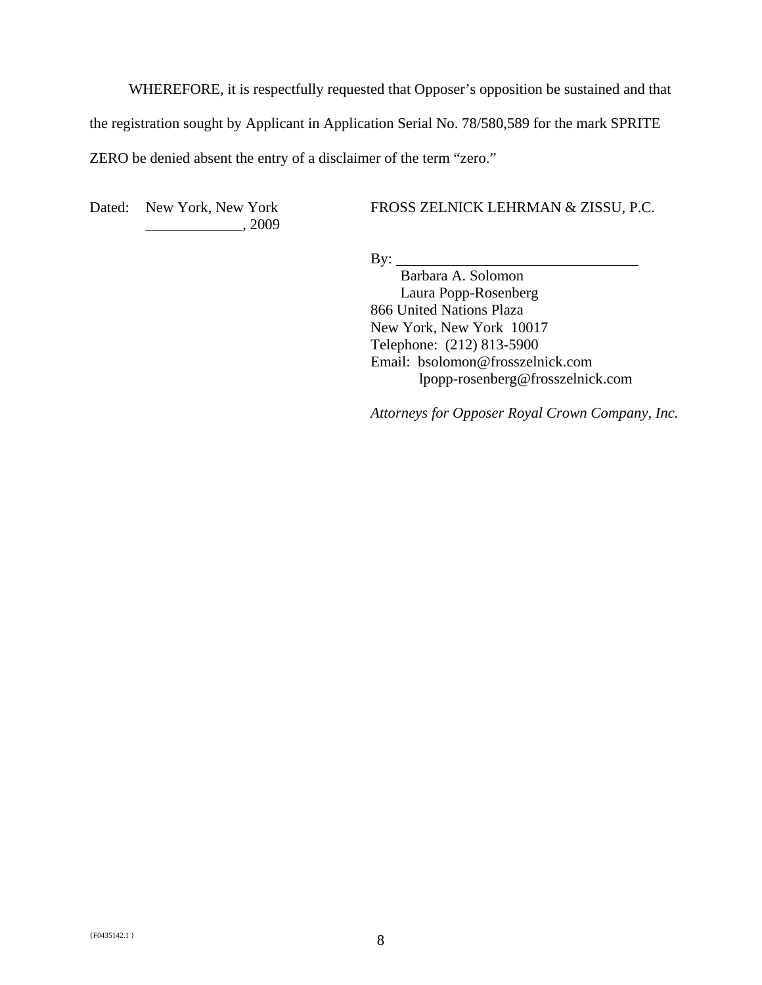WHEREFORE, it is respectfully requested that Opposer's opposition be sustained and that the registration sought by Applicant in Application Serial No. 78/580,589 for the mark SPRITE ZERO be denied absent the entry of a disclaimer of the term "zero."

Dated: New York, New York \_\_\_\_\_\_\_\_\_\_\_\_\_, 2009 FROSS ZELNICK LEHRMAN & ZISSU, P.C.

By:  $\overline{\phantom{a}}$ 

 Barbara A. Solomon Laura Popp-Rosenberg 866 United Nations Plaza New York, New York 10017 Telephone: (212) 813-5900 Email: bsolomon@frosszelnick.com lpopp-rosenberg@frosszelnick.com

*Attorneys for Opposer Royal Crown Company, Inc.*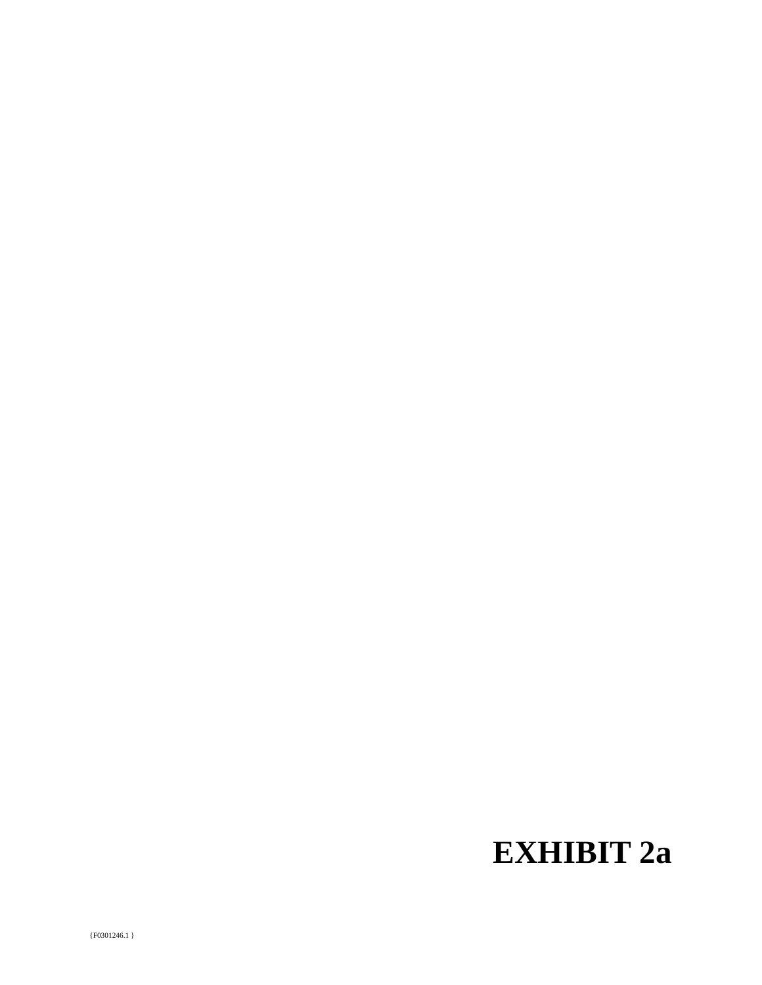# **EXHIBIT 2a**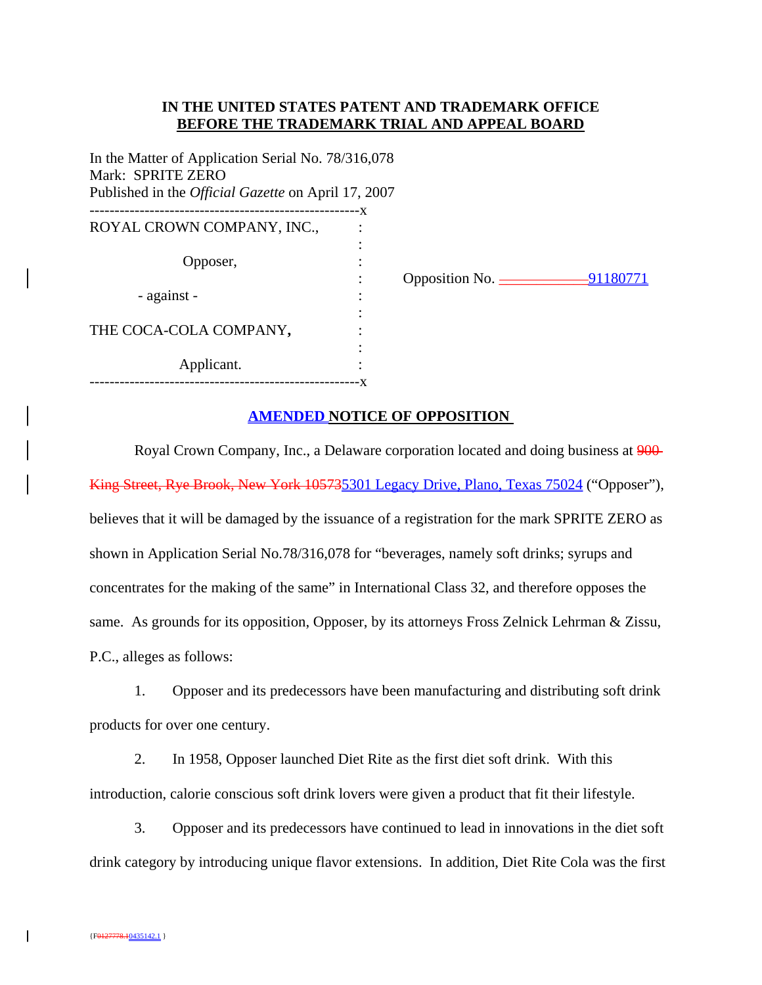## **IN THE UNITED STATES PATENT AND TRADEMARK OFFICE BEFORE THE TRADEMARK TRIAL AND APPEAL BOARD**

In the Matter of Application Serial No. 78/316,078 Mark: SPRITE ZERO Published in the *Official Gazette* on April 17, 2007 ------------------------------------------------------x ROYAL CROWN COMPANY, INC., the contract of the contract of the contract of the contract of the contract of the contract of the contract of Opposer, : - against the contract of the contract of the contract of the contract of the contract of the contract of the contract of THE COCA-COLA COMPANY**,** : the contract of the contract of the contract of the contract of the contract of Applicant. ------------------------------------------------------x

: Opposition No. \_\_\_\_\_\_\_\_\_\_\_\_91180771

## **AMENDED NOTICE OF OPPOSITION**

Royal Crown Company, Inc., a Delaware corporation located and doing business at  $900$ King Street, Rye Brook, New York 105735301 Legacy Drive, Plano, Texas 75024 ("Opposer"), believes that it will be damaged by the issuance of a registration for the mark SPRITE ZERO as shown in Application Serial No.78/316,078 for "beverages, namely soft drinks; syrups and concentrates for the making of the same" in International Class 32, and therefore opposes the same. As grounds for its opposition, Opposer, by its attorneys Fross Zelnick Lehrman & Zissu, P.C., alleges as follows:

1. Opposer and its predecessors have been manufacturing and distributing soft drink products for over one century.

2. In 1958, Opposer launched Diet Rite as the first diet soft drink. With this introduction, calorie conscious soft drink lovers were given a product that fit their lifestyle.

3. Opposer and its predecessors have continued to lead in innovations in the diet soft drink category by introducing unique flavor extensions. In addition, Diet Rite Cola was the first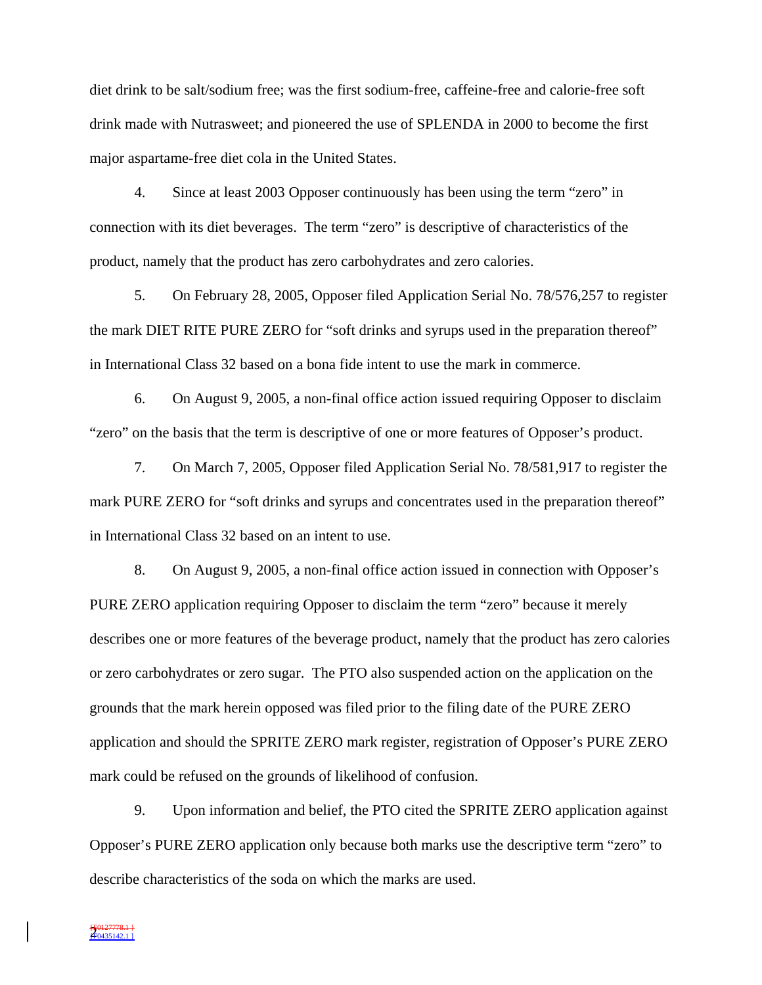diet drink to be salt/sodium free; was the first sodium-free, caffeine-free and calorie-free soft drink made with Nutrasweet; and pioneered the use of SPLENDA in 2000 to become the first major aspartame-free diet cola in the United States.

4. Since at least 2003 Opposer continuously has been using the term "zero" in connection with its diet beverages. The term "zero" is descriptive of characteristics of the product, namely that the product has zero carbohydrates and zero calories.

5. On February 28, 2005, Opposer filed Application Serial No. 78/576,257 to register the mark DIET RITE PURE ZERO for "soft drinks and syrups used in the preparation thereof" in International Class 32 based on a bona fide intent to use the mark in commerce.

6. On August 9, 2005, a non-final office action issued requiring Opposer to disclaim "zero" on the basis that the term is descriptive of one or more features of Opposer's product.

7. On March 7, 2005, Opposer filed Application Serial No. 78/581,917 to register the mark PURE ZERO for "soft drinks and syrups and concentrates used in the preparation thereof" in International Class 32 based on an intent to use.

8. On August 9, 2005, a non-final office action issued in connection with Opposer's PURE ZERO application requiring Opposer to disclaim the term "zero" because it merely describes one or more features of the beverage product, namely that the product has zero calories or zero carbohydrates or zero sugar. The PTO also suspended action on the application on the grounds that the mark herein opposed was filed prior to the filing date of the PURE ZERO application and should the SPRITE ZERO mark register, registration of Opposer's PURE ZERO mark could be refused on the grounds of likelihood of confusion.

9. Upon information and belief, the PTO cited the SPRITE ZERO application against Opposer's PURE ZERO application only because both marks use the descriptive term "zero" to describe characteristics of the soda on which the marks are used.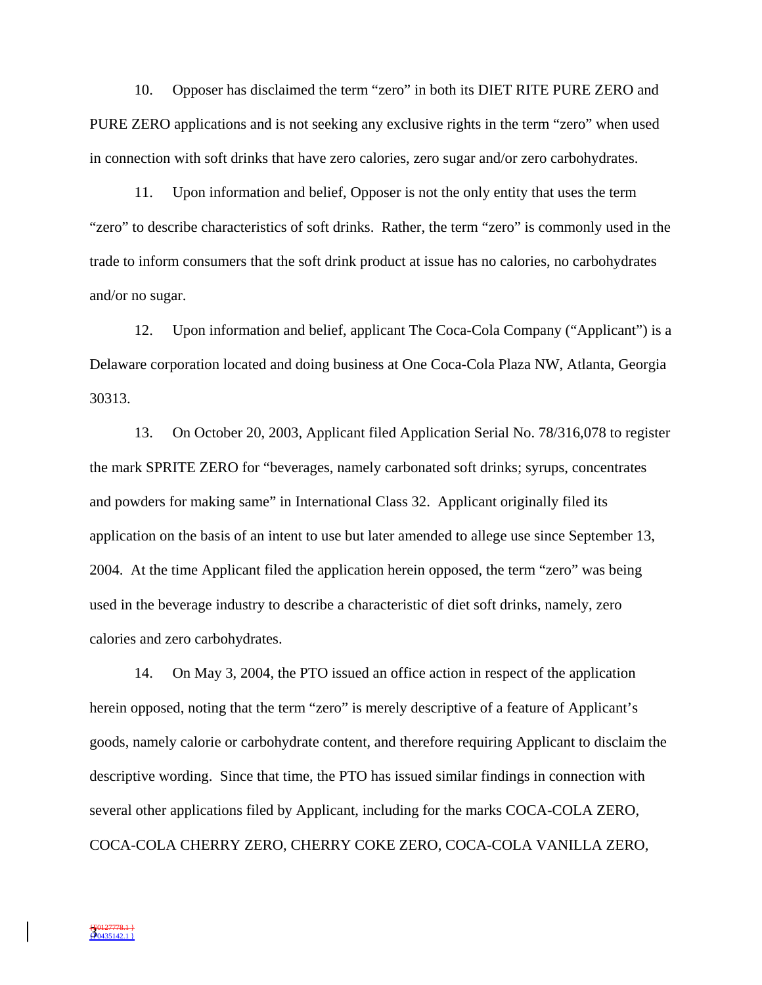10. Opposer has disclaimed the term "zero" in both its DIET RITE PURE ZERO and PURE ZERO applications and is not seeking any exclusive rights in the term "zero" when used in connection with soft drinks that have zero calories, zero sugar and/or zero carbohydrates.

11. Upon information and belief, Opposer is not the only entity that uses the term "zero" to describe characteristics of soft drinks. Rather, the term "zero" is commonly used in the trade to inform consumers that the soft drink product at issue has no calories, no carbohydrates and/or no sugar.

12. Upon information and belief, applicant The Coca-Cola Company ("Applicant") is a Delaware corporation located and doing business at One Coca-Cola Plaza NW, Atlanta, Georgia 30313.

13. On October 20, 2003, Applicant filed Application Serial No. 78/316,078 to register the mark SPRITE ZERO for "beverages, namely carbonated soft drinks; syrups, concentrates and powders for making same" in International Class 32. Applicant originally filed its application on the basis of an intent to use but later amended to allege use since September 13, 2004. At the time Applicant filed the application herein opposed, the term "zero" was being used in the beverage industry to describe a characteristic of diet soft drinks, namely, zero calories and zero carbohydrates.

14. On May 3, 2004, the PTO issued an office action in respect of the application herein opposed, noting that the term "zero" is merely descriptive of a feature of Applicant's goods, namely calorie or carbohydrate content, and therefore requiring Applicant to disclaim the descriptive wording. Since that time, the PTO has issued similar findings in connection with several other applications filed by Applicant, including for the marks COCA-COLA ZERO, COCA-COLA CHERRY ZERO, CHERRY COKE ZERO, COCA-COLA VANILLA ZERO,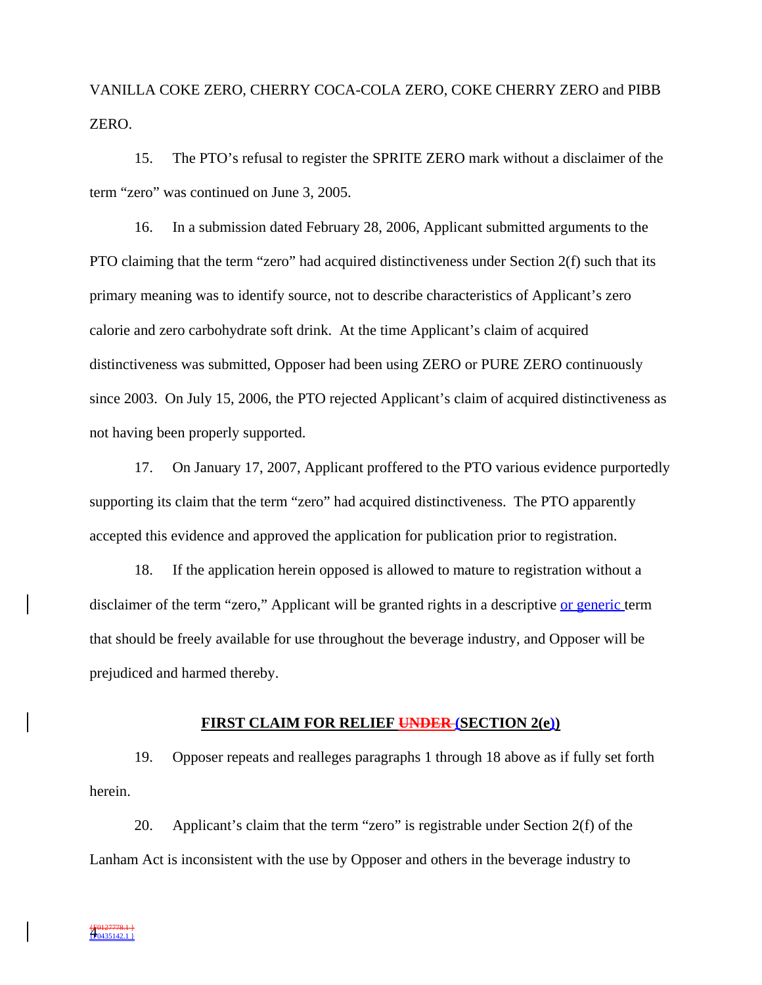VANILLA COKE ZERO, CHERRY COCA-COLA ZERO, COKE CHERRY ZERO and PIBB ZERO.

15. The PTO's refusal to register the SPRITE ZERO mark without a disclaimer of the term "zero" was continued on June 3, 2005.

16. In a submission dated February 28, 2006, Applicant submitted arguments to the PTO claiming that the term "zero" had acquired distinctiveness under Section 2(f) such that its primary meaning was to identify source, not to describe characteristics of Applicant's zero calorie and zero carbohydrate soft drink. At the time Applicant's claim of acquired distinctiveness was submitted, Opposer had been using ZERO or PURE ZERO continuously since 2003. On July 15, 2006, the PTO rejected Applicant's claim of acquired distinctiveness as not having been properly supported.

17. On January 17, 2007, Applicant proffered to the PTO various evidence purportedly supporting its claim that the term "zero" had acquired distinctiveness. The PTO apparently accepted this evidence and approved the application for publication prior to registration.

18. If the application herein opposed is allowed to mature to registration without a disclaimer of the term "zero," Applicant will be granted rights in a descriptive or generic term that should be freely available for use throughout the beverage industry, and Opposer will be prejudiced and harmed thereby.

#### **FIRST CLAIM FOR RELIEF UNDER (SECTION 2(e))**

19. Opposer repeats and realleges paragraphs 1 through 18 above as if fully set forth herein.

20. Applicant's claim that the term "zero" is registrable under Section 2(f) of the Lanham Act is inconsistent with the use by Opposer and others in the beverage industry to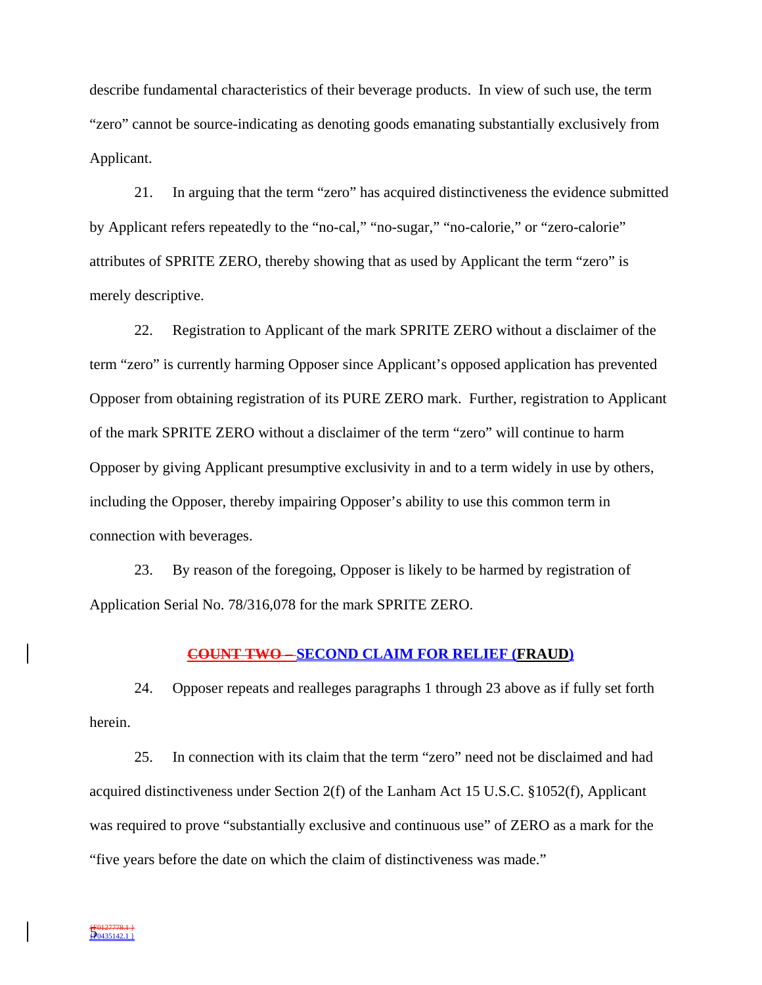describe fundamental characteristics of their beverage products. In view of such use, the term "zero" cannot be source-indicating as denoting goods emanating substantially exclusively from Applicant.

21. In arguing that the term "zero" has acquired distinctiveness the evidence submitted by Applicant refers repeatedly to the "no-cal," "no-sugar," "no-calorie," or "zero-calorie" attributes of SPRITE ZERO, thereby showing that as used by Applicant the term "zero" is merely descriptive.

22. Registration to Applicant of the mark SPRITE ZERO without a disclaimer of the term "zero" is currently harming Opposer since Applicant's opposed application has prevented Opposer from obtaining registration of its PURE ZERO mark. Further, registration to Applicant of the mark SPRITE ZERO without a disclaimer of the term "zero" will continue to harm Opposer by giving Applicant presumptive exclusivity in and to a term widely in use by others, including the Opposer, thereby impairing Opposer's ability to use this common term in connection with beverages.

23. By reason of the foregoing, Opposer is likely to be harmed by registration of Application Serial No. 78/316,078 for the mark SPRITE ZERO.

#### **COUNT TWO – SECOND CLAIM FOR RELIEF (FRAUD)**

24. Opposer repeats and realleges paragraphs 1 through 23 above as if fully set forth herein.

25. In connection with its claim that the term "zero" need not be disclaimed and had acquired distinctiveness under Section 2(f) of the Lanham Act 15 U.S.C. §1052(f), Applicant was required to prove "substantially exclusive and continuous use" of ZERO as a mark for the "five years before the date on which the claim of distinctiveness was made."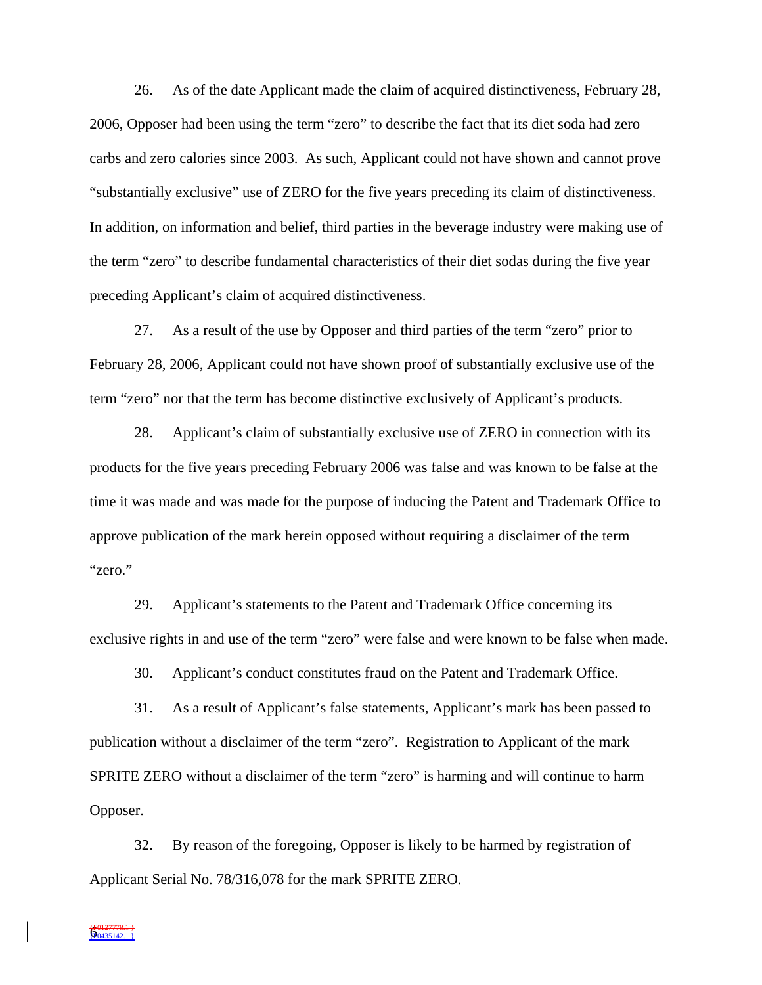26. As of the date Applicant made the claim of acquired distinctiveness, February 28, 2006, Opposer had been using the term "zero" to describe the fact that its diet soda had zero carbs and zero calories since 2003. As such, Applicant could not have shown and cannot prove "substantially exclusive" use of ZERO for the five years preceding its claim of distinctiveness. In addition, on information and belief, third parties in the beverage industry were making use of the term "zero" to describe fundamental characteristics of their diet sodas during the five year preceding Applicant's claim of acquired distinctiveness.

27. As a result of the use by Opposer and third parties of the term "zero" prior to February 28, 2006, Applicant could not have shown proof of substantially exclusive use of the term "zero" nor that the term has become distinctive exclusively of Applicant's products.

28. Applicant's claim of substantially exclusive use of ZERO in connection with its products for the five years preceding February 2006 was false and was known to be false at the time it was made and was made for the purpose of inducing the Patent and Trademark Office to approve publication of the mark herein opposed without requiring a disclaimer of the term "zero."

29. Applicant's statements to the Patent and Trademark Office concerning its exclusive rights in and use of the term "zero" were false and were known to be false when made.

30. Applicant's conduct constitutes fraud on the Patent and Trademark Office.

31. As a result of Applicant's false statements, Applicant's mark has been passed to publication without a disclaimer of the term "zero". Registration to Applicant of the mark SPRITE ZERO without a disclaimer of the term "zero" is harming and will continue to harm Opposer.

32. By reason of the foregoing, Opposer is likely to be harmed by registration of Applicant Serial No. 78/316,078 for the mark SPRITE ZERO.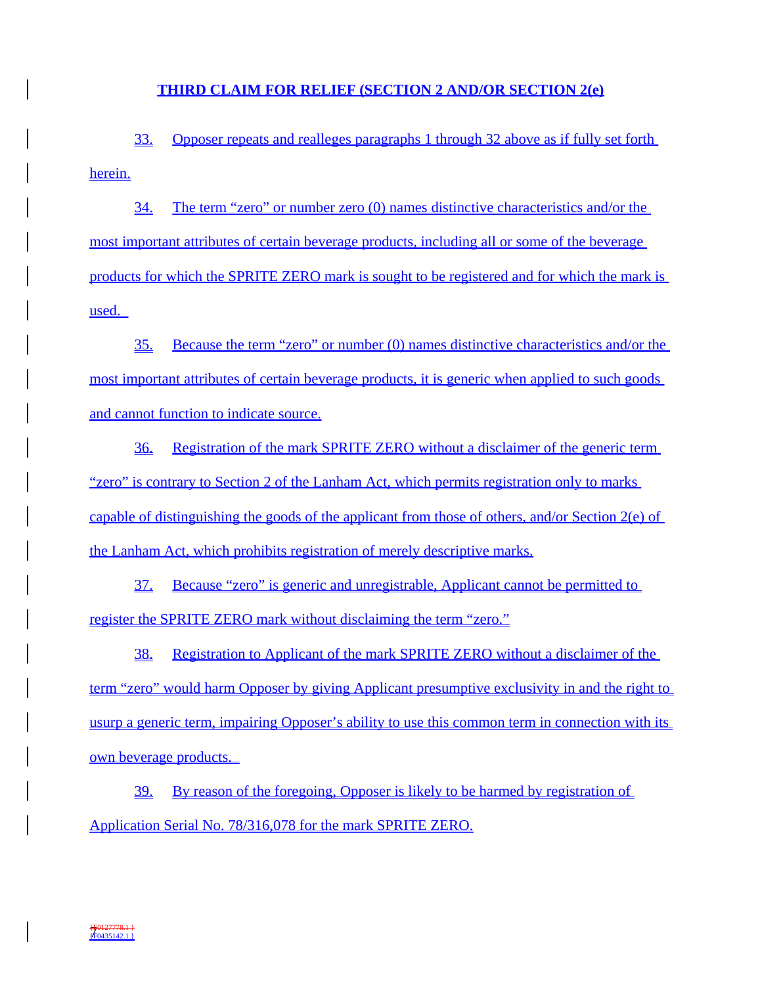## **THIRD CLAIM FOR RELIEF (SECTION 2 AND/OR SECTION 2(e)**

33. Opposer repeats and realleges paragraphs 1 through 32 above as if fully set forth herein.

34. The term "zero" or number zero (0) names distinctive characteristics and/or the most important attributes of certain beverage products, including all or some of the beverage products for which the SPRITE ZERO mark is sought to be registered and for which the mark is used.

35. Because the term "zero" or number (0) names distinctive characteristics and/or the most important attributes of certain beverage products, it is generic when applied to such goods and cannot function to indicate source.

36. Registration of the mark SPRITE ZERO without a disclaimer of the generic term "zero" is contrary to Section 2 of the Lanham Act, which permits registration only to marks capable of distinguishing the goods of the applicant from those of others, and/or Section  $2(e)$  of the Lanham Act, which prohibits registration of merely descriptive marks.

37. Because "zero" is generic and unregistrable, Applicant cannot be permitted to register the SPRITE ZERO mark without disclaiming the term "zero."

38. Registration to Applicant of the mark SPRITE ZERO without a disclaimer of the term "zero" would harm Opposer by giving Applicant presumptive exclusivity in and the right to usurp a generic term, impairing Opposer's ability to use this common term in connection with its own beverage products.

39. By reason of the foregoing, Opposer is likely to be harmed by registration of Application Serial No. 78/316,078 for the mark SPRITE ZERO.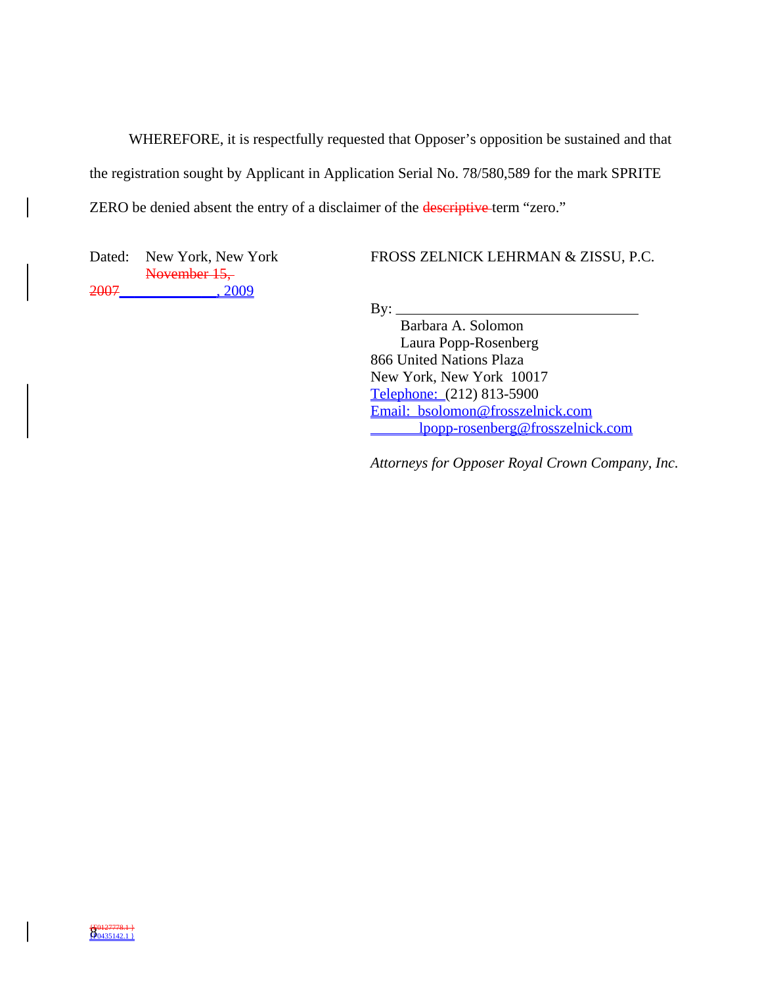WHEREFORE, it is respectfully requested that Opposer's opposition be sustained and that the registration sought by Applicant in Application Serial No. 78/580,589 for the mark SPRITE ZERO be denied absent the entry of a disclaimer of the **descriptive** term "zero."

Dated: New York, New York November 15, 2007\_\_\_\_\_\_\_\_\_\_\_\_\_, 2009

FROSS ZELNICK LEHRMAN & ZISSU, P.C.

 $By:$ 

 Barbara A. Solomon Laura Popp-Rosenberg 866 United Nations Plaza New York, New York 10017 Telephone: (212) 813-5900 Email: bsolomon@frosszelnick.com lpopp-rosenberg@frosszelnick.com

*Attorneys for Opposer Royal Crown Company, Inc.*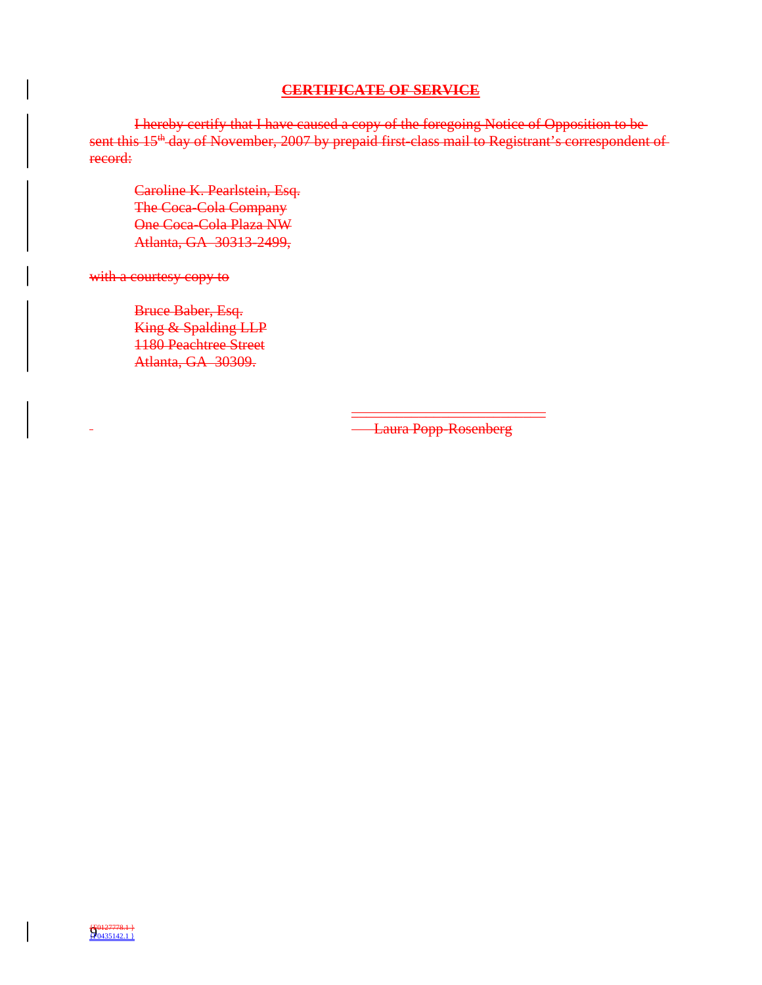## **CERTIFICATE OF SERVICE**

I hereby certify that I have caused a copy of the foregoing Notice of Opposition to be sent this 15<sup>th</sup> day of November, 2007 by prepaid first-class mail to Registrant's correspondent of record:

Caroline K. Pearlstein, Esq. The Coca-Cola Company One Coca-Cola Plaza NW Atlanta, GA 30313-2499,

with a courtesy copy to

Bruce Baber, Esq. King & Spalding LLP 1180 Peachtree Street Atlanta, GA 30309.

> \_\_\_\_\_\_\_\_\_\_\_\_\_\_\_\_\_\_\_\_\_\_\_\_\_\_ Laura Popp-Rosenberg

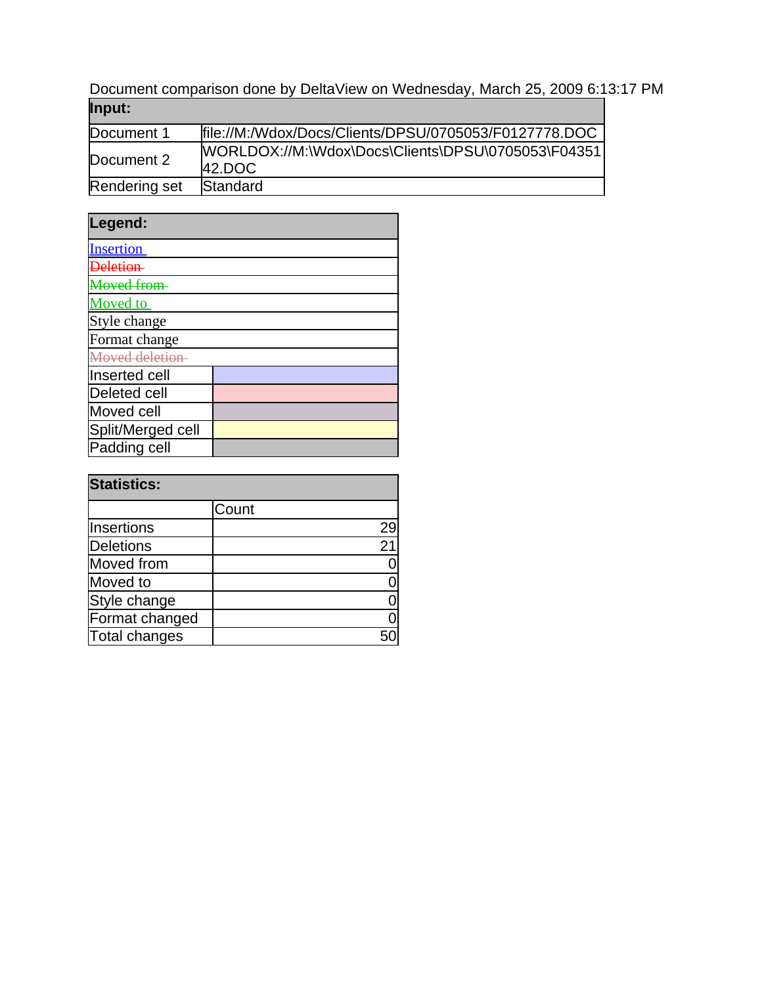Document comparison done by DeltaView on Wednesday, March 25, 2009 6:13:17 PM **Input:**

| <u> post</u>  |                                                                 |
|---------------|-----------------------------------------------------------------|
| Document 1    | file://M:/Wdox/Docs/Clients/DPSU/0705053/F0127778.DOC           |
| Document 2    | WORLDOX://M:\Wdox\Docs\Clients\DPSU\0705053\F04351<br>$42.$ DOC |
| Rendering set | Standard                                                        |

| Legend:             |  |
|---------------------|--|
| <b>Insertion</b>    |  |
|                     |  |
| <i>Aeved from</i>   |  |
| <b>Moved</b> to     |  |
| Style change        |  |
| Format change       |  |
| Moved deletion      |  |
| Inserted cell       |  |
| <b>Deleted cell</b> |  |
| Moved cell          |  |
| Split/Merged cell   |  |
| Padding cell        |  |

| <b>Statistics:</b> |       |    |
|--------------------|-------|----|
|                    | Count |    |
| Insertions         |       | 29 |
| Deletions          |       | 21 |
| Moved from         |       |    |
| Moved to           |       |    |
| Style change       |       |    |
| Format changed     |       |    |
| Total changes      |       |    |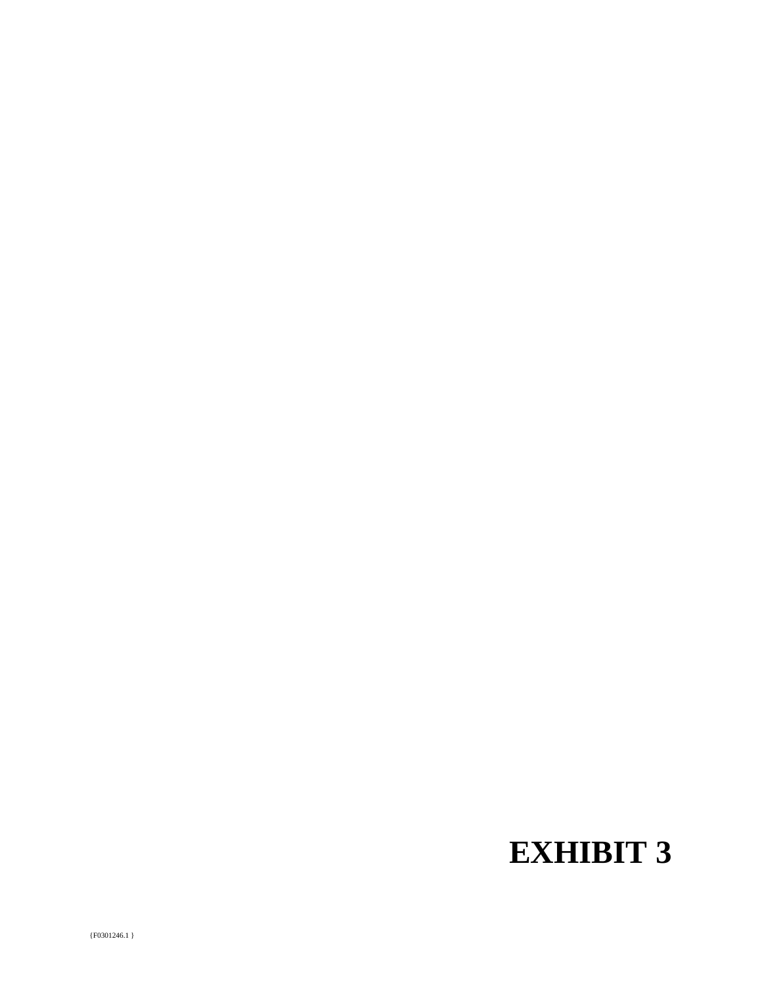# **EXHIBIT 3**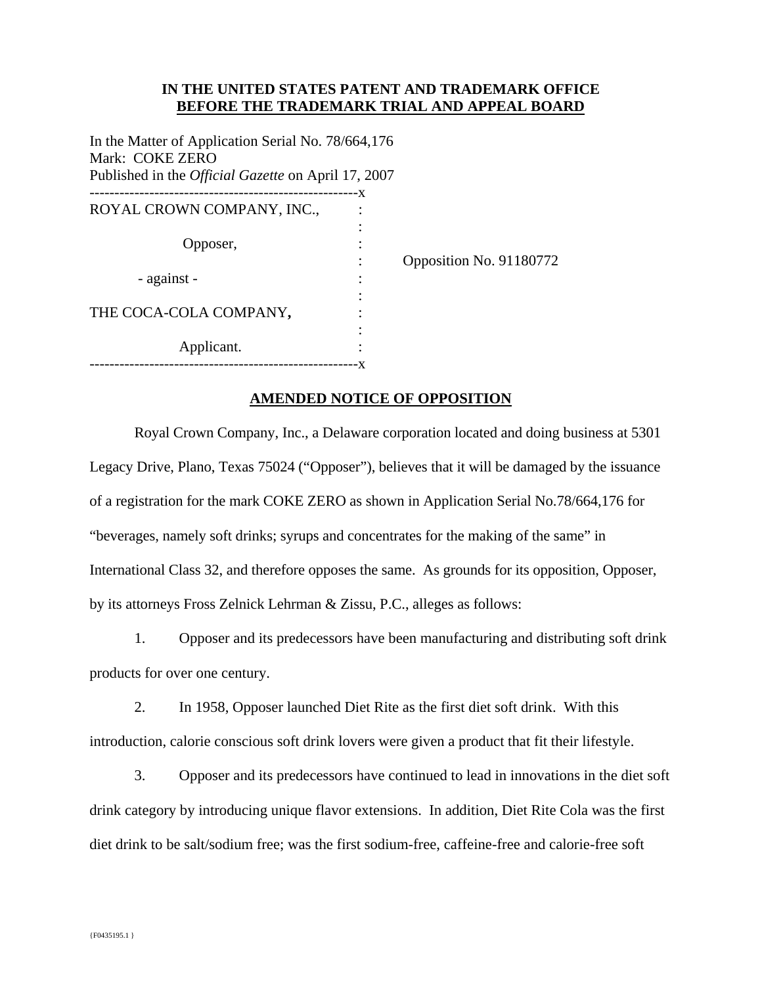## **IN THE UNITED STATES PATENT AND TRADEMARK OFFICE BEFORE THE TRADEMARK TRIAL AND APPEAL BOARD**

In the Matter of Application Serial No. 78/664,176 Mark: COKE ZERO Published in the *Official Gazette* on April 17, 2007

|                            | ۰X |  |
|----------------------------|----|--|
| ROYAL CROWN COMPANY, INC., |    |  |
|                            |    |  |
| Opposer,                   |    |  |
|                            |    |  |
| - against -                |    |  |
|                            |    |  |
| THE COCA-COLA COMPANY,     |    |  |
|                            |    |  |
| Applicant.                 |    |  |
|                            |    |  |
|                            |    |  |

Opposition No. 91180772

## **AMENDED NOTICE OF OPPOSITION**

 Royal Crown Company, Inc., a Delaware corporation located and doing business at 5301 Legacy Drive, Plano, Texas 75024 ("Opposer"), believes that it will be damaged by the issuance of a registration for the mark COKE ZERO as shown in Application Serial No.78/664,176 for "beverages, namely soft drinks; syrups and concentrates for the making of the same" in International Class 32, and therefore opposes the same. As grounds for its opposition, Opposer, by its attorneys Fross Zelnick Lehrman & Zissu, P.C., alleges as follows:

1. Opposer and its predecessors have been manufacturing and distributing soft drink products for over one century.

2. In 1958, Opposer launched Diet Rite as the first diet soft drink. With this introduction, calorie conscious soft drink lovers were given a product that fit their lifestyle.

3. Opposer and its predecessors have continued to lead in innovations in the diet soft drink category by introducing unique flavor extensions. In addition, Diet Rite Cola was the first diet drink to be salt/sodium free; was the first sodium-free, caffeine-free and calorie-free soft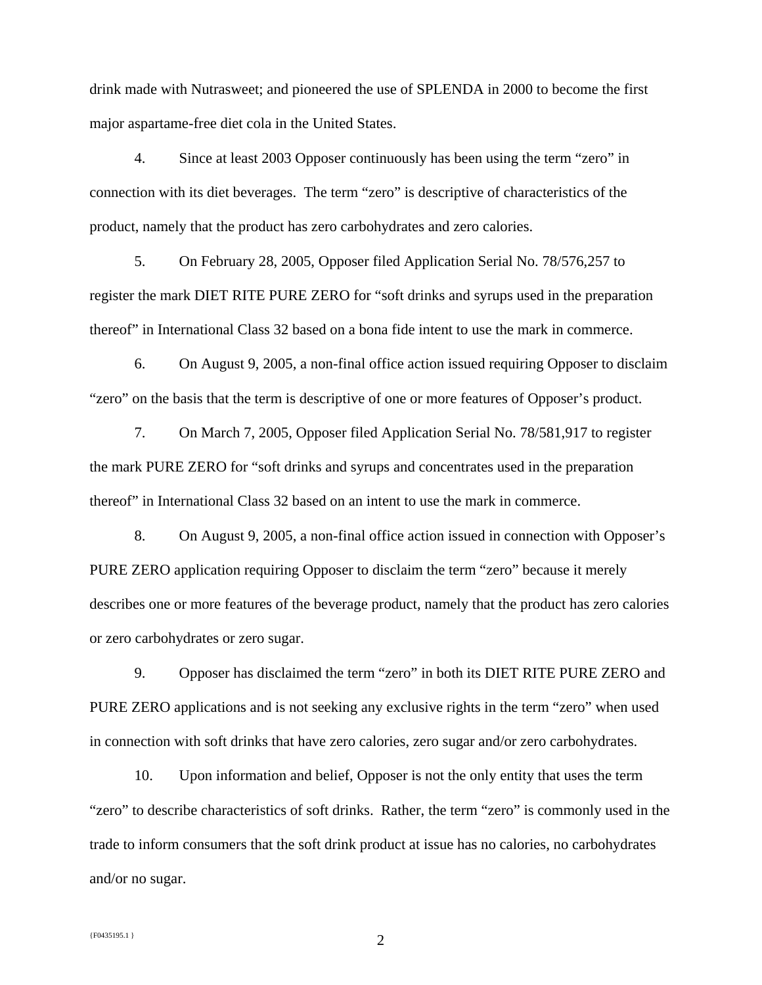drink made with Nutrasweet; and pioneered the use of SPLENDA in 2000 to become the first major aspartame-free diet cola in the United States.

4. Since at least 2003 Opposer continuously has been using the term "zero" in connection with its diet beverages. The term "zero" is descriptive of characteristics of the product, namely that the product has zero carbohydrates and zero calories.

5. On February 28, 2005, Opposer filed Application Serial No. 78/576,257 to register the mark DIET RITE PURE ZERO for "soft drinks and syrups used in the preparation thereof" in International Class 32 based on a bona fide intent to use the mark in commerce.

6. On August 9, 2005, a non-final office action issued requiring Opposer to disclaim "zero" on the basis that the term is descriptive of one or more features of Opposer's product.

7. On March 7, 2005, Opposer filed Application Serial No. 78/581,917 to register the mark PURE ZERO for "soft drinks and syrups and concentrates used in the preparation thereof" in International Class 32 based on an intent to use the mark in commerce.

8. On August 9, 2005, a non-final office action issued in connection with Opposer's PURE ZERO application requiring Opposer to disclaim the term "zero" because it merely describes one or more features of the beverage product, namely that the product has zero calories or zero carbohydrates or zero sugar.

9. Opposer has disclaimed the term "zero" in both its DIET RITE PURE ZERO and PURE ZERO applications and is not seeking any exclusive rights in the term "zero" when used in connection with soft drinks that have zero calories, zero sugar and/or zero carbohydrates.

10. Upon information and belief, Opposer is not the only entity that uses the term "zero" to describe characteristics of soft drinks. Rather, the term "zero" is commonly used in the trade to inform consumers that the soft drink product at issue has no calories, no carbohydrates and/or no sugar.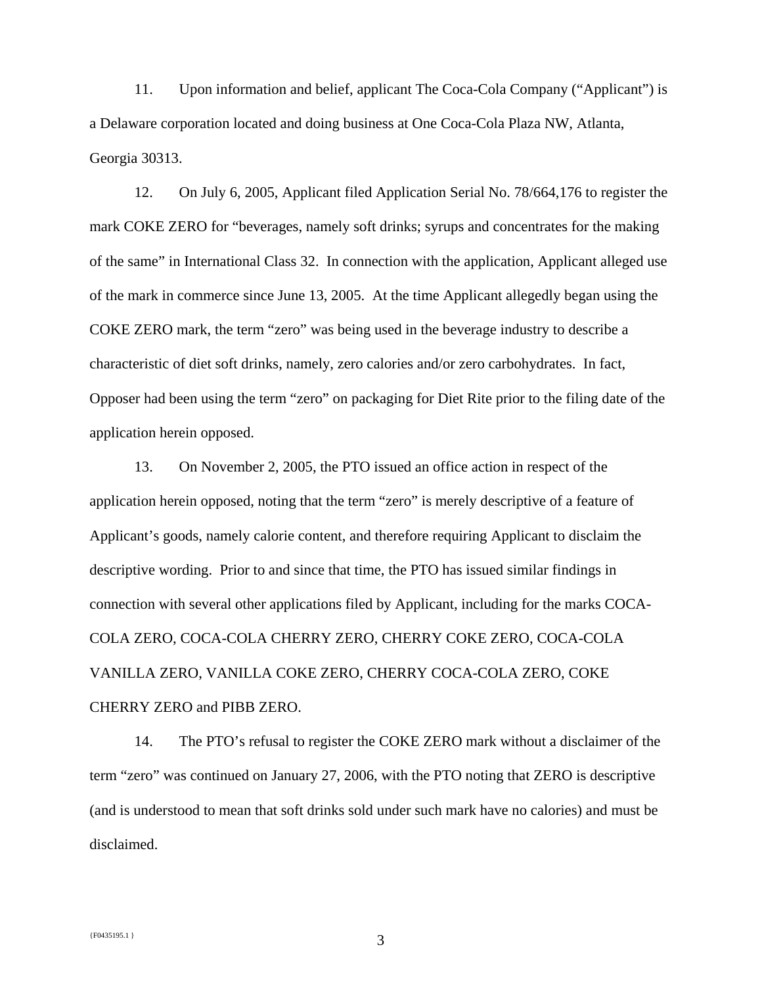11. Upon information and belief, applicant The Coca-Cola Company ("Applicant") is a Delaware corporation located and doing business at One Coca-Cola Plaza NW, Atlanta, Georgia 30313.

12. On July 6, 2005, Applicant filed Application Serial No. 78/664,176 to register the mark COKE ZERO for "beverages, namely soft drinks; syrups and concentrates for the making of the same" in International Class 32. In connection with the application, Applicant alleged use of the mark in commerce since June 13, 2005. At the time Applicant allegedly began using the COKE ZERO mark, the term "zero" was being used in the beverage industry to describe a characteristic of diet soft drinks, namely, zero calories and/or zero carbohydrates. In fact, Opposer had been using the term "zero" on packaging for Diet Rite prior to the filing date of the application herein opposed.

13. On November 2, 2005, the PTO issued an office action in respect of the application herein opposed, noting that the term "zero" is merely descriptive of a feature of Applicant's goods, namely calorie content, and therefore requiring Applicant to disclaim the descriptive wording. Prior to and since that time, the PTO has issued similar findings in connection with several other applications filed by Applicant, including for the marks COCA-COLA ZERO, COCA-COLA CHERRY ZERO, CHERRY COKE ZERO, COCA-COLA VANILLA ZERO, VANILLA COKE ZERO, CHERRY COCA-COLA ZERO, COKE CHERRY ZERO and PIBB ZERO.

14. The PTO's refusal to register the COKE ZERO mark without a disclaimer of the term "zero" was continued on January 27, 2006, with the PTO noting that ZERO is descriptive (and is understood to mean that soft drinks sold under such mark have no calories) and must be disclaimed.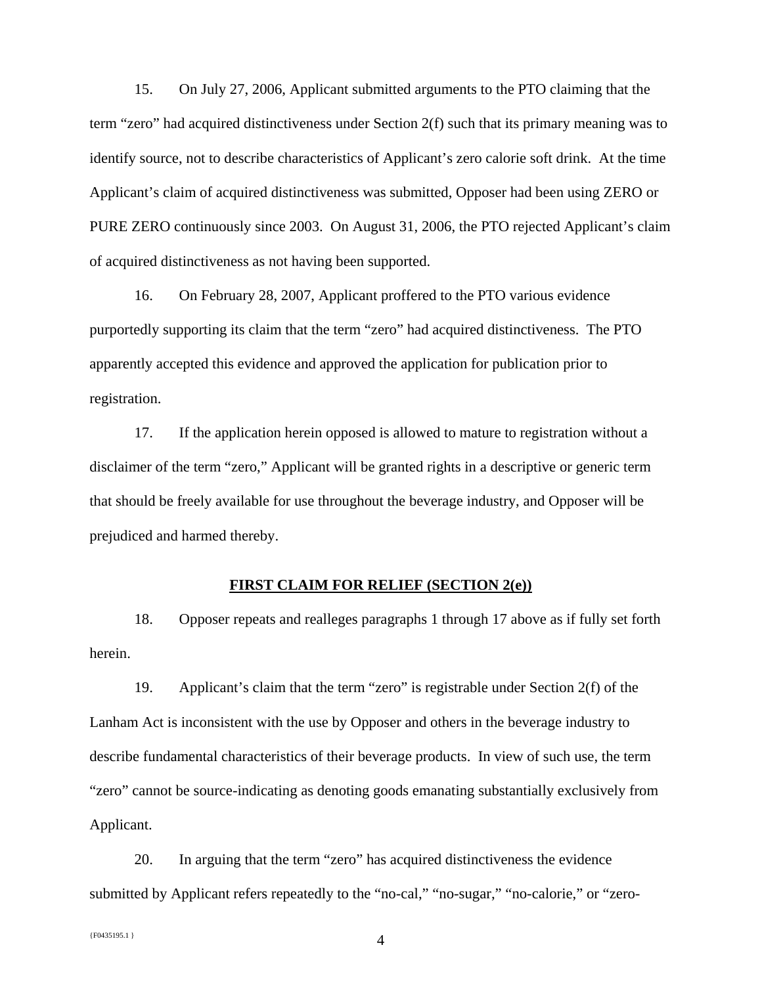15. On July 27, 2006, Applicant submitted arguments to the PTO claiming that the term "zero" had acquired distinctiveness under Section 2(f) such that its primary meaning was to identify source, not to describe characteristics of Applicant's zero calorie soft drink. At the time Applicant's claim of acquired distinctiveness was submitted, Opposer had been using ZERO or PURE ZERO continuously since 2003. On August 31, 2006, the PTO rejected Applicant's claim of acquired distinctiveness as not having been supported.

16. On February 28, 2007, Applicant proffered to the PTO various evidence purportedly supporting its claim that the term "zero" had acquired distinctiveness. The PTO apparently accepted this evidence and approved the application for publication prior to registration.

17. If the application herein opposed is allowed to mature to registration without a disclaimer of the term "zero," Applicant will be granted rights in a descriptive or generic term that should be freely available for use throughout the beverage industry, and Opposer will be prejudiced and harmed thereby.

#### **FIRST CLAIM FOR RELIEF (SECTION 2(e))**

18. Opposer repeats and realleges paragraphs 1 through 17 above as if fully set forth herein.

19. Applicant's claim that the term "zero" is registrable under Section 2(f) of the Lanham Act is inconsistent with the use by Opposer and others in the beverage industry to describe fundamental characteristics of their beverage products. In view of such use, the term "zero" cannot be source-indicating as denoting goods emanating substantially exclusively from Applicant.

20. In arguing that the term "zero" has acquired distinctiveness the evidence submitted by Applicant refers repeatedly to the "no-cal," "no-sugar," "no-calorie," or "zero-

 ${F}^{0435195.1}$  4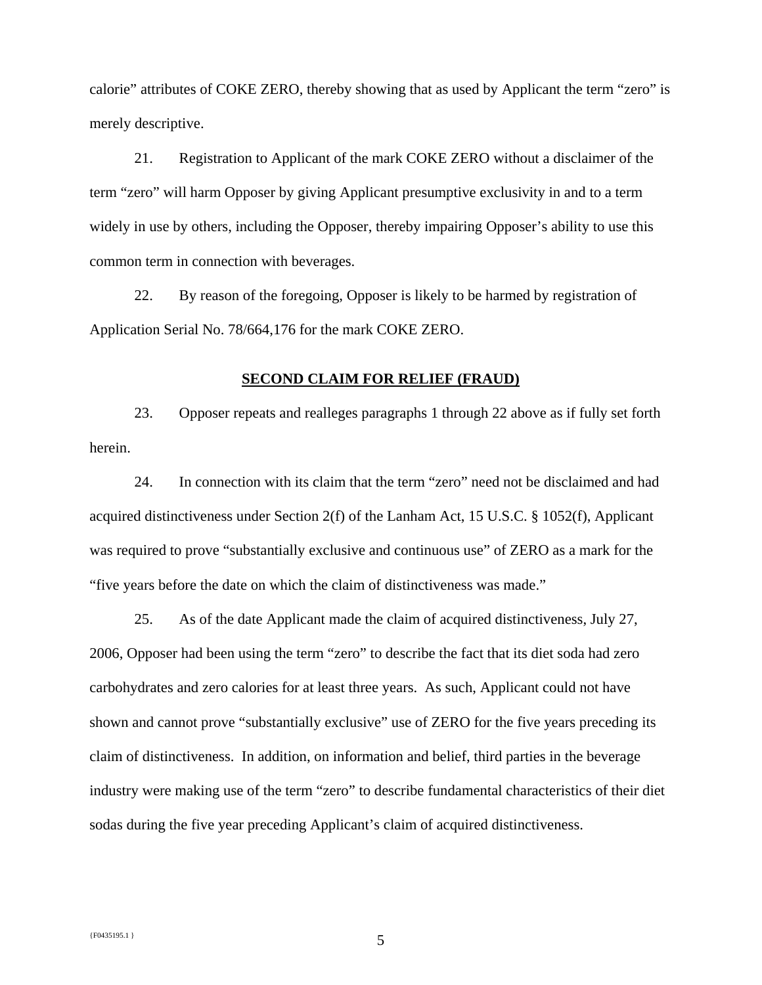calorie" attributes of COKE ZERO, thereby showing that as used by Applicant the term "zero" is merely descriptive.

21. Registration to Applicant of the mark COKE ZERO without a disclaimer of the term "zero" will harm Opposer by giving Applicant presumptive exclusivity in and to a term widely in use by others, including the Opposer, thereby impairing Opposer's ability to use this common term in connection with beverages.

22. By reason of the foregoing, Opposer is likely to be harmed by registration of Application Serial No. 78/664,176 for the mark COKE ZERO.

#### **SECOND CLAIM FOR RELIEF (FRAUD)**

23. Opposer repeats and realleges paragraphs 1 through 22 above as if fully set forth herein.

24. In connection with its claim that the term "zero" need not be disclaimed and had acquired distinctiveness under Section 2(f) of the Lanham Act, 15 U.S.C. § 1052(f), Applicant was required to prove "substantially exclusive and continuous use" of ZERO as a mark for the "five years before the date on which the claim of distinctiveness was made."

25. As of the date Applicant made the claim of acquired distinctiveness, July 27, 2006, Opposer had been using the term "zero" to describe the fact that its diet soda had zero carbohydrates and zero calories for at least three years. As such, Applicant could not have shown and cannot prove "substantially exclusive" use of ZERO for the five years preceding its claim of distinctiveness. In addition, on information and belief, third parties in the beverage industry were making use of the term "zero" to describe fundamental characteristics of their diet sodas during the five year preceding Applicant's claim of acquired distinctiveness.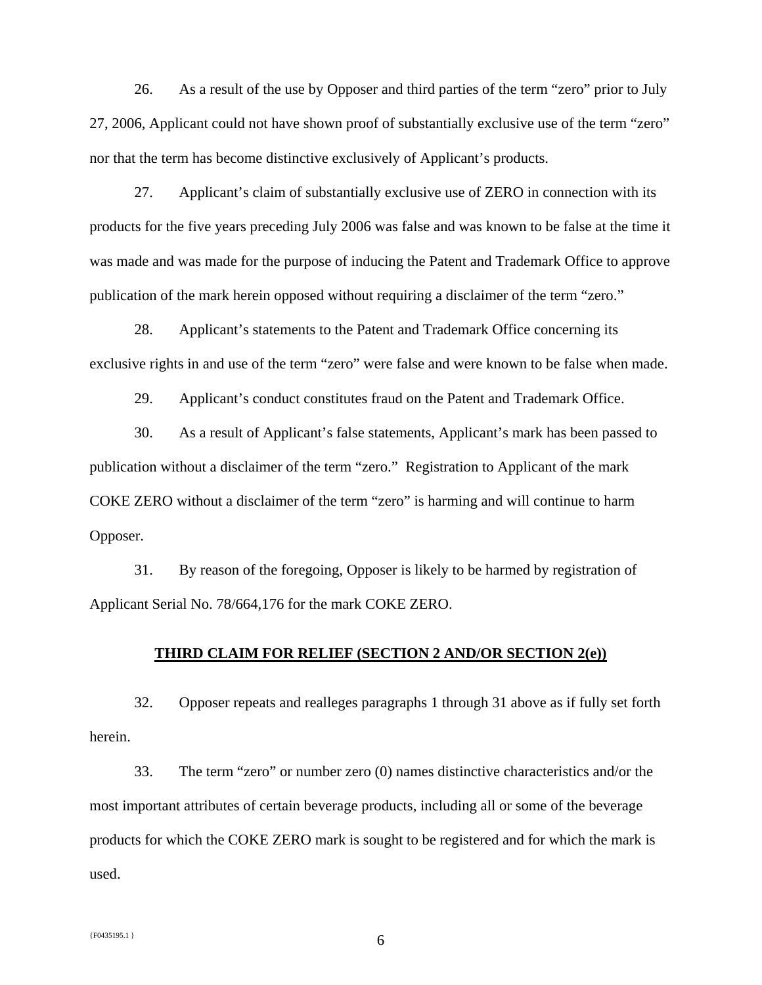26. As a result of the use by Opposer and third parties of the term "zero" prior to July 27, 2006, Applicant could not have shown proof of substantially exclusive use of the term "zero" nor that the term has become distinctive exclusively of Applicant's products.

27. Applicant's claim of substantially exclusive use of ZERO in connection with its products for the five years preceding July 2006 was false and was known to be false at the time it was made and was made for the purpose of inducing the Patent and Trademark Office to approve publication of the mark herein opposed without requiring a disclaimer of the term "zero."

28. Applicant's statements to the Patent and Trademark Office concerning its exclusive rights in and use of the term "zero" were false and were known to be false when made.

29. Applicant's conduct constitutes fraud on the Patent and Trademark Office.

30. As a result of Applicant's false statements, Applicant's mark has been passed to publication without a disclaimer of the term "zero." Registration to Applicant of the mark COKE ZERO without a disclaimer of the term "zero" is harming and will continue to harm Opposer.

31. By reason of the foregoing, Opposer is likely to be harmed by registration of Applicant Serial No. 78/664,176 for the mark COKE ZERO.

#### **THIRD CLAIM FOR RELIEF (SECTION 2 AND/OR SECTION 2(e))**

32. Opposer repeats and realleges paragraphs 1 through 31 above as if fully set forth herein.

33. The term "zero" or number zero (0) names distinctive characteristics and/or the most important attributes of certain beverage products, including all or some of the beverage products for which the COKE ZERO mark is sought to be registered and for which the mark is used.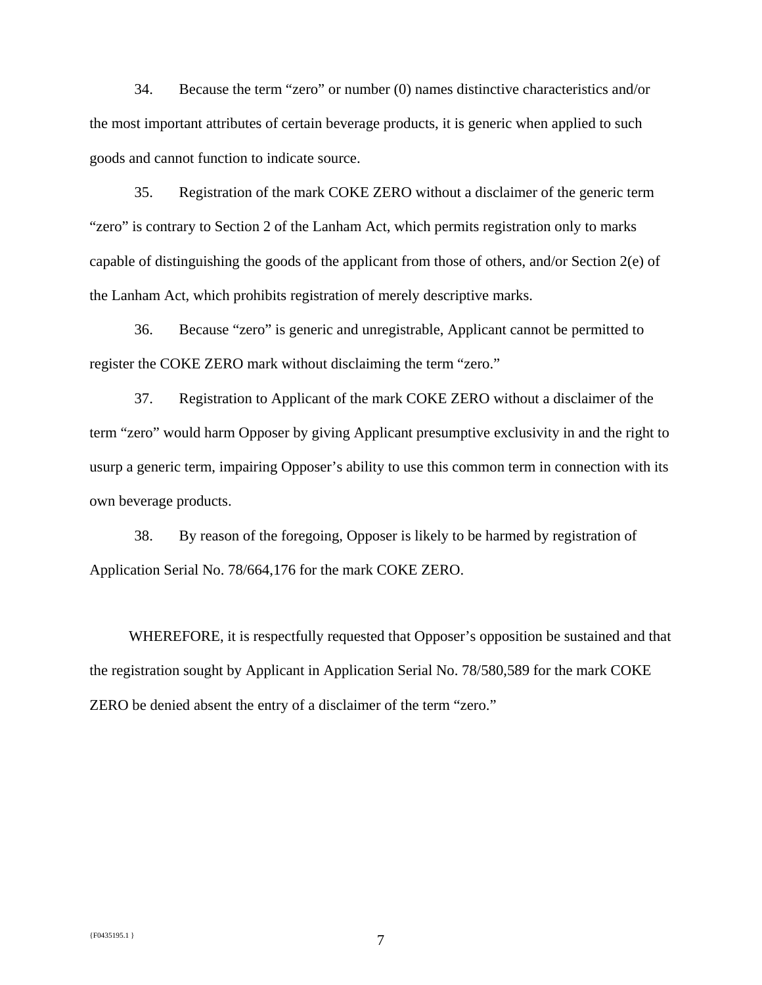34. Because the term "zero" or number (0) names distinctive characteristics and/or the most important attributes of certain beverage products, it is generic when applied to such goods and cannot function to indicate source.

35. Registration of the mark COKE ZERO without a disclaimer of the generic term "zero" is contrary to Section 2 of the Lanham Act, which permits registration only to marks capable of distinguishing the goods of the applicant from those of others, and/or Section 2(e) of the Lanham Act, which prohibits registration of merely descriptive marks.

36. Because "zero" is generic and unregistrable, Applicant cannot be permitted to register the COKE ZERO mark without disclaiming the term "zero."

37. Registration to Applicant of the mark COKE ZERO without a disclaimer of the term "zero" would harm Opposer by giving Applicant presumptive exclusivity in and the right to usurp a generic term, impairing Opposer's ability to use this common term in connection with its own beverage products.

38. By reason of the foregoing, Opposer is likely to be harmed by registration of Application Serial No. 78/664,176 for the mark COKE ZERO.

 WHEREFORE, it is respectfully requested that Opposer's opposition be sustained and that the registration sought by Applicant in Application Serial No. 78/580,589 for the mark COKE ZERO be denied absent the entry of a disclaimer of the term "zero."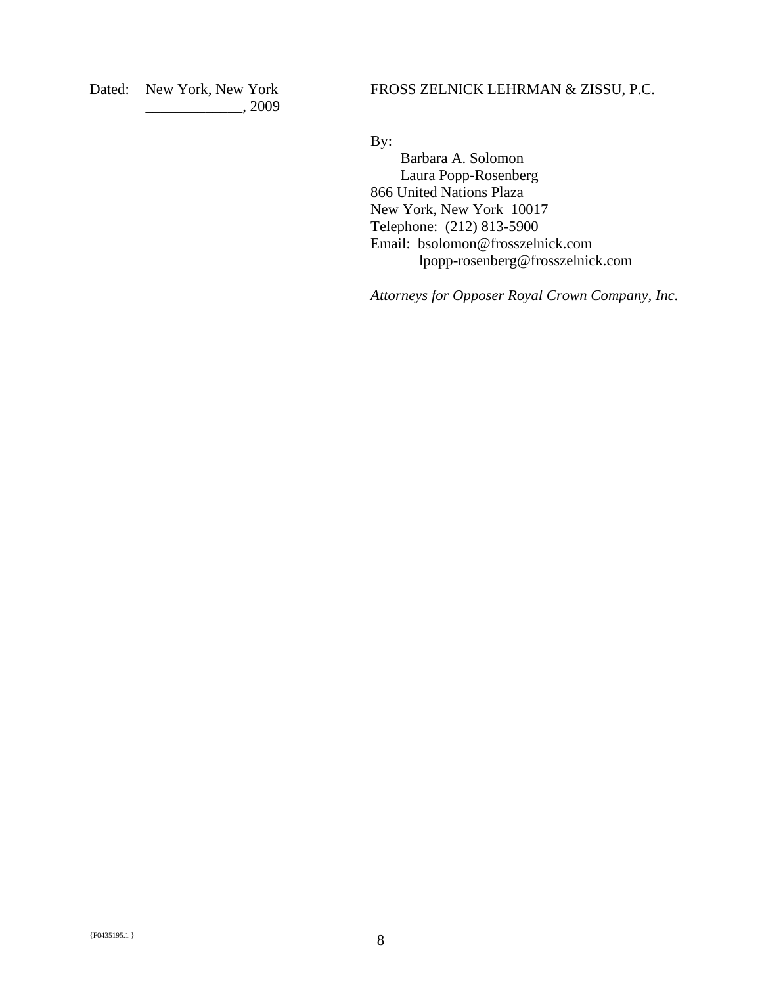Dated: New York, New York \_\_\_\_\_\_\_\_\_\_\_\_\_, 2009 FROSS ZELNICK LEHRMAN & ZISSU, P.C.

By:

 Barbara A. Solomon Laura Popp-Rosenberg 866 United Nations Plaza New York, New York 10017 Telephone: (212) 813-5900 Email: bsolomon@frosszelnick.com lpopp-rosenberg@frosszelnick.com

*Attorneys for Opposer Royal Crown Company, Inc.*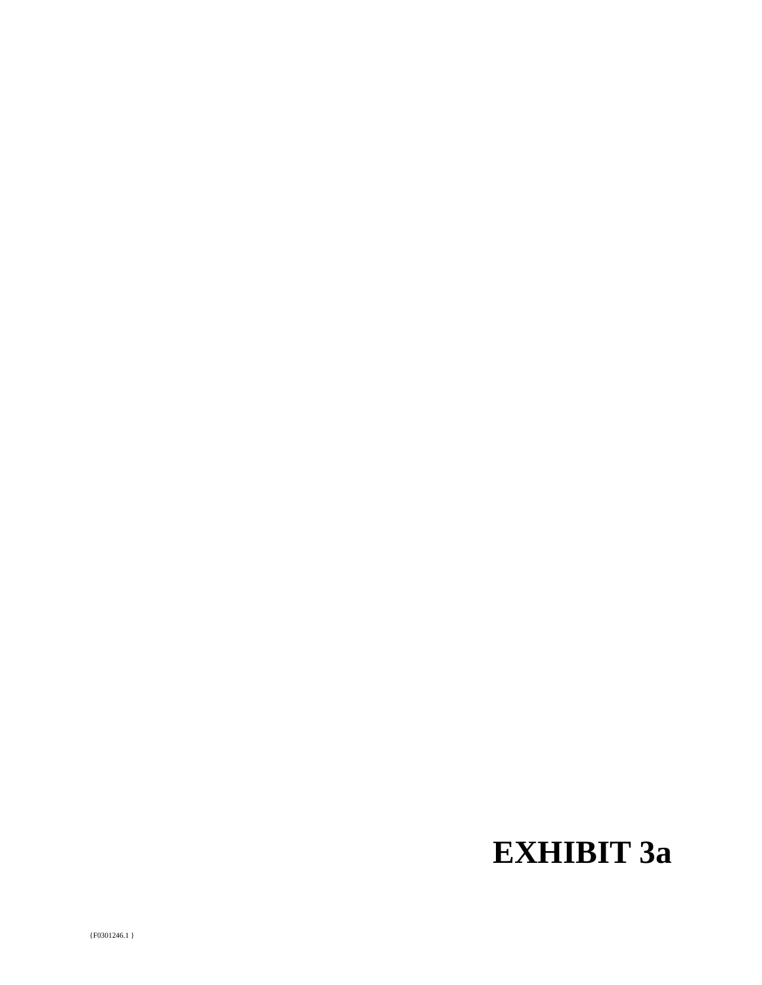# **EXHIBIT 3a**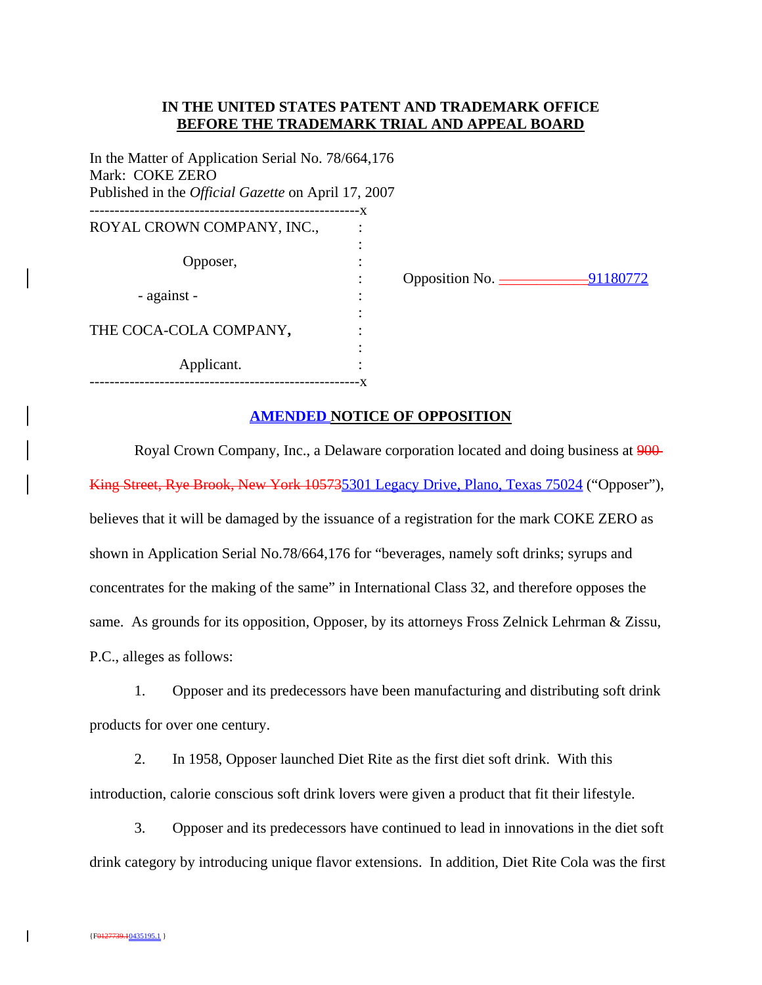## **IN THE UNITED STATES PATENT AND TRADEMARK OFFICE BEFORE THE TRADEMARK TRIAL AND APPEAL BOARD**

In the Matter of Application Serial No. 78/664,176 Mark: COKE ZERO Published in the *Official Gazette* on April 17, 2007 ------------------------------------------------------x ROYAL CROWN COMPANY, INC., the contract of the contract of the contract of the contract of the contract of the contract of the contract of Opposer, : - against the contract of the contract of the contract of the contract of the contract of the contract of the contract of THE COCA-COLA COMPANY**,** : the contract of the contract of the contract of the contract of the contract of Applicant. ------------------------------------------------------x

: Opposition No. <u>\_\_\_\_\_\_\_\_\_\_\_\_\_\_\_\_\_\_\_91180772</u>

## **AMENDED NOTICE OF OPPOSITION**

Royal Crown Company, Inc., a Delaware corporation located and doing business at  $900$ King Street, Rye Brook, New York 105735301 Legacy Drive, Plano, Texas 75024 ("Opposer"), believes that it will be damaged by the issuance of a registration for the mark COKE ZERO as shown in Application Serial No.78/664,176 for "beverages, namely soft drinks; syrups and concentrates for the making of the same" in International Class 32, and therefore opposes the same. As grounds for its opposition, Opposer, by its attorneys Fross Zelnick Lehrman & Zissu, P.C., alleges as follows:

1. Opposer and its predecessors have been manufacturing and distributing soft drink products for over one century.

2. In 1958, Opposer launched Diet Rite as the first diet soft drink. With this introduction, calorie conscious soft drink lovers were given a product that fit their lifestyle.

3. Opposer and its predecessors have continued to lead in innovations in the diet soft drink category by introducing unique flavor extensions. In addition, Diet Rite Cola was the first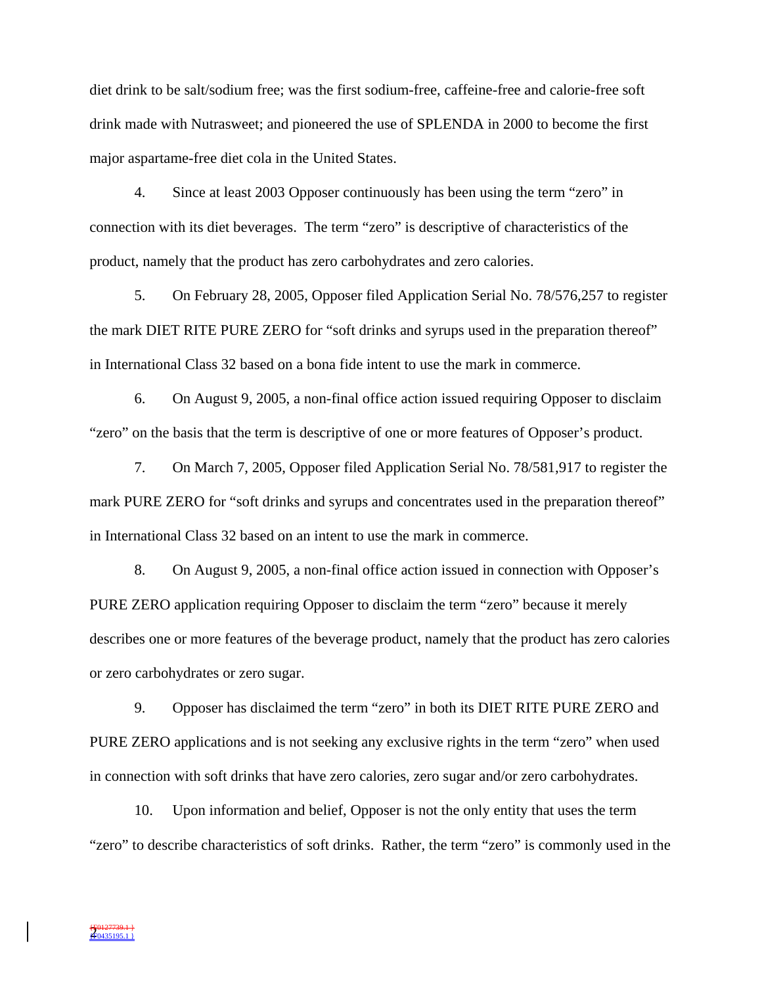diet drink to be salt/sodium free; was the first sodium-free, caffeine-free and calorie-free soft drink made with Nutrasweet; and pioneered the use of SPLENDA in 2000 to become the first major aspartame-free diet cola in the United States.

4. Since at least 2003 Opposer continuously has been using the term "zero" in connection with its diet beverages. The term "zero" is descriptive of characteristics of the product, namely that the product has zero carbohydrates and zero calories.

5. On February 28, 2005, Opposer filed Application Serial No. 78/576,257 to register the mark DIET RITE PURE ZERO for "soft drinks and syrups used in the preparation thereof" in International Class 32 based on a bona fide intent to use the mark in commerce.

6. On August 9, 2005, a non-final office action issued requiring Opposer to disclaim "zero" on the basis that the term is descriptive of one or more features of Opposer's product.

7. On March 7, 2005, Opposer filed Application Serial No. 78/581,917 to register the mark PURE ZERO for "soft drinks and syrups and concentrates used in the preparation thereof" in International Class 32 based on an intent to use the mark in commerce.

8. On August 9, 2005, a non-final office action issued in connection with Opposer's PURE ZERO application requiring Opposer to disclaim the term "zero" because it merely describes one or more features of the beverage product, namely that the product has zero calories or zero carbohydrates or zero sugar.

9. Opposer has disclaimed the term "zero" in both its DIET RITE PURE ZERO and PURE ZERO applications and is not seeking any exclusive rights in the term "zero" when used in connection with soft drinks that have zero calories, zero sugar and/or zero carbohydrates.

10. Upon information and belief, Opposer is not the only entity that uses the term "zero" to describe characteristics of soft drinks. Rather, the term "zero" is commonly used in the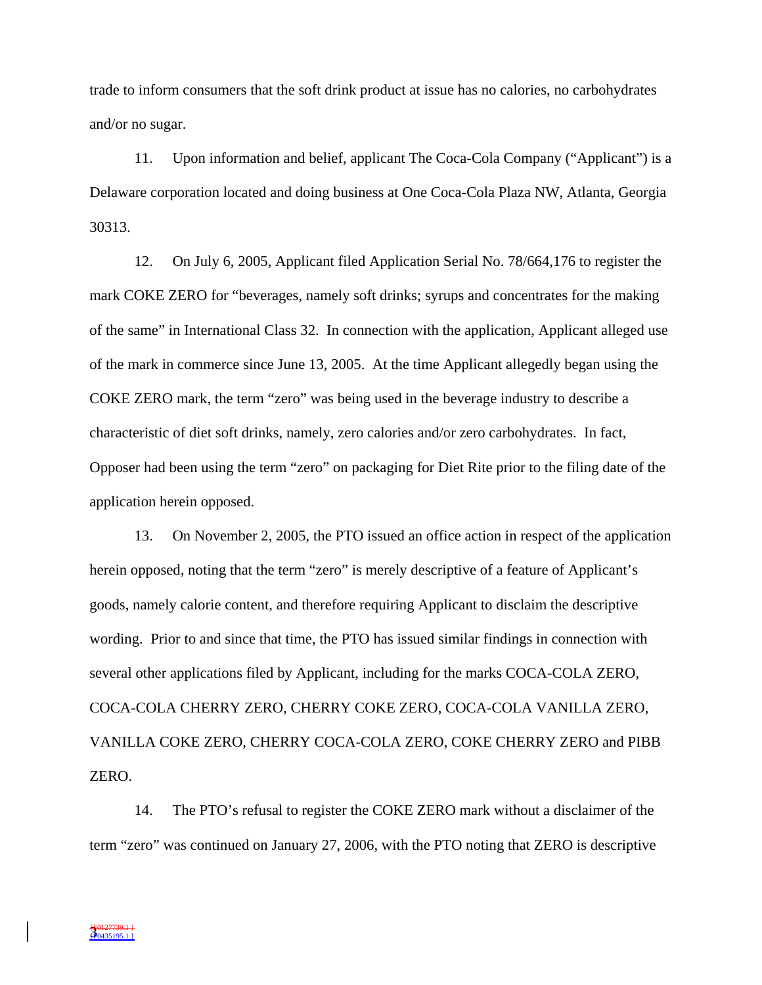trade to inform consumers that the soft drink product at issue has no calories, no carbohydrates and/or no sugar.

11. Upon information and belief, applicant The Coca-Cola Company ("Applicant") is a Delaware corporation located and doing business at One Coca-Cola Plaza NW, Atlanta, Georgia 30313.

12. On July 6, 2005, Applicant filed Application Serial No. 78/664,176 to register the mark COKE ZERO for "beverages, namely soft drinks; syrups and concentrates for the making of the same" in International Class 32. In connection with the application, Applicant alleged use of the mark in commerce since June 13, 2005. At the time Applicant allegedly began using the COKE ZERO mark, the term "zero" was being used in the beverage industry to describe a characteristic of diet soft drinks, namely, zero calories and/or zero carbohydrates. In fact, Opposer had been using the term "zero" on packaging for Diet Rite prior to the filing date of the application herein opposed.

13. On November 2, 2005, the PTO issued an office action in respect of the application herein opposed, noting that the term "zero" is merely descriptive of a feature of Applicant's goods, namely calorie content, and therefore requiring Applicant to disclaim the descriptive wording. Prior to and since that time, the PTO has issued similar findings in connection with several other applications filed by Applicant, including for the marks COCA-COLA ZERO, COCA-COLA CHERRY ZERO, CHERRY COKE ZERO, COCA-COLA VANILLA ZERO, VANILLA COKE ZERO, CHERRY COCA-COLA ZERO, COKE CHERRY ZERO and PIBB ZERO.

14. The PTO's refusal to register the COKE ZERO mark without a disclaimer of the term "zero" was continued on January 27, 2006, with the PTO noting that ZERO is descriptive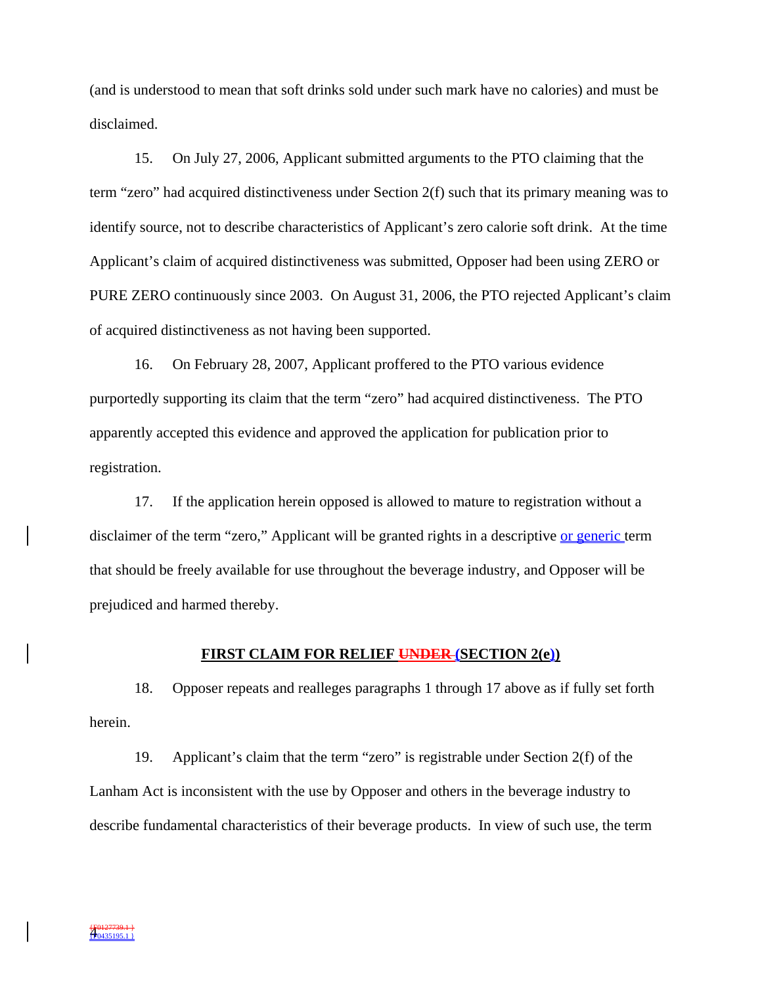(and is understood to mean that soft drinks sold under such mark have no calories) and must be disclaimed.

15. On July 27, 2006, Applicant submitted arguments to the PTO claiming that the term "zero" had acquired distinctiveness under Section 2(f) such that its primary meaning was to identify source, not to describe characteristics of Applicant's zero calorie soft drink. At the time Applicant's claim of acquired distinctiveness was submitted, Opposer had been using ZERO or PURE ZERO continuously since 2003. On August 31, 2006, the PTO rejected Applicant's claim of acquired distinctiveness as not having been supported.

16. On February 28, 2007, Applicant proffered to the PTO various evidence purportedly supporting its claim that the term "zero" had acquired distinctiveness. The PTO apparently accepted this evidence and approved the application for publication prior to registration.

17. If the application herein opposed is allowed to mature to registration without a disclaimer of the term "zero," Applicant will be granted rights in a descriptive or generic term that should be freely available for use throughout the beverage industry, and Opposer will be prejudiced and harmed thereby.

#### **FIRST CLAIM FOR RELIEF UNDER (SECTION 2(e))**

18. Opposer repeats and realleges paragraphs 1 through 17 above as if fully set forth herein.

19. Applicant's claim that the term "zero" is registrable under Section 2(f) of the Lanham Act is inconsistent with the use by Opposer and others in the beverage industry to describe fundamental characteristics of their beverage products. In view of such use, the term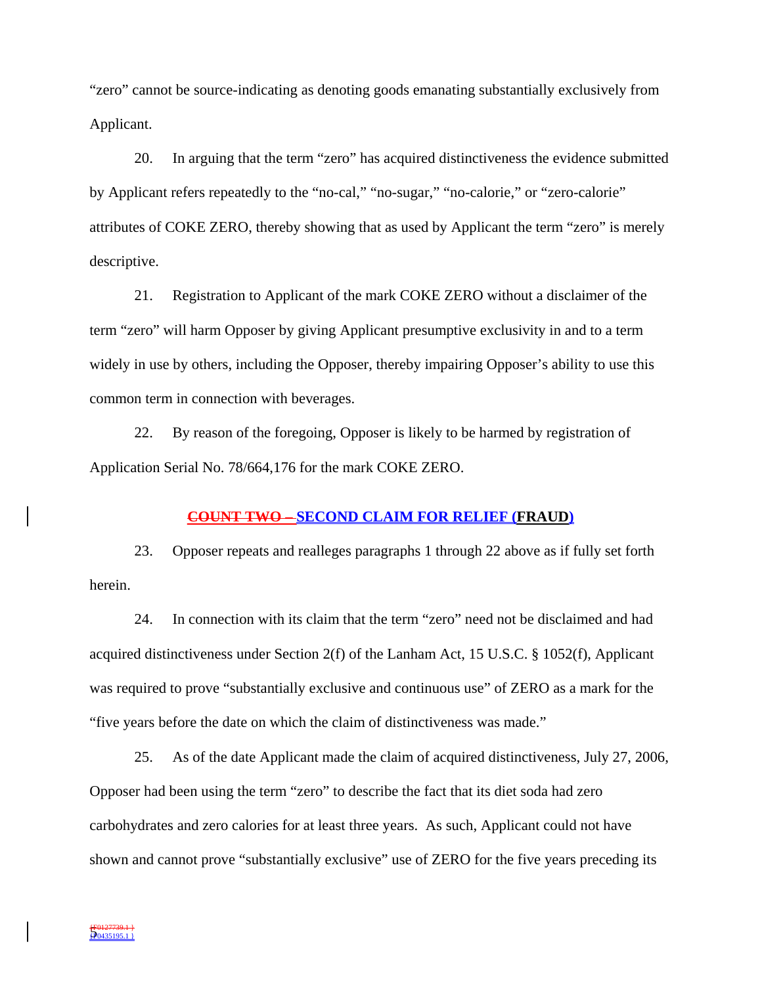"zero" cannot be source-indicating as denoting goods emanating substantially exclusively from Applicant.

20. In arguing that the term "zero" has acquired distinctiveness the evidence submitted by Applicant refers repeatedly to the "no-cal," "no-sugar," "no-calorie," or "zero-calorie" attributes of COKE ZERO, thereby showing that as used by Applicant the term "zero" is merely descriptive.

21. Registration to Applicant of the mark COKE ZERO without a disclaimer of the term "zero" will harm Opposer by giving Applicant presumptive exclusivity in and to a term widely in use by others, including the Opposer, thereby impairing Opposer's ability to use this common term in connection with beverages.

22. By reason of the foregoing, Opposer is likely to be harmed by registration of Application Serial No. 78/664,176 for the mark COKE ZERO.

#### **COUNT TWO – SECOND CLAIM FOR RELIEF (FRAUD)**

23. Opposer repeats and realleges paragraphs 1 through 22 above as if fully set forth herein.

24. In connection with its claim that the term "zero" need not be disclaimed and had acquired distinctiveness under Section 2(f) of the Lanham Act, 15 U.S.C. § 1052(f), Applicant was required to prove "substantially exclusive and continuous use" of ZERO as a mark for the "five years before the date on which the claim of distinctiveness was made."

25. As of the date Applicant made the claim of acquired distinctiveness, July 27, 2006, Opposer had been using the term "zero" to describe the fact that its diet soda had zero carbohydrates and zero calories for at least three years. As such, Applicant could not have shown and cannot prove "substantially exclusive" use of ZERO for the five years preceding its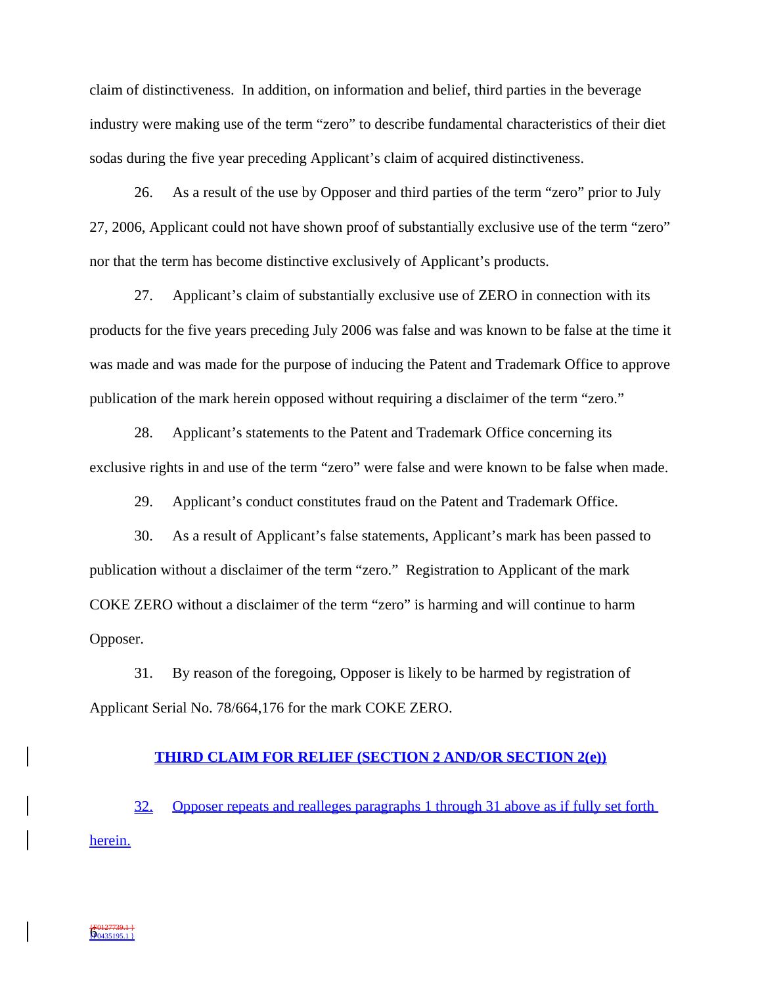claim of distinctiveness. In addition, on information and belief, third parties in the beverage industry were making use of the term "zero" to describe fundamental characteristics of their diet sodas during the five year preceding Applicant's claim of acquired distinctiveness.

26. As a result of the use by Opposer and third parties of the term "zero" prior to July 27, 2006, Applicant could not have shown proof of substantially exclusive use of the term "zero" nor that the term has become distinctive exclusively of Applicant's products.

27. Applicant's claim of substantially exclusive use of ZERO in connection with its products for the five years preceding July 2006 was false and was known to be false at the time it was made and was made for the purpose of inducing the Patent and Trademark Office to approve publication of the mark herein opposed without requiring a disclaimer of the term "zero."

28. Applicant's statements to the Patent and Trademark Office concerning its exclusive rights in and use of the term "zero" were false and were known to be false when made.

29. Applicant's conduct constitutes fraud on the Patent and Trademark Office.

30. As a result of Applicant's false statements, Applicant's mark has been passed to publication without a disclaimer of the term "zero." Registration to Applicant of the mark COKE ZERO without a disclaimer of the term "zero" is harming and will continue to harm Opposer.

31. By reason of the foregoing, Opposer is likely to be harmed by registration of Applicant Serial No. 78/664,176 for the mark COKE ZERO.

#### **THIRD CLAIM FOR RELIEF (SECTION 2 AND/OR SECTION 2(e))**

32. Opposer repeats and realleges paragraphs 1 through 31 above as if fully set forth herein.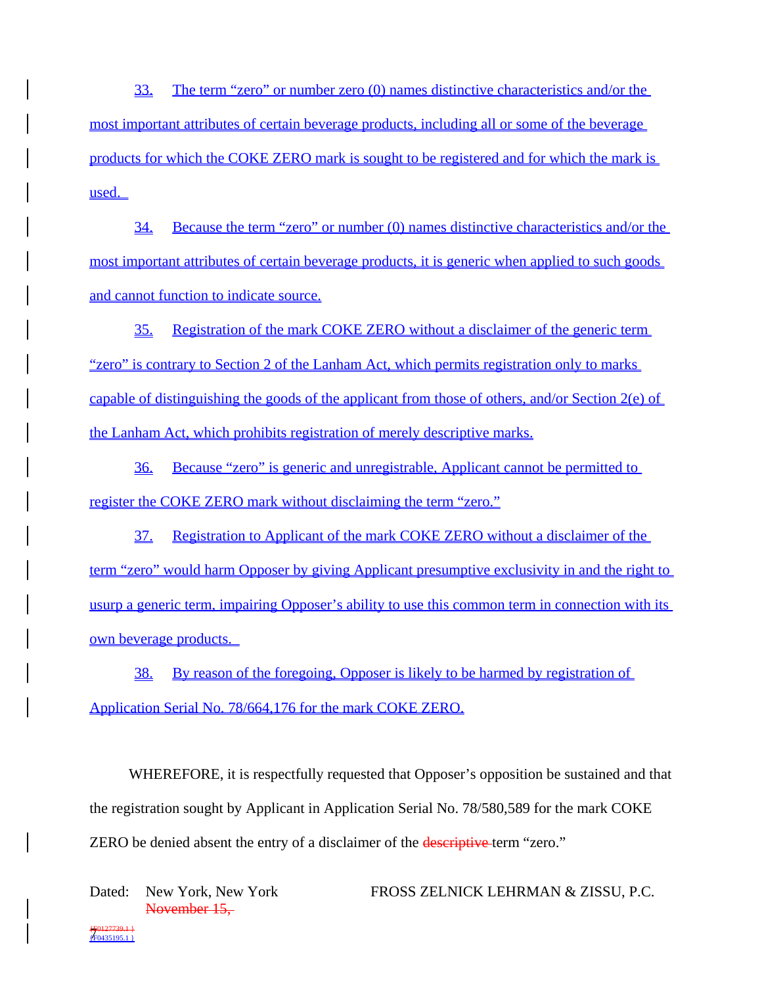33. The term "zero" or number zero (0) names distinctive characteristics and/or the most important attributes of certain beverage products, including all or some of the beverage products for which the COKE ZERO mark is sought to be registered and for which the mark is used.

34. Because the term "zero" or number (0) names distinctive characteristics and/or the most important attributes of certain beverage products, it is generic when applied to such goods and cannot function to indicate source.

35. Registration of the mark COKE ZERO without a disclaimer of the generic term "zero" is contrary to Section 2 of the Lanham Act, which permits registration only to marks capable of distinguishing the goods of the applicant from those of others, and/or Section 2(e) of the Lanham Act, which prohibits registration of merely descriptive marks.

36. Because "zero" is generic and unregistrable, Applicant cannot be permitted to register the COKE ZERO mark without disclaiming the term "zero."

37. Registration to Applicant of the mark COKE ZERO without a disclaimer of the term "zero" would harm Opposer by giving Applicant presumptive exclusivity in and the right to usurp a generic term, impairing Opposer's ability to use this common term in connection with its own beverage products.

38. By reason of the foregoing, Opposer is likely to be harmed by registration of Application Serial No. 78/664,176 for the mark COKE ZERO.

WHEREFORE, it is respectfully requested that Opposer's opposition be sustained and that the registration sought by Applicant in Application Serial No. 78/580,589 for the mark COKE ZERO be denied absent the entry of a disclaimer of the **descriptive** term "zero."

Dated: New York, New York November 15,

FROSS ZELNICK LEHRMAN & ZISSU, P.C.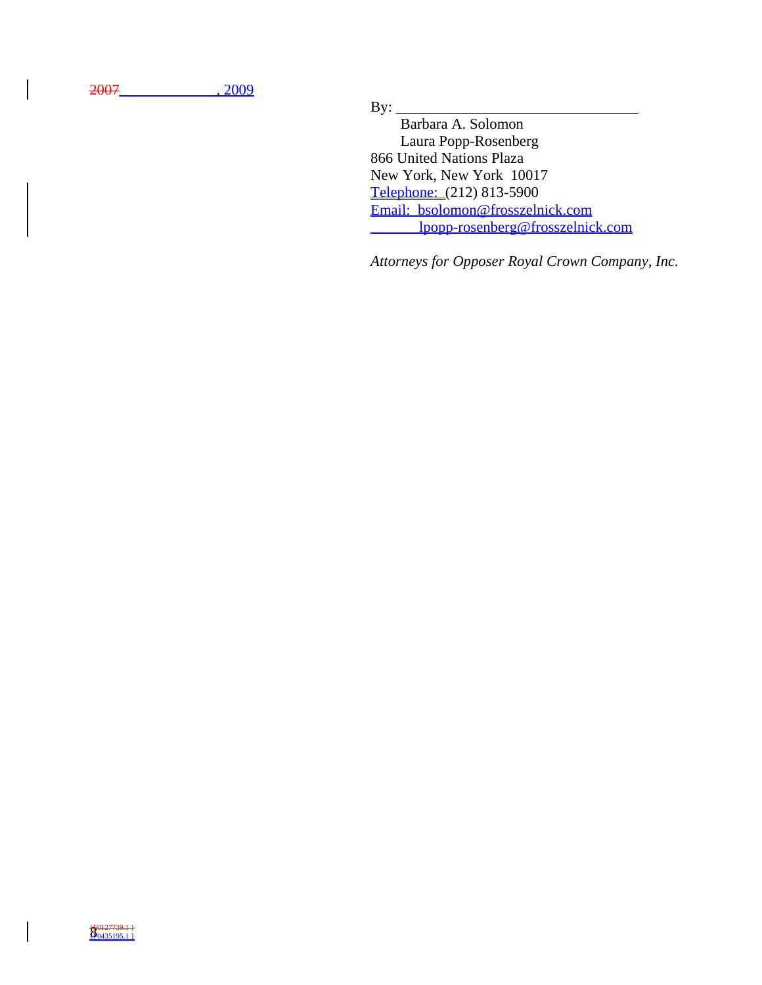2007\_\_\_\_\_\_\_\_\_\_\_\_\_, 2009

 $By:$ 

 Barbara A. Solomon Laura Popp-Rosenberg 866 United Nations Plaza New York, New York 10017 Telephone: (212) 813-5900 Email: bsolomon@frosszelnick.com lpopp-rosenberg@frosszelnick.com

*Attorneys for Opposer Royal Crown Company, Inc.*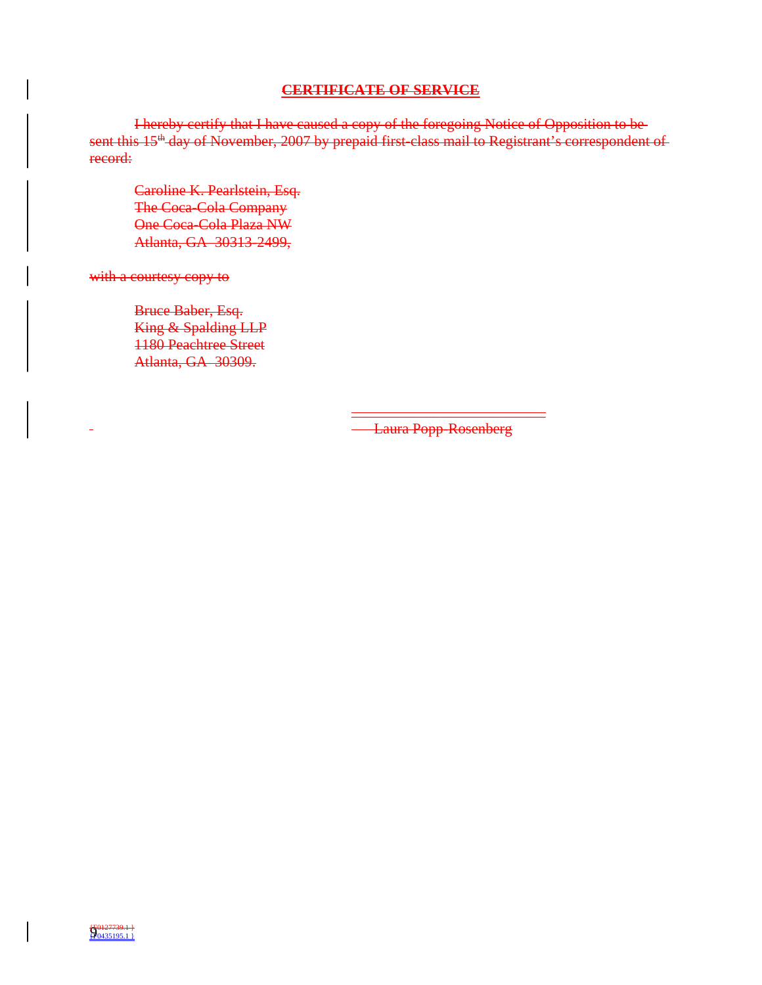## **CERTIFICATE OF SERVICE**

I hereby certify that I have caused a copy of the foregoing Notice of Opposition to be sent this 15<sup>th</sup> day of November, 2007 by prepaid first-class mail to Registrant's correspondent of record:

Caroline K. Pearlstein, Esq. The Coca-Cola Company One Coca-Cola Plaza NW Atlanta, GA 30313-2499,

with a courtesy copy to

Bruce Baber, Esq. King & Spalding LLP 1180 Peachtree Street Atlanta, GA 30309.

> \_\_\_\_\_\_\_\_\_\_\_\_\_\_\_\_\_\_\_\_\_\_\_\_\_\_ Laura Popp-Rosenberg

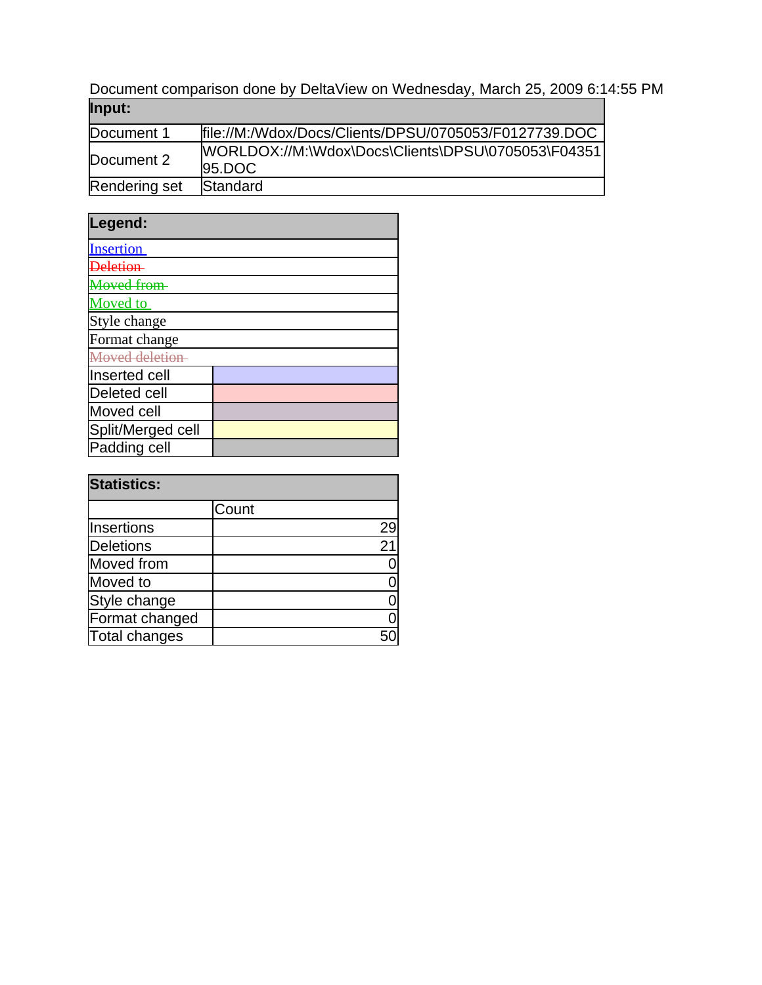Document comparison done by DeltaView on Wednesday, March 25, 2009 6:14:55 PM **Input:**

| .             |                                                              |
|---------------|--------------------------------------------------------------|
| Document 1    | file://M:/Wdox/Docs/Clients/DPSU/0705053/F0127739.DOC        |
| Document 2    | WORLDOX://M:\Wdox\Docs\Clients\DPSU\0705053\F04351<br>95.DOC |
| Rendering set | Standard                                                     |

| Legend:             |  |
|---------------------|--|
| <b>Insertion</b>    |  |
|                     |  |
| Aoved from          |  |
| <b>Moved</b> to     |  |
| Style change        |  |
| Format change       |  |
| Moved deletion-     |  |
| Inserted cell       |  |
| <b>Deleted cell</b> |  |
| Moved cell          |  |
| Split/Merged cell   |  |
| Padding cell        |  |

| <b>Statistics:</b> |       |    |
|--------------------|-------|----|
|                    | Count |    |
| Insertions         |       | 29 |
| <b>Deletions</b>   |       | 21 |
| Moved from         |       |    |
| Moved to           |       |    |
| Style change       |       |    |
| Format changed     |       |    |
| Total changes      |       |    |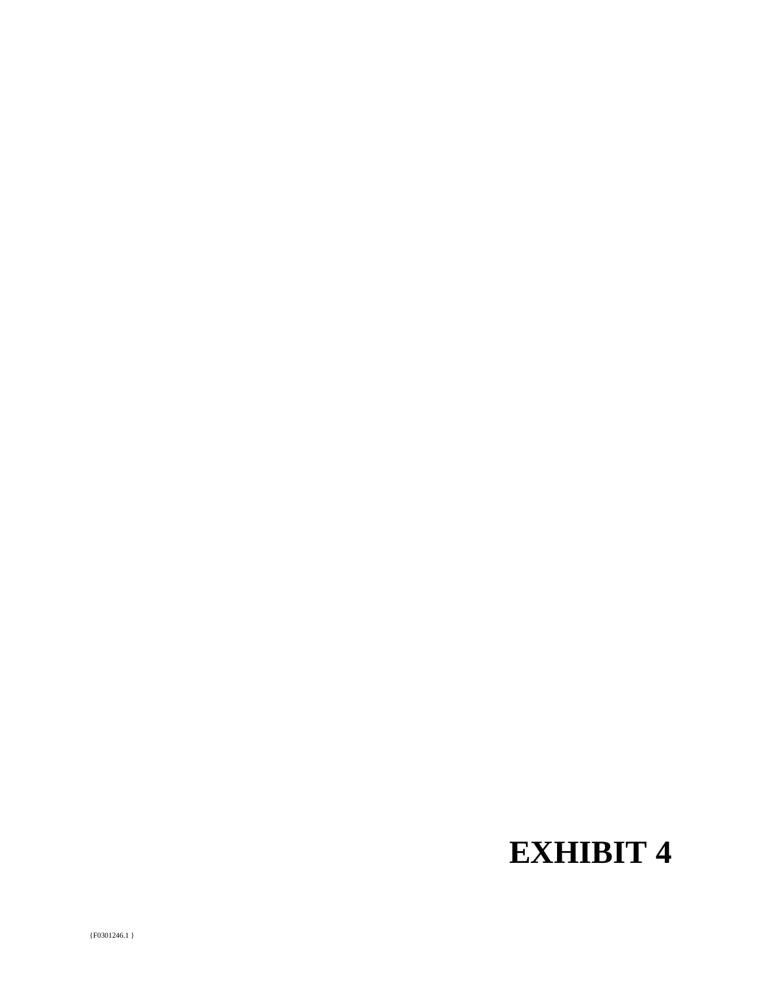# **EXHIBIT 4**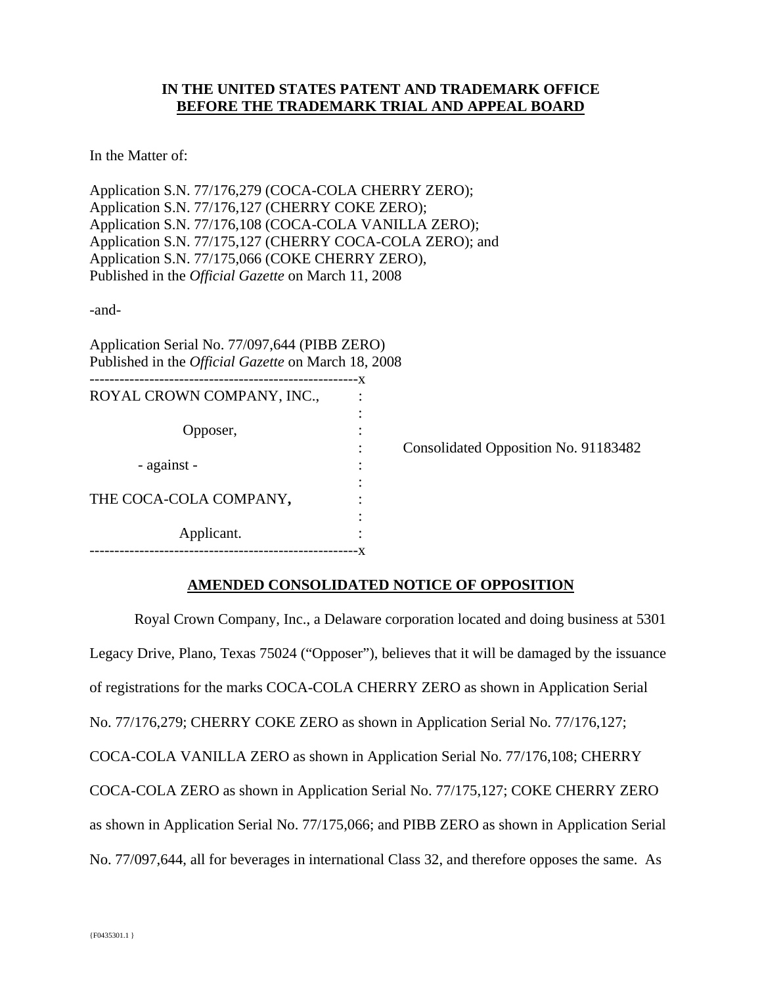## **IN THE UNITED STATES PATENT AND TRADEMARK OFFICE BEFORE THE TRADEMARK TRIAL AND APPEAL BOARD**

In the Matter of:

Application S.N. 77/176,279 (COCA-COLA CHERRY ZERO); Application S.N. 77/176,127 (CHERRY COKE ZERO); Application S.N. 77/176,108 (COCA-COLA VANILLA ZERO); Application S.N. 77/175,127 (CHERRY COCA-COLA ZERO); and Application S.N. 77/175,066 (COKE CHERRY ZERO), Published in the *Official Gazette* on March 11, 2008

-and-

Application Serial No. 77/097,644 (PIBB ZERO) Published in the *Official Gazette* on March 18, 2008

| -x               |                                      |
|------------------|--------------------------------------|
| ٠<br>٠<br>٠<br>٠ | Consolidated Opposition No. 91183482 |
| ٠<br>٠<br>٠      |                                      |
|                  |                                      |
| ٠<br>٠           |                                      |
|                  | ٠                                    |

## **AMENDED CONSOLIDATED NOTICE OF OPPOSITION**

 Royal Crown Company, Inc., a Delaware corporation located and doing business at 5301 Legacy Drive, Plano, Texas 75024 ("Opposer"), believes that it will be damaged by the issuance of registrations for the marks COCA-COLA CHERRY ZERO as shown in Application Serial No. 77/176,279; CHERRY COKE ZERO as shown in Application Serial No. 77/176,127; COCA-COLA VANILLA ZERO as shown in Application Serial No. 77/176,108; CHERRY COCA-COLA ZERO as shown in Application Serial No. 77/175,127; COKE CHERRY ZERO as shown in Application Serial No. 77/175,066; and PIBB ZERO as shown in Application Serial No. 77/097,644, all for beverages in international Class 32, and therefore opposes the same. As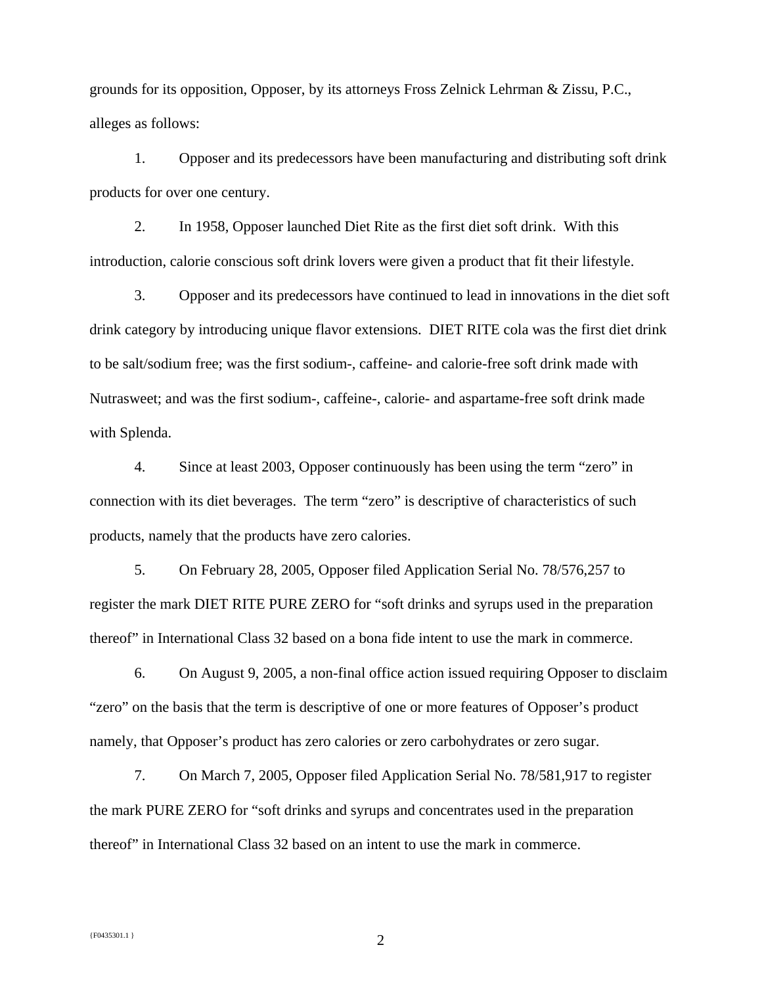grounds for its opposition, Opposer, by its attorneys Fross Zelnick Lehrman & Zissu, P.C., alleges as follows:

1. Opposer and its predecessors have been manufacturing and distributing soft drink products for over one century.

2. In 1958, Opposer launched Diet Rite as the first diet soft drink. With this introduction, calorie conscious soft drink lovers were given a product that fit their lifestyle.

3. Opposer and its predecessors have continued to lead in innovations in the diet soft drink category by introducing unique flavor extensions. DIET RITE cola was the first diet drink to be salt/sodium free; was the first sodium-, caffeine- and calorie-free soft drink made with Nutrasweet; and was the first sodium-, caffeine-, calorie- and aspartame-free soft drink made with Splenda.

4. Since at least 2003, Opposer continuously has been using the term "zero" in connection with its diet beverages. The term "zero" is descriptive of characteristics of such products, namely that the products have zero calories.

5. On February 28, 2005, Opposer filed Application Serial No. 78/576,257 to register the mark DIET RITE PURE ZERO for "soft drinks and syrups used in the preparation thereof" in International Class 32 based on a bona fide intent to use the mark in commerce.

6. On August 9, 2005, a non-final office action issued requiring Opposer to disclaim "zero" on the basis that the term is descriptive of one or more features of Opposer's product namely, that Opposer's product has zero calories or zero carbohydrates or zero sugar.

7. On March 7, 2005, Opposer filed Application Serial No. 78/581,917 to register the mark PURE ZERO for "soft drinks and syrups and concentrates used in the preparation thereof" in International Class 32 based on an intent to use the mark in commerce.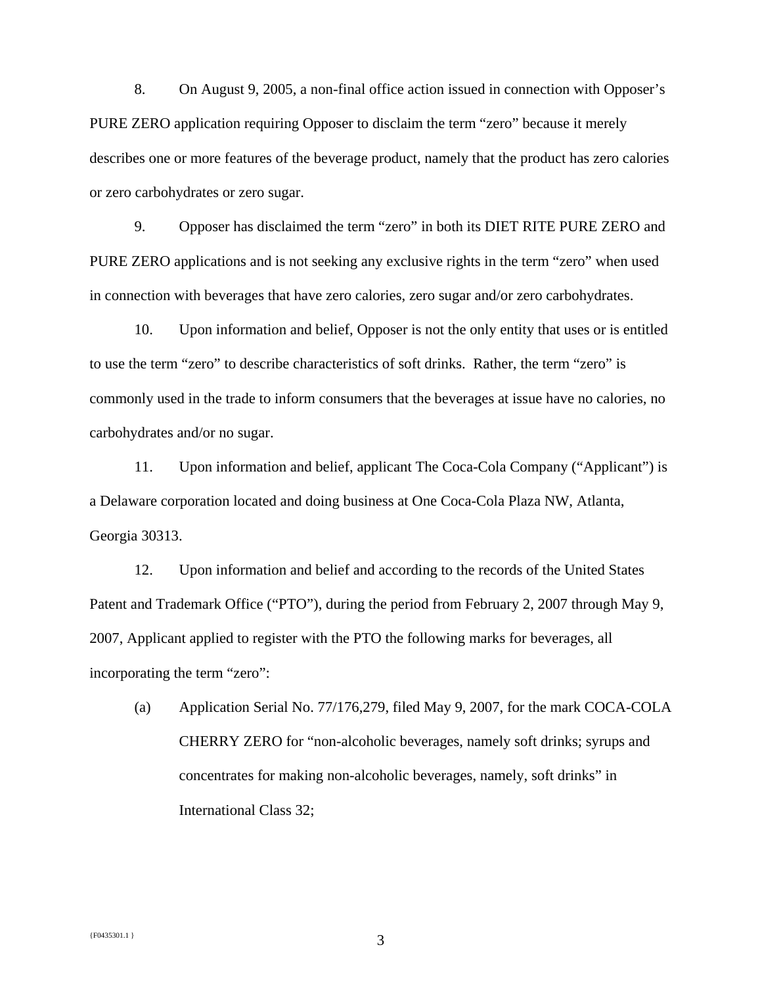8. On August 9, 2005, a non-final office action issued in connection with Opposer's PURE ZERO application requiring Opposer to disclaim the term "zero" because it merely describes one or more features of the beverage product, namely that the product has zero calories or zero carbohydrates or zero sugar.

9. Opposer has disclaimed the term "zero" in both its DIET RITE PURE ZERO and PURE ZERO applications and is not seeking any exclusive rights in the term "zero" when used in connection with beverages that have zero calories, zero sugar and/or zero carbohydrates.

10. Upon information and belief, Opposer is not the only entity that uses or is entitled to use the term "zero" to describe characteristics of soft drinks. Rather, the term "zero" is commonly used in the trade to inform consumers that the beverages at issue have no calories, no carbohydrates and/or no sugar.

11. Upon information and belief, applicant The Coca-Cola Company ("Applicant") is a Delaware corporation located and doing business at One Coca-Cola Plaza NW, Atlanta, Georgia 30313.

12. Upon information and belief and according to the records of the United States Patent and Trademark Office ("PTO"), during the period from February 2, 2007 through May 9, 2007, Applicant applied to register with the PTO the following marks for beverages, all incorporating the term "zero":

(a) Application Serial No. 77/176,279, filed May 9, 2007, for the mark COCA-COLA CHERRY ZERO for "non-alcoholic beverages, namely soft drinks; syrups and concentrates for making non-alcoholic beverages, namely, soft drinks" in International Class 32;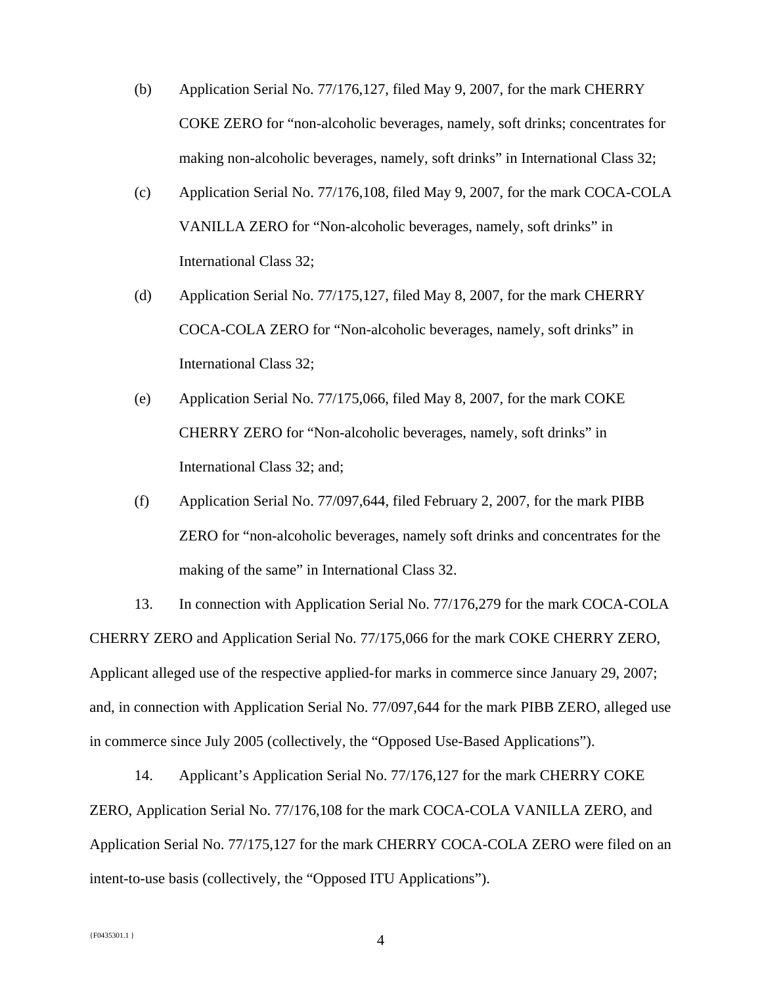- (b) Application Serial No. 77/176,127, filed May 9, 2007, for the mark CHERRY COKE ZERO for "non-alcoholic beverages, namely, soft drinks; concentrates for making non-alcoholic beverages, namely, soft drinks" in International Class 32;
- (c) Application Serial No. 77/176,108, filed May 9, 2007, for the mark COCA-COLA VANILLA ZERO for "Non-alcoholic beverages, namely, soft drinks" in International Class 32;
- (d) Application Serial No. 77/175,127, filed May 8, 2007, for the mark CHERRY COCA-COLA ZERO for "Non-alcoholic beverages, namely, soft drinks" in International Class 32;
- (e) Application Serial No. 77/175,066, filed May 8, 2007, for the mark COKE CHERRY ZERO for "Non-alcoholic beverages, namely, soft drinks" in International Class 32; and;
- (f) Application Serial No. 77/097,644, filed February 2, 2007, for the mark PIBB ZERO for "non-alcoholic beverages, namely soft drinks and concentrates for the making of the same" in International Class 32.

13. In connection with Application Serial No. 77/176,279 for the mark COCA-COLA CHERRY ZERO and Application Serial No. 77/175,066 for the mark COKE CHERRY ZERO, Applicant alleged use of the respective applied-for marks in commerce since January 29, 2007; and, in connection with Application Serial No. 77/097,644 for the mark PIBB ZERO, alleged use in commerce since July 2005 (collectively, the "Opposed Use-Based Applications").

14. Applicant's Application Serial No. 77/176,127 for the mark CHERRY COKE ZERO, Application Serial No. 77/176,108 for the mark COCA-COLA VANILLA ZERO, and Application Serial No. 77/175,127 for the mark CHERRY COCA-COLA ZERO were filed on an intent-to-use basis (collectively, the "Opposed ITU Applications").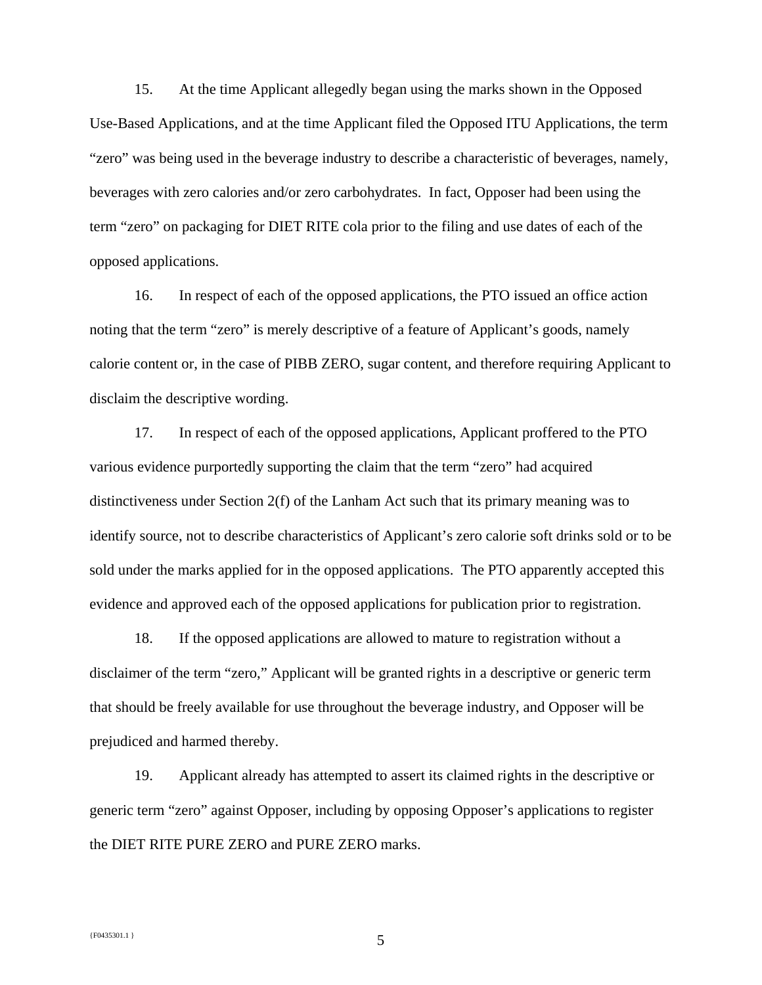15. At the time Applicant allegedly began using the marks shown in the Opposed Use-Based Applications, and at the time Applicant filed the Opposed ITU Applications, the term "zero" was being used in the beverage industry to describe a characteristic of beverages, namely, beverages with zero calories and/or zero carbohydrates. In fact, Opposer had been using the term "zero" on packaging for DIET RITE cola prior to the filing and use dates of each of the opposed applications.

16. In respect of each of the opposed applications, the PTO issued an office action noting that the term "zero" is merely descriptive of a feature of Applicant's goods, namely calorie content or, in the case of PIBB ZERO, sugar content, and therefore requiring Applicant to disclaim the descriptive wording.

17. In respect of each of the opposed applications, Applicant proffered to the PTO various evidence purportedly supporting the claim that the term "zero" had acquired distinctiveness under Section 2(f) of the Lanham Act such that its primary meaning was to identify source, not to describe characteristics of Applicant's zero calorie soft drinks sold or to be sold under the marks applied for in the opposed applications. The PTO apparently accepted this evidence and approved each of the opposed applications for publication prior to registration.

18. If the opposed applications are allowed to mature to registration without a disclaimer of the term "zero," Applicant will be granted rights in a descriptive or generic term that should be freely available for use throughout the beverage industry, and Opposer will be prejudiced and harmed thereby.

19. Applicant already has attempted to assert its claimed rights in the descriptive or generic term "zero" against Opposer, including by opposing Opposer's applications to register the DIET RITE PURE ZERO and PURE ZERO marks.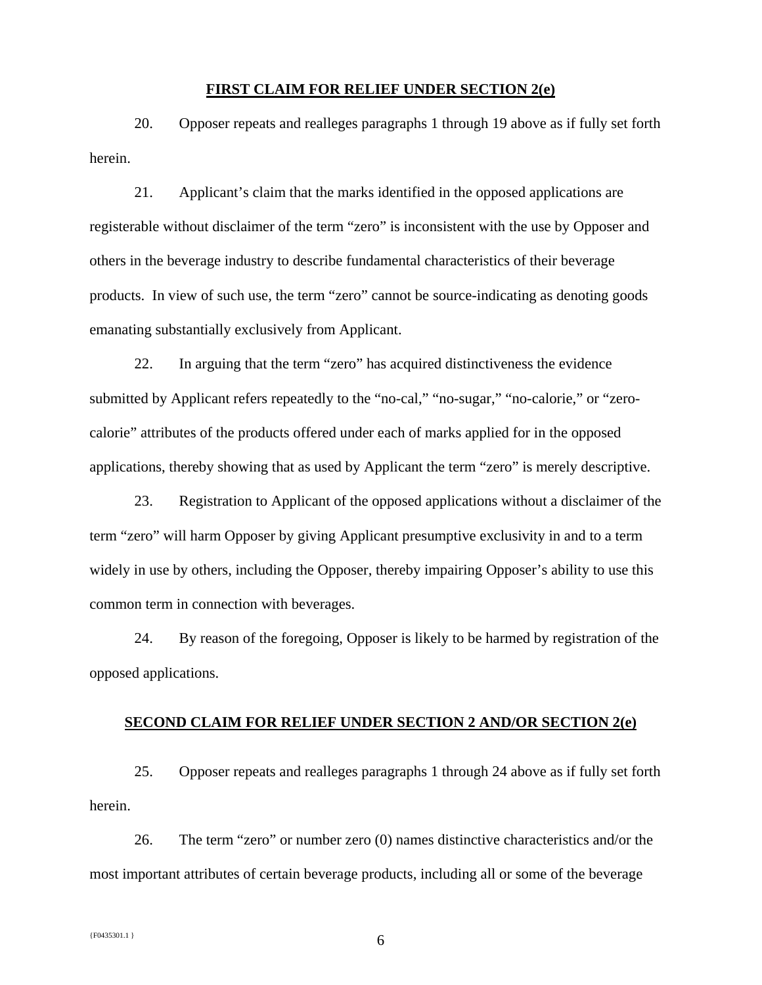#### **FIRST CLAIM FOR RELIEF UNDER SECTION 2(e)**

20. Opposer repeats and realleges paragraphs 1 through 19 above as if fully set forth herein.

21. Applicant's claim that the marks identified in the opposed applications are registerable without disclaimer of the term "zero" is inconsistent with the use by Opposer and others in the beverage industry to describe fundamental characteristics of their beverage products. In view of such use, the term "zero" cannot be source-indicating as denoting goods emanating substantially exclusively from Applicant.

22. In arguing that the term "zero" has acquired distinctiveness the evidence submitted by Applicant refers repeatedly to the "no-cal," "no-sugar," "no-calorie," or "zerocalorie" attributes of the products offered under each of marks applied for in the opposed applications, thereby showing that as used by Applicant the term "zero" is merely descriptive.

23. Registration to Applicant of the opposed applications without a disclaimer of the term "zero" will harm Opposer by giving Applicant presumptive exclusivity in and to a term widely in use by others, including the Opposer, thereby impairing Opposer's ability to use this common term in connection with beverages.

24. By reason of the foregoing, Opposer is likely to be harmed by registration of the opposed applications.

#### **SECOND CLAIM FOR RELIEF UNDER SECTION 2 AND/OR SECTION 2(e)**

25. Opposer repeats and realleges paragraphs 1 through 24 above as if fully set forth herein.

26. The term "zero" or number zero (0) names distinctive characteristics and/or the most important attributes of certain beverage products, including all or some of the beverage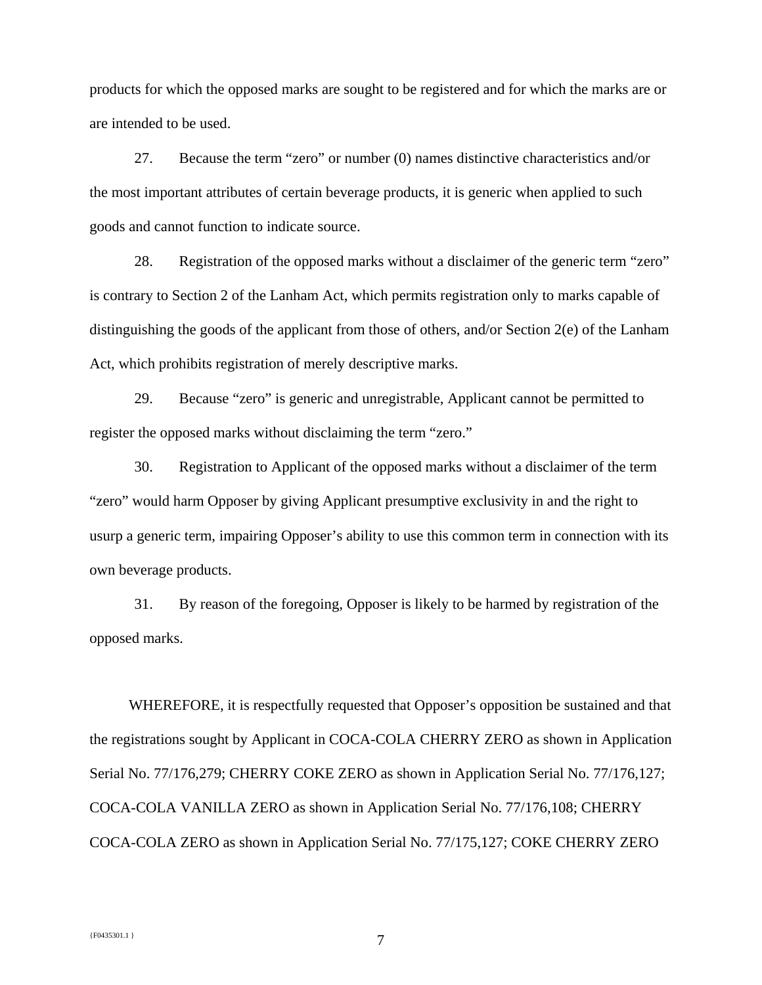products for which the opposed marks are sought to be registered and for which the marks are or are intended to be used.

27. Because the term "zero" or number (0) names distinctive characteristics and/or the most important attributes of certain beverage products, it is generic when applied to such goods and cannot function to indicate source.

28. Registration of the opposed marks without a disclaimer of the generic term "zero" is contrary to Section 2 of the Lanham Act, which permits registration only to marks capable of distinguishing the goods of the applicant from those of others, and/or Section 2(e) of the Lanham Act, which prohibits registration of merely descriptive marks.

29. Because "zero" is generic and unregistrable, Applicant cannot be permitted to register the opposed marks without disclaiming the term "zero."

30. Registration to Applicant of the opposed marks without a disclaimer of the term "zero" would harm Opposer by giving Applicant presumptive exclusivity in and the right to usurp a generic term, impairing Opposer's ability to use this common term in connection with its own beverage products.

31. By reason of the foregoing, Opposer is likely to be harmed by registration of the opposed marks.

 WHEREFORE, it is respectfully requested that Opposer's opposition be sustained and that the registrations sought by Applicant in COCA-COLA CHERRY ZERO as shown in Application Serial No. 77/176,279; CHERRY COKE ZERO as shown in Application Serial No. 77/176,127; COCA-COLA VANILLA ZERO as shown in Application Serial No. 77/176,108; CHERRY COCA-COLA ZERO as shown in Application Serial No. 77/175,127; COKE CHERRY ZERO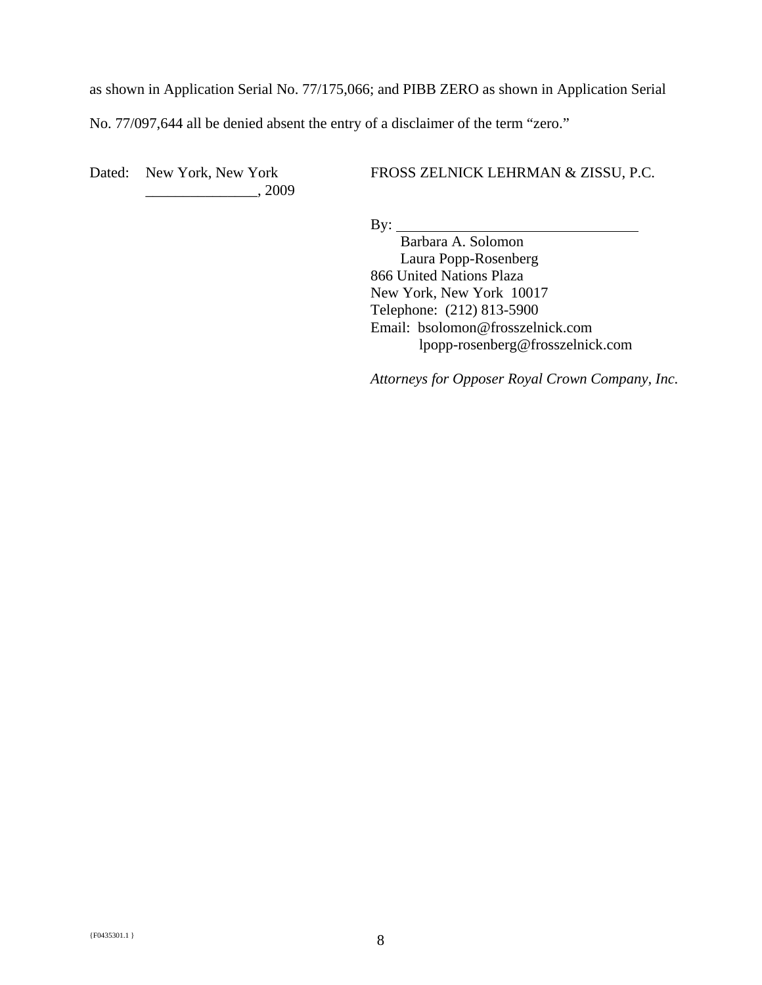as shown in Application Serial No. 77/175,066; and PIBB ZERO as shown in Application Serial

No. 77/097,644 all be denied absent the entry of a disclaimer of the term "zero."

Dated: New York, New York \_\_\_\_\_\_\_\_\_\_\_\_\_\_\_, 2009 FROSS ZELNICK LEHRMAN & ZISSU, P.C.

 $By:$ 

 Barbara A. Solomon Laura Popp-Rosenberg 866 United Nations Plaza New York, New York 10017 Telephone: (212) 813-5900 Email: bsolomon@frosszelnick.com lpopp-rosenberg@frosszelnick.com

*Attorneys for Opposer Royal Crown Company, Inc.*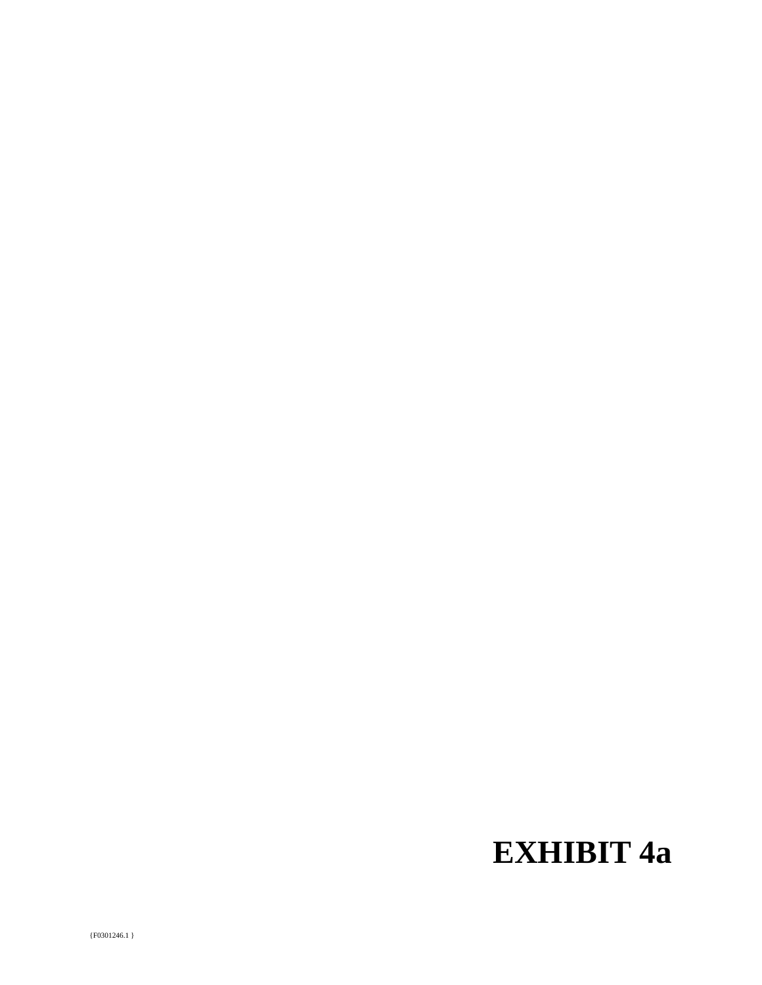# **EXHIBIT 4a**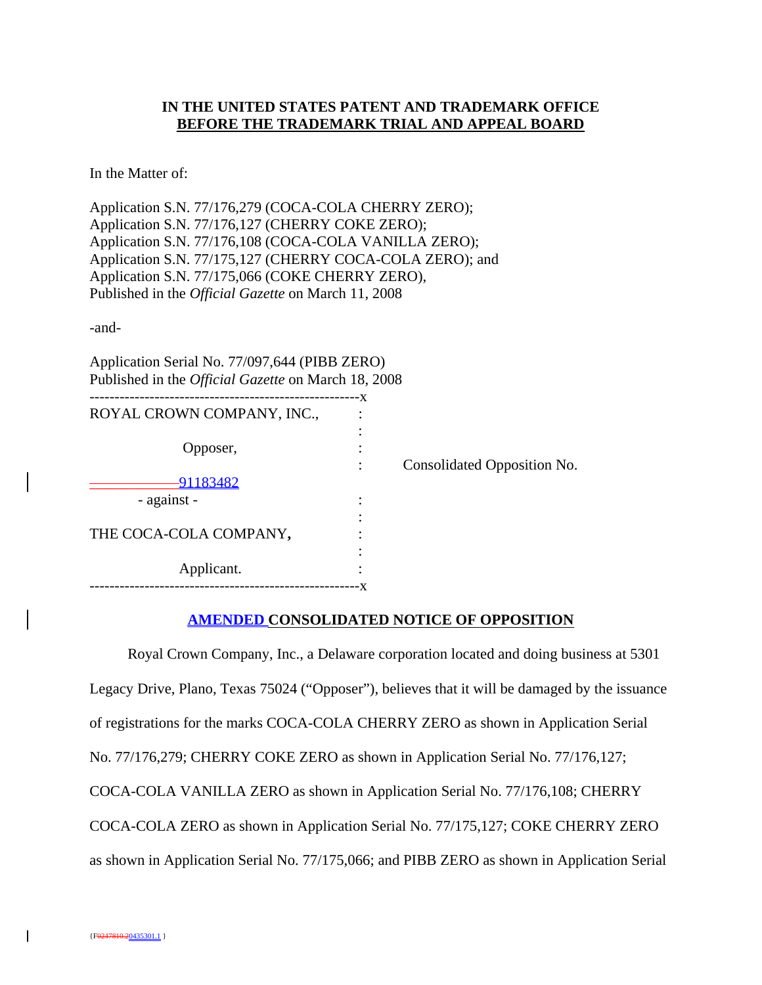## **IN THE UNITED STATES PATENT AND TRADEMARK OFFICE BEFORE THE TRADEMARK TRIAL AND APPEAL BOARD**

In the Matter of:

Application S.N. 77/176,279 (COCA-COLA CHERRY ZERO); Application S.N. 77/176,127 (CHERRY COKE ZERO); Application S.N. 77/176,108 (COCA-COLA VANILLA ZERO); Application S.N. 77/175,127 (CHERRY COCA-COLA ZERO); and Application S.N. 77/175,066 (COKE CHERRY ZERO), Published in the *Official Gazette* on March 11, 2008

-and-

Application Serial No. 77/097,644 (PIBB ZERO) Published in the *Official Gazette* on March 18, 2008

|                            | -X |                             |
|----------------------------|----|-----------------------------|
| ROYAL CROWN COMPANY, INC., |    |                             |
|                            |    |                             |
| Opposer,                   |    |                             |
|                            |    | Consolidated Opposition No. |
| 1183482                    |    |                             |
| - against -                |    |                             |
|                            |    |                             |
| THE COCA-COLA COMPANY,     |    |                             |
|                            |    |                             |
| Applicant.                 |    |                             |
|                            |    |                             |

#### **AMENDED CONSOLIDATED NOTICE OF OPPOSITION**

Royal Crown Company, Inc., a Delaware corporation located and doing business at 5301 Legacy Drive, Plano, Texas 75024 ("Opposer"), believes that it will be damaged by the issuance of registrations for the marks COCA-COLA CHERRY ZERO as shown in Application Serial No. 77/176,279; CHERRY COKE ZERO as shown in Application Serial No. 77/176,127; COCA-COLA VANILLA ZERO as shown in Application Serial No. 77/176,108; CHERRY COCA-COLA ZERO as shown in Application Serial No. 77/175,127; COKE CHERRY ZERO as shown in Application Serial No. 77/175,066; and PIBB ZERO as shown in Application Serial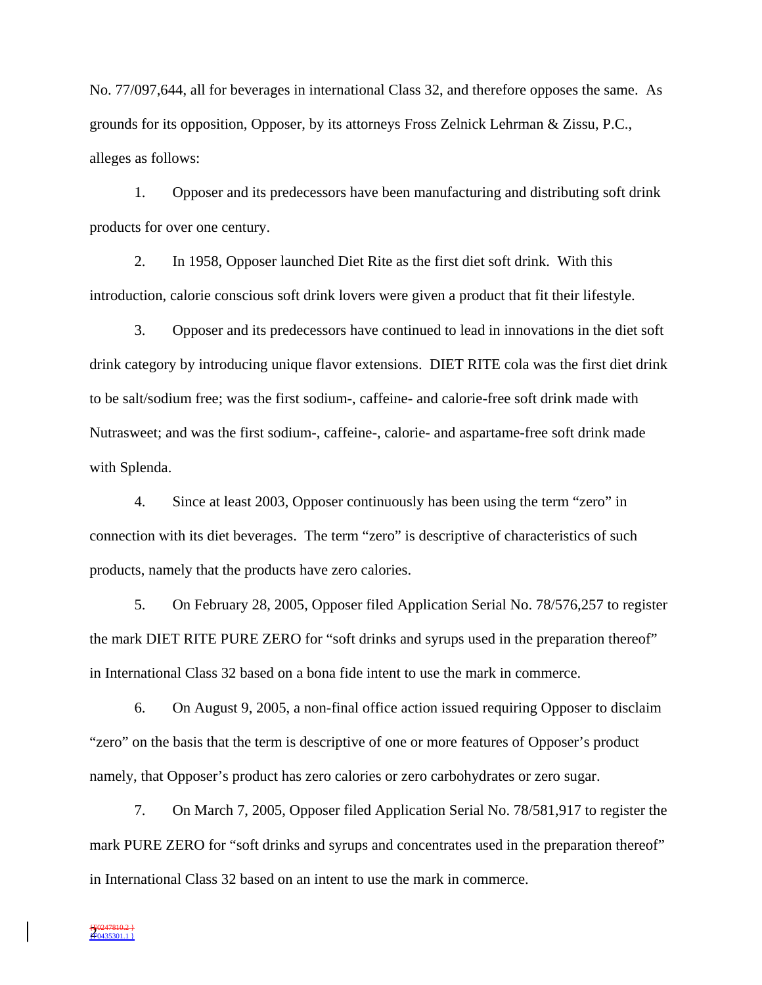No. 77/097,644, all for beverages in international Class 32, and therefore opposes the same. As grounds for its opposition, Opposer, by its attorneys Fross Zelnick Lehrman & Zissu, P.C., alleges as follows:

1. Opposer and its predecessors have been manufacturing and distributing soft drink products for over one century.

2. In 1958, Opposer launched Diet Rite as the first diet soft drink. With this introduction, calorie conscious soft drink lovers were given a product that fit their lifestyle.

3. Opposer and its predecessors have continued to lead in innovations in the diet soft drink category by introducing unique flavor extensions. DIET RITE cola was the first diet drink to be salt/sodium free; was the first sodium-, caffeine- and calorie-free soft drink made with Nutrasweet; and was the first sodium-, caffeine-, calorie- and aspartame-free soft drink made with Splenda.

4. Since at least 2003, Opposer continuously has been using the term "zero" in connection with its diet beverages. The term "zero" is descriptive of characteristics of such products, namely that the products have zero calories.

5. On February 28, 2005, Opposer filed Application Serial No. 78/576,257 to register the mark DIET RITE PURE ZERO for "soft drinks and syrups used in the preparation thereof" in International Class 32 based on a bona fide intent to use the mark in commerce.

6. On August 9, 2005, a non-final office action issued requiring Opposer to disclaim "zero" on the basis that the term is descriptive of one or more features of Opposer's product namely, that Opposer's product has zero calories or zero carbohydrates or zero sugar.

7. On March 7, 2005, Opposer filed Application Serial No. 78/581,917 to register the mark PURE ZERO for "soft drinks and syrups and concentrates used in the preparation thereof" in International Class 32 based on an intent to use the mark in commerce.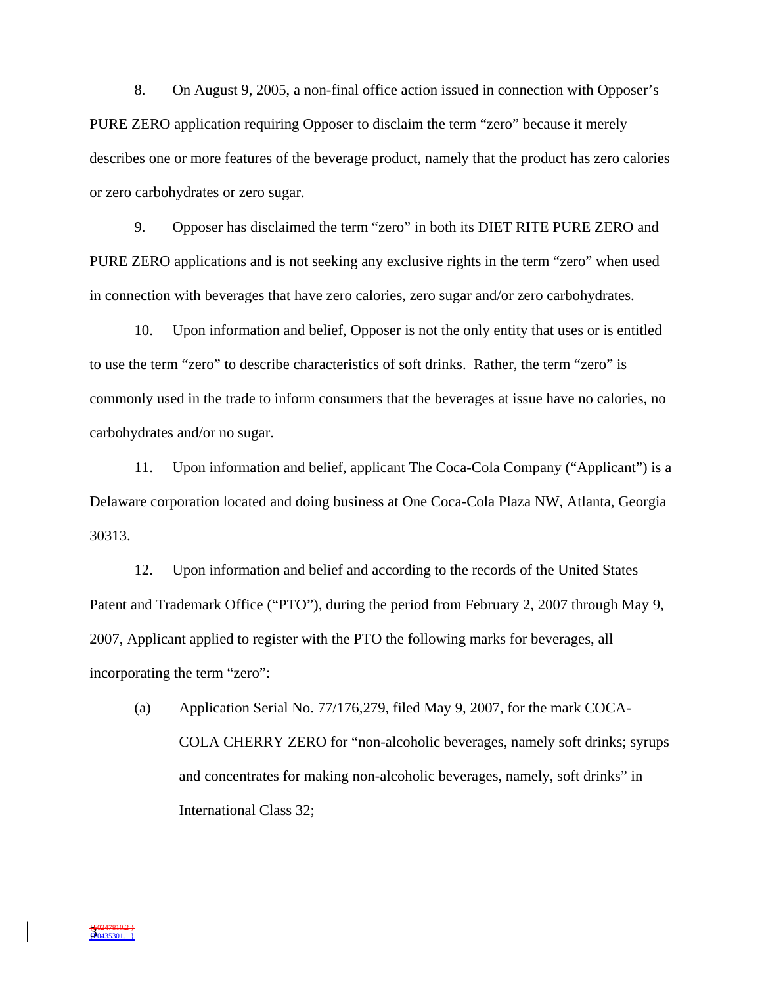8. On August 9, 2005, a non-final office action issued in connection with Opposer's PURE ZERO application requiring Opposer to disclaim the term "zero" because it merely describes one or more features of the beverage product, namely that the product has zero calories or zero carbohydrates or zero sugar.

9. Opposer has disclaimed the term "zero" in both its DIET RITE PURE ZERO and PURE ZERO applications and is not seeking any exclusive rights in the term "zero" when used in connection with beverages that have zero calories, zero sugar and/or zero carbohydrates.

10. Upon information and belief, Opposer is not the only entity that uses or is entitled to use the term "zero" to describe characteristics of soft drinks. Rather, the term "zero" is commonly used in the trade to inform consumers that the beverages at issue have no calories, no carbohydrates and/or no sugar.

11. Upon information and belief, applicant The Coca-Cola Company ("Applicant") is a Delaware corporation located and doing business at One Coca-Cola Plaza NW, Atlanta, Georgia 30313.

12. Upon information and belief and according to the records of the United States Patent and Trademark Office ("PTO"), during the period from February 2, 2007 through May 9, 2007, Applicant applied to register with the PTO the following marks for beverages, all incorporating the term "zero":

(a) Application Serial No. 77/176,279, filed May 9, 2007, for the mark COCA-COLA CHERRY ZERO for "non-alcoholic beverages, namely soft drinks; syrups and concentrates for making non-alcoholic beverages, namely, soft drinks" in International Class 32;

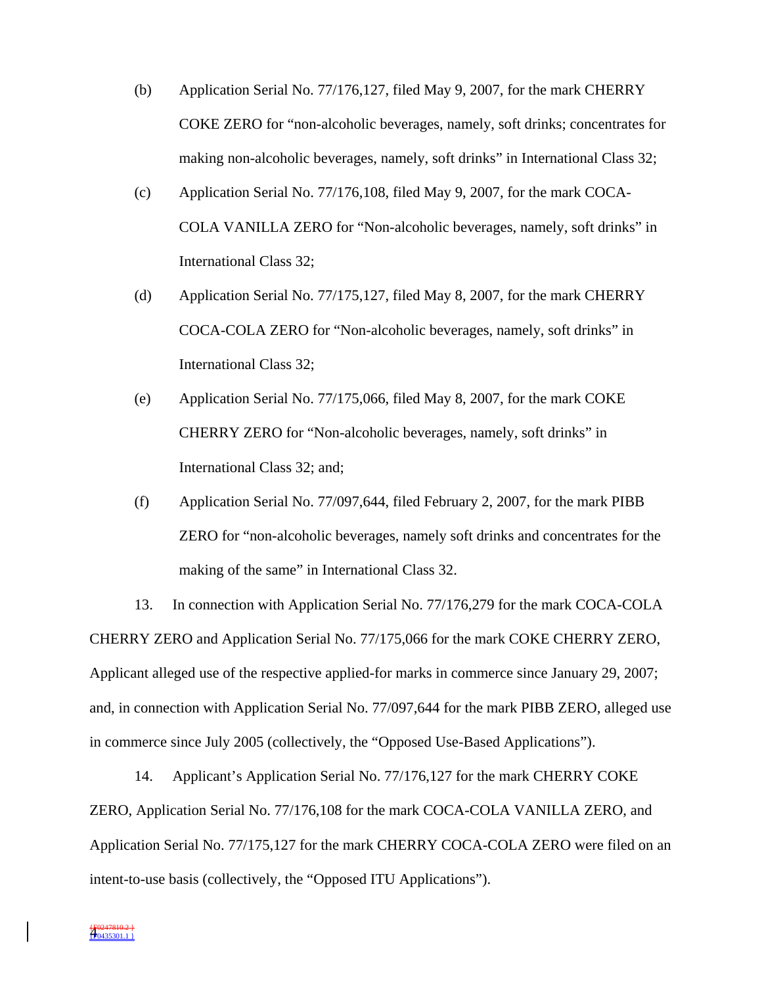- (b) Application Serial No. 77/176,127, filed May 9, 2007, for the mark CHERRY COKE ZERO for "non-alcoholic beverages, namely, soft drinks; concentrates for making non-alcoholic beverages, namely, soft drinks" in International Class 32;
- (c) Application Serial No. 77/176,108, filed May 9, 2007, for the mark COCA-COLA VANILLA ZERO for "Non-alcoholic beverages, namely, soft drinks" in International Class 32;
- (d) Application Serial No. 77/175,127, filed May 8, 2007, for the mark CHERRY COCA-COLA ZERO for "Non-alcoholic beverages, namely, soft drinks" in International Class 32;
- (e) Application Serial No. 77/175,066, filed May 8, 2007, for the mark COKE CHERRY ZERO for "Non-alcoholic beverages, namely, soft drinks" in International Class 32; and;
- (f) Application Serial No. 77/097,644, filed February 2, 2007, for the mark PIBB ZERO for "non-alcoholic beverages, namely soft drinks and concentrates for the making of the same" in International Class 32.

13. In connection with Application Serial No. 77/176,279 for the mark COCA-COLA CHERRY ZERO and Application Serial No. 77/175,066 for the mark COKE CHERRY ZERO, Applicant alleged use of the respective applied-for marks in commerce since January 29, 2007; and, in connection with Application Serial No. 77/097,644 for the mark PIBB ZERO, alleged use in commerce since July 2005 (collectively, the "Opposed Use-Based Applications").

14. Applicant's Application Serial No. 77/176,127 for the mark CHERRY COKE ZERO, Application Serial No. 77/176,108 for the mark COCA-COLA VANILLA ZERO, and Application Serial No. 77/175,127 for the mark CHERRY COCA-COLA ZERO were filed on an intent-to-use basis (collectively, the "Opposed ITU Applications").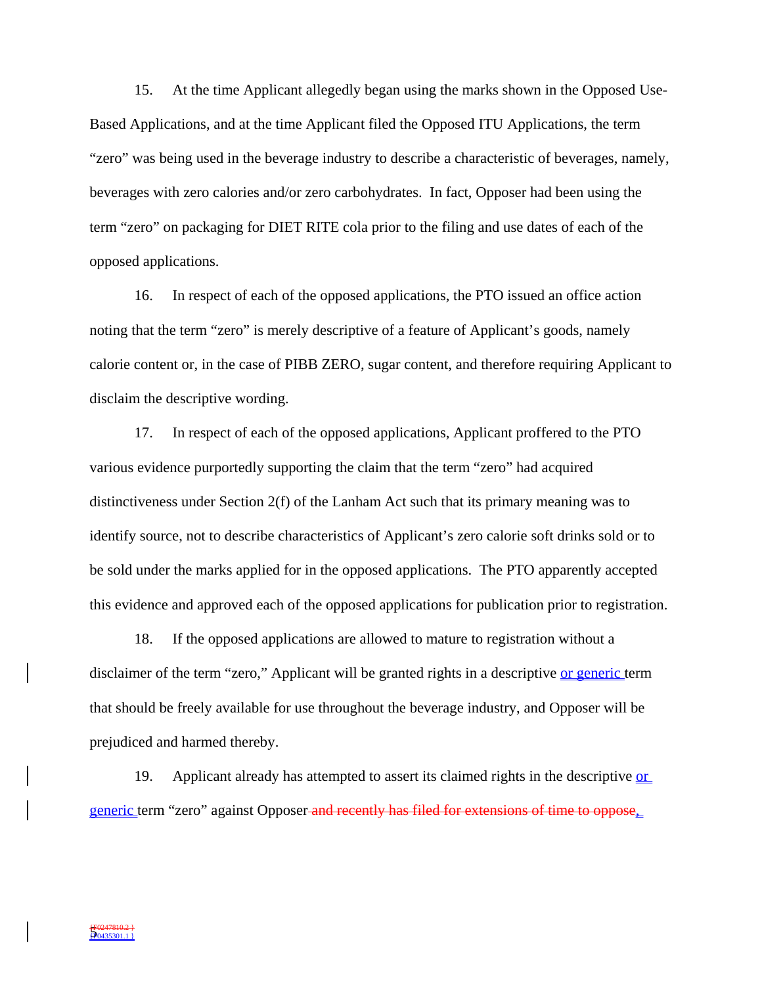15. At the time Applicant allegedly began using the marks shown in the Opposed Use-Based Applications, and at the time Applicant filed the Opposed ITU Applications, the term "zero" was being used in the beverage industry to describe a characteristic of beverages, namely, beverages with zero calories and/or zero carbohydrates. In fact, Opposer had been using the term "zero" on packaging for DIET RITE cola prior to the filing and use dates of each of the opposed applications.

16. In respect of each of the opposed applications, the PTO issued an office action noting that the term "zero" is merely descriptive of a feature of Applicant's goods, namely calorie content or, in the case of PIBB ZERO, sugar content, and therefore requiring Applicant to disclaim the descriptive wording.

17. In respect of each of the opposed applications, Applicant proffered to the PTO various evidence purportedly supporting the claim that the term "zero" had acquired distinctiveness under Section 2(f) of the Lanham Act such that its primary meaning was to identify source, not to describe characteristics of Applicant's zero calorie soft drinks sold or to be sold under the marks applied for in the opposed applications. The PTO apparently accepted this evidence and approved each of the opposed applications for publication prior to registration.

18. If the opposed applications are allowed to mature to registration without a disclaimer of the term "zero," Applicant will be granted rights in a descriptive or generic term that should be freely available for use throughout the beverage industry, and Opposer will be prejudiced and harmed thereby.

19. Applicant already has attempted to assert its claimed rights in the descriptive or generic term "zero" against Opposer and recently has filed for extensions of time to oppose,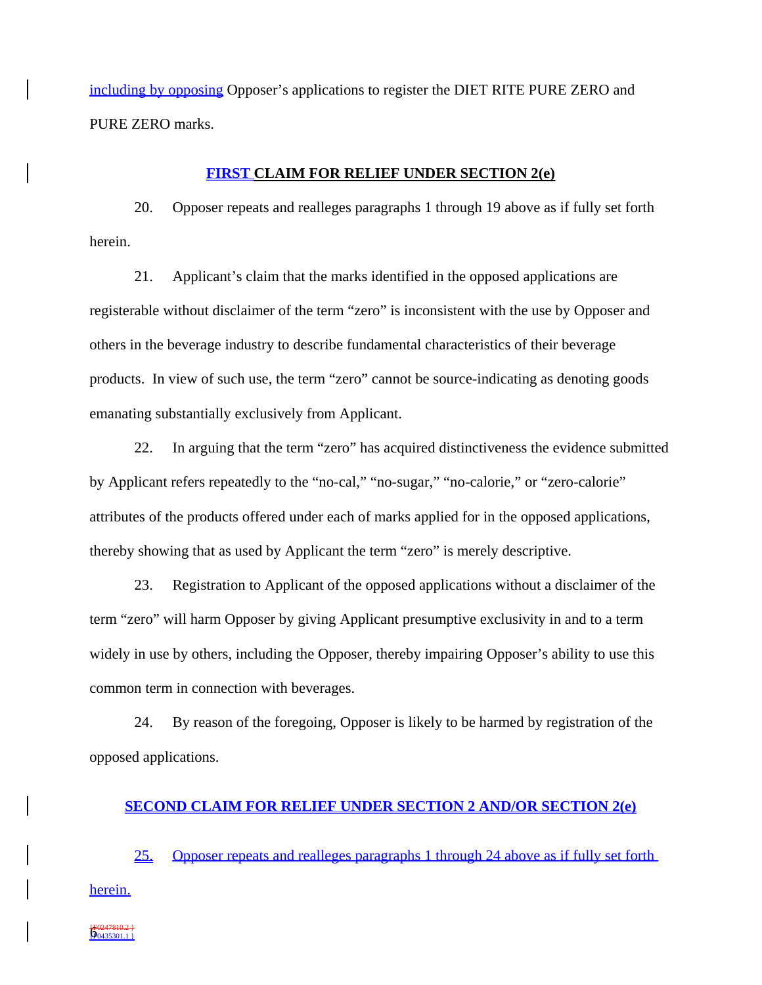including by opposing Opposer's applications to register the DIET RITE PURE ZERO and PURE ZERO marks.

#### **FIRST CLAIM FOR RELIEF UNDER SECTION 2(e)**

20. Opposer repeats and realleges paragraphs 1 through 19 above as if fully set forth herein.

21. Applicant's claim that the marks identified in the opposed applications are registerable without disclaimer of the term "zero" is inconsistent with the use by Opposer and others in the beverage industry to describe fundamental characteristics of their beverage products. In view of such use, the term "zero" cannot be source-indicating as denoting goods emanating substantially exclusively from Applicant.

22. In arguing that the term "zero" has acquired distinctiveness the evidence submitted by Applicant refers repeatedly to the "no-cal," "no-sugar," "no-calorie," or "zero-calorie" attributes of the products offered under each of marks applied for in the opposed applications, thereby showing that as used by Applicant the term "zero" is merely descriptive.

23. Registration to Applicant of the opposed applications without a disclaimer of the term "zero" will harm Opposer by giving Applicant presumptive exclusivity in and to a term widely in use by others, including the Opposer, thereby impairing Opposer's ability to use this common term in connection with beverages.

24. By reason of the foregoing, Opposer is likely to be harmed by registration of the opposed applications.

#### **SECOND CLAIM FOR RELIEF UNDER SECTION 2 AND/OR SECTION 2(e)**

25. Opposer repeats and realleges paragraphs 1 through 24 above as if fully set forth herein.

6 {F0247810.2 } {F0435301.1 }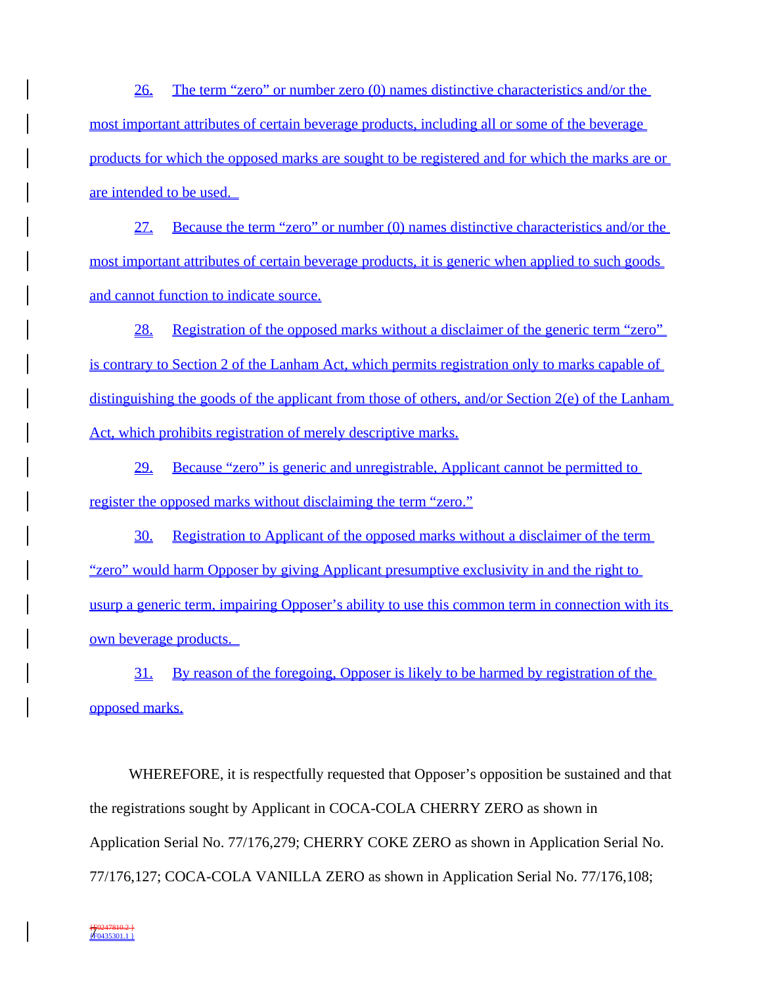26. The term "zero" or number zero (0) names distinctive characteristics and/or the most important attributes of certain beverage products, including all or some of the beverage products for which the opposed marks are sought to be registered and for which the marks are or are intended to be used.

27. Because the term "zero" or number (0) names distinctive characteristics and/or the most important attributes of certain beverage products, it is generic when applied to such goods and cannot function to indicate source.

28. Registration of the opposed marks without a disclaimer of the generic term "zero" is contrary to Section 2 of the Lanham Act, which permits registration only to marks capable of distinguishing the goods of the applicant from those of others, and/or Section 2(e) of the Lanham Act, which prohibits registration of merely descriptive marks.

29. Because "zero" is generic and unregistrable, Applicant cannot be permitted to register the opposed marks without disclaiming the term "zero."

30. Registration to Applicant of the opposed marks without a disclaimer of the term "zero" would harm Opposer by giving Applicant presumptive exclusivity in and the right to usurp a generic term, impairing Opposer's ability to use this common term in connection with its own beverage products.

31. By reason of the foregoing, Opposer is likely to be harmed by registration of the opposed marks.

WHEREFORE, it is respectfully requested that Opposer's opposition be sustained and that the registrations sought by Applicant in COCA-COLA CHERRY ZERO as shown in Application Serial No. 77/176,279; CHERRY COKE ZERO as shown in Application Serial No. 77/176,127; COCA-COLA VANILLA ZERO as shown in Application Serial No. 77/176,108;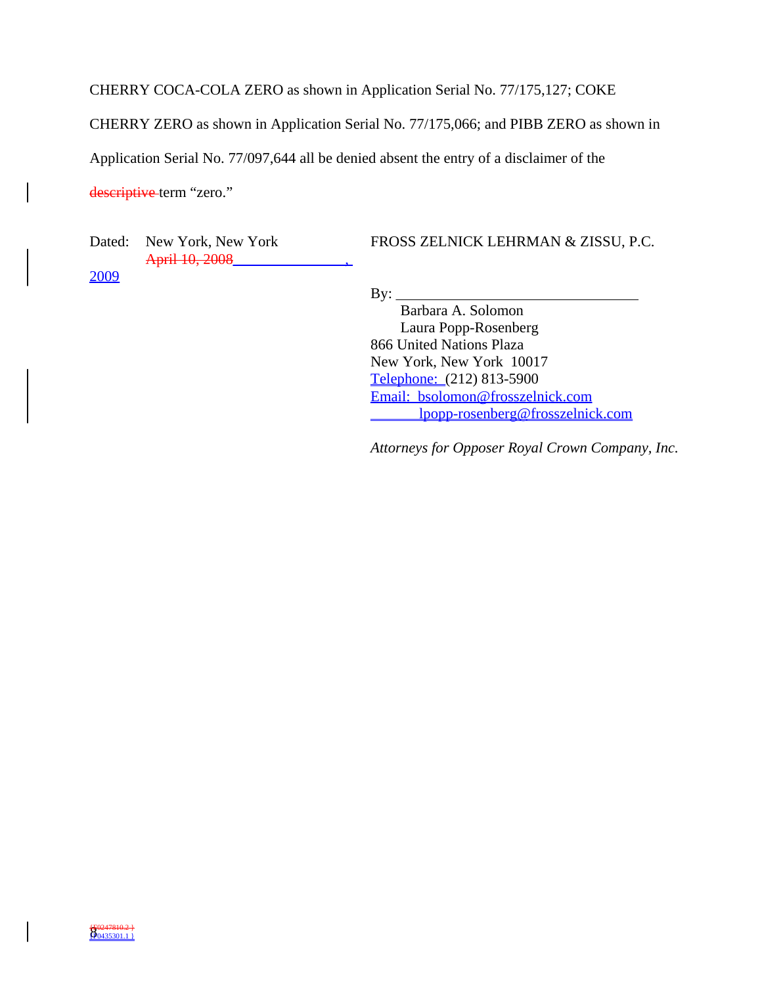CHERRY COCA-COLA ZERO as shown in Application Serial No. 77/175,127; COKE

CHERRY ZERO as shown in Application Serial No. 77/175,066; and PIBB ZERO as shown in

Application Serial No. 77/097,644 all be denied absent the entry of a disclaimer of the

descriptive term "zero."

Dated: New York, New York April 10, 2008\_\_\_\_\_\_ 2009

FROSS ZELNICK LEHRMAN & ZISSU, P.C.

 $By:$ 

 Barbara A. Solomon Laura Popp-Rosenberg 866 United Nations Plaza New York, New York 10017 Telephone: (212) 813-5900 Email: bsolomon@frosszelnick.com lpopp-rosenberg@frosszelnick.com

*Attorneys for Opposer Royal Crown Company, Inc.*

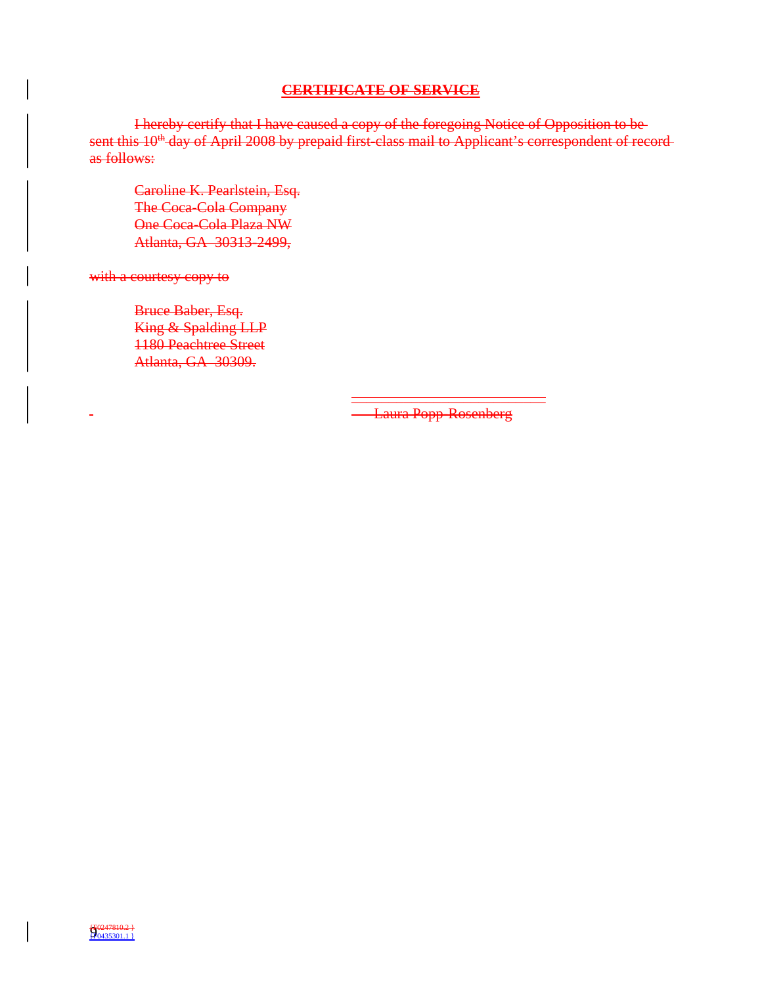### **CERTIFICATE OF SERVICE**

I hereby certify that I have caused a copy of the foregoing Notice of Opposition to be sent this 10<sup>th</sup> day of April 2008 by prepaid first-class mail to Applicant's correspondent of recordas follows:

Caroline K. Pearlstein, Esq. The Coca-Cola Company One Coca-Cola Plaza NW Atlanta, GA 30313-2499,

with a courtesy copy to

Bruce Baber, Esq. King & Spalding LLP 1180 Peachtree Street Atlanta, GA 30309.

**Laura Popp-Rosenberg** 

\_\_\_\_\_\_\_\_\_\_\_\_\_\_\_\_\_\_\_\_\_\_\_\_\_\_

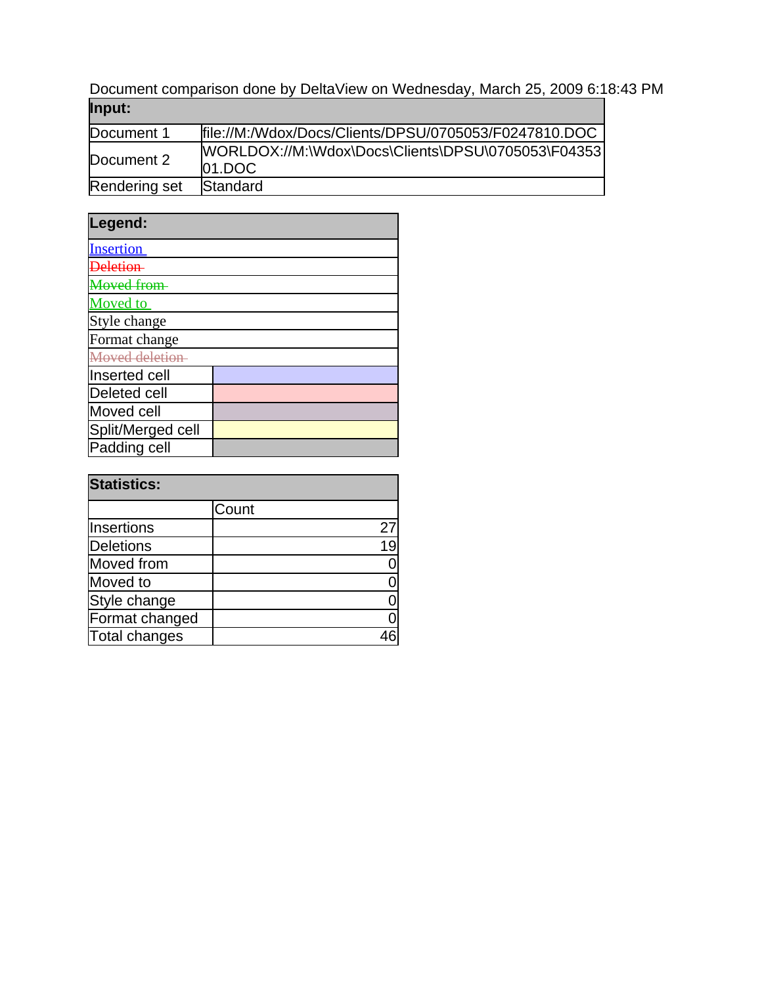Document comparison done by DeltaView on Wednesday, March 25, 2009 6:18:43 PM **Input:**

| Document 1    | file://M:/Wdox/Docs/Clients/DPSU/0705053/F0247810.DOC            |
|---------------|------------------------------------------------------------------|
| Document 2    | [WORLDOX://M:\Wdox\Docs\Clients\DPSU\0705053\F04353<br>$01.$ DOC |
| Rendering set | <b>Standard</b>                                                  |

| Legend:           |  |
|-------------------|--|
| <b>Insertion</b>  |  |
| <b>Deletion</b>   |  |
| <b>Moved from</b> |  |
| <b>Moved</b> to   |  |
| Style change      |  |
| Format change     |  |
| Moved deletion    |  |
| Inserted cell     |  |
| Deleted cell      |  |
| Moved cell        |  |
| Split/Merged cell |  |
| Padding cell      |  |

| <b>Statistics:</b> |       |    |
|--------------------|-------|----|
|                    | Count |    |
| Insertions         |       | 27 |
| <b>Deletions</b>   |       | 19 |
| Moved from         |       |    |
| Moved to           |       |    |
| Style change       |       |    |
| Format changed     |       |    |
| Total changes      |       |    |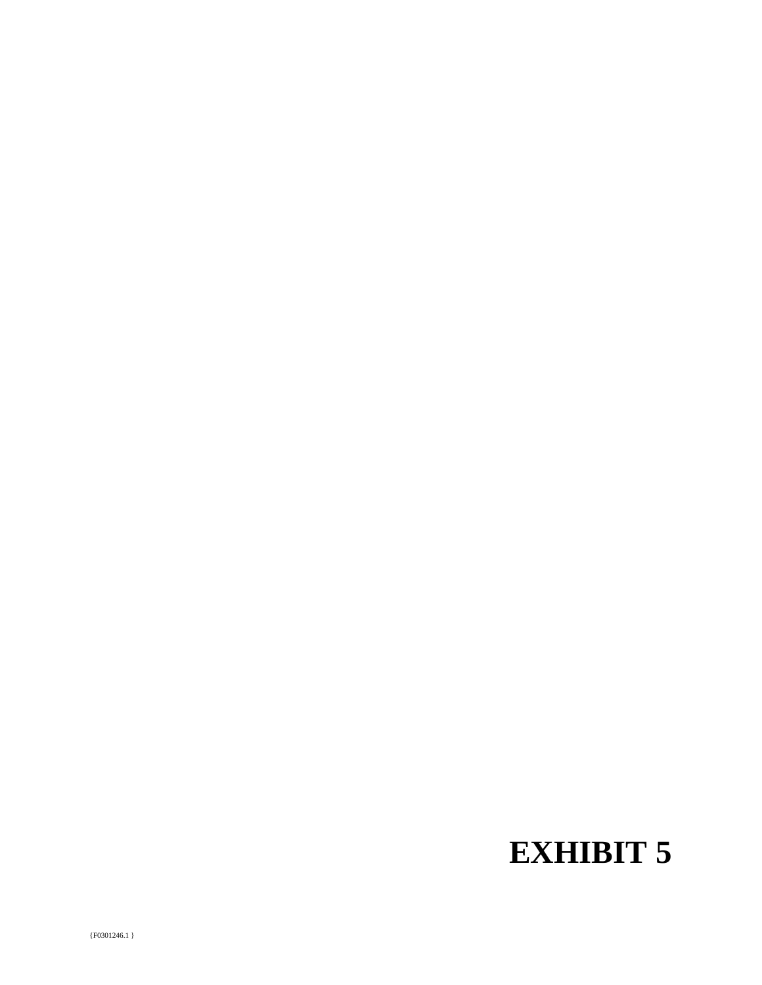# **EXHIBIT 5**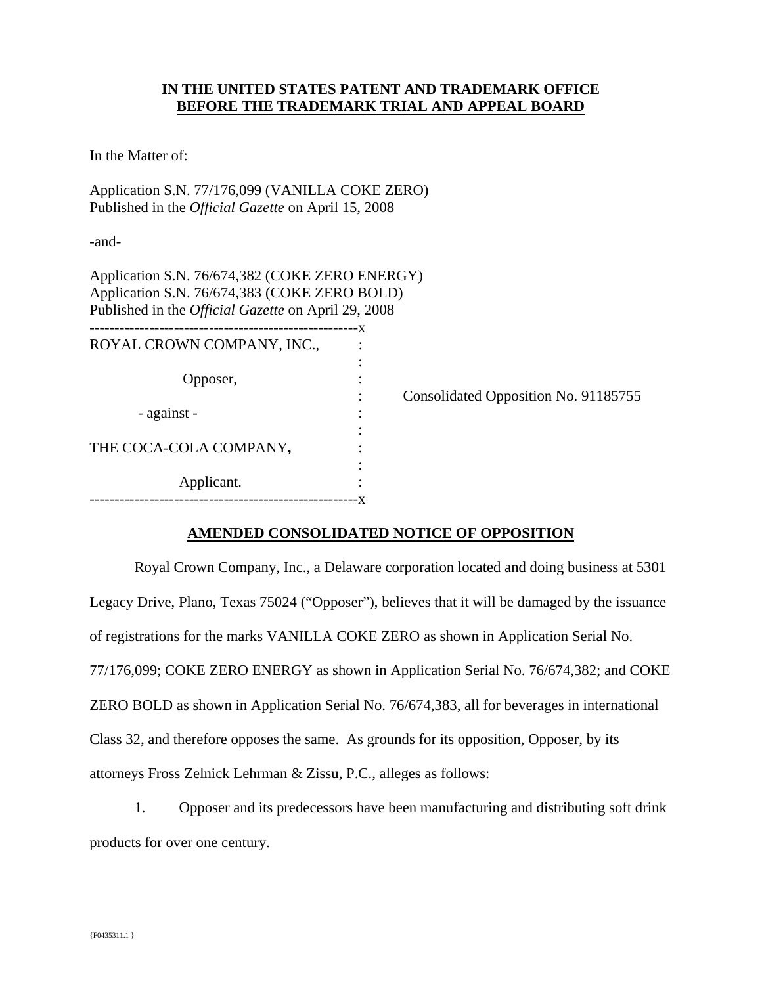## **IN THE UNITED STATES PATENT AND TRADEMARK OFFICE BEFORE THE TRADEMARK TRIAL AND APPEAL BOARD**

In the Matter of:

Application S.N. 77/176,099 (VANILLA COKE ZERO) Published in the *Official Gazette* on April 15, 2008

-and-

Application S.N. 76/674,382 (COKE ZERO ENERGY) Application S.N. 76/674,383 (COKE ZERO BOLD) Published in the *Official Gazette* on April 29, 2008

| ROYAL CROWN COMPANY, INC., |  |
|----------------------------|--|
|                            |  |
| Opposer,                   |  |
|                            |  |
| - against -                |  |
|                            |  |
| THE COCA-COLA COMPANY,     |  |
|                            |  |
| Applicant.                 |  |
|                            |  |

: Consolidated Opposition No. 91185755

## **AMENDED CONSOLIDATED NOTICE OF OPPOSITION**

 Royal Crown Company, Inc., a Delaware corporation located and doing business at 5301 Legacy Drive, Plano, Texas 75024 ("Opposer"), believes that it will be damaged by the issuance of registrations for the marks VANILLA COKE ZERO as shown in Application Serial No. 77/176,099; COKE ZERO ENERGY as shown in Application Serial No. 76/674,382; and COKE ZERO BOLD as shown in Application Serial No. 76/674,383, all for beverages in international Class 32, and therefore opposes the same. As grounds for its opposition, Opposer, by its attorneys Fross Zelnick Lehrman & Zissu, P.C., alleges as follows:

1. Opposer and its predecessors have been manufacturing and distributing soft drink products for over one century.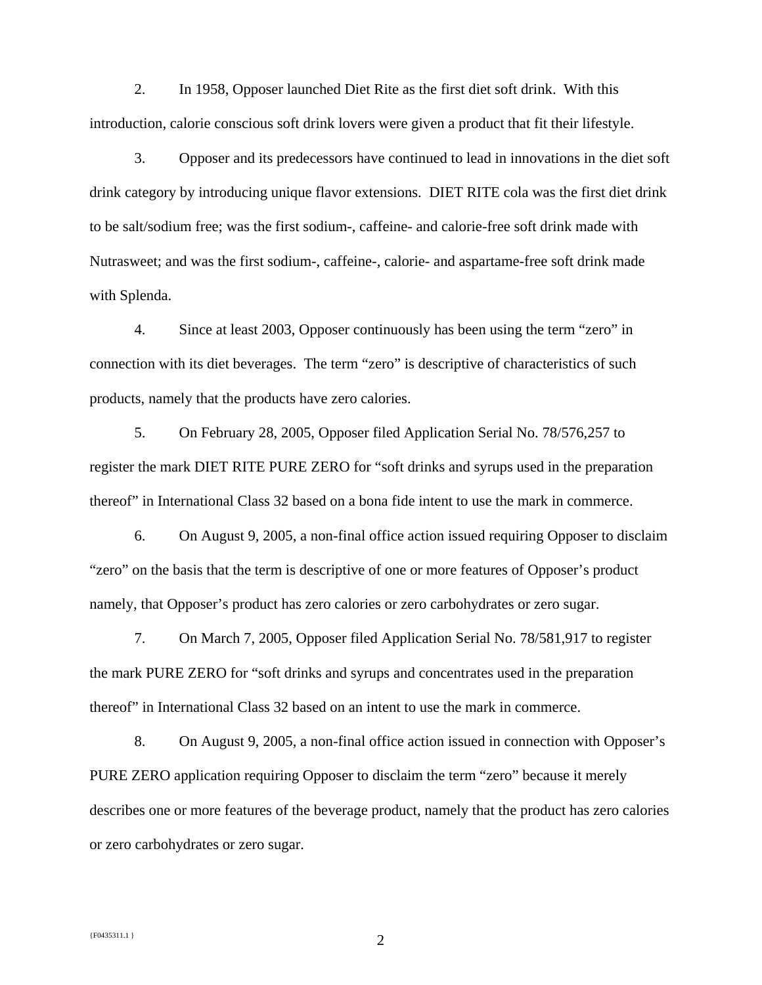2. In 1958, Opposer launched Diet Rite as the first diet soft drink. With this introduction, calorie conscious soft drink lovers were given a product that fit their lifestyle.

3. Opposer and its predecessors have continued to lead in innovations in the diet soft drink category by introducing unique flavor extensions. DIET RITE cola was the first diet drink to be salt/sodium free; was the first sodium-, caffeine- and calorie-free soft drink made with Nutrasweet; and was the first sodium-, caffeine-, calorie- and aspartame-free soft drink made with Splenda.

4. Since at least 2003, Opposer continuously has been using the term "zero" in connection with its diet beverages. The term "zero" is descriptive of characteristics of such products, namely that the products have zero calories.

5. On February 28, 2005, Opposer filed Application Serial No. 78/576,257 to register the mark DIET RITE PURE ZERO for "soft drinks and syrups used in the preparation thereof" in International Class 32 based on a bona fide intent to use the mark in commerce.

6. On August 9, 2005, a non-final office action issued requiring Opposer to disclaim "zero" on the basis that the term is descriptive of one or more features of Opposer's product namely, that Opposer's product has zero calories or zero carbohydrates or zero sugar.

7. On March 7, 2005, Opposer filed Application Serial No. 78/581,917 to register the mark PURE ZERO for "soft drinks and syrups and concentrates used in the preparation thereof" in International Class 32 based on an intent to use the mark in commerce.

8. On August 9, 2005, a non-final office action issued in connection with Opposer's PURE ZERO application requiring Opposer to disclaim the term "zero" because it merely describes one or more features of the beverage product, namely that the product has zero calories or zero carbohydrates or zero sugar.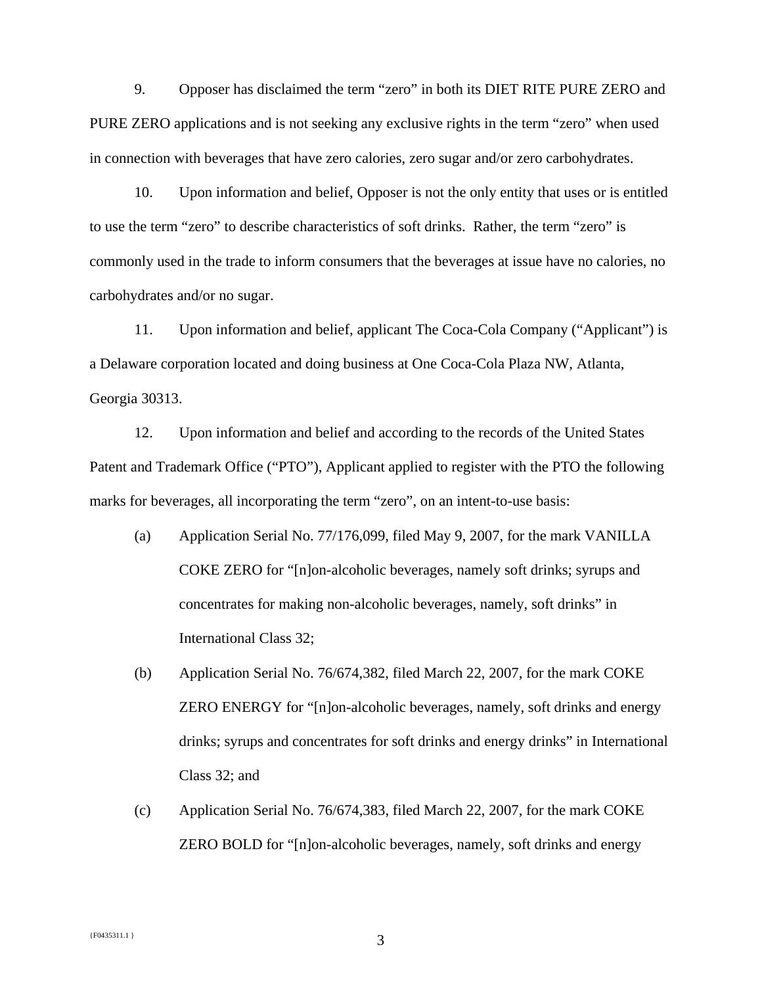9. Opposer has disclaimed the term "zero" in both its DIET RITE PURE ZERO and PURE ZERO applications and is not seeking any exclusive rights in the term "zero" when used in connection with beverages that have zero calories, zero sugar and/or zero carbohydrates.

10. Upon information and belief, Opposer is not the only entity that uses or is entitled to use the term "zero" to describe characteristics of soft drinks. Rather, the term "zero" is commonly used in the trade to inform consumers that the beverages at issue have no calories, no carbohydrates and/or no sugar.

11. Upon information and belief, applicant The Coca-Cola Company ("Applicant") is a Delaware corporation located and doing business at One Coca-Cola Plaza NW, Atlanta, Georgia 30313.

12. Upon information and belief and according to the records of the United States Patent and Trademark Office ("PTO"), Applicant applied to register with the PTO the following marks for beverages, all incorporating the term "zero", on an intent-to-use basis:

- (a) Application Serial No. 77/176,099, filed May 9, 2007, for the mark VANILLA COKE ZERO for "[n]on-alcoholic beverages, namely soft drinks; syrups and concentrates for making non-alcoholic beverages, namely, soft drinks" in International Class 32;
- (b) Application Serial No. 76/674,382, filed March 22, 2007, for the mark COKE ZERO ENERGY for "[n]on-alcoholic beverages, namely, soft drinks and energy drinks; syrups and concentrates for soft drinks and energy drinks" in International Class 32; and
- (c) Application Serial No. 76/674,383, filed March 22, 2007, for the mark COKE ZERO BOLD for "[n]on-alcoholic beverages, namely, soft drinks and energy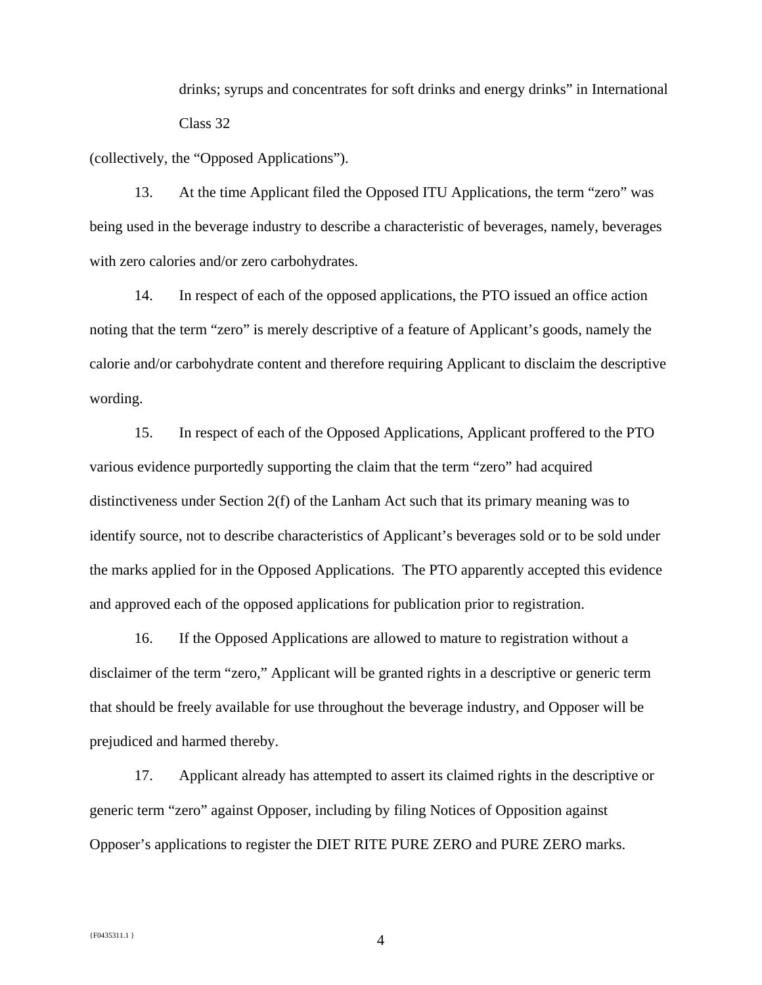drinks; syrups and concentrates for soft drinks and energy drinks" in International Class 32

(collectively, the "Opposed Applications").

13. At the time Applicant filed the Opposed ITU Applications, the term "zero" was being used in the beverage industry to describe a characteristic of beverages, namely, beverages with zero calories and/or zero carbohydrates.

14. In respect of each of the opposed applications, the PTO issued an office action noting that the term "zero" is merely descriptive of a feature of Applicant's goods, namely the calorie and/or carbohydrate content and therefore requiring Applicant to disclaim the descriptive wording.

15. In respect of each of the Opposed Applications, Applicant proffered to the PTO various evidence purportedly supporting the claim that the term "zero" had acquired distinctiveness under Section 2(f) of the Lanham Act such that its primary meaning was to identify source, not to describe characteristics of Applicant's beverages sold or to be sold under the marks applied for in the Opposed Applications. The PTO apparently accepted this evidence and approved each of the opposed applications for publication prior to registration.

16. If the Opposed Applications are allowed to mature to registration without a disclaimer of the term "zero," Applicant will be granted rights in a descriptive or generic term that should be freely available for use throughout the beverage industry, and Opposer will be prejudiced and harmed thereby.

17. Applicant already has attempted to assert its claimed rights in the descriptive or generic term "zero" against Opposer, including by filing Notices of Opposition against Opposer's applications to register the DIET RITE PURE ZERO and PURE ZERO marks.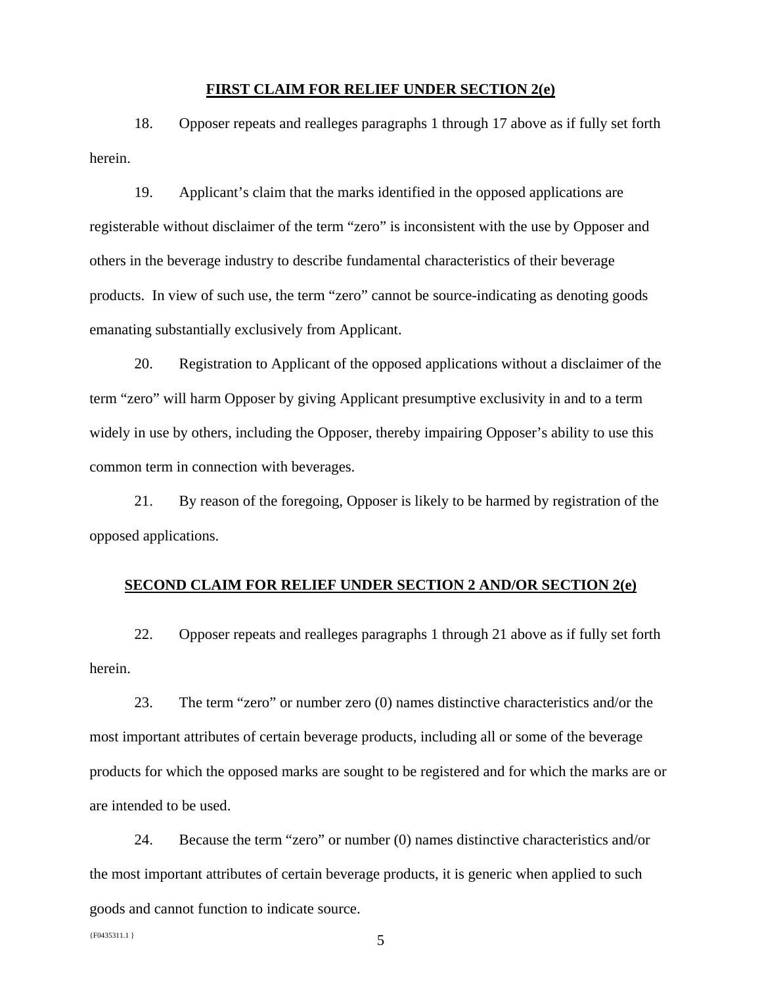#### **FIRST CLAIM FOR RELIEF UNDER SECTION 2(e)**

18. Opposer repeats and realleges paragraphs 1 through 17 above as if fully set forth herein.

19. Applicant's claim that the marks identified in the opposed applications are registerable without disclaimer of the term "zero" is inconsistent with the use by Opposer and others in the beverage industry to describe fundamental characteristics of their beverage products. In view of such use, the term "zero" cannot be source-indicating as denoting goods emanating substantially exclusively from Applicant.

20. Registration to Applicant of the opposed applications without a disclaimer of the term "zero" will harm Opposer by giving Applicant presumptive exclusivity in and to a term widely in use by others, including the Opposer, thereby impairing Opposer's ability to use this common term in connection with beverages.

21. By reason of the foregoing, Opposer is likely to be harmed by registration of the opposed applications.

#### **SECOND CLAIM FOR RELIEF UNDER SECTION 2 AND/OR SECTION 2(e)**

22. Opposer repeats and realleges paragraphs 1 through 21 above as if fully set forth herein.

23. The term "zero" or number zero (0) names distinctive characteristics and/or the most important attributes of certain beverage products, including all or some of the beverage products for which the opposed marks are sought to be registered and for which the marks are or are intended to be used.

24. Because the term "zero" or number (0) names distinctive characteristics and/or the most important attributes of certain beverage products, it is generic when applied to such goods and cannot function to indicate source.

 ${F}^{0435311.1}$  5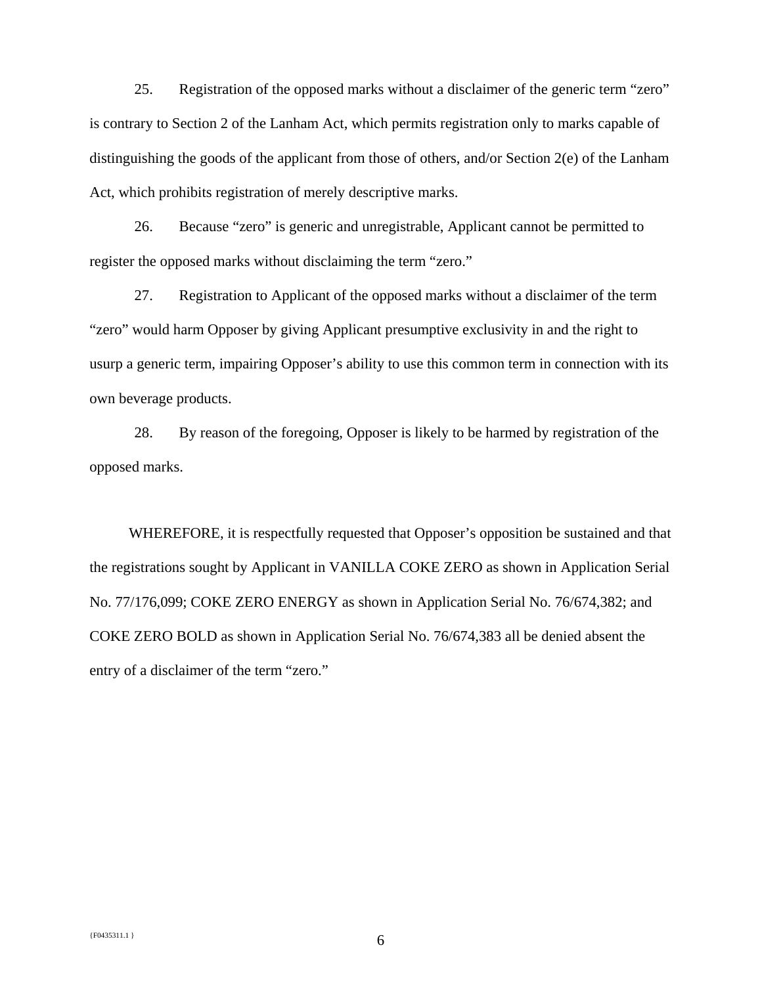25. Registration of the opposed marks without a disclaimer of the generic term "zero" is contrary to Section 2 of the Lanham Act, which permits registration only to marks capable of distinguishing the goods of the applicant from those of others, and/or Section 2(e) of the Lanham Act, which prohibits registration of merely descriptive marks.

26. Because "zero" is generic and unregistrable, Applicant cannot be permitted to register the opposed marks without disclaiming the term "zero."

27. Registration to Applicant of the opposed marks without a disclaimer of the term "zero" would harm Opposer by giving Applicant presumptive exclusivity in and the right to usurp a generic term, impairing Opposer's ability to use this common term in connection with its own beverage products.

28. By reason of the foregoing, Opposer is likely to be harmed by registration of the opposed marks.

 WHEREFORE, it is respectfully requested that Opposer's opposition be sustained and that the registrations sought by Applicant in VANILLA COKE ZERO as shown in Application Serial No. 77/176,099; COKE ZERO ENERGY as shown in Application Serial No. 76/674,382; and COKE ZERO BOLD as shown in Application Serial No. 76/674,383 all be denied absent the entry of a disclaimer of the term "zero."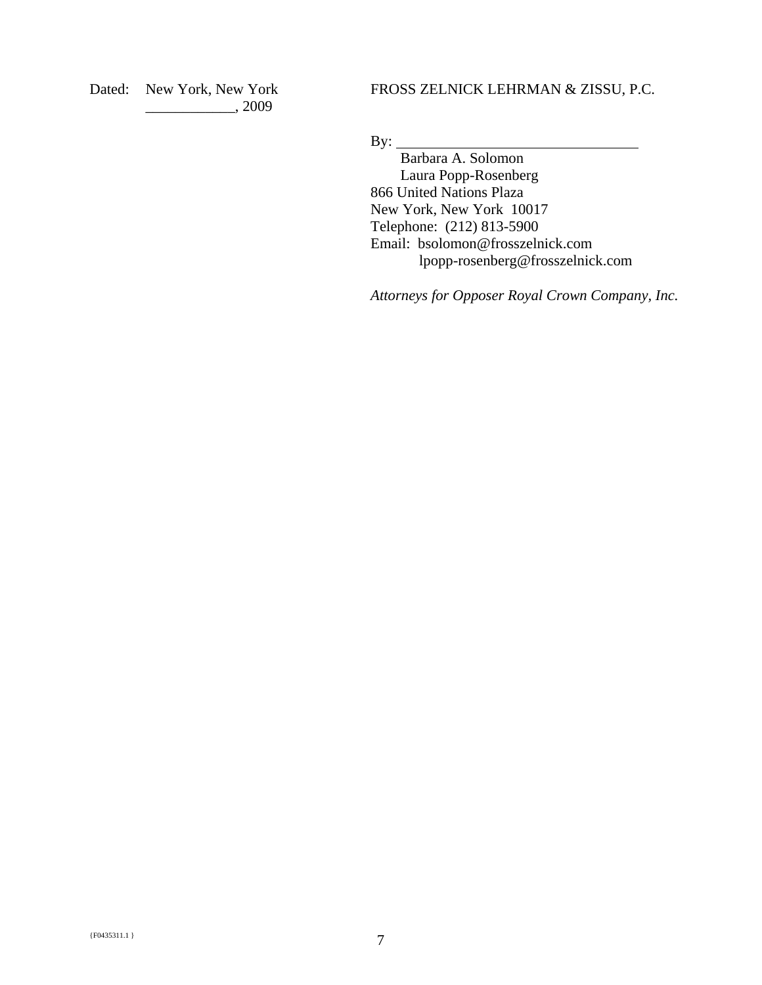Dated: New York, New York \_\_\_\_\_\_\_\_\_\_\_\_, 2009

FROSS ZELNICK LEHRMAN & ZISSU, P.C.

By:

 Barbara A. Solomon Laura Popp-Rosenberg 866 United Nations Plaza New York, New York 10017 Telephone: (212) 813-5900 Email: bsolomon@frosszelnick.com lpopp-rosenberg@frosszelnick.com

*Attorneys for Opposer Royal Crown Company, Inc.*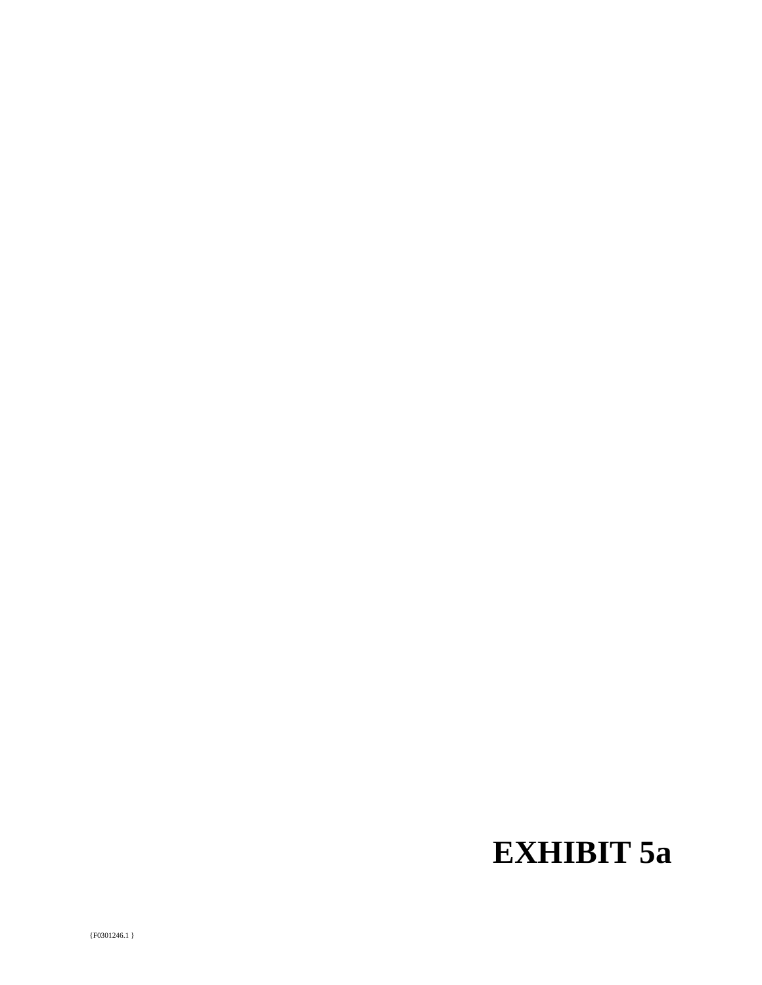# **EXHIBIT 5a**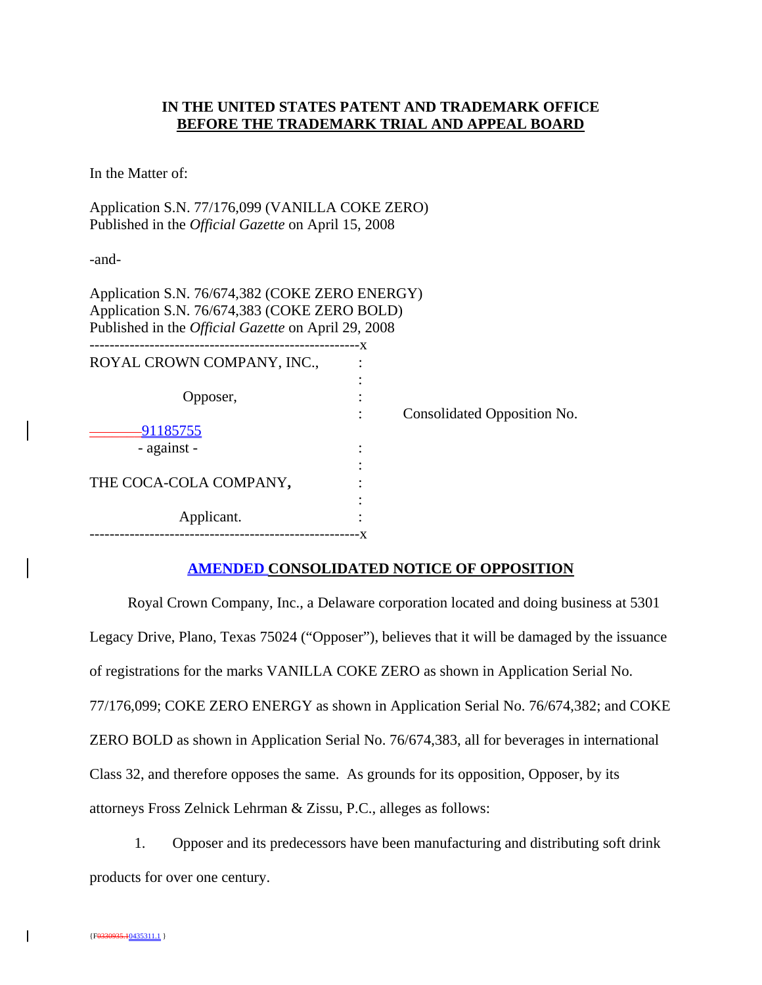## **IN THE UNITED STATES PATENT AND TRADEMARK OFFICE BEFORE THE TRADEMARK TRIAL AND APPEAL BOARD**

In the Matter of:

Application S.N. 77/176,099 (VANILLA COKE ZERO) Published in the *Official Gazette* on April 15, 2008

-and-

| Application S.N. 76/674,382 (COKE ZERO ENERGY)<br>Application S.N. 76/674,383 (COKE ZERO BOLD)<br>Published in the <i>Official Gazette</i> on April 29, 2008 |     |                             |
|--------------------------------------------------------------------------------------------------------------------------------------------------------------|-----|-----------------------------|
| ROYAL CROWN COMPANY, INC.,                                                                                                                                   | – X |                             |
|                                                                                                                                                              |     |                             |
| Opposer,                                                                                                                                                     |     |                             |
|                                                                                                                                                              |     | Consolidated Opposition No. |
| <u>-91185755</u>                                                                                                                                             |     |                             |
| - against -                                                                                                                                                  |     |                             |
|                                                                                                                                                              |     |                             |
| THE COCA-COLA COMPANY,                                                                                                                                       |     |                             |
|                                                                                                                                                              |     |                             |
| Applicant.                                                                                                                                                   |     |                             |
|                                                                                                                                                              |     |                             |

## **AMENDED CONSOLIDATED NOTICE OF OPPOSITION**

Royal Crown Company, Inc., a Delaware corporation located and doing business at 5301 Legacy Drive, Plano, Texas 75024 ("Opposer"), believes that it will be damaged by the issuance of registrations for the marks VANILLA COKE ZERO as shown in Application Serial No. 77/176,099; COKE ZERO ENERGY as shown in Application Serial No. 76/674,382; and COKE ZERO BOLD as shown in Application Serial No. 76/674,383, all for beverages in international Class 32, and therefore opposes the same. As grounds for its opposition, Opposer, by its attorneys Fross Zelnick Lehrman & Zissu, P.C., alleges as follows:

1. Opposer and its predecessors have been manufacturing and distributing soft drink products for over one century.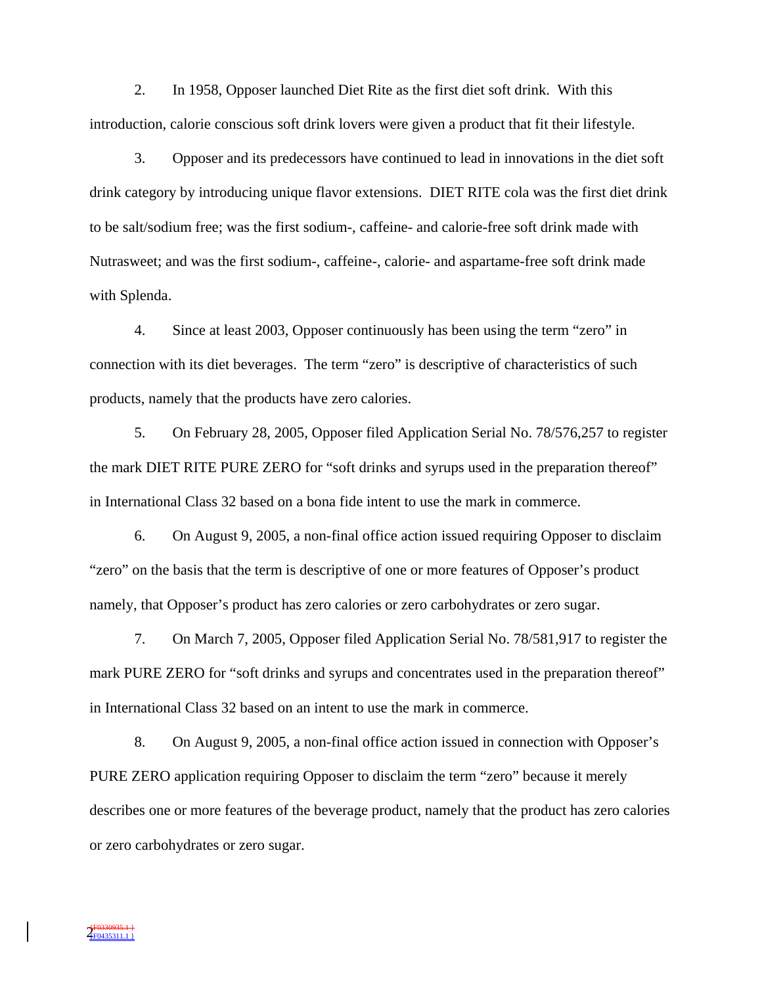2. In 1958, Opposer launched Diet Rite as the first diet soft drink. With this introduction, calorie conscious soft drink lovers were given a product that fit their lifestyle.

3. Opposer and its predecessors have continued to lead in innovations in the diet soft drink category by introducing unique flavor extensions. DIET RITE cola was the first diet drink to be salt/sodium free; was the first sodium-, caffeine- and calorie-free soft drink made with Nutrasweet; and was the first sodium-, caffeine-, calorie- and aspartame-free soft drink made with Splenda.

4. Since at least 2003, Opposer continuously has been using the term "zero" in connection with its diet beverages. The term "zero" is descriptive of characteristics of such products, namely that the products have zero calories.

5. On February 28, 2005, Opposer filed Application Serial No. 78/576,257 to register the mark DIET RITE PURE ZERO for "soft drinks and syrups used in the preparation thereof" in International Class 32 based on a bona fide intent to use the mark in commerce.

6. On August 9, 2005, a non-final office action issued requiring Opposer to disclaim "zero" on the basis that the term is descriptive of one or more features of Opposer's product namely, that Opposer's product has zero calories or zero carbohydrates or zero sugar.

7. On March 7, 2005, Opposer filed Application Serial No. 78/581,917 to register the mark PURE ZERO for "soft drinks and syrups and concentrates used in the preparation thereof" in International Class 32 based on an intent to use the mark in commerce.

8. On August 9, 2005, a non-final office action issued in connection with Opposer's PURE ZERO application requiring Opposer to disclaim the term "zero" because it merely describes one or more features of the beverage product, namely that the product has zero calories or zero carbohydrates or zero sugar.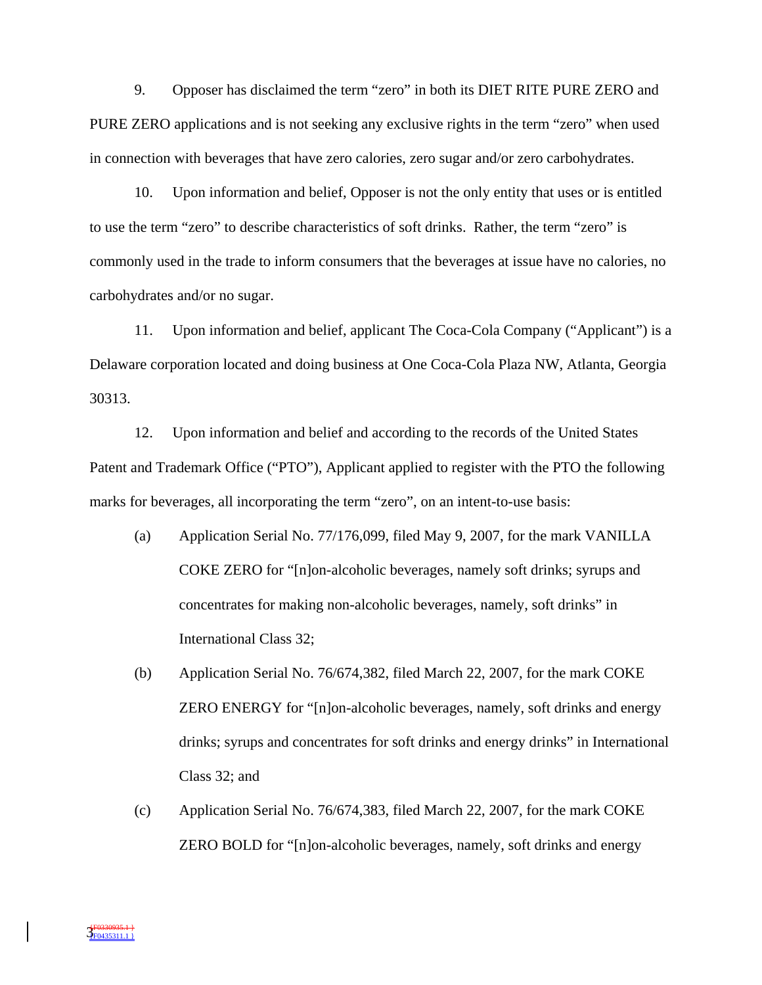9. Opposer has disclaimed the term "zero" in both its DIET RITE PURE ZERO and PURE ZERO applications and is not seeking any exclusive rights in the term "zero" when used in connection with beverages that have zero calories, zero sugar and/or zero carbohydrates.

10. Upon information and belief, Opposer is not the only entity that uses or is entitled to use the term "zero" to describe characteristics of soft drinks. Rather, the term "zero" is commonly used in the trade to inform consumers that the beverages at issue have no calories, no carbohydrates and/or no sugar.

11. Upon information and belief, applicant The Coca-Cola Company ("Applicant") is a Delaware corporation located and doing business at One Coca-Cola Plaza NW, Atlanta, Georgia 30313.

12. Upon information and belief and according to the records of the United States Patent and Trademark Office ("PTO"), Applicant applied to register with the PTO the following marks for beverages, all incorporating the term "zero", on an intent-to-use basis:

- (a) Application Serial No. 77/176,099, filed May 9, 2007, for the mark VANILLA COKE ZERO for "[n]on-alcoholic beverages, namely soft drinks; syrups and concentrates for making non-alcoholic beverages, namely, soft drinks" in International Class 32;
- (b) Application Serial No. 76/674,382, filed March 22, 2007, for the mark COKE ZERO ENERGY for "[n]on-alcoholic beverages, namely, soft drinks and energy drinks; syrups and concentrates for soft drinks and energy drinks" in International Class 32; and
- (c) Application Serial No. 76/674,383, filed March 22, 2007, for the mark COKE ZERO BOLD for "[n]on-alcoholic beverages, namely, soft drinks and energy

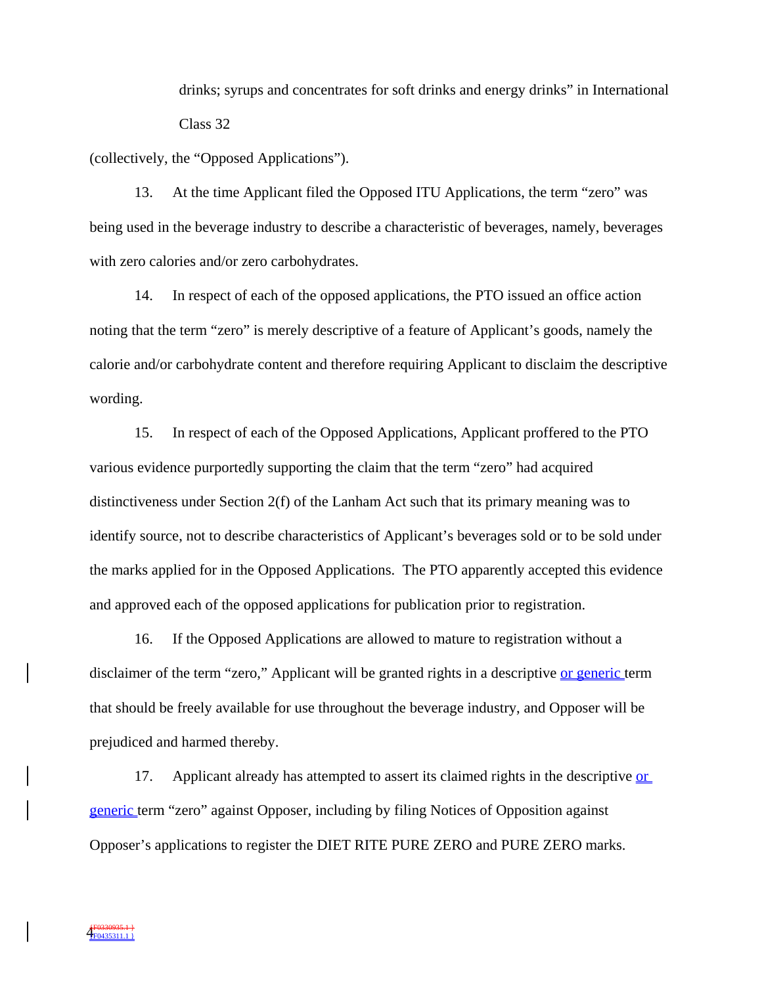drinks; syrups and concentrates for soft drinks and energy drinks" in International Class 32

(collectively, the "Opposed Applications").

13. At the time Applicant filed the Opposed ITU Applications, the term "zero" was being used in the beverage industry to describe a characteristic of beverages, namely, beverages with zero calories and/or zero carbohydrates.

14. In respect of each of the opposed applications, the PTO issued an office action noting that the term "zero" is merely descriptive of a feature of Applicant's goods, namely the calorie and/or carbohydrate content and therefore requiring Applicant to disclaim the descriptive wording.

15. In respect of each of the Opposed Applications, Applicant proffered to the PTO various evidence purportedly supporting the claim that the term "zero" had acquired distinctiveness under Section 2(f) of the Lanham Act such that its primary meaning was to identify source, not to describe characteristics of Applicant's beverages sold or to be sold under the marks applied for in the Opposed Applications. The PTO apparently accepted this evidence and approved each of the opposed applications for publication prior to registration.

16. If the Opposed Applications are allowed to mature to registration without a disclaimer of the term "zero," Applicant will be granted rights in a descriptive or generic term that should be freely available for use throughout the beverage industry, and Opposer will be prejudiced and harmed thereby.

17. Applicant already has attempted to assert its claimed rights in the descriptive or generic term "zero" against Opposer, including by filing Notices of Opposition against Opposer's applications to register the DIET RITE PURE ZERO and PURE ZERO marks.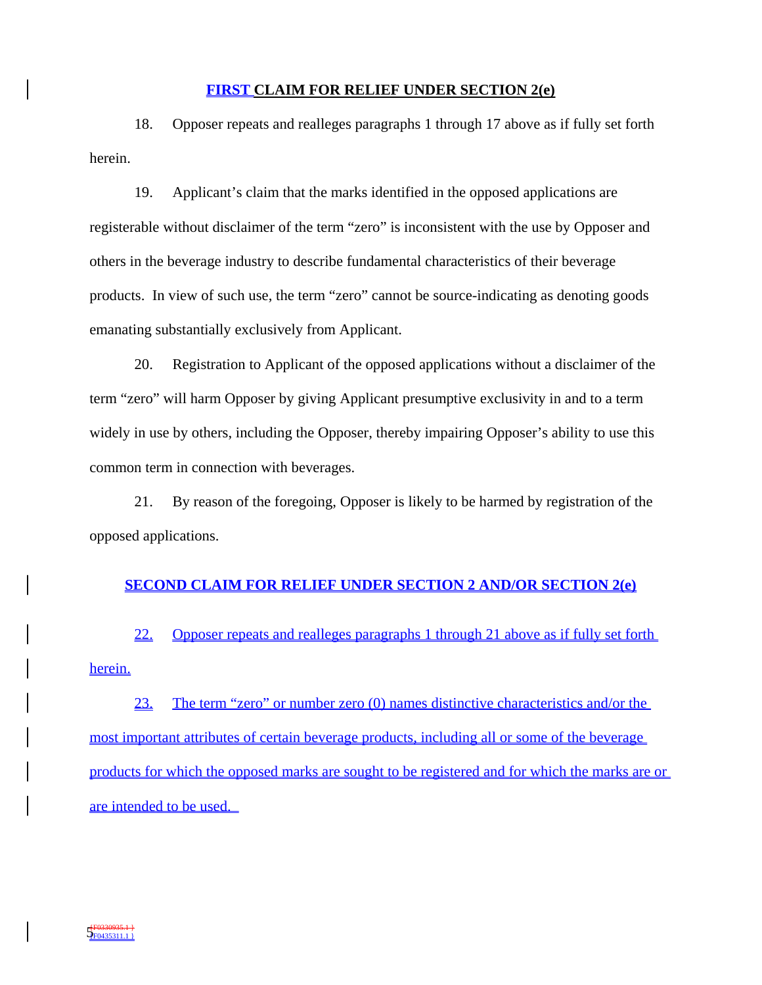### **FIRST CLAIM FOR RELIEF UNDER SECTION 2(e)**

18. Opposer repeats and realleges paragraphs 1 through 17 above as if fully set forth herein.

19. Applicant's claim that the marks identified in the opposed applications are registerable without disclaimer of the term "zero" is inconsistent with the use by Opposer and others in the beverage industry to describe fundamental characteristics of their beverage products. In view of such use, the term "zero" cannot be source-indicating as denoting goods emanating substantially exclusively from Applicant.

20. Registration to Applicant of the opposed applications without a disclaimer of the term "zero" will harm Opposer by giving Applicant presumptive exclusivity in and to a term widely in use by others, including the Opposer, thereby impairing Opposer's ability to use this common term in connection with beverages.

21. By reason of the foregoing, Opposer is likely to be harmed by registration of the opposed applications.

#### **SECOND CLAIM FOR RELIEF UNDER SECTION 2 AND/OR SECTION 2(e)**

22. Opposer repeats and realleges paragraphs 1 through 21 above as if fully set forth herein.

23. The term "zero" or number zero (0) names distinctive characteristics and/or the most important attributes of certain beverage products, including all or some of the beverage products for which the opposed marks are sought to be registered and for which the marks are or are intended to be used.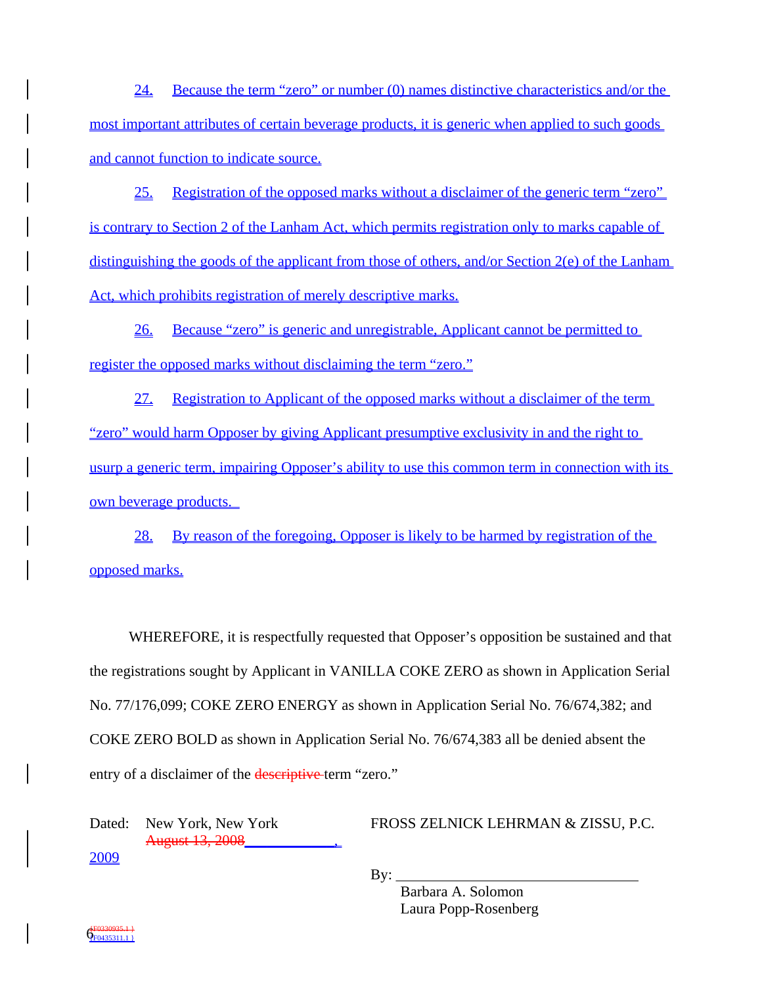24. Because the term "zero" or number (0) names distinctive characteristics and/or the most important attributes of certain beverage products, it is generic when applied to such goods and cannot function to indicate source.

25. Registration of the opposed marks without a disclaimer of the generic term "zero" is contrary to Section 2 of the Lanham Act, which permits registration only to marks capable of distinguishing the goods of the applicant from those of others, and/or Section 2(e) of the Lanham Act, which prohibits registration of merely descriptive marks.

26. Because "zero" is generic and unregistrable, Applicant cannot be permitted to register the opposed marks without disclaiming the term "zero."

27. Registration to Applicant of the opposed marks without a disclaimer of the term "zero" would harm Opposer by giving Applicant presumptive exclusivity in and the right to usurp a generic term, impairing Opposer's ability to use this common term in connection with its own beverage products.

28. By reason of the foregoing, Opposer is likely to be harmed by registration of the opposed marks.

WHEREFORE, it is respectfully requested that Opposer's opposition be sustained and that the registrations sought by Applicant in VANILLA COKE ZERO as shown in Application Serial No. 77/176,099; COKE ZERO ENERGY as shown in Application Serial No. 76/674,382; and COKE ZERO BOLD as shown in Application Serial No. 76/674,383 all be denied absent the entry of a disclaimer of the descriptive term "zero."

Dated: New York, New York August 13, 2008\_\_\_\_\_\_\_\_\_\_\_\_,

FROSS ZELNICK LEHRMAN & ZISSU, P.C.

2009

 $By:$ 

 Barbara A. Solomon Laura Popp-Rosenberg

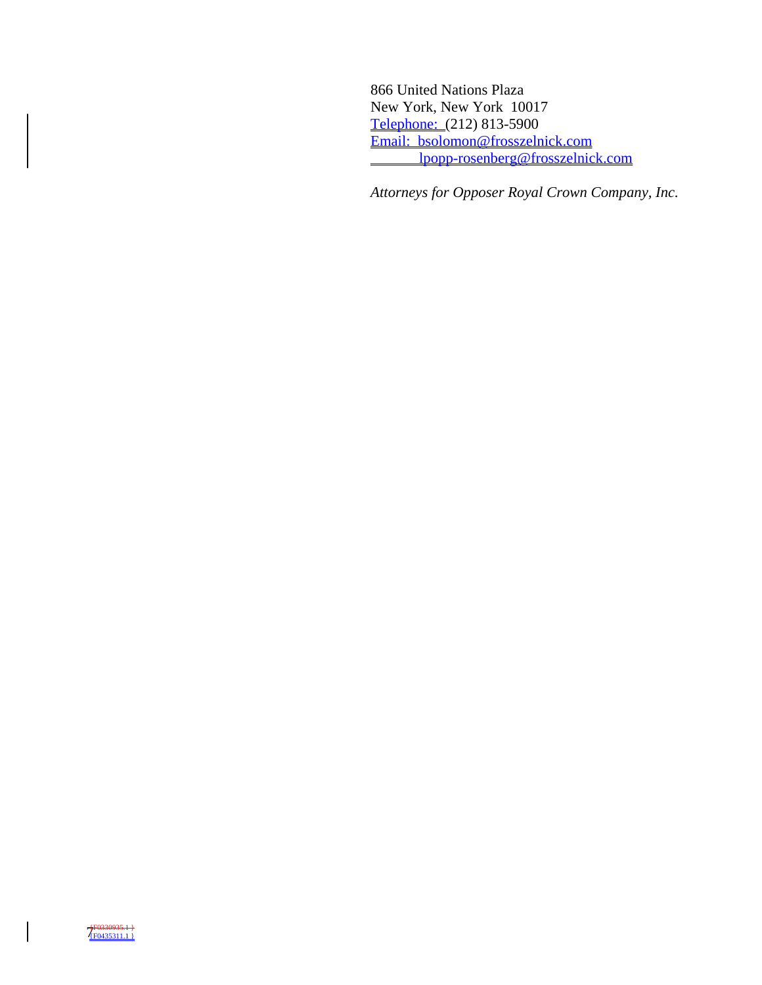866 United Nations Plaza New York, New York 10017 Telephone: (212) 813-5900 Email: bsolomon@frosszelnick.com lpopp-rosenberg@frosszelnick.com

*Attorneys for Opposer Royal Crown Company, Inc.*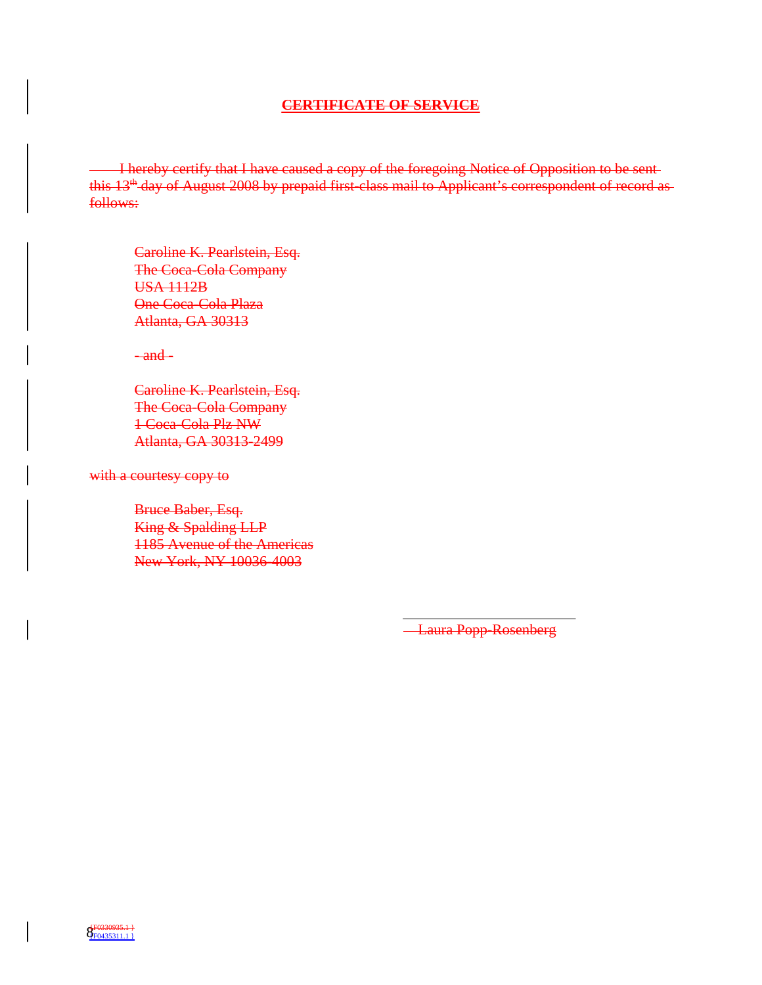#### **CERTIFICATE OF SERVICE**

 I hereby certify that I have caused a copy of the foregoing Notice of Opposition to be sent this 13<sup>th</sup> day of August 2008 by prepaid first-class mail to Applicant's correspondent of record asfollows:

Caroline K. Pearlstein, Esq. The Coca-Cola Company USA 1112B One Coca-Cola Plaza Atlanta, GA 30313

 $-$ and $-$ 

Caroline K. Pearlstein, Esq. The Coca-Cola Company 1 Coca-Cola Plz NW Atlanta, GA 30313-2499

with a courtesy copy to

Bruce Baber, Esq. King & Spalding LLP 1185 Avenue of the Americas New York, NY 10036-4003

Laura Popp-Rosenberg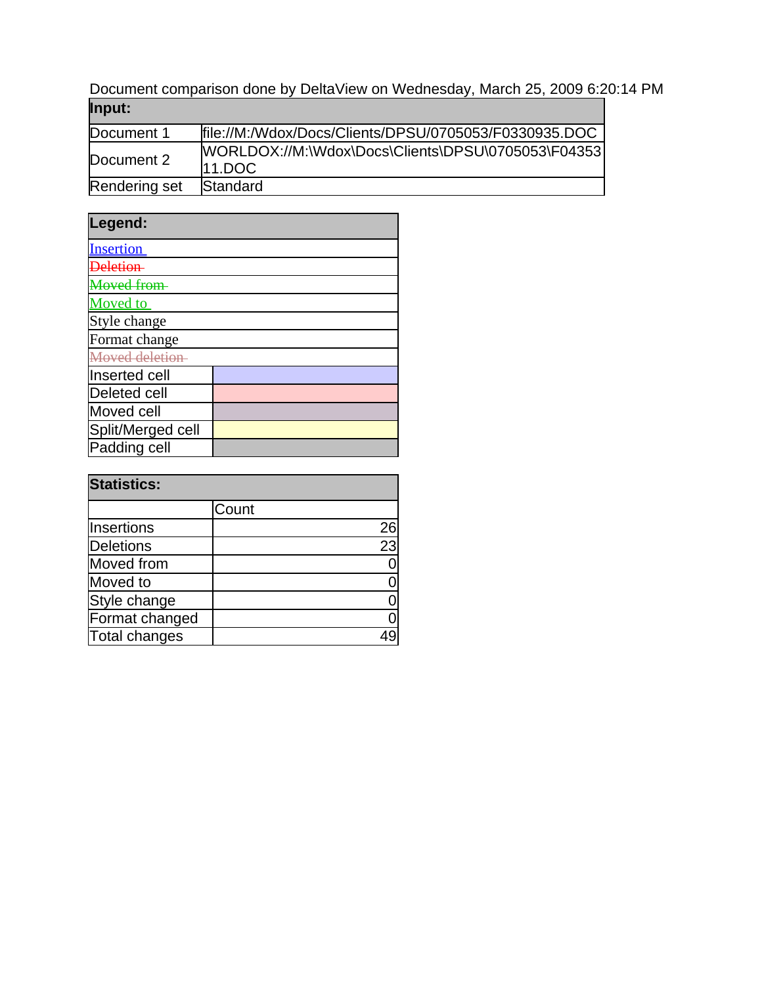Document comparison done by DeltaView on Wednesday, March 25, 2009 6:20:14 PM **Input:**

| popul.        |                                                                   |
|---------------|-------------------------------------------------------------------|
| Document 1    | file://M:/Wdox/Docs/Clients/DPSU/0705053/F0330935.DOC             |
| Document 2    | [WORLDOX://M:\Wdox\Docs\Clients\DPSU\0705053\F04353)<br>$11.$ DOC |
| Rendering set | Standard                                                          |

| Legend:                  |  |  |
|--------------------------|--|--|
| <b>Insertion</b>         |  |  |
|                          |  |  |
| <i><b>Loved from</b></i> |  |  |
| Moved to                 |  |  |
| Style change             |  |  |
| Format change            |  |  |
| Moved deletion           |  |  |
| Inserted cell            |  |  |
| <b>Deleted cell</b>      |  |  |
| Moved cell               |  |  |
| Split/Merged cell        |  |  |
| Padding cell             |  |  |

| <b>Statistics:</b> |       |    |
|--------------------|-------|----|
|                    | Count |    |
| Insertions         |       | 26 |
| Deletions          |       | 23 |
| Moved from         |       |    |
| Moved to           |       |    |
| Style change       |       |    |
| Format changed     |       |    |
| Total changes      |       |    |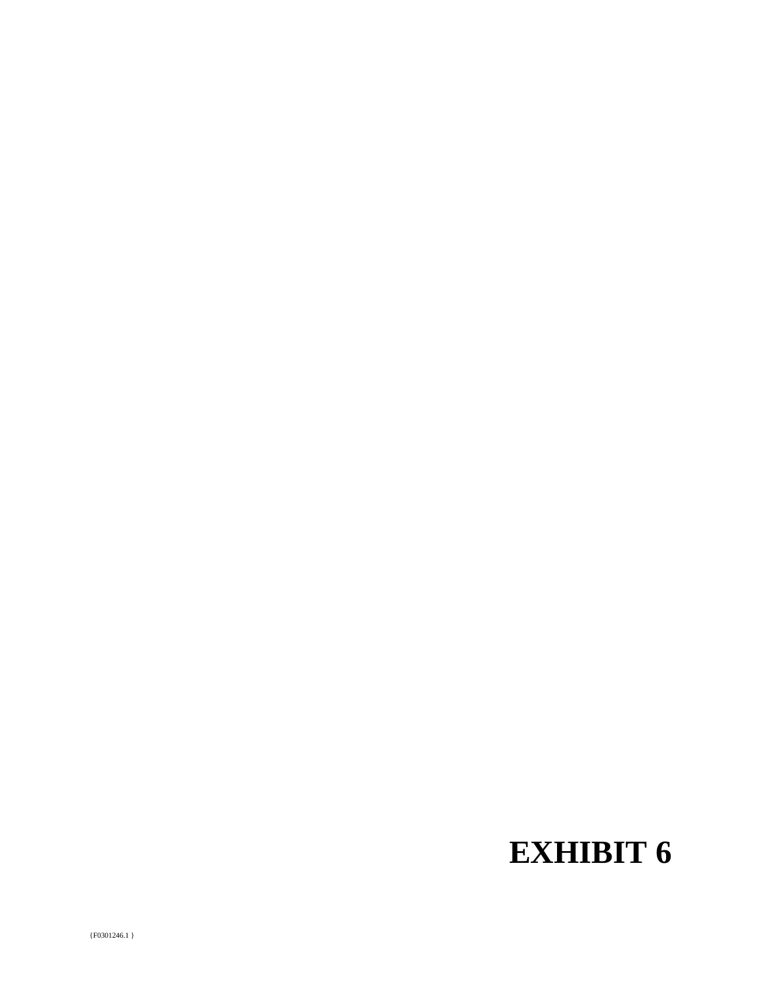# **EXHIBIT 6**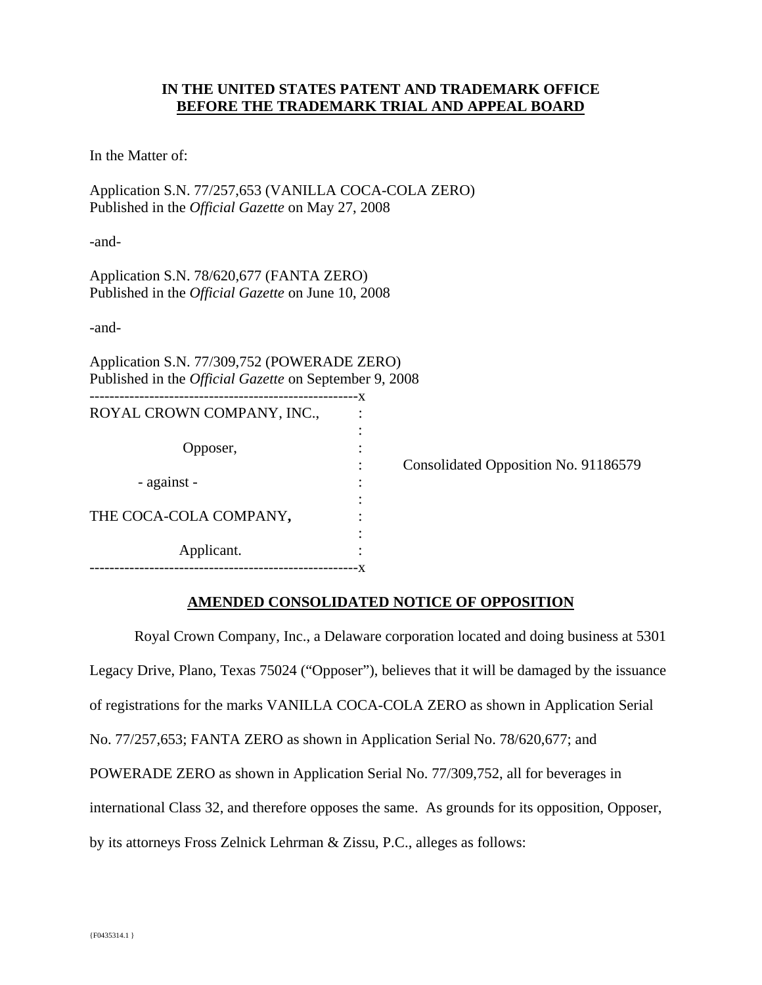## **IN THE UNITED STATES PATENT AND TRADEMARK OFFICE BEFORE THE TRADEMARK TRIAL AND APPEAL BOARD**

In the Matter of:

Application S.N. 77/257,653 (VANILLA COCA-COLA ZERO) Published in the *Official Gazette* on May 27, 2008

-and-

Application S.N. 78/620,677 (FANTA ZERO) Published in the *Official Gazette* on June 10, 2008

-and-

Application S.N. 77/309,752 (POWERADE ZERO) Published in the *Official Gazette* on September 9, 2008

| ROYAL CROWN COMPANY, INC., |                                  |                                      |
|----------------------------|----------------------------------|--------------------------------------|
| Opposer,                   | ٠<br>٠<br>$\bullet$<br>$\bullet$ | Consolidated Opposition No. 91186579 |
| - against -                | ٠<br>٠<br>$\bullet$              |                                      |
| THE COCA-COLA COMPANY,     | ٠<br>٠                           |                                      |
| Applicant.                 | ٠                                |                                      |

## **AMENDED CONSOLIDATED NOTICE OF OPPOSITION**

 Royal Crown Company, Inc., a Delaware corporation located and doing business at 5301 Legacy Drive, Plano, Texas 75024 ("Opposer"), believes that it will be damaged by the issuance of registrations for the marks VANILLA COCA-COLA ZERO as shown in Application Serial No. 77/257,653; FANTA ZERO as shown in Application Serial No. 78/620,677; and POWERADE ZERO as shown in Application Serial No. 77/309,752, all for beverages in international Class 32, and therefore opposes the same. As grounds for its opposition, Opposer, by its attorneys Fross Zelnick Lehrman & Zissu, P.C., alleges as follows: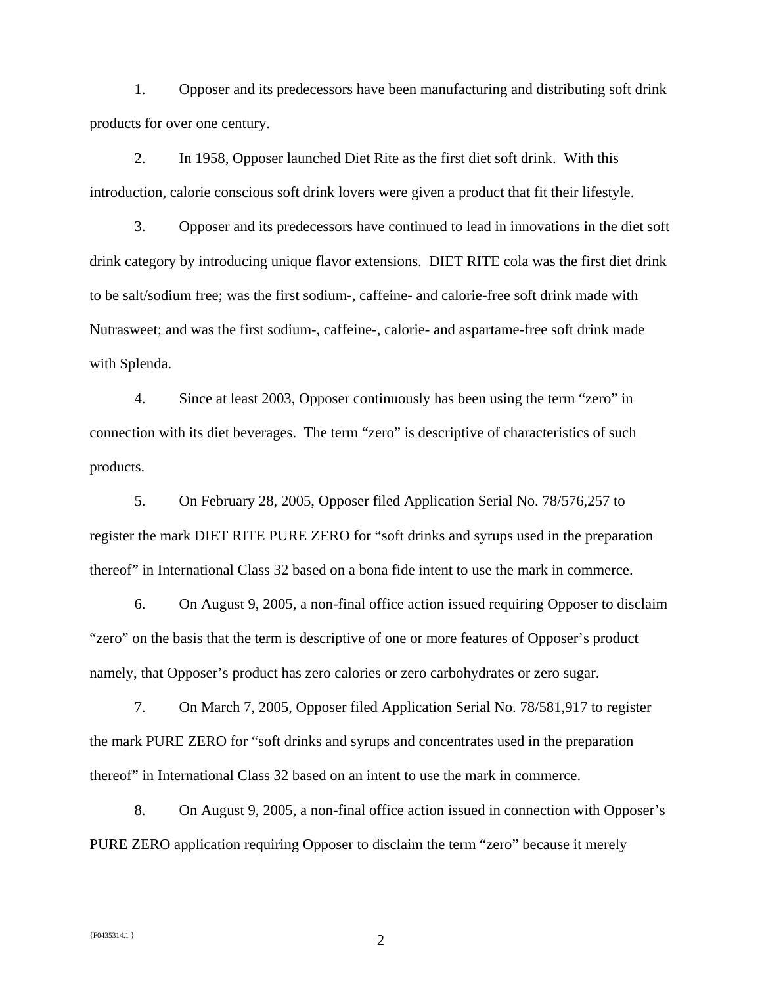1. Opposer and its predecessors have been manufacturing and distributing soft drink products for over one century.

2. In 1958, Opposer launched Diet Rite as the first diet soft drink. With this introduction, calorie conscious soft drink lovers were given a product that fit their lifestyle.

3. Opposer and its predecessors have continued to lead in innovations in the diet soft drink category by introducing unique flavor extensions. DIET RITE cola was the first diet drink to be salt/sodium free; was the first sodium-, caffeine- and calorie-free soft drink made with Nutrasweet; and was the first sodium-, caffeine-, calorie- and aspartame-free soft drink made with Splenda.

4. Since at least 2003, Opposer continuously has been using the term "zero" in connection with its diet beverages. The term "zero" is descriptive of characteristics of such products.

5. On February 28, 2005, Opposer filed Application Serial No. 78/576,257 to register the mark DIET RITE PURE ZERO for "soft drinks and syrups used in the preparation thereof" in International Class 32 based on a bona fide intent to use the mark in commerce.

6. On August 9, 2005, a non-final office action issued requiring Opposer to disclaim "zero" on the basis that the term is descriptive of one or more features of Opposer's product namely, that Opposer's product has zero calories or zero carbohydrates or zero sugar.

7. On March 7, 2005, Opposer filed Application Serial No. 78/581,917 to register the mark PURE ZERO for "soft drinks and syrups and concentrates used in the preparation thereof" in International Class 32 based on an intent to use the mark in commerce.

8. On August 9, 2005, a non-final office action issued in connection with Opposer's PURE ZERO application requiring Opposer to disclaim the term "zero" because it merely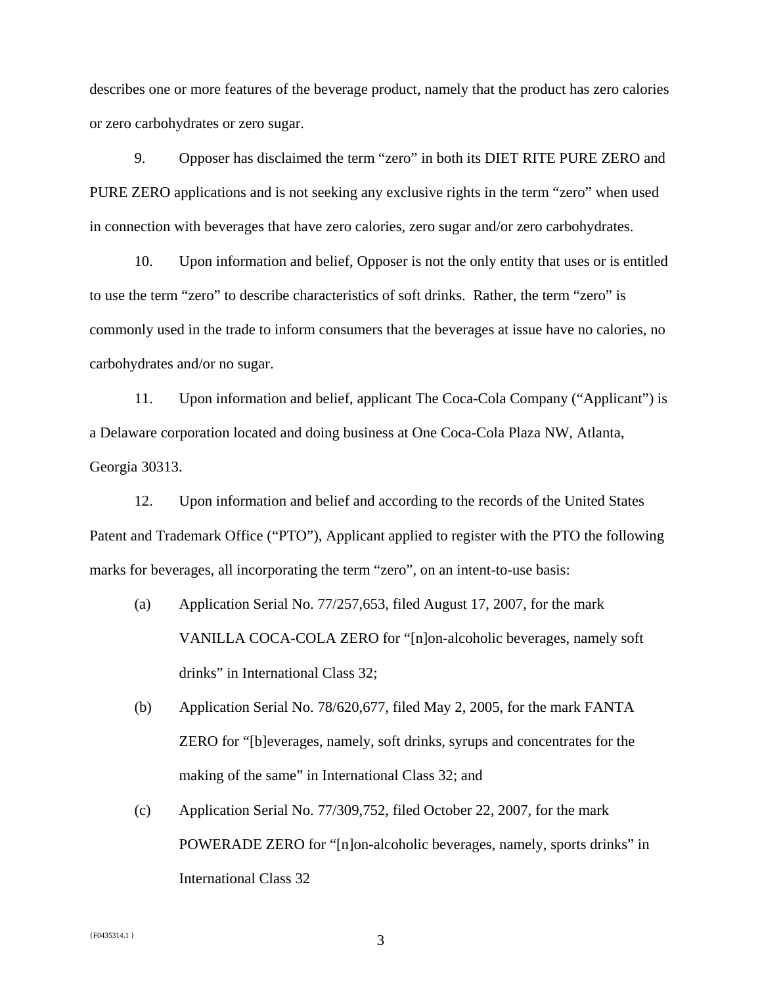describes one or more features of the beverage product, namely that the product has zero calories or zero carbohydrates or zero sugar.

9. Opposer has disclaimed the term "zero" in both its DIET RITE PURE ZERO and PURE ZERO applications and is not seeking any exclusive rights in the term "zero" when used in connection with beverages that have zero calories, zero sugar and/or zero carbohydrates.

10. Upon information and belief, Opposer is not the only entity that uses or is entitled to use the term "zero" to describe characteristics of soft drinks. Rather, the term "zero" is commonly used in the trade to inform consumers that the beverages at issue have no calories, no carbohydrates and/or no sugar.

11. Upon information and belief, applicant The Coca-Cola Company ("Applicant") is a Delaware corporation located and doing business at One Coca-Cola Plaza NW, Atlanta, Georgia 30313.

12. Upon information and belief and according to the records of the United States Patent and Trademark Office ("PTO"), Applicant applied to register with the PTO the following marks for beverages, all incorporating the term "zero", on an intent-to-use basis:

- (a) Application Serial No. 77/257,653, filed August 17, 2007, for the mark VANILLA COCA-COLA ZERO for "[n]on-alcoholic beverages, namely soft drinks" in International Class 32;
- (b) Application Serial No. 78/620,677, filed May 2, 2005, for the mark FANTA ZERO for "[b]everages, namely, soft drinks, syrups and concentrates for the making of the same" in International Class 32; and
- (c) Application Serial No. 77/309,752, filed October 22, 2007, for the mark POWERADE ZERO for "[n]on-alcoholic beverages, namely, sports drinks" in International Class 32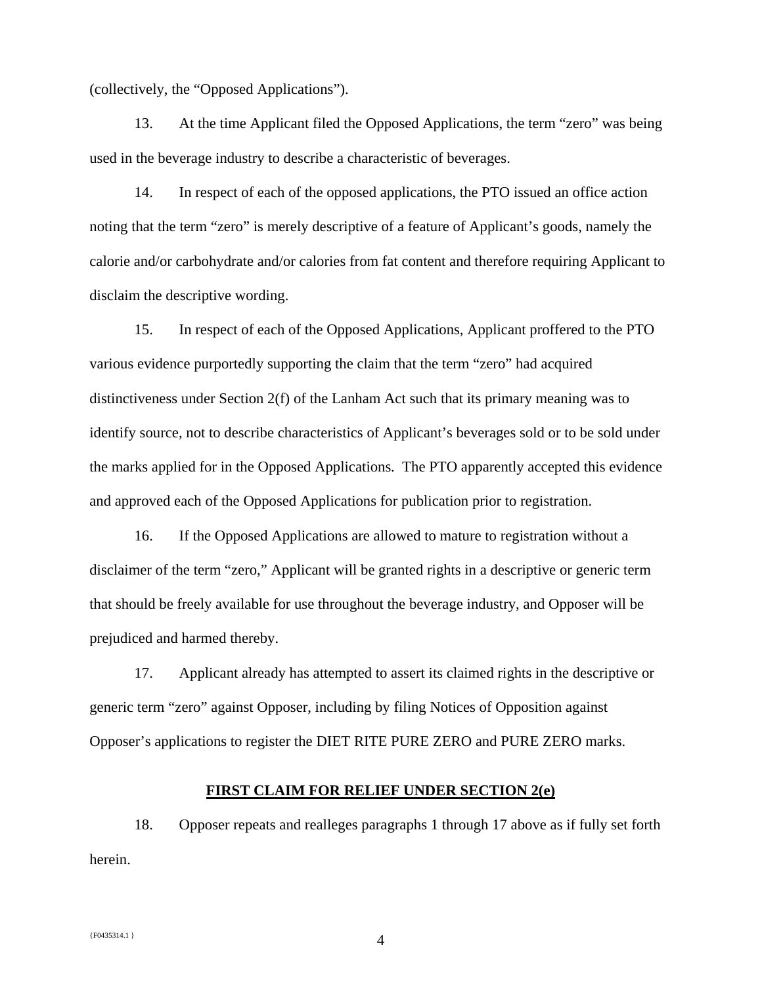(collectively, the "Opposed Applications").

13. At the time Applicant filed the Opposed Applications, the term "zero" was being used in the beverage industry to describe a characteristic of beverages.

14. In respect of each of the opposed applications, the PTO issued an office action noting that the term "zero" is merely descriptive of a feature of Applicant's goods, namely the calorie and/or carbohydrate and/or calories from fat content and therefore requiring Applicant to disclaim the descriptive wording.

15. In respect of each of the Opposed Applications, Applicant proffered to the PTO various evidence purportedly supporting the claim that the term "zero" had acquired distinctiveness under Section 2(f) of the Lanham Act such that its primary meaning was to identify source, not to describe characteristics of Applicant's beverages sold or to be sold under the marks applied for in the Opposed Applications. The PTO apparently accepted this evidence and approved each of the Opposed Applications for publication prior to registration.

16. If the Opposed Applications are allowed to mature to registration without a disclaimer of the term "zero," Applicant will be granted rights in a descriptive or generic term that should be freely available for use throughout the beverage industry, and Opposer will be prejudiced and harmed thereby.

17. Applicant already has attempted to assert its claimed rights in the descriptive or generic term "zero" against Opposer, including by filing Notices of Opposition against Opposer's applications to register the DIET RITE PURE ZERO and PURE ZERO marks.

#### **FIRST CLAIM FOR RELIEF UNDER SECTION 2(e)**

18. Opposer repeats and realleges paragraphs 1 through 17 above as if fully set forth herein.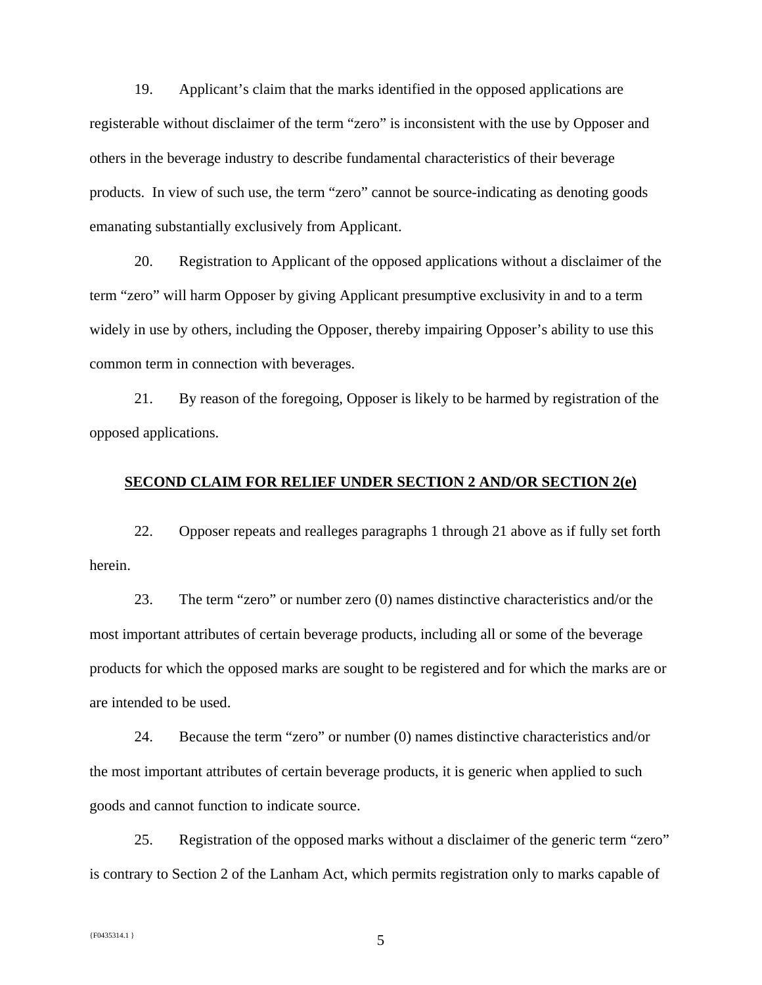19. Applicant's claim that the marks identified in the opposed applications are registerable without disclaimer of the term "zero" is inconsistent with the use by Opposer and others in the beverage industry to describe fundamental characteristics of their beverage products. In view of such use, the term "zero" cannot be source-indicating as denoting goods emanating substantially exclusively from Applicant.

20. Registration to Applicant of the opposed applications without a disclaimer of the term "zero" will harm Opposer by giving Applicant presumptive exclusivity in and to a term widely in use by others, including the Opposer, thereby impairing Opposer's ability to use this common term in connection with beverages.

21. By reason of the foregoing, Opposer is likely to be harmed by registration of the opposed applications.

#### **SECOND CLAIM FOR RELIEF UNDER SECTION 2 AND/OR SECTION 2(e)**

22. Opposer repeats and realleges paragraphs 1 through 21 above as if fully set forth herein.

23. The term "zero" or number zero (0) names distinctive characteristics and/or the most important attributes of certain beverage products, including all or some of the beverage products for which the opposed marks are sought to be registered and for which the marks are or are intended to be used.

24. Because the term "zero" or number (0) names distinctive characteristics and/or the most important attributes of certain beverage products, it is generic when applied to such goods and cannot function to indicate source.

25. Registration of the opposed marks without a disclaimer of the generic term "zero" is contrary to Section 2 of the Lanham Act, which permits registration only to marks capable of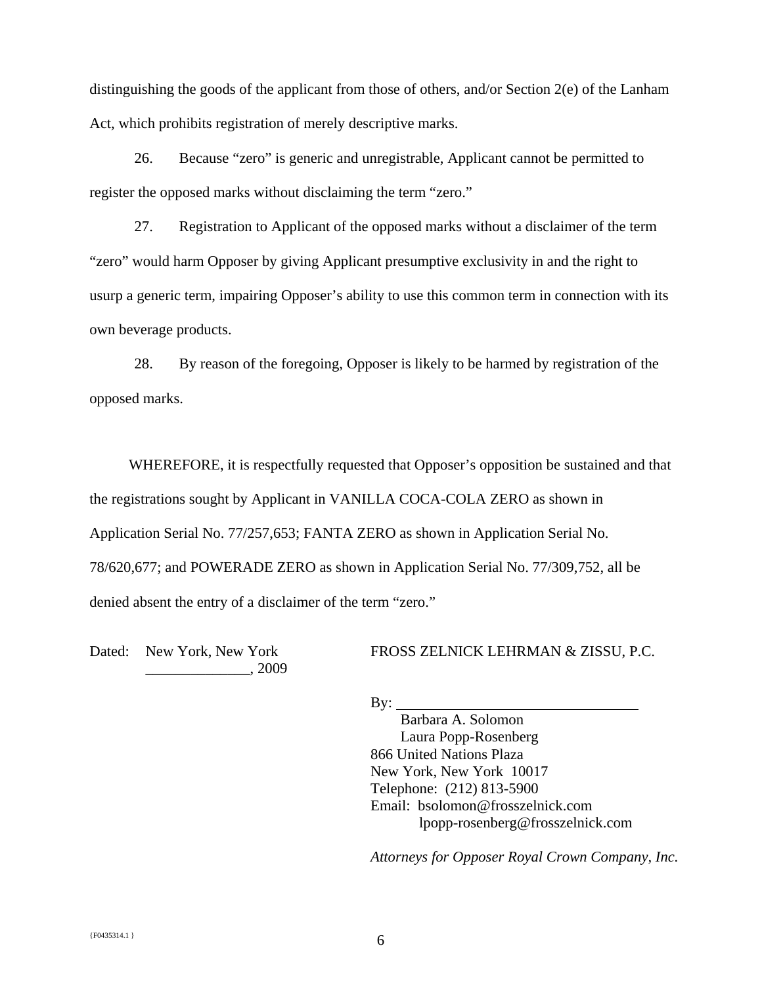distinguishing the goods of the applicant from those of others, and/or Section 2(e) of the Lanham Act, which prohibits registration of merely descriptive marks.

26. Because "zero" is generic and unregistrable, Applicant cannot be permitted to register the opposed marks without disclaiming the term "zero."

27. Registration to Applicant of the opposed marks without a disclaimer of the term "zero" would harm Opposer by giving Applicant presumptive exclusivity in and the right to usurp a generic term, impairing Opposer's ability to use this common term in connection with its own beverage products.

28. By reason of the foregoing, Opposer is likely to be harmed by registration of the opposed marks.

 WHEREFORE, it is respectfully requested that Opposer's opposition be sustained and that the registrations sought by Applicant in VANILLA COCA-COLA ZERO as shown in Application Serial No. 77/257,653; FANTA ZERO as shown in Application Serial No. 78/620,677; and POWERADE ZERO as shown in Application Serial No. 77/309,752, all be denied absent the entry of a disclaimer of the term "zero."

Dated: New York, New York \_\_\_\_\_\_\_\_\_\_\_\_\_\_, 2009 FROSS ZELNICK LEHRMAN & ZISSU, P.C.

 $By:$ 

 Barbara A. Solomon Laura Popp-Rosenberg 866 United Nations Plaza New York, New York 10017 Telephone: (212) 813-5900 Email: bsolomon@frosszelnick.com lpopp-rosenberg@frosszelnick.com

*Attorneys for Opposer Royal Crown Company, Inc.*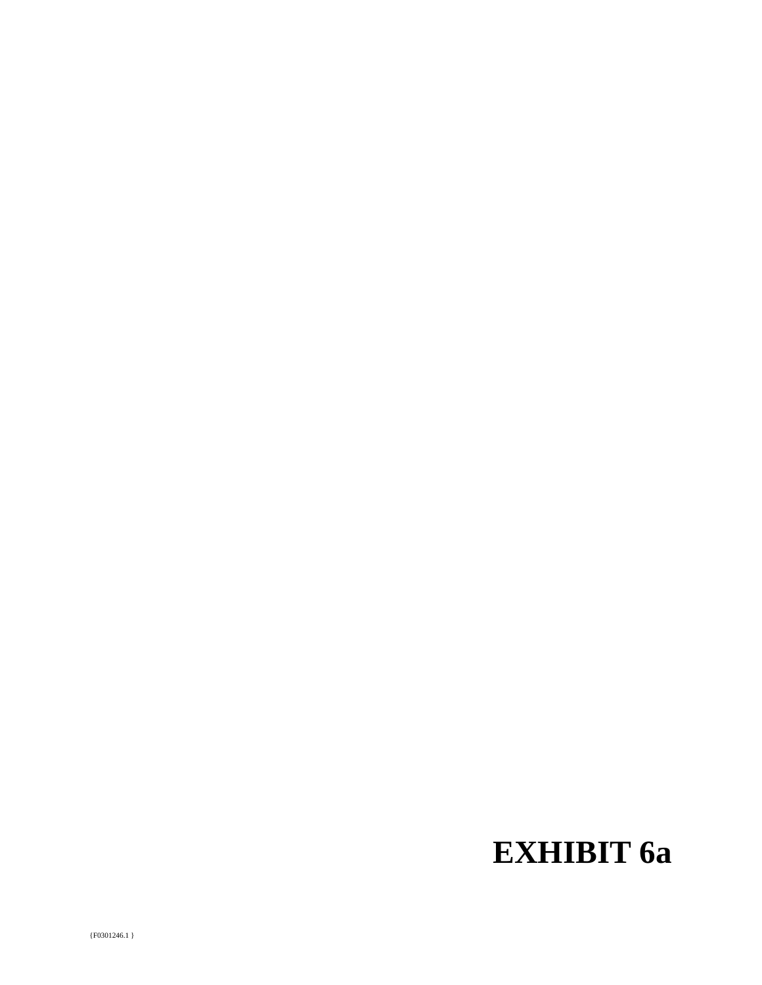# **EXHIBIT 6a**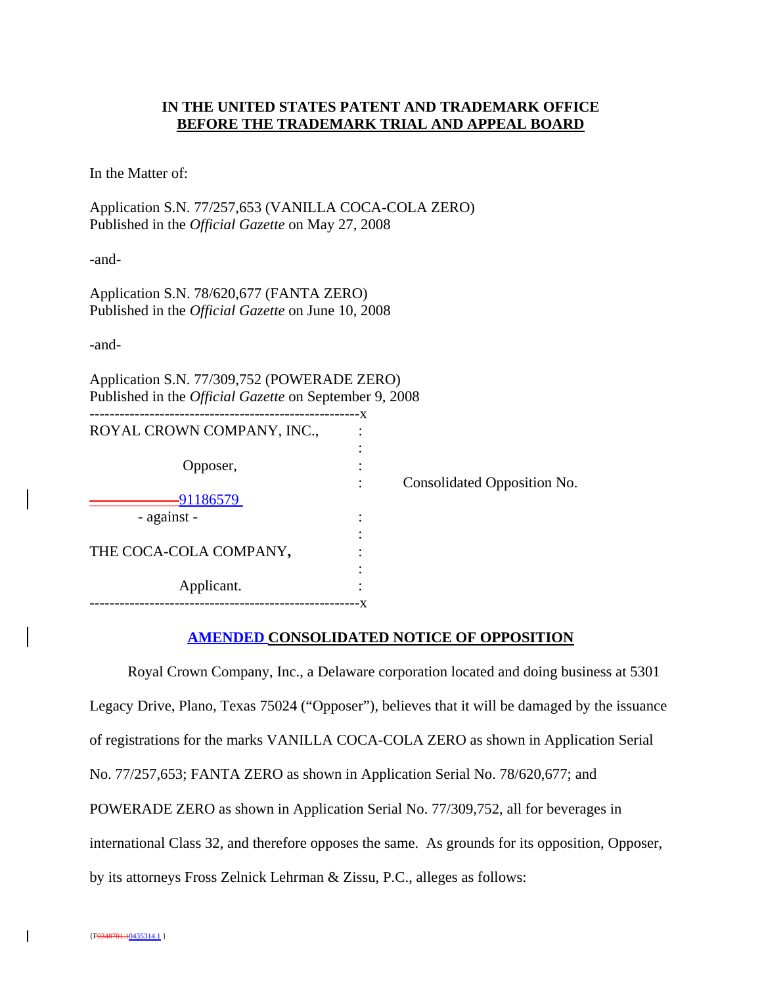# **IN THE UNITED STATES PATENT AND TRADEMARK OFFICE BEFORE THE TRADEMARK TRIAL AND APPEAL BOARD**

In the Matter of:

Application S.N. 77/257,653 (VANILLA COCA-COLA ZERO) Published in the *Official Gazette* on May 27, 2008

-and-

Application S.N. 78/620,677 (FANTA ZERO) Published in the *Official Gazette* on June 10, 2008

-and-

Application S.N. 77/309,752 (POWERADE ZERO) Published in the *Official Gazette* on September 9, 2008

|                            | - X |                             |
|----------------------------|-----|-----------------------------|
| ROYAL CROWN COMPANY, INC., |     |                             |
|                            |     |                             |
| Opposer,                   |     |                             |
|                            |     | Consolidated Opposition No. |
| <u>91186579</u>            |     |                             |
| - against -                |     |                             |
|                            |     |                             |
| THE COCA-COLA COMPANY,     |     |                             |
|                            |     |                             |
| Applicant.                 |     |                             |
|                            |     |                             |

#### **AMENDED CONSOLIDATED NOTICE OF OPPOSITION**

Royal Crown Company, Inc., a Delaware corporation located and doing business at 5301 Legacy Drive, Plano, Texas 75024 ("Opposer"), believes that it will be damaged by the issuance of registrations for the marks VANILLA COCA-COLA ZERO as shown in Application Serial No. 77/257,653; FANTA ZERO as shown in Application Serial No. 78/620,677; and POWERADE ZERO as shown in Application Serial No. 77/309,752, all for beverages in international Class 32, and therefore opposes the same. As grounds for its opposition, Opposer, by its attorneys Fross Zelnick Lehrman & Zissu, P.C., alleges as follows: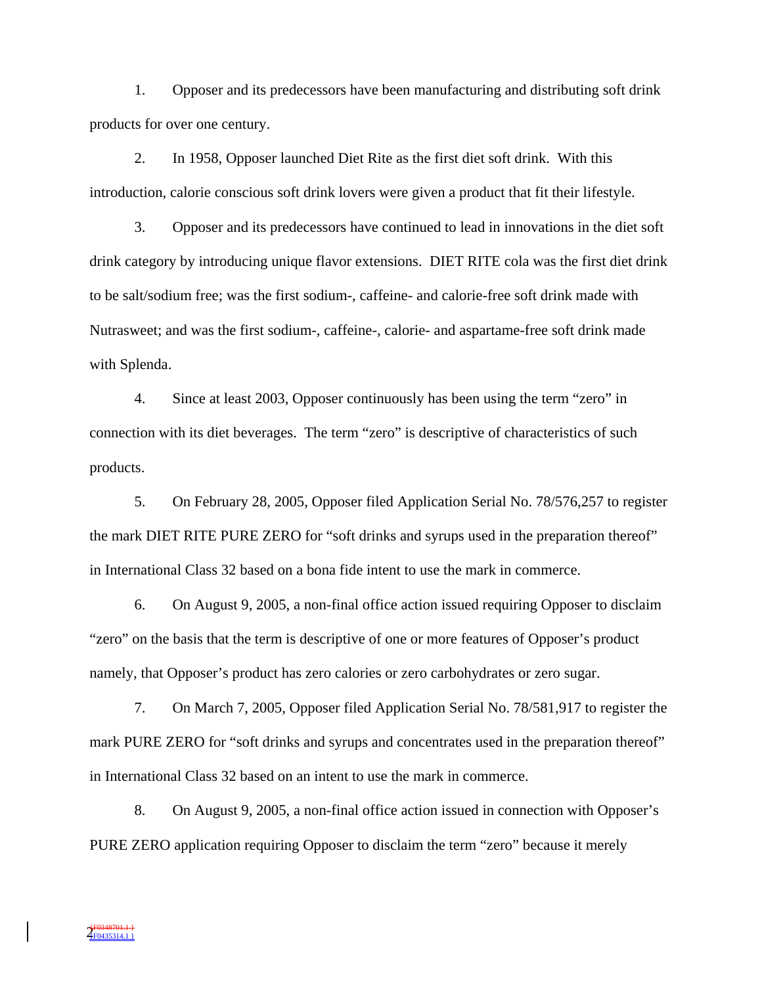1. Opposer and its predecessors have been manufacturing and distributing soft drink products for over one century.

2. In 1958, Opposer launched Diet Rite as the first diet soft drink. With this introduction, calorie conscious soft drink lovers were given a product that fit their lifestyle.

3. Opposer and its predecessors have continued to lead in innovations in the diet soft drink category by introducing unique flavor extensions. DIET RITE cola was the first diet drink to be salt/sodium free; was the first sodium-, caffeine- and calorie-free soft drink made with Nutrasweet; and was the first sodium-, caffeine-, calorie- and aspartame-free soft drink made with Splenda.

4. Since at least 2003, Opposer continuously has been using the term "zero" in connection with its diet beverages. The term "zero" is descriptive of characteristics of such products.

5. On February 28, 2005, Opposer filed Application Serial No. 78/576,257 to register the mark DIET RITE PURE ZERO for "soft drinks and syrups used in the preparation thereof" in International Class 32 based on a bona fide intent to use the mark in commerce.

6. On August 9, 2005, a non-final office action issued requiring Opposer to disclaim "zero" on the basis that the term is descriptive of one or more features of Opposer's product namely, that Opposer's product has zero calories or zero carbohydrates or zero sugar.

7. On March 7, 2005, Opposer filed Application Serial No. 78/581,917 to register the mark PURE ZERO for "soft drinks and syrups and concentrates used in the preparation thereof" in International Class 32 based on an intent to use the mark in commerce.

8. On August 9, 2005, a non-final office action issued in connection with Opposer's PURE ZERO application requiring Opposer to disclaim the term "zero" because it merely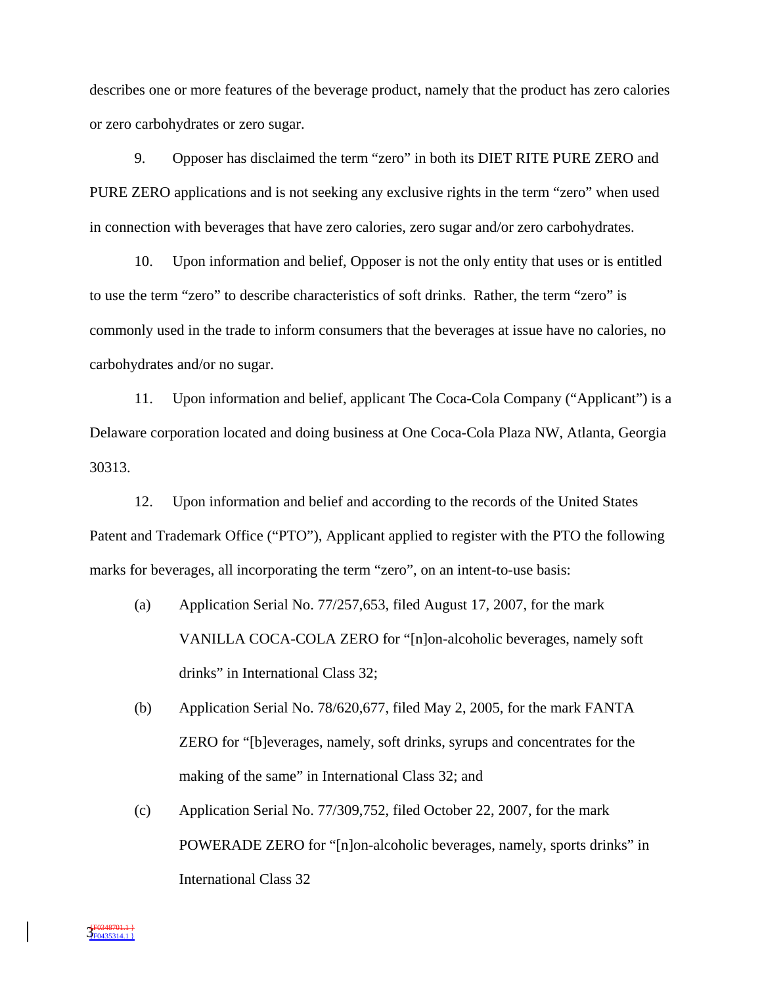describes one or more features of the beverage product, namely that the product has zero calories or zero carbohydrates or zero sugar.

9. Opposer has disclaimed the term "zero" in both its DIET RITE PURE ZERO and PURE ZERO applications and is not seeking any exclusive rights in the term "zero" when used in connection with beverages that have zero calories, zero sugar and/or zero carbohydrates.

10. Upon information and belief, Opposer is not the only entity that uses or is entitled to use the term "zero" to describe characteristics of soft drinks. Rather, the term "zero" is commonly used in the trade to inform consumers that the beverages at issue have no calories, no carbohydrates and/or no sugar.

11. Upon information and belief, applicant The Coca-Cola Company ("Applicant") is a Delaware corporation located and doing business at One Coca-Cola Plaza NW, Atlanta, Georgia 30313.

12. Upon information and belief and according to the records of the United States Patent and Trademark Office ("PTO"), Applicant applied to register with the PTO the following marks for beverages, all incorporating the term "zero", on an intent-to-use basis:

- (a) Application Serial No. 77/257,653, filed August 17, 2007, for the mark VANILLA COCA-COLA ZERO for "[n]on-alcoholic beverages, namely soft drinks" in International Class 32;
- (b) Application Serial No. 78/620,677, filed May 2, 2005, for the mark FANTA ZERO for "[b]everages, namely, soft drinks, syrups and concentrates for the making of the same" in International Class 32; and
- (c) Application Serial No. 77/309,752, filed October 22, 2007, for the mark POWERADE ZERO for "[n]on-alcoholic beverages, namely, sports drinks" in International Class 32

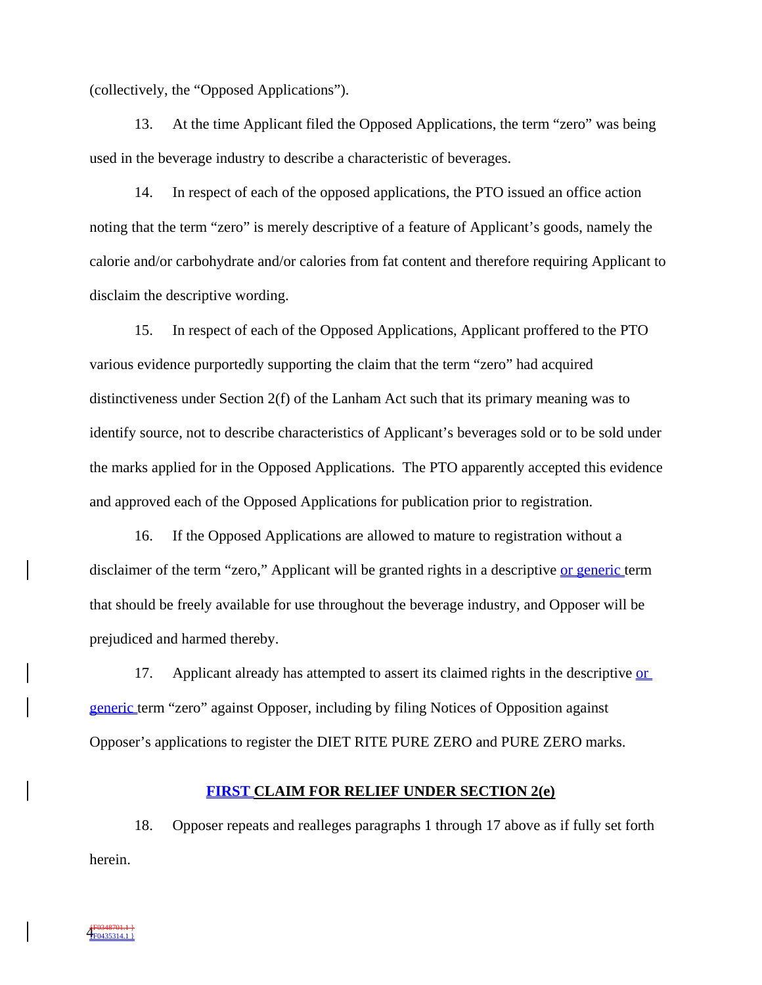(collectively, the "Opposed Applications").

13. At the time Applicant filed the Opposed Applications, the term "zero" was being used in the beverage industry to describe a characteristic of beverages.

14. In respect of each of the opposed applications, the PTO issued an office action noting that the term "zero" is merely descriptive of a feature of Applicant's goods, namely the calorie and/or carbohydrate and/or calories from fat content and therefore requiring Applicant to disclaim the descriptive wording.

15. In respect of each of the Opposed Applications, Applicant proffered to the PTO various evidence purportedly supporting the claim that the term "zero" had acquired distinctiveness under Section 2(f) of the Lanham Act such that its primary meaning was to identify source, not to describe characteristics of Applicant's beverages sold or to be sold under the marks applied for in the Opposed Applications. The PTO apparently accepted this evidence and approved each of the Opposed Applications for publication prior to registration.

16. If the Opposed Applications are allowed to mature to registration without a disclaimer of the term "zero," Applicant will be granted rights in a descriptive or generic term that should be freely available for use throughout the beverage industry, and Opposer will be prejudiced and harmed thereby.

17. Applicant already has attempted to assert its claimed rights in the descriptive or generic term "zero" against Opposer, including by filing Notices of Opposition against Opposer's applications to register the DIET RITE PURE ZERO and PURE ZERO marks.

#### **FIRST CLAIM FOR RELIEF UNDER SECTION 2(e)**

18. Opposer repeats and realleges paragraphs 1 through 17 above as if fully set forth herein.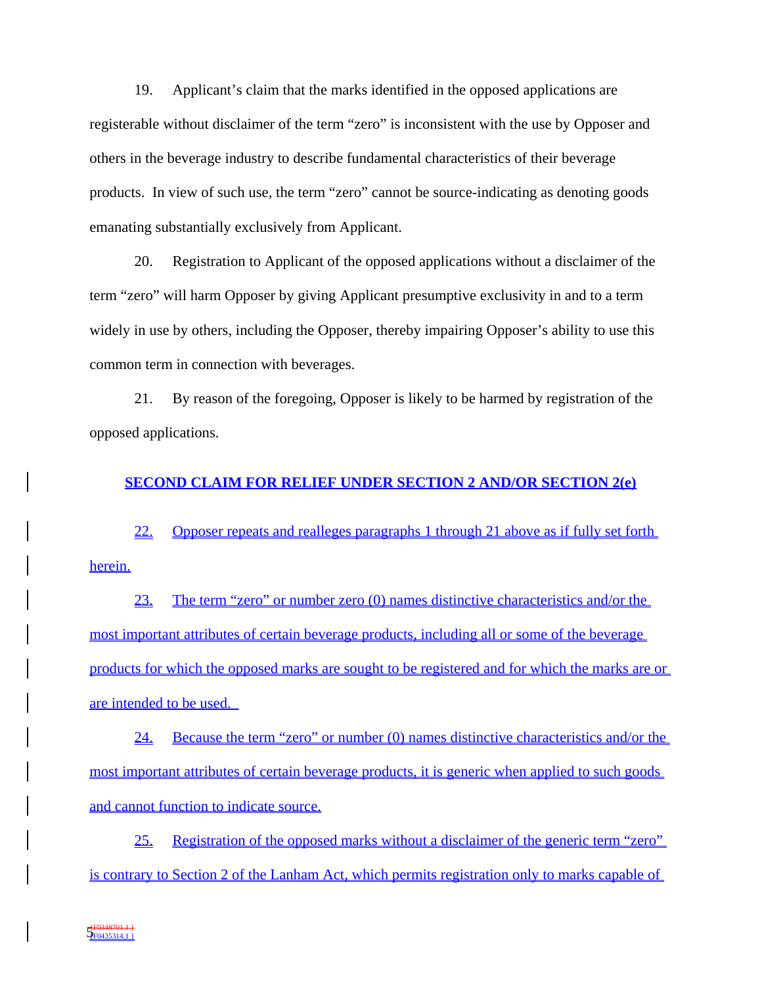19. Applicant's claim that the marks identified in the opposed applications are registerable without disclaimer of the term "zero" is inconsistent with the use by Opposer and others in the beverage industry to describe fundamental characteristics of their beverage products. In view of such use, the term "zero" cannot be source-indicating as denoting goods emanating substantially exclusively from Applicant.

20. Registration to Applicant of the opposed applications without a disclaimer of the term "zero" will harm Opposer by giving Applicant presumptive exclusivity in and to a term widely in use by others, including the Opposer, thereby impairing Opposer's ability to use this common term in connection with beverages.

21. By reason of the foregoing, Opposer is likely to be harmed by registration of the opposed applications.

### **SECOND CLAIM FOR RELIEF UNDER SECTION 2 AND/OR SECTION 2(e)**

22. Opposer repeats and realleges paragraphs 1 through 21 above as if fully set forth herein.

23. The term "zero" or number zero (0) names distinctive characteristics and/or the most important attributes of certain beverage products, including all or some of the beverage products for which the opposed marks are sought to be registered and for which the marks are or are intended to be used.

24. Because the term "zero" or number (0) names distinctive characteristics and/or the most important attributes of certain beverage products, it is generic when applied to such goods and cannot function to indicate source.

25. Registration of the opposed marks without a disclaimer of the generic term "zero" is contrary to Section 2 of the Lanham Act, which permits registration only to marks capable of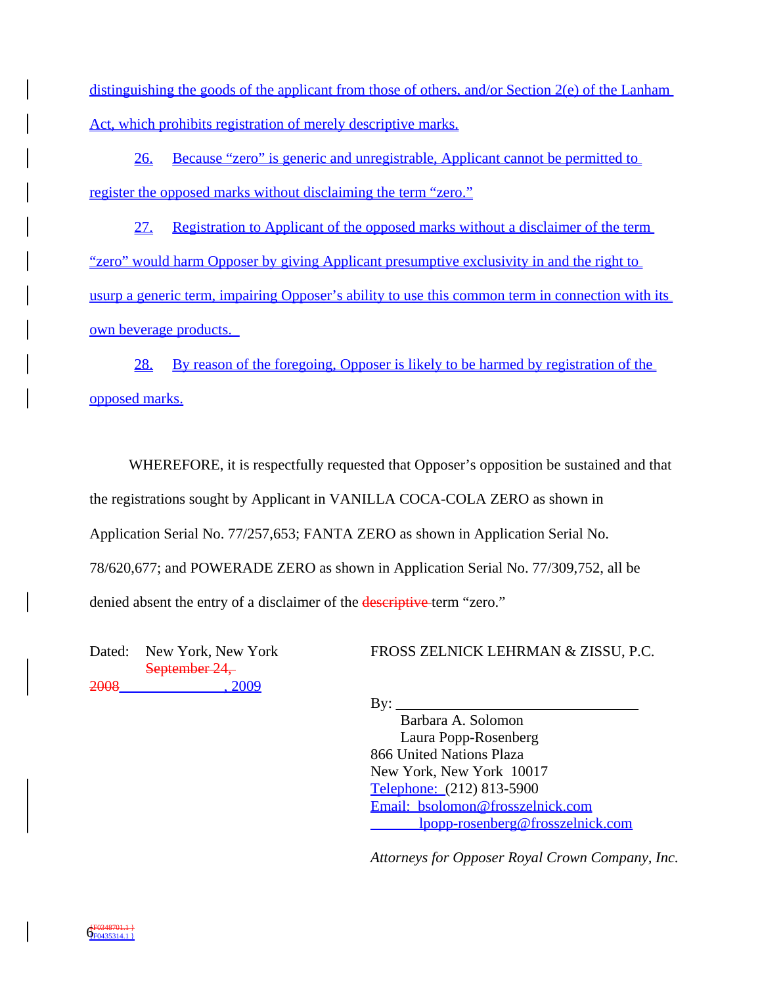distinguishing the goods of the applicant from those of others, and/or Section 2(e) of the Lanham Act, which prohibits registration of merely descriptive marks.

26. Because "zero" is generic and unregistrable, Applicant cannot be permitted to register the opposed marks without disclaiming the term "zero."

27. Registration to Applicant of the opposed marks without a disclaimer of the term "zero" would harm Opposer by giving Applicant presumptive exclusivity in and the right to usurp a generic term, impairing Opposer's ability to use this common term in connection with its own beverage products.

28. By reason of the foregoing, Opposer is likely to be harmed by registration of the opposed marks.

WHEREFORE, it is respectfully requested that Opposer's opposition be sustained and that the registrations sought by Applicant in VANILLA COCA-COLA ZERO as shown in Application Serial No. 77/257,653; FANTA ZERO as shown in Application Serial No. 78/620,677; and POWERADE ZERO as shown in Application Serial No. 77/309,752, all be denied absent the entry of a disclaimer of the **descriptive** term "zero."

Dated: New York, New York September 24, 2008\_\_\_\_\_\_\_\_\_\_\_\_\_\_, 2009

FROSS ZELNICK LEHRMAN & ZISSU, P.C.

 $\mathbf{B} \mathbf{v}$ :

 Barbara A. Solomon Laura Popp-Rosenberg 866 United Nations Plaza New York, New York 10017 Telephone: (212) 813-5900 Email: bsolomon@frosszelnick.com lpopp-rosenberg@frosszelnick.com

*Attorneys for Opposer Royal Crown Company, Inc.*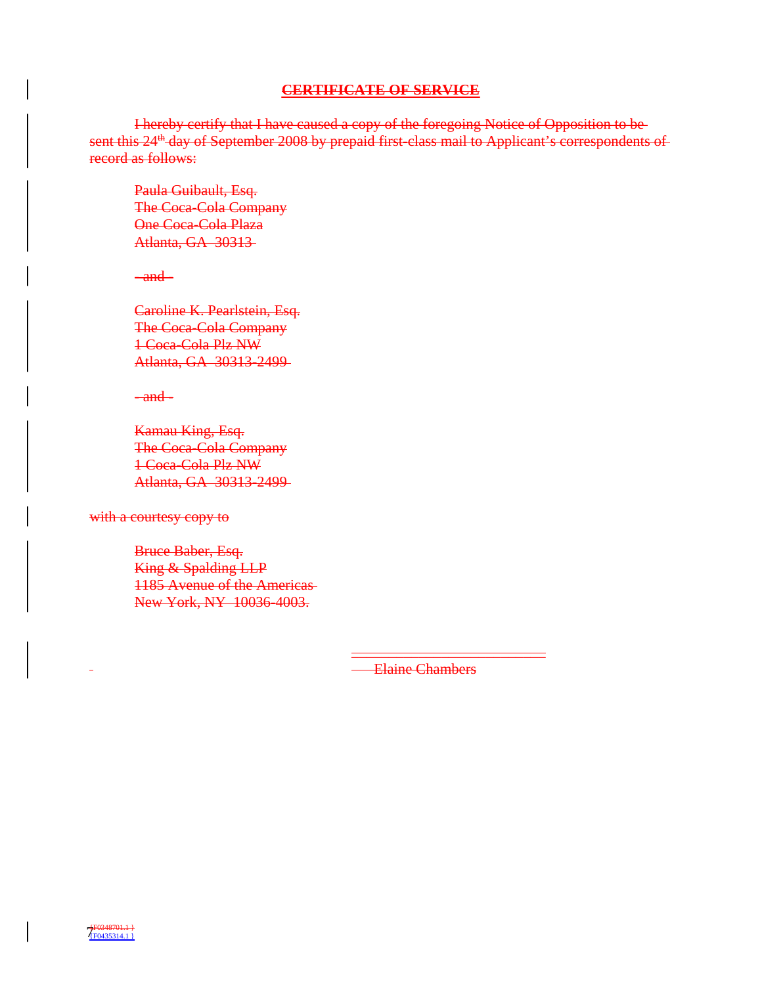# **CERTIFICATE OF SERVICE**

I hereby certify that I have caused a copy of the foregoing Notice of Opposition to be sent this 24<sup>th</sup> day of September 2008 by prepaid first-class mail to Applicant's correspondents of record as follows:

Paula Guibault, Esq. The Coca-Cola Company One Coca-Cola Plaza Atlanta, GA 30313

 $-$ and $-$ 

Caroline K. Pearlstein, Esq. The Coca-Cola Company 1 Coca-Cola Plz NW Atlanta, GA 30313-2499

 $-$ and $-$ 

Kamau King, Esq. The Coca-Cola Company 1 Coca-Cola Plz NW Atlanta, GA 30313-2499

with a courtesy copy to

Bruce Baber, Esq. King & Spalding LLP 1185 Avenue of the Americas New York, NY 10036-4003.

Elaine Chambers

\_\_\_\_\_\_\_\_\_\_\_\_\_\_\_\_\_\_\_\_\_\_\_\_\_\_

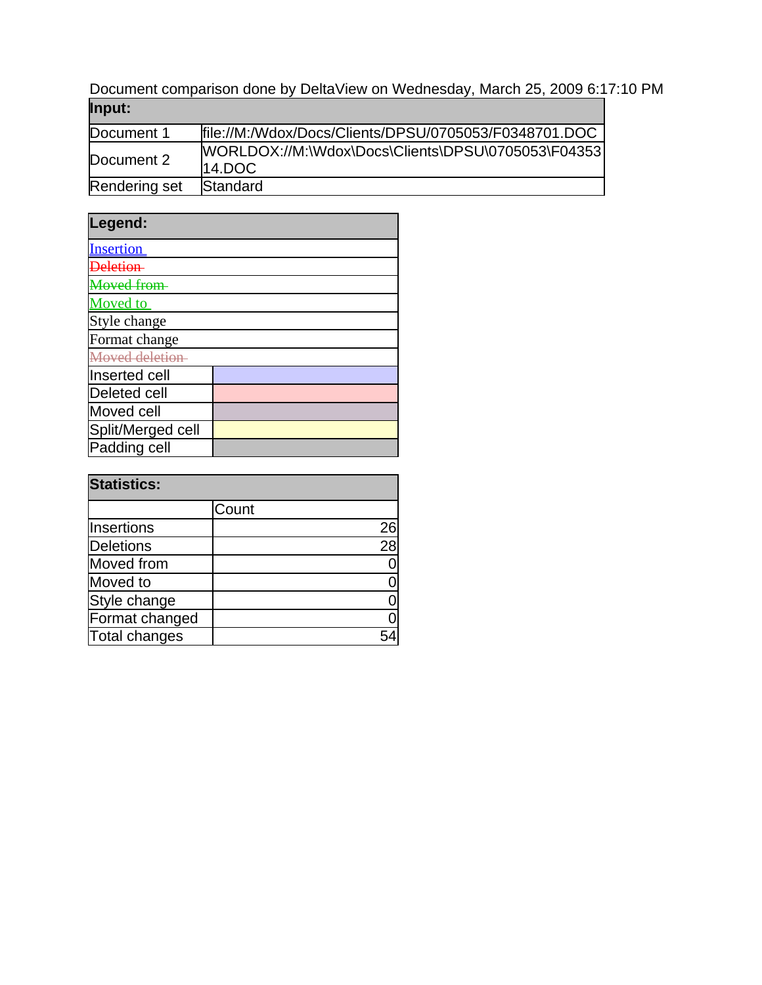Document comparison done by DeltaView on Wednesday, March 25, 2009 6:17:10 PM **Input:**

| <u> post</u>  |                                                                  |
|---------------|------------------------------------------------------------------|
| Document 1    | file://M:/Wdox/Docs/Clients/DPSU/0705053/F0348701.DOC            |
| Document 2    | IWORLDOX://M:\Wdox\Docs\Clients\DPSU\0705053\F04353<br>$14.$ DOC |
| Rendering set | <b>Standard</b>                                                  |

| Legend:             |  |
|---------------------|--|
| <b>Insertion</b>    |  |
|                     |  |
| <b>Loved from</b>   |  |
| <b>Moved</b> to     |  |
| Style change        |  |
| Format change       |  |
| Moved deletion-     |  |
| Inserted cell       |  |
| <b>Deleted cell</b> |  |
| Moved cell          |  |
| Split/Merged cell   |  |
| Padding cell        |  |

| <b>Statistics:</b> |       |    |
|--------------------|-------|----|
|                    | Count |    |
| Insertions         |       | 26 |
| <b>Deletions</b>   |       | 28 |
| Moved from         |       |    |
| Moved to           |       |    |
| Style change       |       |    |
| Format changed     |       |    |
| Total changes      |       |    |